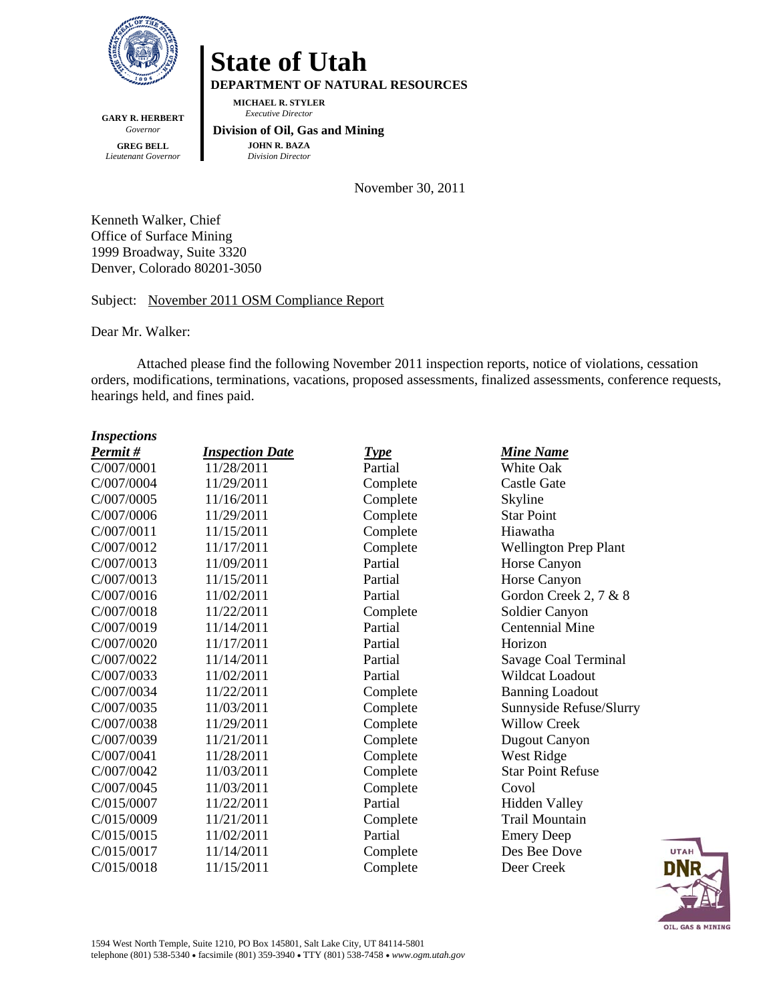

**State of Utah DEPARTMENT OF NATURAL RESOURCES MICHAEL R. STYLER**

**GARY R. HERBERT** *Governor* **GREG BELL** *Lieutenant Governor*

 **Division of Oil, Gas and Mining JOHN R. BAZA**

*Division Director*

*Executive Director*

November 30, 2011

Kenneth Walker, Chief Office of Surface Mining 1999 Broadway, Suite 3320 Denver, Colorado 80201-3050

Subject: November 2011 OSM Compliance Report

Dear Mr. Walker:

Attached please find the following November 2011 inspection reports, notice of violations, cessation orders, modifications, terminations, vacations, proposed assessments, finalized assessments, conference requests, hearings held, and fines paid.

| <b>Inspections</b> |                        |             |                              |
|--------------------|------------------------|-------------|------------------------------|
| Permit#            | <b>Inspection Date</b> | <b>Type</b> | <b>Mine Name</b>             |
| C/007/0001         | 11/28/2011             | Partial     | <b>White Oak</b>             |
| C/007/0004         | 11/29/2011             | Complete    | <b>Castle Gate</b>           |
| C/007/0005         | 11/16/2011             | Complete    | Skyline                      |
| C/007/0006         | 11/29/2011             | Complete    | <b>Star Point</b>            |
| C/007/0011         | 11/15/2011             | Complete    | Hiawatha                     |
| C/007/0012         | 11/17/2011             | Complete    | <b>Wellington Prep Plant</b> |
| C/007/0013         | 11/09/2011             | Partial     | Horse Canyon                 |
| C/007/0013         | 11/15/2011             | Partial     | Horse Canyon                 |
| C/007/0016         | 11/02/2011             | Partial     | Gordon Creek 2, 7 & 8        |
| C/007/0018         | 11/22/2011             | Complete    | Soldier Canyon               |
| C/007/0019         | 11/14/2011             | Partial     | <b>Centennial Mine</b>       |
| C/007/0020         | 11/17/2011             | Partial     | Horizon                      |
| C/007/0022         | 11/14/2011             | Partial     | Savage Coal Terminal         |
| C/007/0033         | 11/02/2011             | Partial     | <b>Wildcat Loadout</b>       |
| C/007/0034         | 11/22/2011             | Complete    | <b>Banning Loadout</b>       |
| C/007/0035         | 11/03/2011             | Complete    | Sunnyside Refuse/Slurry      |
| C/007/0038         | 11/29/2011             | Complete    | <b>Willow Creek</b>          |
| C/007/0039         | 11/21/2011             | Complete    | <b>Dugout Canyon</b>         |
| C/007/0041         | 11/28/2011             | Complete    | West Ridge                   |
| C/007/0042         | 11/03/2011             | Complete    | <b>Star Point Refuse</b>     |
| C/007/0045         | 11/03/2011             | Complete    | Covol                        |
| C/015/0007         | 11/22/2011             | Partial     | <b>Hidden Valley</b>         |
| C/015/0009         | 11/21/2011             | Complete    | <b>Trail Mountain</b>        |
| C/015/0015         | 11/02/2011             | Partial     | <b>Emery Deep</b>            |
| C/015/0017         | 11/14/2011             | Complete    | Des Bee Dove                 |
| C/015/0018         | 11/15/2011             | Complete    | Deer Creek                   |

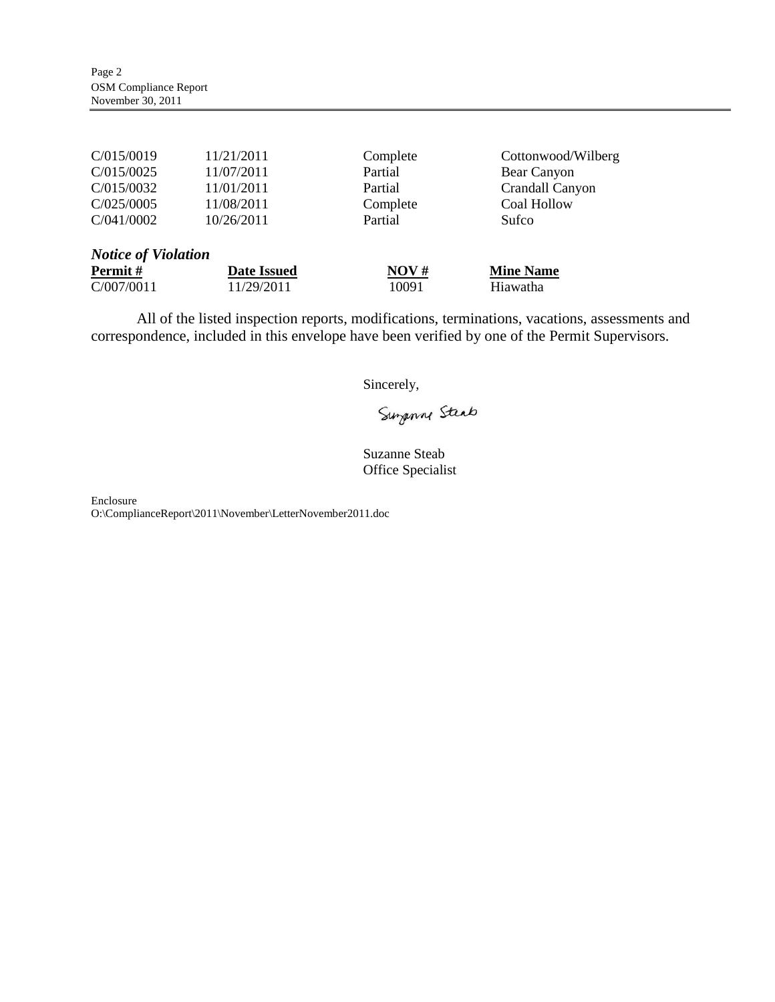| C/015/0019 | 11/21/2011 | Complete | Cottonwood/Wilberg |
|------------|------------|----------|--------------------|
| C/015/0025 | 11/07/2011 | Partial  | Bear Canyon        |
| C/015/0032 | 11/01/2011 | Partial  | Crandall Canyon    |
| C/025/0005 | 11/08/2011 | Complete | Coal Hollow        |
| C/041/0002 | 10/26/2011 | Partial  | Sufco              |
|            |            |          |                    |

| <b>Notice of Violation</b> |             |       |                  |
|----------------------------|-------------|-------|------------------|
| Permit #                   | Date Issued | NOV#  | <b>Mine Name</b> |
| C/007/0011                 | 11/29/2011  | 10091 | Hiawatha         |

All of the listed inspection reports, modifications, terminations, vacations, assessments and correspondence, included in this envelope have been verified by one of the Permit Supervisors.

Sincerely,

Surgenne Steab

Suzanne Steab Office Specialist

Enclosure

O:\ComplianceReport\2011\November\LetterNovember2011.doc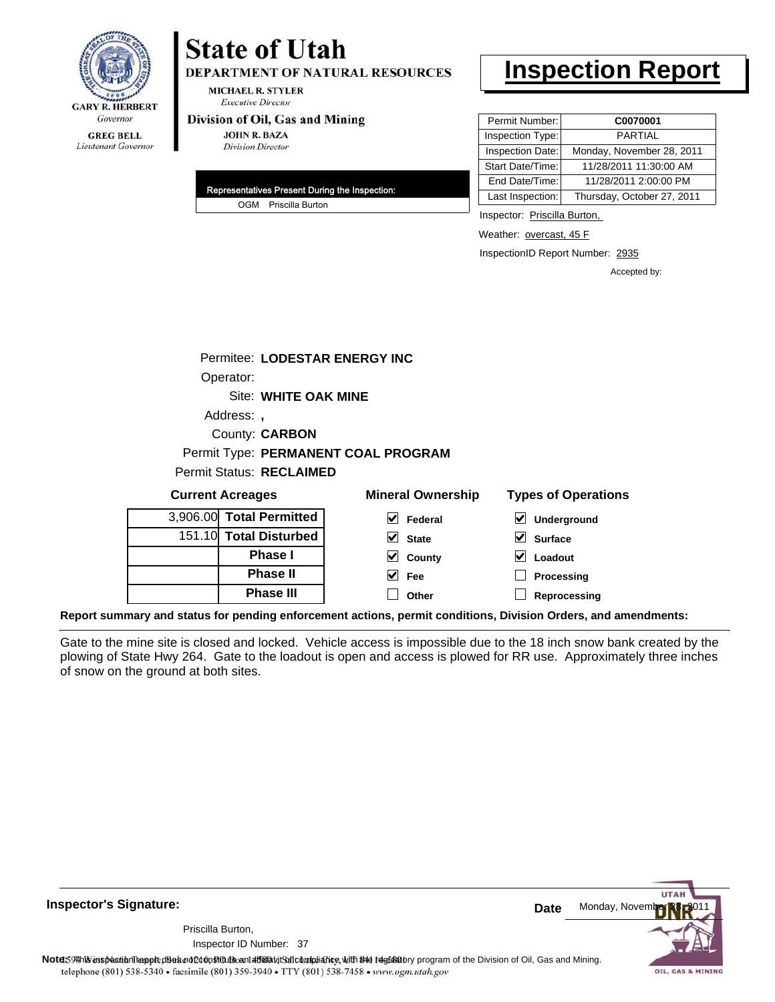

# **State of Utah**

**DEPARTMENT OF NATURAL RESOURCES** 

**MICHAEL R. STYLER Executive Director** 

#### Division of Oil, Gas and Mining

**JOHN R. BAZA Division Director** 

| Representatives Present During the Inspection: |
|------------------------------------------------|
| OGM Priscilla Burton                           |

# **Inspection Report**

| Permit Number:   | C0070001                   |
|------------------|----------------------------|
| Inspection Type: | <b>PARTIAL</b>             |
| Inspection Date: | Monday, November 28, 2011  |
| Start Date/Time: | 11/28/2011 11:30:00 AM     |
| End Date/Time:   | 11/28/2011 2:00:00 PM      |
| Last Inspection: | Thursday, October 27, 2011 |

Inspector: Priscilla Burton,

Weather: overcast, 45 F

InspectionID Report Number: 2935

Accepted by:

| <b>Current Acreages</b>         |                                     | <b>Mineral Ownership</b> | <b>Types of Oper</b> |
|---------------------------------|-------------------------------------|--------------------------|----------------------|
| <b>Permit Status: RECLAIMED</b> |                                     |                          |                      |
|                                 | Permit Type: PERMANENT COAL PROGRAM |                          |                      |
|                                 | County: <b>CARBON</b>               |                          |                      |
| Address: ,                      |                                     |                          |                      |
|                                 | Site: WHITE OAK MINE                |                          |                      |
| Operator:                       |                                     |                          |                      |
|                                 | Permitee: LODESTAR ENERGY INC       |                          |                      |
|                                 |                                     |                          |                      |
|                                 |                                     |                          |                      |

| <b>Current Acreages</b> |                          | <b>Mineral Ownership</b>                                                                                                                                                                                                        | <b>Types of Operations</b> |  |
|-------------------------|--------------------------|---------------------------------------------------------------------------------------------------------------------------------------------------------------------------------------------------------------------------------|----------------------------|--|
|                         | 3,906.00 Total Permitted | V<br>Federal                                                                                                                                                                                                                    | V<br>Underground           |  |
|                         | 151.10 Total Disturbed   | $\vee$ State                                                                                                                                                                                                                    | $\vee$ Surface             |  |
|                         | <b>Phase I</b>           | $\vee$ County                                                                                                                                                                                                                   | V<br>Loadout               |  |
|                         | <b>Phase II</b>          | $\vee$ Fee                                                                                                                                                                                                                      | Processing                 |  |
|                         | <b>Phase III</b>         | Other                                                                                                                                                                                                                           | Reprocessing               |  |
|                         |                          | $\sim$ . The second contract of the second contract of the second contract of the second contract of the second contract of the second contract of the second contract of the second contract of the second contract of the sec |                            |  |

**Report summary and status for pending enforcement actions, permit conditions, Division Orders, and amendments:**

Gate to the mine site is closed and locked. Vehicle access is impossible due to the 18 inch snow bank created by the plowing of State Hwy 264. Gate to the loadout is open and access is plowed for RR use. Approximately three inches of snow on the ground at both sites.



**Inspector's Signature:**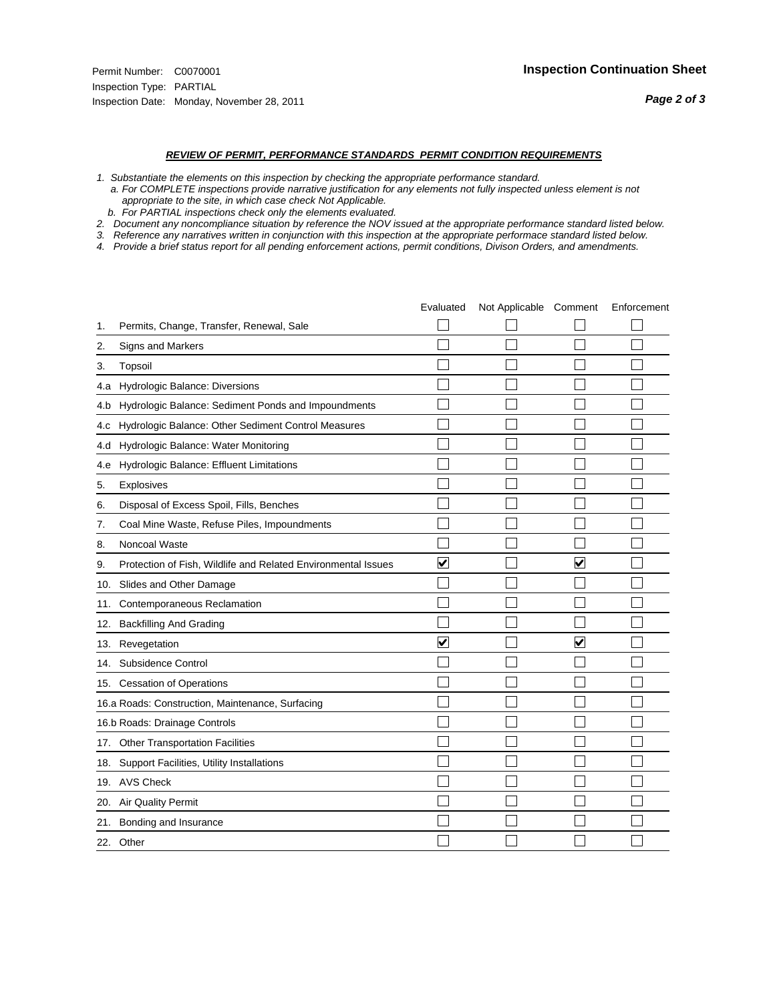#### *REVIEW OF PERMIT, PERFORMANCE STANDARDS PERMIT CONDITION REQUIREMENTS*

- *1. Substantiate the elements on this inspection by checking the appropriate performance standard.*
- *a. For COMPLETE inspections provide narrative justification for any elements not fully inspected unless element is not appropriate to the site, in which case check Not Applicable.*
- *b. For PARTIAL inspections check only the elements evaluated.*
- *2. Document any noncompliance situation by reference the NOV issued at the appropriate performance standard listed below.*
- *3. Reference any narratives written in conjunction with this inspection at the appropriate performace standard listed below.*
- *4. Provide a brief status report for all pending enforcement actions, permit conditions, Divison Orders, and amendments.*

|     |                                                               | Evaluated               | Not Applicable Comment |                         | Enforcement |
|-----|---------------------------------------------------------------|-------------------------|------------------------|-------------------------|-------------|
| 1.  | Permits, Change, Transfer, Renewal, Sale                      |                         |                        |                         |             |
| 2.  | <b>Signs and Markers</b>                                      |                         |                        |                         |             |
| 3.  | Topsoil                                                       |                         |                        |                         |             |
| 4.a | Hydrologic Balance: Diversions                                |                         |                        |                         |             |
| 4.b | Hydrologic Balance: Sediment Ponds and Impoundments           |                         |                        |                         |             |
| 4.C | Hydrologic Balance: Other Sediment Control Measures           |                         |                        |                         |             |
| 4.d | Hydrologic Balance: Water Monitoring                          |                         |                        |                         |             |
| 4.e | Hydrologic Balance: Effluent Limitations                      |                         |                        |                         |             |
| 5.  | Explosives                                                    |                         |                        |                         |             |
| 6.  | Disposal of Excess Spoil, Fills, Benches                      |                         |                        |                         |             |
| 7.  | Coal Mine Waste, Refuse Piles, Impoundments                   |                         |                        |                         |             |
| 8.  | Noncoal Waste                                                 |                         |                        |                         |             |
| 9.  | Protection of Fish, Wildlife and Related Environmental Issues | $\blacktriangledown$    |                        | ☑                       |             |
|     | 10. Slides and Other Damage                                   |                         |                        |                         |             |
| 11. | Contemporaneous Reclamation                                   |                         |                        |                         |             |
| 12. | <b>Backfilling And Grading</b>                                |                         |                        |                         |             |
| 13. | Revegetation                                                  | $\overline{\checkmark}$ |                        | $\overline{\mathbf{v}}$ |             |
| 14. | Subsidence Control                                            |                         |                        |                         |             |
|     | 15. Cessation of Operations                                   |                         |                        |                         |             |
|     | 16.a Roads: Construction, Maintenance, Surfacing              |                         |                        |                         |             |
|     | 16.b Roads: Drainage Controls                                 |                         |                        |                         |             |
|     | 17. Other Transportation Facilities                           |                         |                        |                         |             |
| 18. | Support Facilities, Utility Installations                     |                         |                        |                         |             |
|     | 19. AVS Check                                                 |                         |                        |                         |             |
| 20. | Air Quality Permit                                            |                         |                        |                         |             |
|     | 21. Bonding and Insurance                                     |                         |                        |                         |             |
|     | 22. Other                                                     |                         |                        |                         |             |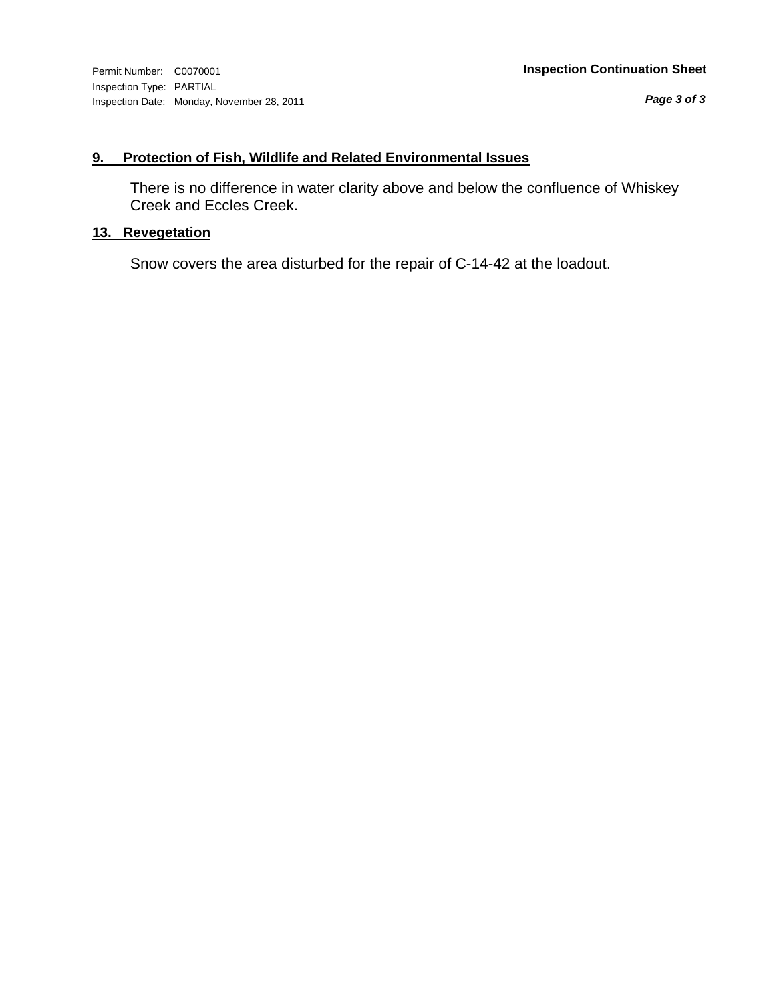*Page 3 of 3*

## **9. Protection of Fish, Wildlife and Related Environmental Issues**

There is no difference in water clarity above and below the confluence of Whiskey Creek and Eccles Creek.

## **13. Revegetation**

Snow covers the area disturbed for the repair of C-14-42 at the loadout.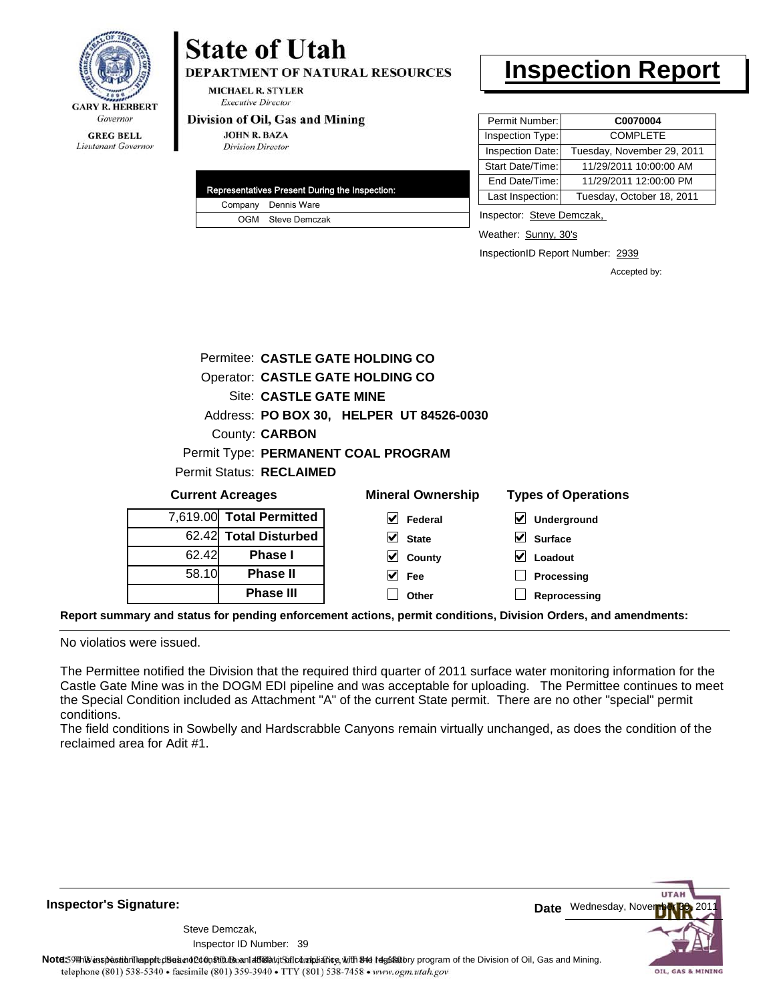

# Lieutenant Governor

# **State of Utah**

**DEPARTMENT OF NATURAL RESOURCES** 

**MICHAEL R. STYLER Executive Director** 

#### Division of Oil, Gas and Mining

**JOHN R. BAZA Division Director** 

| Representatives Present During the Inspection: |
|------------------------------------------------|
| Company Dennis Ware                            |
| OGM Steve Demczak                              |

# **Inspection Report**

| Permit Number:   | C0070004                   |
|------------------|----------------------------|
| Inspection Type: | <b>COMPLETE</b>            |
| Inspection Date: | Tuesday, November 29, 2011 |
| Start Date/Time: | 11/29/2011 10:00:00 AM     |
| End Date/Time:   | 11/29/2011 12:00:00 PM     |
| Last Inspection: | Tuesday, October 18, 2011  |

Inspector: Steve Demczak,

Weather: Sunny, 30's

InspectionID Report Number: 2939

**Processing Reprocessing** Accepted by:

|                                                              | Permitee: CASTLE GATE HOLDING CO                        |                                          |                            |  |  |
|--------------------------------------------------------------|---------------------------------------------------------|------------------------------------------|----------------------------|--|--|
|                                                              |                                                         | Operator: CASTLE GATE HOLDING CO         |                            |  |  |
|                                                              | Site: CASTLE GATE MINE                                  |                                          |                            |  |  |
|                                                              |                                                         | Address: PO BOX 30, HELPER UT 84526-0030 |                            |  |  |
|                                                              | County: <b>CARBON</b>                                   |                                          |                            |  |  |
|                                                              |                                                         | Permit Type: PERMANENT COAL PROGRAM      |                            |  |  |
|                                                              | <b>Permit Status: RECLAIMED</b>                         |                                          |                            |  |  |
|                                                              | <b>Current Acreages</b>                                 | <b>Mineral Ownership</b>                 | <b>Types of Operations</b> |  |  |
|                                                              | 7,619.00 Total Permitted<br>M<br>Federal<br>Underground |                                          |                            |  |  |
| 62.42 Total Disturbed<br>V<br><b>State</b><br><b>Surface</b> |                                                         |                                          |                            |  |  |
| 62.42<br><b>Phase I</b><br>Loadout<br>County                 |                                                         |                                          |                            |  |  |

**Fee Other**

**Report summary and status for pending enforcement actions, permit conditions, Division Orders, and amendments:**

No violatios were issued.

58.10

**Phase II Phase III**

The Permittee notified the Division that the required third quarter of 2011 surface water monitoring information for the Castle Gate Mine was in the DOGM EDI pipeline and was acceptable for uploading. The Permittee continues to meet the Special Condition included as Attachment "A" of the current State permit. There are no other "special" permit conditions.

The field conditions in Sowbelly and Hardscrabble Canyons remain virtually unchanged, as does the condition of the reclaimed area for Adit #1.

**Inspector's Signature:**

Inspector ID Number: 39 Steve Demczak,



Note59 This inspection report disean of constitutionan affidavit Safe bangliance, with the depitatory program of the Division of Oil, Gas and Mining. telephone (801) 538-5340 · facsimile (801) 359-3940 · TTY (801) 538-7458 · www.ogm.utah.gov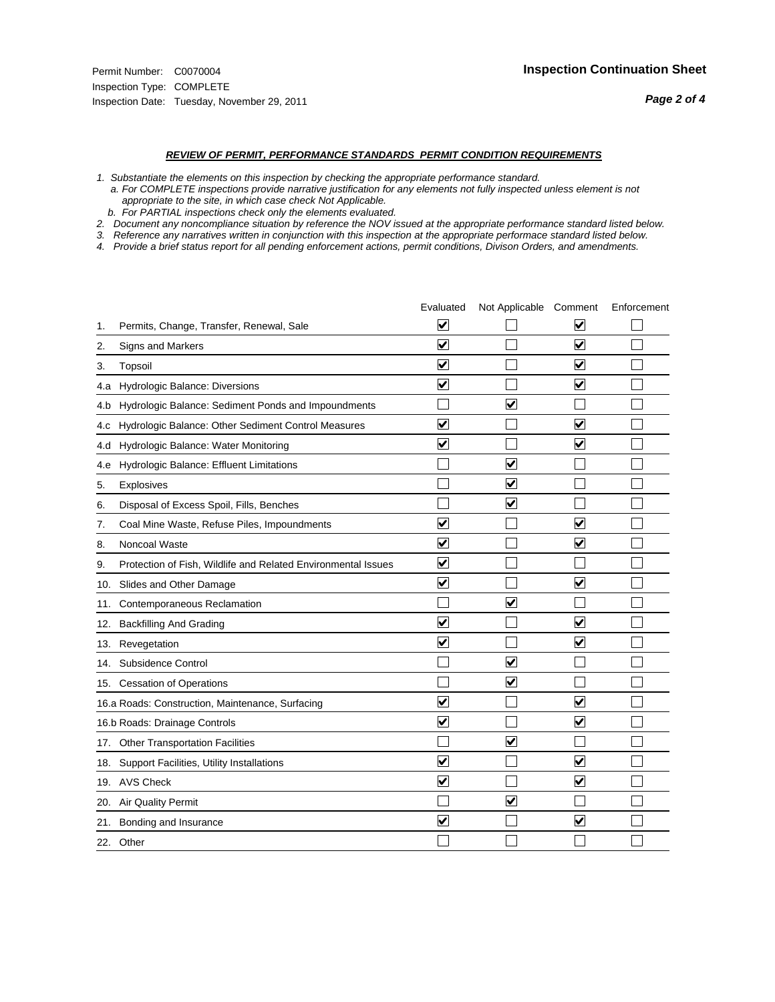#### *REVIEW OF PERMIT, PERFORMANCE STANDARDS PERMIT CONDITION REQUIREMENTS*

*1. Substantiate the elements on this inspection by checking the appropriate performance standard.*

 *a. For COMPLETE inspections provide narrative justification for any elements not fully inspected unless element is not appropriate to the site, in which case check Not Applicable.*

 *b. For PARTIAL inspections check only the elements evaluated.*

*2. Document any noncompliance situation by reference the NOV issued at the appropriate performance standard listed below.*

*3. Reference any narratives written in conjunction with this inspection at the appropriate performace standard listed below.*

|     |                                                               | Evaluated               | Not Applicable Comment  |                         | Enforcement |
|-----|---------------------------------------------------------------|-------------------------|-------------------------|-------------------------|-------------|
| 1.  | Permits, Change, Transfer, Renewal, Sale                      | $\overline{\mathbf{v}}$ |                         | $\overline{\mathbf{v}}$ |             |
| 2.  | Signs and Markers                                             | $\overline{\mathbf{v}}$ |                         | $\overline{\mathbf{v}}$ |             |
| 3.  | Topsoil                                                       | $\overline{\mathbf{v}}$ |                         | $\overline{\mathbf{v}}$ |             |
| 4.a | Hydrologic Balance: Diversions                                | $\blacktriangledown$    |                         | $\checkmark$            |             |
| 4.b | Hydrologic Balance: Sediment Ponds and Impoundments           |                         | $\blacktriangledown$    |                         |             |
| 4.C | Hydrologic Balance: Other Sediment Control Measures           | $\overline{\mathsf{v}}$ |                         | $\blacktriangledown$    |             |
| 4.d | Hydrologic Balance: Water Monitoring                          | $\overline{\mathbf{v}}$ |                         | $\overline{\mathbf{v}}$ |             |
| 4.e | Hydrologic Balance: Effluent Limitations                      |                         | ⊽                       |                         |             |
| 5.  | <b>Explosives</b>                                             |                         | ☑                       |                         |             |
| 6.  | Disposal of Excess Spoil, Fills, Benches                      |                         | $\blacktriangledown$    |                         |             |
| 7.  | Coal Mine Waste, Refuse Piles, Impoundments                   | $\overline{\mathbf{v}}$ |                         | $\overline{\mathbf{v}}$ |             |
| 8.  | Noncoal Waste                                                 | $\overline{\mathbf{v}}$ |                         | $\overline{\mathbf{v}}$ |             |
| 9.  | Protection of Fish, Wildlife and Related Environmental Issues | $\blacktriangledown$    |                         |                         |             |
|     | 10. Slides and Other Damage                                   | ✔                       |                         | ✓                       |             |
| 11. | Contemporaneous Reclamation                                   |                         | ⊻                       |                         |             |
| 12. | <b>Backfilling And Grading</b>                                | $\overline{\mathbf{v}}$ |                         | $\overline{\mathbf{v}}$ |             |
| 13. | Revegetation                                                  | $\overline{\mathbf{v}}$ |                         | $\overline{\mathbf{v}}$ |             |
| 14. | Subsidence Control                                            |                         | $\overline{\mathbf{v}}$ |                         |             |
|     | 15. Cessation of Operations                                   |                         | ✔                       |                         |             |
|     | 16.a Roads: Construction, Maintenance, Surfacing              | $\overline{\mathsf{v}}$ |                         | $\overline{\mathbf{v}}$ |             |
|     | 16.b Roads: Drainage Controls                                 | ⊽                       |                         | $\blacktriangledown$    |             |
|     | 17. Other Transportation Facilities                           |                         | $\overline{\mathbf{v}}$ |                         |             |
| 18. | Support Facilities, Utility Installations                     | $\overline{\mathbf{v}}$ |                         | $\overline{\mathbf{v}}$ |             |
|     | 19. AVS Check                                                 | $\overline{\mathbf{v}}$ |                         | $\blacktriangledown$    |             |
|     | 20. Air Quality Permit                                        |                         | ☑                       |                         |             |
| 21. | Bonding and Insurance                                         | $\overline{\mathsf{v}}$ |                         | $\blacktriangledown$    |             |
|     | 22. Other                                                     |                         |                         |                         |             |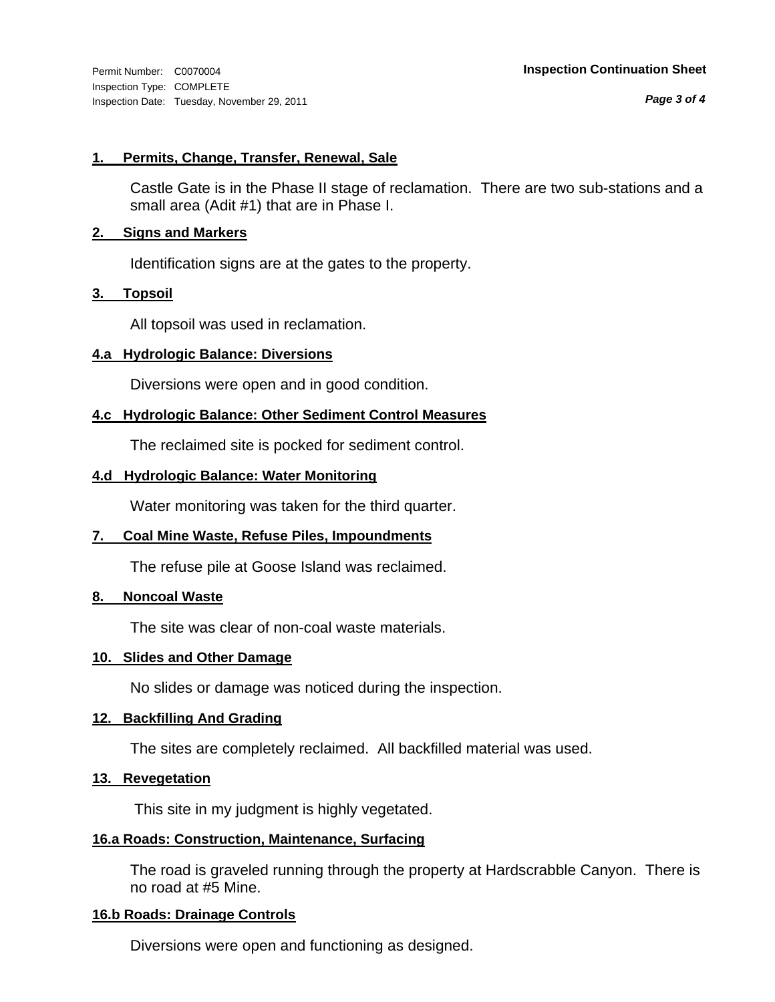*Page 3 of 4*

#### **1. Permits, Change, Transfer, Renewal, Sale**

Castle Gate is in the Phase II stage of reclamation. There are two sub-stations and a small area (Adit #1) that are in Phase I.

#### **2. Signs and Markers**

Identification signs are at the gates to the property.

#### **3. Topsoil**

All topsoil was used in reclamation.

### **4.a Hydrologic Balance: Diversions**

Diversions were open and in good condition.

### **4.c Hydrologic Balance: Other Sediment Control Measures**

The reclaimed site is pocked for sediment control.

#### **4.d Hydrologic Balance: Water Monitoring**

Water monitoring was taken for the third quarter.

### **7. Coal Mine Waste, Refuse Piles, Impoundments**

The refuse pile at Goose Island was reclaimed.

### **8. Noncoal Waste**

The site was clear of non-coal waste materials.

#### **10. Slides and Other Damage**

No slides or damage was noticed during the inspection.

#### **12. Backfilling And Grading**

The sites are completely reclaimed. All backfilled material was used.

### **13. Revegetation**

This site in my judgment is highly vegetated.

### **16.a Roads: Construction, Maintenance, Surfacing**

The road is graveled running through the property at Hardscrabble Canyon. There is no road at #5 Mine.

#### **16.b Roads: Drainage Controls**

Diversions were open and functioning as designed.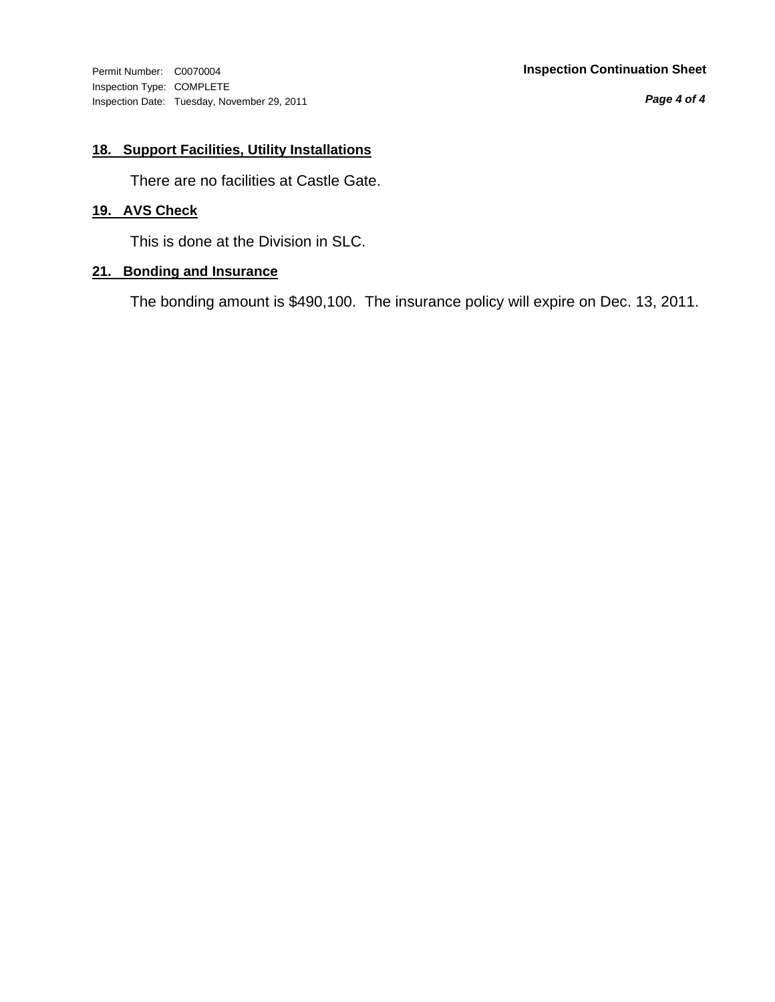Inspection Type: COMPLETE Inspection Date: Tuesday, November 29, 2011

#### Permit Number: C0070004 **Inspection Continuation Sheet**

*Page 4 of 4*

## **18. Support Facilities, Utility Installations**

There are no facilities at Castle Gate.

## **19. AVS Check**

This is done at the Division in SLC.

### **21. Bonding and Insurance**

The bonding amount is \$490,100. The insurance policy will expire on Dec. 13, 2011.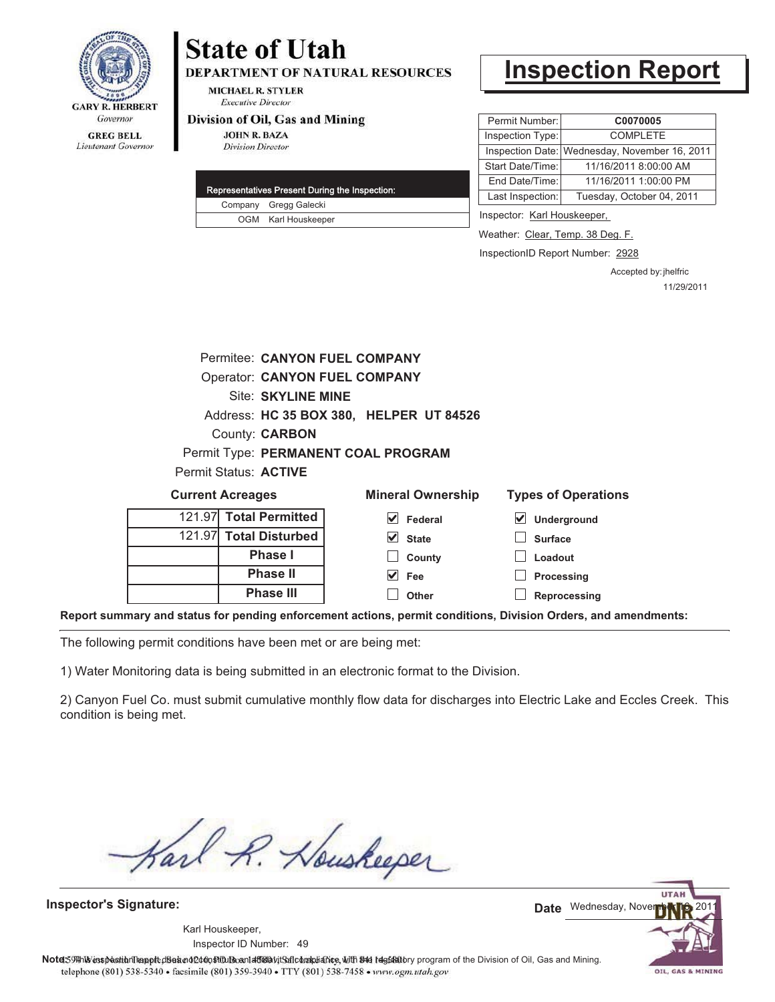

# **State of Utah DEPARTMENT OF NATURAL RESOURCES**

**MICHAEL R. STYLER Executive Director** 

#### Division of Oil, Gas and Mining

**JOHN R. BAZA Division Director** 

|  | Representatives Present During the Inspection: |
|--|------------------------------------------------|
|  | Company Gregg Galecki                          |
|  | OGM Karl Houskeeper                            |

# **Inspection Report**

| Permit Number:          | C0070005                                      |
|-------------------------|-----------------------------------------------|
| Inspection Type:        | <b>COMPLETE</b>                               |
|                         | Inspection Date: Wednesday, November 16, 2011 |
| <b>Start Date/Time:</b> | 11/16/2011 8:00:00 AM                         |
| End Date/Time:          | 11/16/2011 1:00:00 PM                         |
| Last Inspection:        | Tuesday, October 04, 2011                     |

Inspector: Karl Houskeeper,

Weather: Clear, Temp. 38 Deg. F.

InspectionID Report Number: 2928

Accepted by: jhelfric 11/29/2011

|                       | Permitee: CANYON FUEL COMPANY           |
|-----------------------|-----------------------------------------|
|                       | <b>Operator: CANYON FUEL COMPANY</b>    |
|                       | <b>Site: SKYLINE MINE</b>               |
|                       | Address: HC 35 BOX 380, HELPER UT 84526 |
|                       | <b>County: CARBON</b>                   |
|                       | Permit Type: PERMANENT COAL PROGRAM     |
| Permit Status: ACTIVE |                                         |
|                       |                                         |

| <b>Current Acreages</b> |                        | <b>Mineral Ownership</b> | <b>Types of Operations</b> |
|-------------------------|------------------------|--------------------------|----------------------------|
|                         | 121.97 Total Permitted | V<br>Federal             | V<br>Underground           |
|                         | 121.97 Total Disturbed | $\vee$ State             | <b>Surface</b>             |
|                         | <b>Phase I</b>         | County                   | Loadout                    |
|                         | <b>Phase II</b>        | $\vee$ Fee               | Processing                 |
|                         | <b>Phase III</b>       | Other                    | Reprocessing               |
|                         | .                      |                          |                            |

**Report summary and status for pending enforcement actions, permit conditions, Division Orders, and amendments:**

The following permit conditions have been met or are being met:

1) Water Monitoring data is being submitted in an electronic format to the Division.

2) Canyon Fuel Co. must submit cumulative monthly flow data for discharges into Electric Lake and Eccles Creek. This condition is being met.

Karl R. Houskeeper

**Inspector's Signature:**

49 Inspector ID Number:Karl Houskeeper,

**UTAI** Date Wednesday, November 16, 2011 OIL, GAS & MINING

Note: 59 This inspection leapt disean of constitution of affidavit Safic barbiance, with the fegatatory program of the Division of Oil, Gas and Mining. telephone (801) 538-5340 · facsimile (801) 359-3940 · TTY (801) 538-7458 · www.ogm.utah.gov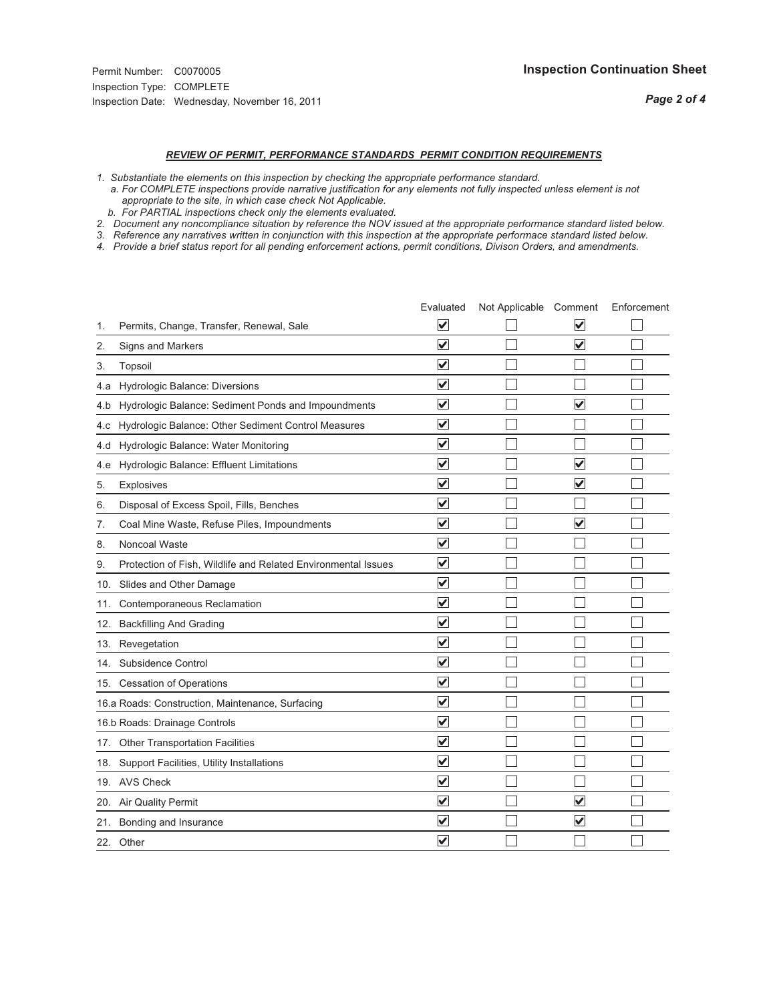# *REVIEW OF PERMIT, PERFORMANCE STANDARDS PERMIT CONDITION REQUIREMENTS*

*1. Substantiate the elements on this inspection by checking the appropriate performance standard.*

 *a. For COMPLETE inspections provide narrative justification for any elements not fully inspected unless element is not appropriate to the site, in which case check Not Applicable.*

 *b. For PARTIAL inspections check only the elements evaluated.*

*2. Document any noncompliance situation by reference the NOV issued at the appropriate performance standard listed below.*

*3. Reference any narratives written in conjunction with this inspection at the appropriate performace standard listed below.*

|     |                                                               | Evaluated               | Not Applicable Comment |                         | Enforcement |
|-----|---------------------------------------------------------------|-------------------------|------------------------|-------------------------|-------------|
| 1.  | Permits, Change, Transfer, Renewal, Sale                      | V                       |                        | V                       |             |
| 2.  | Signs and Markers                                             | $\overline{\mathbf{v}}$ |                        | $\blacktriangledown$    |             |
| 3.  | Topsoil                                                       | $\overline{\mathbf{v}}$ |                        |                         |             |
| 4.a | Hydrologic Balance: Diversions                                | $\overline{\mathsf{v}}$ |                        |                         |             |
| 4.b | Hydrologic Balance: Sediment Ponds and Impoundments           | $\blacktriangledown$    |                        | $\blacktriangledown$    |             |
| 4.C | Hydrologic Balance: Other Sediment Control Measures           | $\checkmark$            |                        |                         |             |
| 4.d | Hydrologic Balance: Water Monitoring                          | $\overline{\mathbf{v}}$ |                        |                         |             |
| 4.e | Hydrologic Balance: Effluent Limitations                      | $\overline{\mathbf{v}}$ |                        | $\overline{\mathbf{v}}$ |             |
| 5.  | <b>Explosives</b>                                             | $\overline{\mathbf{v}}$ |                        | $\overline{\mathbf{v}}$ |             |
| 6.  | Disposal of Excess Spoil, Fills, Benches                      | $\overline{\mathbf{v}}$ |                        |                         |             |
| 7.  | Coal Mine Waste, Refuse Piles, Impoundments                   | $\overline{\mathsf{v}}$ |                        | $\overline{\checkmark}$ |             |
| 8.  | Noncoal Waste                                                 | $\overline{\mathbf{v}}$ |                        |                         |             |
| 9.  | Protection of Fish, Wildlife and Related Environmental Issues | $\overline{\mathbf{v}}$ |                        |                         |             |
| 10. | Slides and Other Damage                                       | $\overline{\mathsf{v}}$ |                        |                         |             |
| 11. | Contemporaneous Reclamation                                   | $\blacktriangledown$    |                        |                         |             |
| 12. | <b>Backfilling And Grading</b>                                | $\overline{\mathsf{v}}$ |                        |                         |             |
| 13. | Revegetation                                                  | $\overline{\mathbf{v}}$ |                        |                         |             |
| 14. | Subsidence Control                                            | $\overline{\mathbf{v}}$ |                        |                         |             |
|     | 15. Cessation of Operations                                   | $\overline{\mathbf{v}}$ |                        |                         |             |
|     | 16.a Roads: Construction, Maintenance, Surfacing              | $\overline{\mathsf{v}}$ |                        |                         |             |
|     | 16.b Roads: Drainage Controls                                 | $\overline{\mathbf{v}}$ |                        |                         |             |
| 17. | <b>Other Transportation Facilities</b>                        | $\overline{\mathbf{v}}$ |                        |                         |             |
| 18. | Support Facilities, Utility Installations                     | $\overline{\mathbf{v}}$ |                        |                         |             |
|     | 19. AVS Check                                                 | $\overline{\mathsf{v}}$ |                        |                         |             |
| 20. | <b>Air Quality Permit</b>                                     | $\checkmark$            |                        | $\overline{\mathsf{v}}$ |             |
| 21. | Bonding and Insurance                                         | $\overline{\mathbf{v}}$ |                        | $\blacktriangledown$    |             |
|     | 22. Other                                                     | $\overline{\mathsf{v}}$ |                        |                         |             |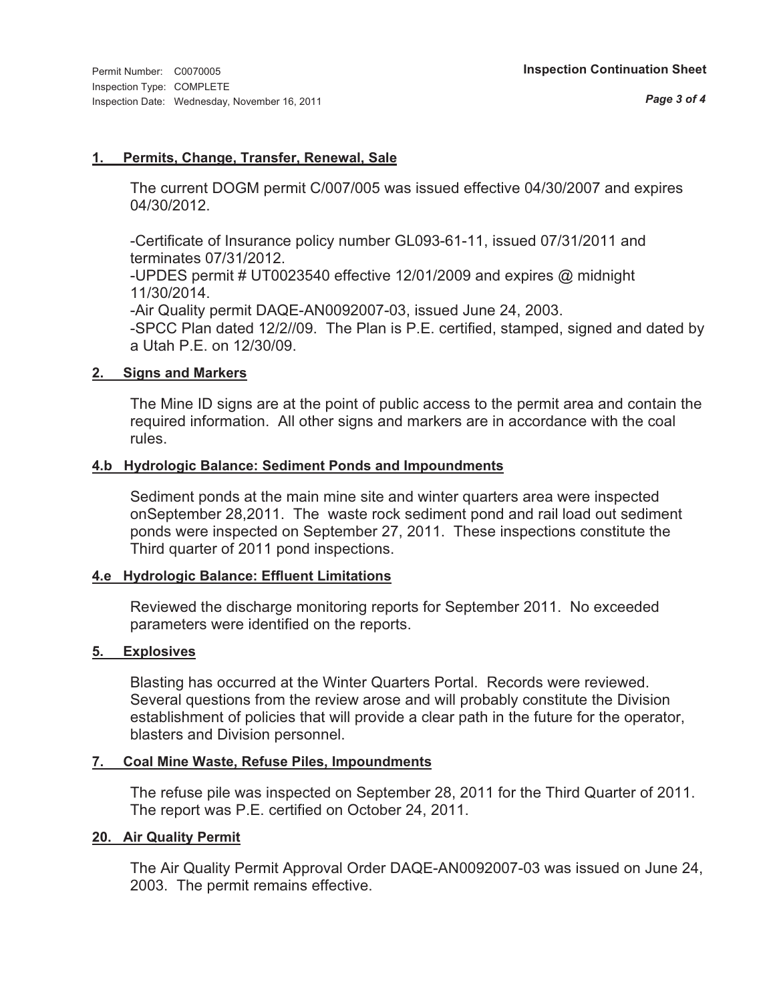#### **1. Permits, Change, Transfer, Renewal, Sale**

The current DOGM permit C/007/005 was issued effective 04/30/2007 and expires 04/30/2012.

-Certificate of Insurance policy number GL093-61-11, issued 07/31/2011 and terminates 07/31/2012.

-UPDES permit # UT0023540 effective 12/01/2009 and expires @ midnight 11/30/2014.

-Air Quality permit DAQE-AN0092007-03, issued June 24, 2003.

-SPCC Plan dated 12/2//09. The Plan is P.E. certified, stamped, signed and dated by a Utah P.E. on 12/30/09.

### **2. Signs and Markers**

The Mine ID signs are at the point of public access to the permit area and contain the required information. All other signs and markers are in accordance with the coal rules.

### **4.b Hydrologic Balance: Sediment Ponds and Impoundments**

Sediment ponds at the main mine site and winter quarters area were inspected onSeptember 28,2011. The waste rock sediment pond and rail load out sediment ponds were inspected on September 27, 2011. These inspections constitute the Third quarter of 2011 pond inspections.

### **4.e Hydrologic Balance: Effluent Limitations**

Reviewed the discharge monitoring reports for September 2011. No exceeded parameters were identified on the reports.

## **5. Explosives**

Blasting has occurred at the Winter Quarters Portal. Records were reviewed. Several questions from the review arose and will probably constitute the Division establishment of policies that will provide a clear path in the future for the operator, blasters and Division personnel.

### **7. Coal Mine Waste, Refuse Piles, Impoundments**

The refuse pile was inspected on September 28, 2011 for the Third Quarter of 2011. The report was P.E. certified on October 24, 2011.

### **20. Air Quality Permit**

The Air Quality Permit Approval Order DAQE-AN0092007-03 was issued on June 24, 2003. The permit remains effective.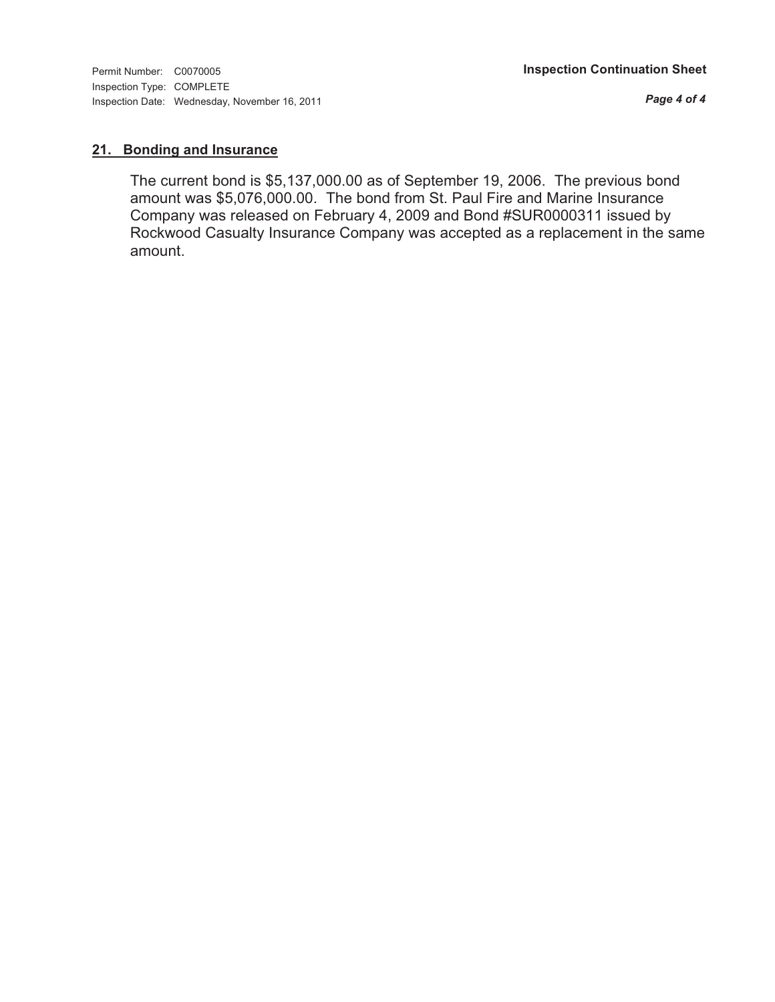*Page 4 of 4*

### **21. Bonding and Insurance**

The current bond is \$5,137,000.00 as of September 19, 2006. The previous bond amount was \$5,076,000.00. The bond from St. Paul Fire and Marine Insurance Company was released on February 4, 2009 and Bond #SUR0000311 issued by Rockwood Casualty Insurance Company was accepted as a replacement in the same amount.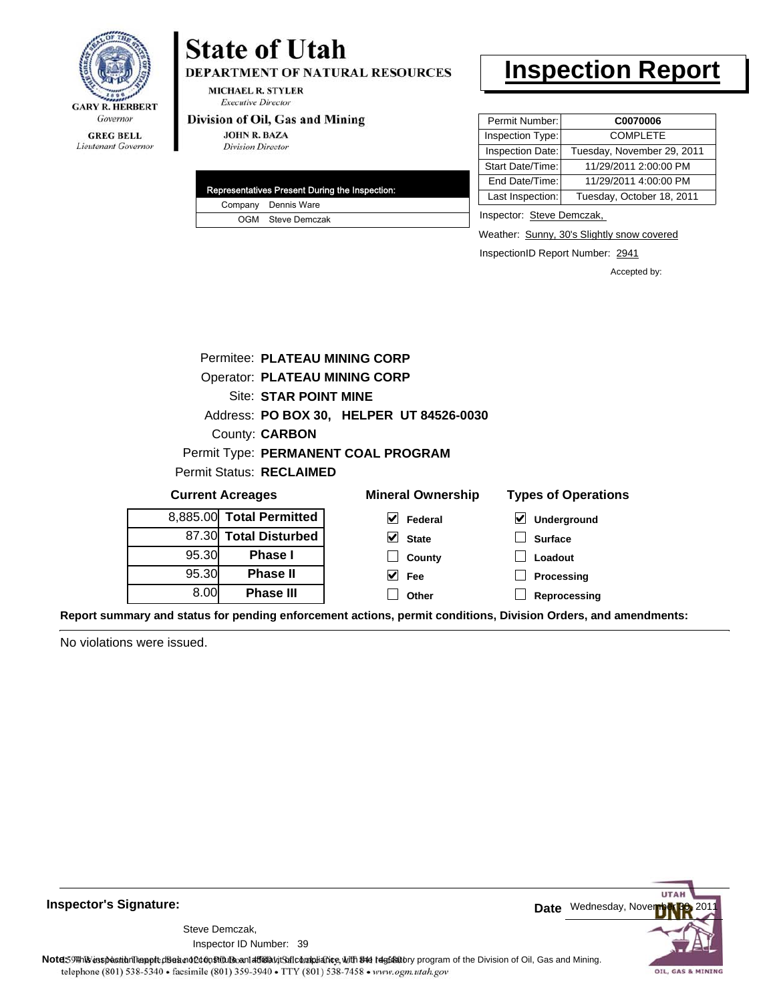

#### **MICHAEL R. STYLER Executive Director**

#### Division of Oil, Gas and Mining

Lieutenant Governor

| <b>JOHN R. BAZA</b>      |
|--------------------------|
| <b>Division Director</b> |

**State of Utah** 

|  | Representatives Present During the Inspection: |
|--|------------------------------------------------|
|  | Company Dennis Ware                            |
|  | OGM Steve Demczak                              |

DEPARTMENT OF NATURAL RESOURCES

# **Inspection Report**

| Permit Number:   | C0070006                   |
|------------------|----------------------------|
| Inspection Type: | <b>COMPLETE</b>            |
| Inspection Date: | Tuesday, November 29, 2011 |
| Start Date/Time: | 11/29/2011 2:00:00 PM      |
| End Date/Time:   | 11/29/2011 4:00:00 PM      |
| Last Inspection: | Tuesday, October 18, 2011  |

Inspector: Steve Demczak,

Weather: Sunny, 30's Slightly snow covered

InspectionID Report Number: 2941

**Reprocessing**

Accepted by:

|       | Permitee: PLATEAU MINING CORP        |                                          |                            |
|-------|--------------------------------------|------------------------------------------|----------------------------|
|       | <b>Operator: PLATEAU MINING CORP</b> |                                          |                            |
|       | <b>Site: STAR POINT MINE</b>         |                                          |                            |
|       |                                      | Address: PO BOX 30, HELPER UT 84526-0030 |                            |
|       | County: <b>CARBON</b>                |                                          |                            |
|       |                                      | Permit Type: PERMANENT COAL PROGRAM      |                            |
|       | <b>Permit Status: RECLAIMED</b>      |                                          |                            |
|       | <b>Current Acreages</b>              | <b>Mineral Ownership</b>                 | <b>Types of Operations</b> |
|       | 8,885.00 Total Permitted             | $\vert \mathbf{v} \vert$ Federal         | V<br>Underground           |
|       | 87.30 Total Disturbed                | $\vee$ State                             | <b>Surface</b>             |
| 95.30 | <b>Phase I</b>                       | County                                   | Loadout                    |
| 95.30 | <b>Phase II</b>                      | Fee                                      | Processing                 |

**Other**

**Report summary and status for pending enforcement actions, permit conditions, Division Orders, and amendments:**

No violations were issued.

8.00

**Phase III**



**Inspector's Signature:**

Inspector ID Number: 39 Steve Demczak,

Note: 59Hh is inspection report does not constitute and affidavit Control and Mining.<br>
telephone (801) 538-5340 • facsimile (801) 539-3940 • TTY (801) 538-7458 • www.ogm.utah.gov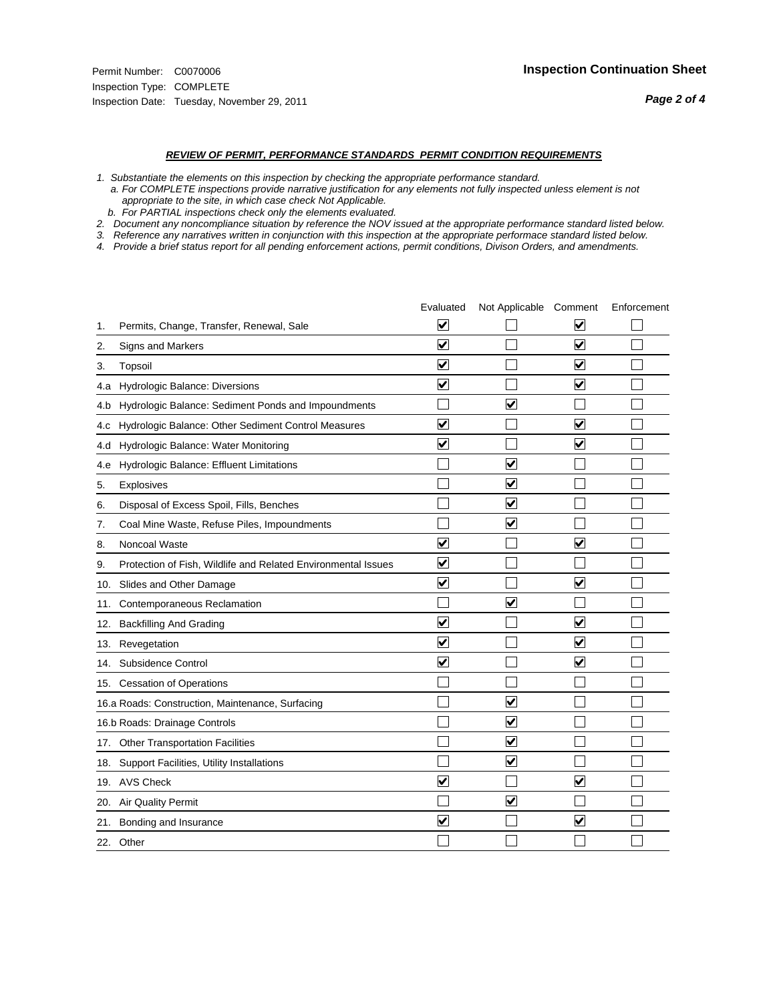#### *REVIEW OF PERMIT, PERFORMANCE STANDARDS PERMIT CONDITION REQUIREMENTS*

*1. Substantiate the elements on this inspection by checking the appropriate performance standard.*

 *a. For COMPLETE inspections provide narrative justification for any elements not fully inspected unless element is not appropriate to the site, in which case check Not Applicable.*

 *b. For PARTIAL inspections check only the elements evaluated.*

*2. Document any noncompliance situation by reference the NOV issued at the appropriate performance standard listed below.*

*3. Reference any narratives written in conjunction with this inspection at the appropriate performace standard listed below.*

|     |                                                               | Evaluated               | Not Applicable Comment  |                         | Enforcement |
|-----|---------------------------------------------------------------|-------------------------|-------------------------|-------------------------|-------------|
| 1.  | Permits, Change, Transfer, Renewal, Sale                      | $\overline{\mathbf{v}}$ |                         | $\overline{\mathbf{v}}$ |             |
| 2.  | Signs and Markers                                             | $\overline{\mathbf{v}}$ |                         | $\overline{\mathbf{v}}$ |             |
| 3.  | Topsoil                                                       | $\overline{\mathbf{v}}$ |                         | $\overline{\mathbf{v}}$ |             |
| 4.a | Hydrologic Balance: Diversions                                | V                       |                         | $\checkmark$            |             |
| 4.b | Hydrologic Balance: Sediment Ponds and Impoundments           |                         | $\blacktriangledown$    |                         |             |
| 4.C | Hydrologic Balance: Other Sediment Control Measures           | $\overline{\mathsf{v}}$ |                         | $\blacktriangledown$    |             |
| 4.d | Hydrologic Balance: Water Monitoring                          | $\overline{\mathbf{v}}$ |                         | $\overline{\mathbf{v}}$ |             |
| 4.e | Hydrologic Balance: Effluent Limitations                      |                         | ⊽                       |                         |             |
| 5.  | <b>Explosives</b>                                             |                         | ☑                       |                         |             |
| 6.  | Disposal of Excess Spoil, Fills, Benches                      |                         | $\blacktriangledown$    |                         |             |
| 7.  | Coal Mine Waste, Refuse Piles, Impoundments                   |                         | $\blacktriangledown$    |                         |             |
| 8.  | Noncoal Waste                                                 | $\overline{\mathbf{v}}$ |                         | $\overline{\mathbf{v}}$ |             |
| 9.  | Protection of Fish, Wildlife and Related Environmental Issues | $\blacktriangledown$    |                         |                         |             |
|     | 10. Slides and Other Damage                                   | ✔                       |                         | ✓                       |             |
| 11. | Contemporaneous Reclamation                                   |                         | ⊻                       |                         |             |
| 12. | <b>Backfilling And Grading</b>                                | $\overline{\mathbf{v}}$ |                         | $\overline{\mathbf{v}}$ |             |
| 13. | Revegetation                                                  | $\overline{\mathbf{v}}$ |                         | $\overline{\mathbf{v}}$ |             |
| 14. | Subsidence Control                                            | $\overline{\mathbf{v}}$ |                         | $\overline{\mathbf{v}}$ |             |
|     | 15. Cessation of Operations                                   |                         |                         |                         |             |
|     | 16.a Roads: Construction, Maintenance, Surfacing              |                         | $\overline{\mathsf{v}}$ |                         |             |
|     | 16.b Roads: Drainage Controls                                 |                         | $\blacktriangledown$    |                         |             |
| 17. | <b>Other Transportation Facilities</b>                        |                         | $\overline{\mathbf{v}}$ |                         |             |
| 18. | Support Facilities, Utility Installations                     |                         | $\blacktriangledown$    |                         |             |
|     | 19. AVS Check                                                 | $\blacktriangledown$    |                         | $\blacktriangledown$    |             |
|     | 20. Air Quality Permit                                        |                         | $\blacktriangledown$    |                         |             |
| 21. | Bonding and Insurance                                         | $\overline{\mathsf{v}}$ |                         | $\blacktriangledown$    |             |
|     | 22. Other                                                     |                         |                         |                         |             |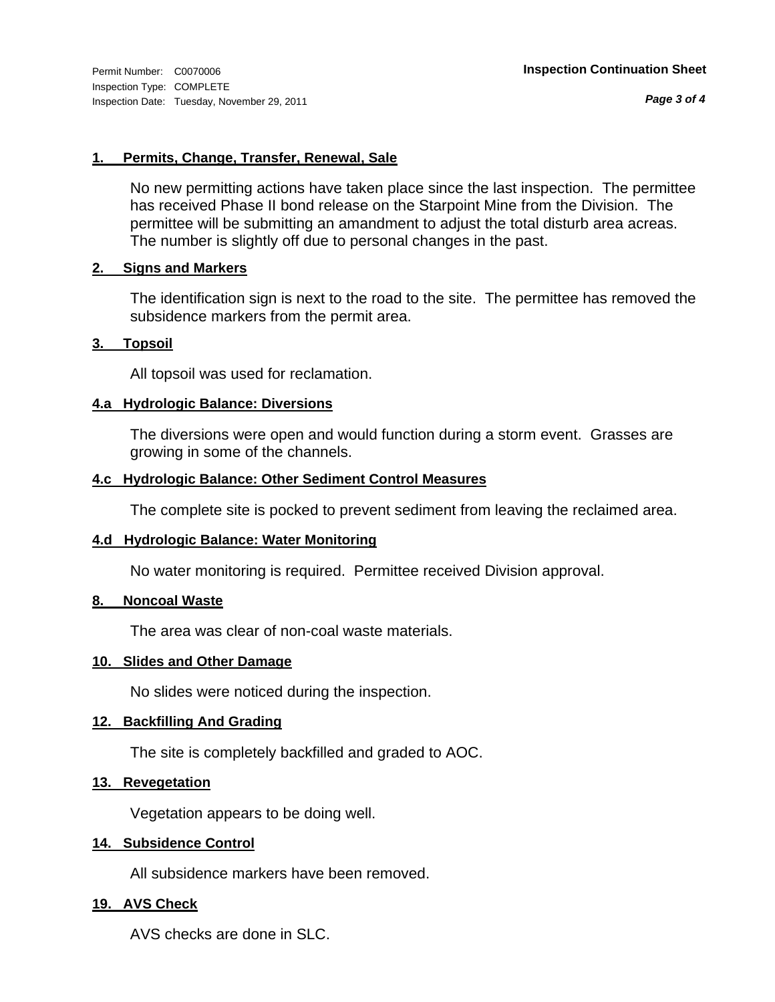*Page 3 of 4*

### **1. Permits, Change, Transfer, Renewal, Sale**

No new permitting actions have taken place since the last inspection. The permittee has received Phase II bond release on the Starpoint Mine from the Division. The permittee will be submitting an amandment to adjust the total disturb area acreas. The number is slightly off due to personal changes in the past.

### **2. Signs and Markers**

The identification sign is next to the road to the site. The permittee has removed the subsidence markers from the permit area.

### **3. Topsoil**

All topsoil was used for reclamation.

## **4.a Hydrologic Balance: Diversions**

The diversions were open and would function during a storm event. Grasses are growing in some of the channels.

## **4.c Hydrologic Balance: Other Sediment Control Measures**

The complete site is pocked to prevent sediment from leaving the reclaimed area.

### **4.d Hydrologic Balance: Water Monitoring**

No water monitoring is required. Permittee received Division approval.

### **8. Noncoal Waste**

The area was clear of non-coal waste materials.

### **10. Slides and Other Damage**

No slides were noticed during the inspection.

### **12. Backfilling And Grading**

The site is completely backfilled and graded to AOC.

### **13. Revegetation**

Vegetation appears to be doing well.

### **14. Subsidence Control**

All subsidence markers have been removed.

## **19. AVS Check**

AVS checks are done in SLC.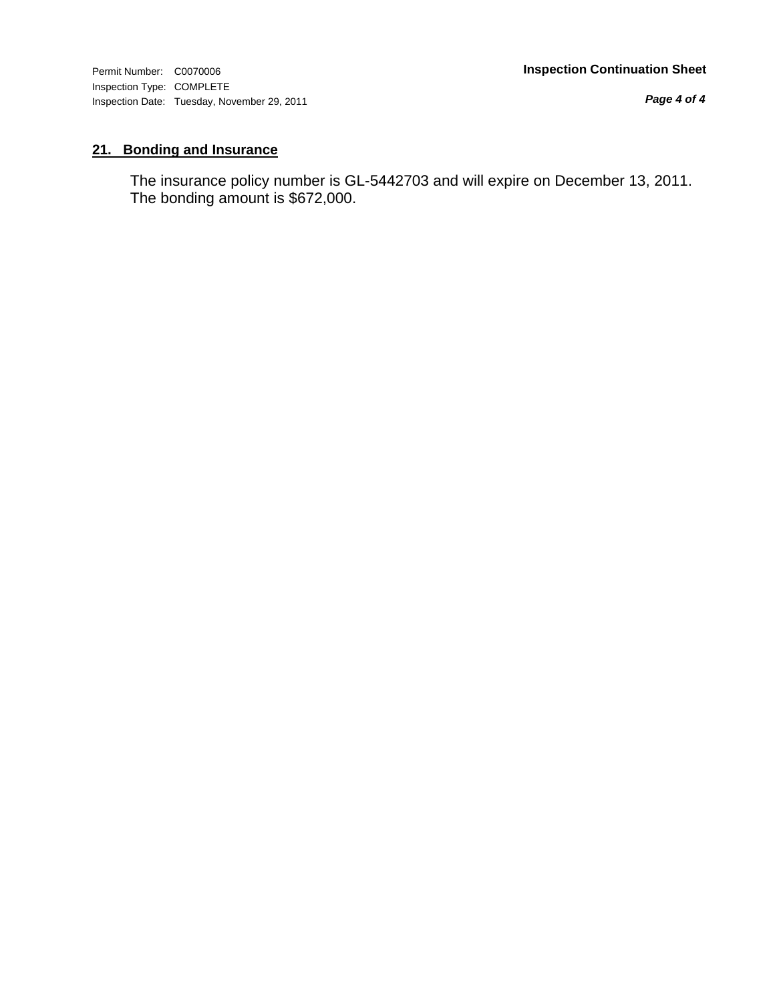Inspection Type: COMPLETE Inspection Date: Tuesday, November 29, 2011

*Page 4 of 4*

## **21. Bonding and Insurance**

The insurance policy number is GL-5442703 and will expire on December 13, 2011. The bonding amount is \$672,000.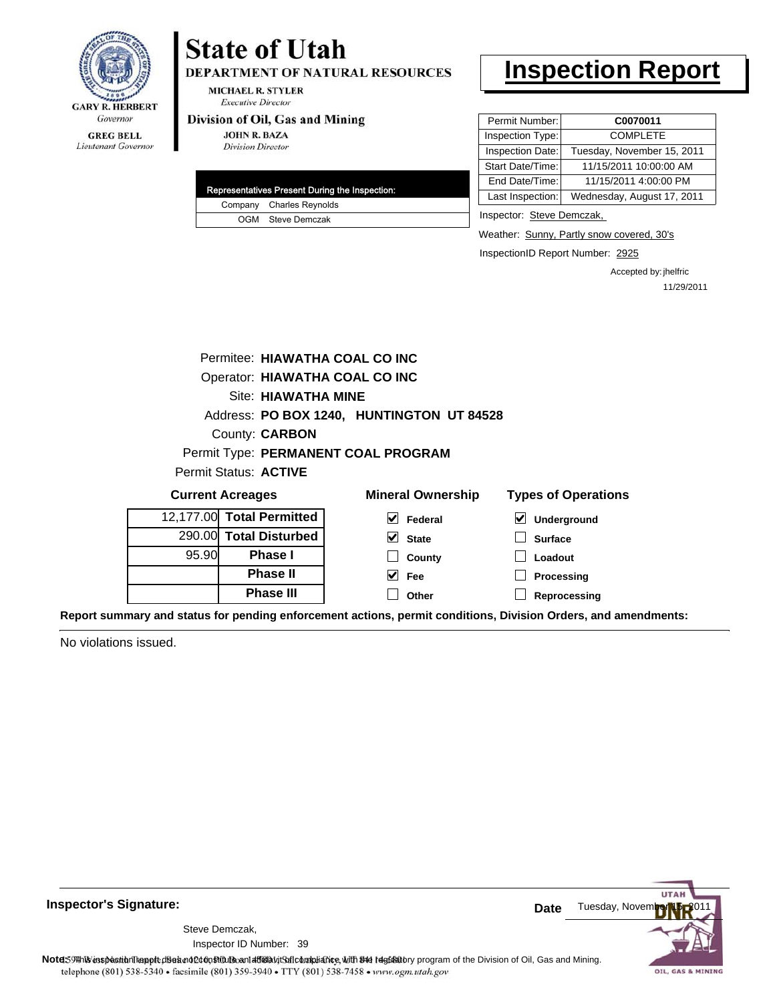

#### **GREG BELL** Lieutenant Governor

# **State of Utah**

DEPARTMENT OF NATURAL RESOURCES

**MICHAEL R. STYLER Executive Director** 

#### Division of Oil, Gas and Mining

**JOHN R. BAZA Division Director** 

|  | Representatives Present During the Inspection: |
|--|------------------------------------------------|
|  | Company Charles Reynolds                       |
|  | OGM Steve Demczak                              |

# **Inspection Report**

| Permit Number:   | C0070011                   |
|------------------|----------------------------|
| Inspection Type: | <b>COMPLETE</b>            |
| Inspection Date: | Tuesday, November 15, 2011 |
| Start Date/Time: | 11/15/2011 10:00:00 AM     |
| End Date/Time:   | 11/15/2011 4:00:00 PM      |
| Last Inspection: | Wednesday, August 17, 2011 |
|                  |                            |

Inspector: Steve Demczak,

Weather: Sunny, Partly snow covered, 30's

InspectionID Report Number: 2925

Accepted by: jhelfric 11/29/2011

|       | Permitee: HIAWATHA COAL CO INC |                                                                                             |                                     |  |  |
|-------|--------------------------------|---------------------------------------------------------------------------------------------|-------------------------------------|--|--|
|       | Operator: HIAWATHA COAL CO INC |                                                                                             |                                     |  |  |
|       | Site: HIAWATHA MINE            |                                                                                             |                                     |  |  |
|       |                                | Address: PO BOX 1240, HUNTINGTON UT 84528                                                   |                                     |  |  |
|       | County: <b>CARBON</b>          |                                                                                             |                                     |  |  |
|       |                                | Permit Type: PERMANENT COAL PROGRAM                                                         |                                     |  |  |
|       | Permit Status: ACTIVE          |                                                                                             |                                     |  |  |
|       | <b>Current Acreages</b>        | <b>Mineral Ownership</b>                                                                    | <b>Types of Operations</b>          |  |  |
|       | 12,177.00 Total Permitted      | M<br>Federal                                                                                | $\blacktriangledown$<br>Underground |  |  |
|       | 290.00 Total Disturbed         | V<br><b>State</b>                                                                           | <b>Surface</b>                      |  |  |
| 95.90 | <b>Phase I</b>                 | County                                                                                      | Loadout                             |  |  |
|       | <b>Phase II</b>                | M<br>Fee                                                                                    | Processing                          |  |  |
|       | <b>Phase III</b>               | Other                                                                                       | Reprocessing                        |  |  |
|       |                                | uand status for nonding onforcoment actions, normit conditions. Division Orders, and amondi |                                     |  |  |

**Report summary and status for pending enforcement actions, permit conditions, Division Orders, and amendments:**

No violations issued.



**Inspector's Signature:**

Inspector ID Number: 39 Steve Demczak,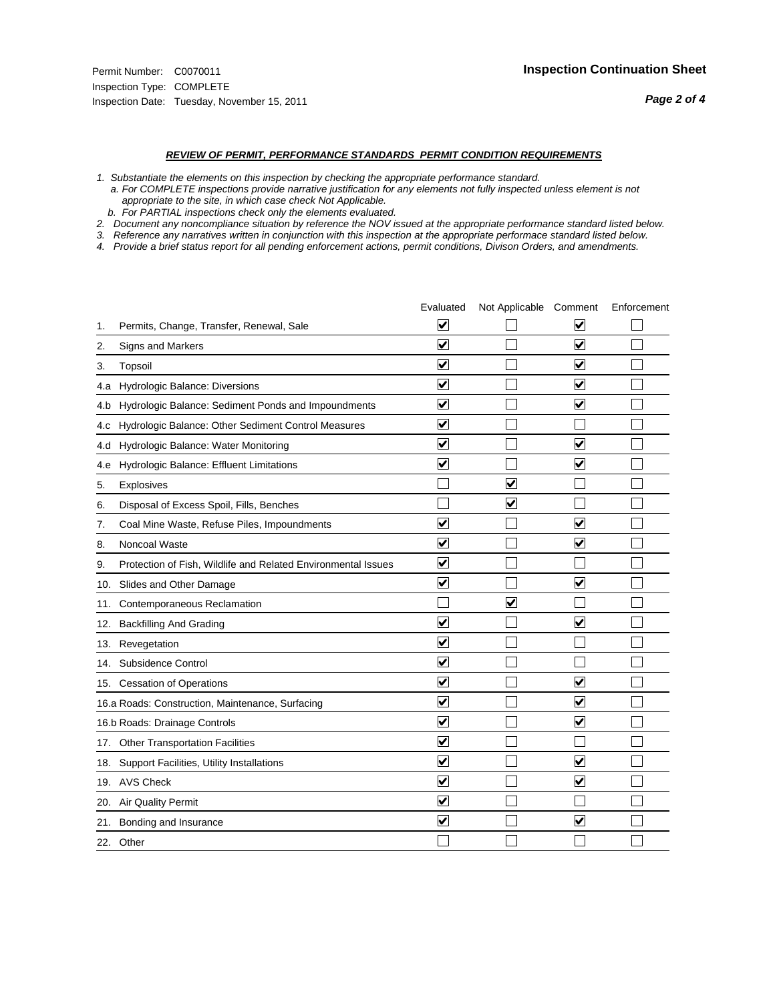#### *REVIEW OF PERMIT, PERFORMANCE STANDARDS PERMIT CONDITION REQUIREMENTS*

*1. Substantiate the elements on this inspection by checking the appropriate performance standard.*

 *a. For COMPLETE inspections provide narrative justification for any elements not fully inspected unless element is not appropriate to the site, in which case check Not Applicable.*

 *b. For PARTIAL inspections check only the elements evaluated.*

*2. Document any noncompliance situation by reference the NOV issued at the appropriate performance standard listed below.*

*3. Reference any narratives written in conjunction with this inspection at the appropriate performace standard listed below.*

|     |                                                               | Evaluated               | Not Applicable Comment |                         | Enforcement |
|-----|---------------------------------------------------------------|-------------------------|------------------------|-------------------------|-------------|
| 1.  | Permits, Change, Transfer, Renewal, Sale                      | $\overline{\mathsf{v}}$ |                        | V                       |             |
| 2.  | Signs and Markers                                             | $\overline{\mathbf{v}}$ |                        | $\blacktriangledown$    |             |
| 3.  | Topsoil                                                       | $\overline{\mathbf{v}}$ |                        | $\overline{\mathsf{v}}$ |             |
| 4.a | Hydrologic Balance: Diversions                                | $\overline{\mathsf{v}}$ |                        | $\overline{\mathbf{v}}$ |             |
| 4.b | Hydrologic Balance: Sediment Ponds and Impoundments           | $\blacktriangledown$    |                        | ⊻                       |             |
| 4.C | Hydrologic Balance: Other Sediment Control Measures           | $\overline{\mathbf{v}}$ |                        |                         |             |
| 4.d | Hydrologic Balance: Water Monitoring                          | $\overline{\mathbf{v}}$ |                        | $\overline{\mathbf{v}}$ |             |
| 4.e | Hydrologic Balance: Effluent Limitations                      | $\overline{\mathbf{v}}$ |                        | $\blacktriangledown$    |             |
| 5.  | Explosives                                                    |                         | ⊽                      |                         |             |
| 6.  | Disposal of Excess Spoil, Fills, Benches                      |                         | $\blacktriangledown$   |                         |             |
| 7.  | Coal Mine Waste, Refuse Piles, Impoundments                   | $\overline{\mathsf{v}}$ |                        | $\overline{\mathbf{v}}$ |             |
| 8.  | Noncoal Waste                                                 | $\overline{\mathbf{v}}$ |                        | $\overline{\mathbf{v}}$ |             |
| 9.  | Protection of Fish, Wildlife and Related Environmental Issues | $\overline{\mathbf{v}}$ |                        |                         |             |
|     | 10. Slides and Other Damage                                   | $\overline{\mathbf{v}}$ |                        | ⊽                       |             |
| 11. | Contemporaneous Reclamation                                   |                         | ☑                      |                         |             |
| 12. | <b>Backfilling And Grading</b>                                | $\overline{\mathbf{v}}$ |                        | $\blacktriangledown$    |             |
| 13. | Revegetation                                                  | $\overline{\mathbf{v}}$ |                        |                         |             |
| 14. | Subsidence Control                                            | $\overline{\mathbf{v}}$ |                        |                         |             |
|     | 15. Cessation of Operations                                   | $\overline{\mathbf{v}}$ |                        | $\blacktriangledown$    |             |
|     | 16.a Roads: Construction, Maintenance, Surfacing              | $\blacktriangledown$    |                        | $\blacktriangledown$    |             |
|     | 16.b Roads: Drainage Controls                                 | $\overline{\mathbf{v}}$ |                        | $\overline{\mathbf{v}}$ |             |
| 17. | <b>Other Transportation Facilities</b>                        | $\overline{\mathbf{v}}$ |                        |                         |             |
| 18. | Support Facilities, Utility Installations                     | $\overline{\mathbf{v}}$ |                        | $\blacktriangledown$    |             |
|     | 19. AVS Check                                                 | $\overline{\mathbf{v}}$ |                        | $\blacktriangledown$    |             |
| 20. | <b>Air Quality Permit</b>                                     | $\checkmark$            |                        |                         |             |
| 21. | Bonding and Insurance                                         | $\overline{\mathbf{v}}$ |                        | $\blacktriangledown$    |             |
|     | 22. Other                                                     |                         |                        |                         |             |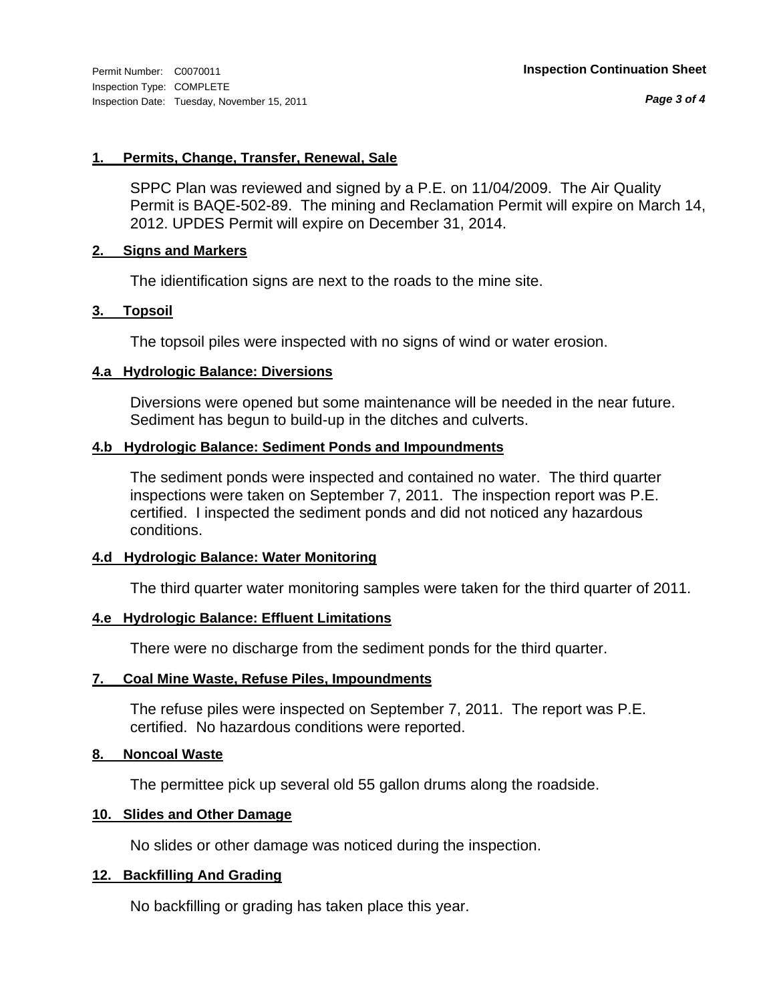*Page 3 of 4*

#### **1. Permits, Change, Transfer, Renewal, Sale**

SPPC Plan was reviewed and signed by a P.E. on 11/04/2009. The Air Quality Permit is BAQE-502-89. The mining and Reclamation Permit will expire on March 14, 2012. UPDES Permit will expire on December 31, 2014.

#### **2. Signs and Markers**

The idientification signs are next to the roads to the mine site.

#### **3. Topsoil**

The topsoil piles were inspected with no signs of wind or water erosion.

#### **4.a Hydrologic Balance: Diversions**

Diversions were opened but some maintenance will be needed in the near future. Sediment has begun to build-up in the ditches and culverts.

#### **4.b Hydrologic Balance: Sediment Ponds and Impoundments**

The sediment ponds were inspected and contained no water. The third quarter inspections were taken on September 7, 2011. The inspection report was P.E. certified. I inspected the sediment ponds and did not noticed any hazardous conditions.

#### **4.d Hydrologic Balance: Water Monitoring**

The third quarter water monitoring samples were taken for the third quarter of 2011.

### **4.e Hydrologic Balance: Effluent Limitations**

There were no discharge from the sediment ponds for the third quarter.

### **7. Coal Mine Waste, Refuse Piles, Impoundments**

The refuse piles were inspected on September 7, 2011. The report was P.E. certified. No hazardous conditions were reported.

#### **8. Noncoal Waste**

The permittee pick up several old 55 gallon drums along the roadside.

#### **10. Slides and Other Damage**

No slides or other damage was noticed during the inspection.

### **12. Backfilling And Grading**

No backfilling or grading has taken place this year.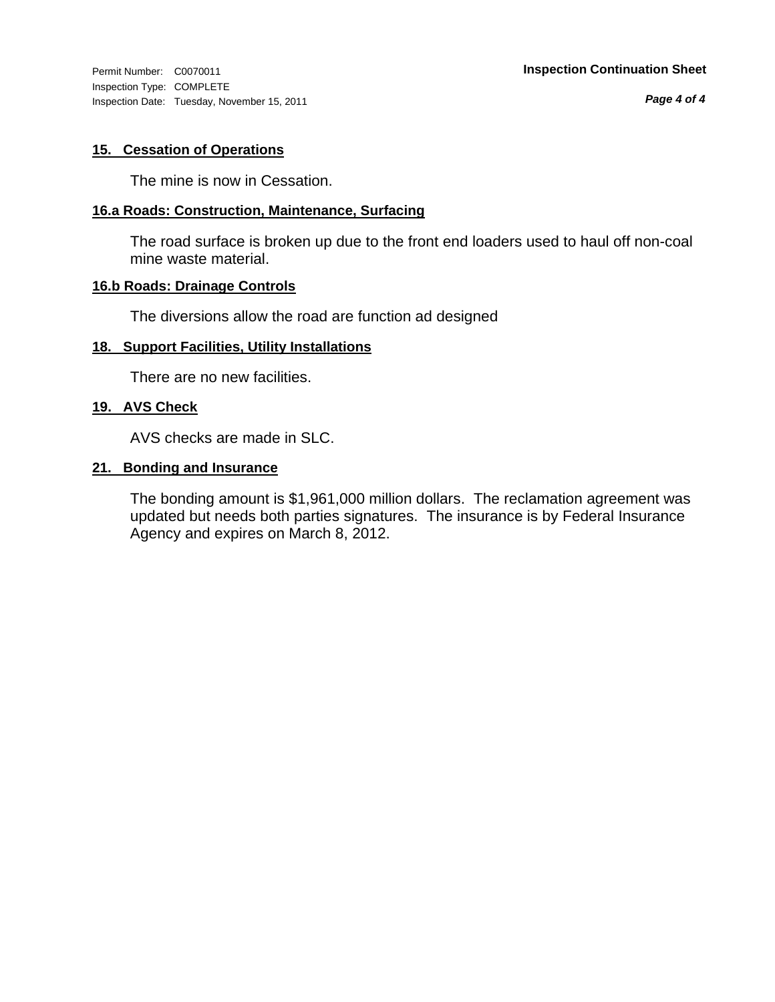Inspection Type: COMPLETE Inspection Date: Tuesday, November 15, 2011

*Page 4 of 4*

### **15. Cessation of Operations**

The mine is now in Cessation.

#### **16.a Roads: Construction, Maintenance, Surfacing**

The road surface is broken up due to the front end loaders used to haul off non-coal mine waste material.

### **16.b Roads: Drainage Controls**

The diversions allow the road are function ad designed

#### **18. Support Facilities, Utility Installations**

There are no new facilities.

#### **19. AVS Check**

AVS checks are made in SLC.

#### **21. Bonding and Insurance**

The bonding amount is \$1,961,000 million dollars. The reclamation agreement was updated but needs both parties signatures. The insurance is by Federal Insurance Agency and expires on March 8, 2012.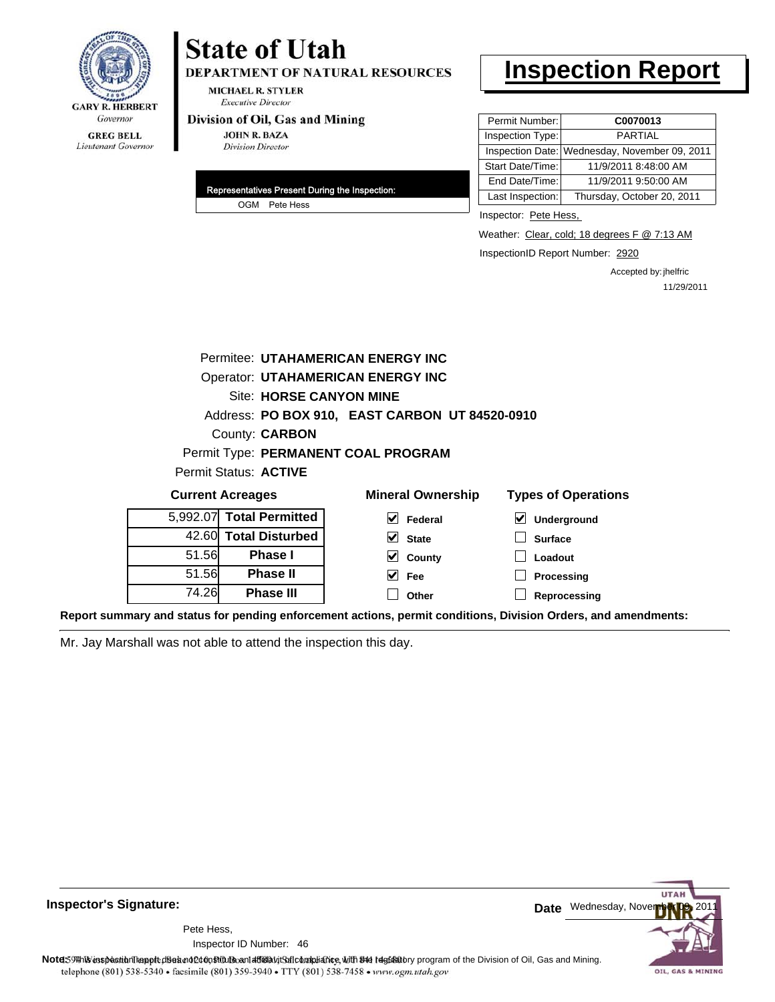

# **State of Utah**

DEPARTMENT OF NATURAL RESOURCES

**MICHAEL R. STYLER Executive Director** 

#### Division of Oil, Gas and Mining

**JOHN R. BAZA Division Director** 

| Representatives Present During the Inspection: |               |  |
|------------------------------------------------|---------------|--|
|                                                | OGM Pete Hess |  |

# **Inspection Report**

| Permit Number:   | C0070013                                      |
|------------------|-----------------------------------------------|
| Inspection Type: | <b>PARTIAL</b>                                |
|                  | Inspection Date: Wednesday, November 09, 2011 |
| Start Date/Time: | 11/9/2011 8:48:00 AM                          |
| End Date/Time:   | 11/9/2011 9:50:00 AM                          |
| Last Inspection: | Thursday, October 20, 2011                    |

Inspector: Pete Hess,

Weather: Clear, cold; 18 degrees F @ 7:13 AM

InspectionID Report Number: 2920

Accepted by: jhelfric 11/29/2011

|                                          |                                | Permitee: UTAHAMERICAN ENERGY INC              |                                     |  |  |
|------------------------------------------|--------------------------------|------------------------------------------------|-------------------------------------|--|--|
| <b>Operator: UTAHAMERICAN ENERGY INC</b> |                                |                                                |                                     |  |  |
|                                          | <b>Site: HORSE CANYON MINE</b> |                                                |                                     |  |  |
|                                          |                                | Address: PO BOX 910, EAST CARBON UT 84520-0910 |                                     |  |  |
|                                          | County: <b>CARBON</b>          |                                                |                                     |  |  |
|                                          |                                | Permit Type: PERMANENT COAL PROGRAM            |                                     |  |  |
|                                          | Permit Status: ACTIVE          |                                                |                                     |  |  |
|                                          | <b>Current Acreages</b>        | <b>Mineral Ownership</b>                       | <b>Types of Operations</b>          |  |  |
| 5,992.07                                 | <b>Total Permitted</b>         | M<br>Federal                                   | $\blacktriangledown$<br>Underground |  |  |
| 42.60                                    | <b>Total Disturbed</b>         | $\vee$ State                                   | <b>Surface</b>                      |  |  |
| 51.56                                    | <b>Phase I</b>                 | County<br>M                                    | Loadout                             |  |  |
| 51.56                                    | <b>Phase II</b>                | M<br>Fee                                       | Processing                          |  |  |
| 74.26                                    | <b>Phase III</b>               | Other                                          | Reprocessing                        |  |  |

**Report summary and status for pending enforcement actions, permit conditions, Division Orders, and amendments:**

Mr. Jay Marshall was not able to attend the inspection this day.



**Inspector's Signature:**

46 Inspector ID Number:Pete Hess,

**Note**: This inspection report does not constitute and affidavit and compliance, with the regulatory program of the Division of Oil, Gas and Mining. telephone (801) 538-5340 · facsimile (801) 359-3940 · TTY (801) 538-7458 · www.ogm.utah.gov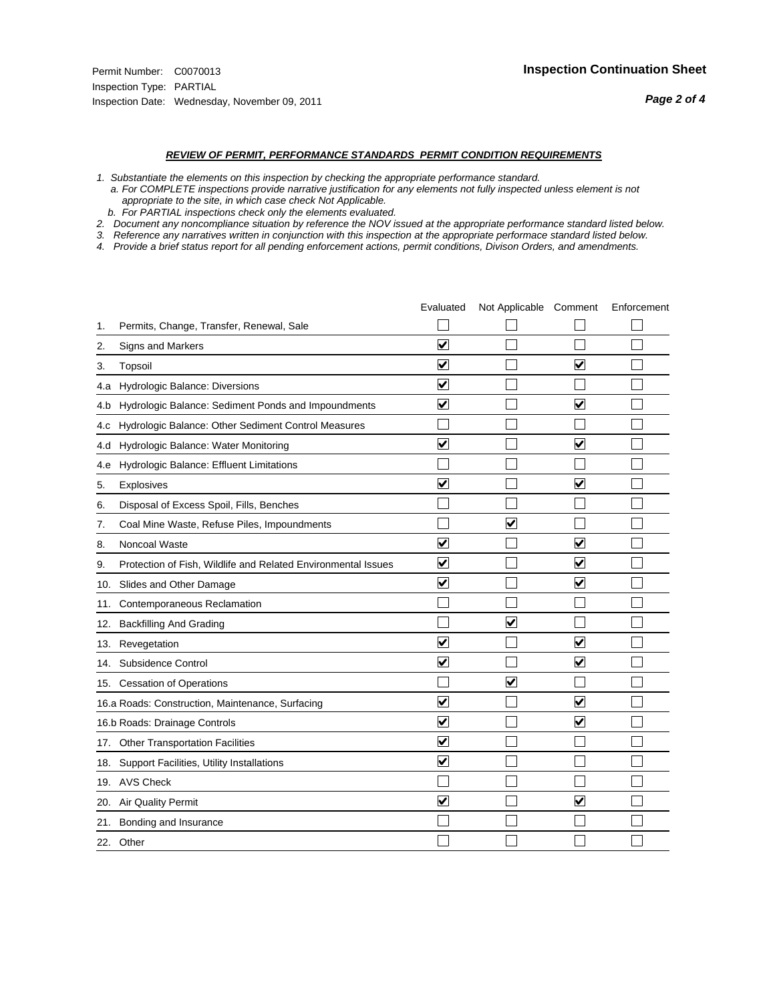#### *REVIEW OF PERMIT, PERFORMANCE STANDARDS PERMIT CONDITION REQUIREMENTS*

*1. Substantiate the elements on this inspection by checking the appropriate performance standard.*

 *a. For COMPLETE inspections provide narrative justification for any elements not fully inspected unless element is not appropriate to the site, in which case check Not Applicable.*

 *b. For PARTIAL inspections check only the elements evaluated.*

*2. Document any noncompliance situation by reference the NOV issued at the appropriate performance standard listed below.*

*3. Reference any narratives written in conjunction with this inspection at the appropriate performace standard listed below.*

|     |                                                               | Evaluated               | Not Applicable Comment  |                         | Enforcement |
|-----|---------------------------------------------------------------|-------------------------|-------------------------|-------------------------|-------------|
| 1.  | Permits, Change, Transfer, Renewal, Sale                      |                         |                         |                         |             |
| 2.  | Signs and Markers                                             | $\overline{\mathbf{v}}$ |                         |                         |             |
| 3.  | Topsoil                                                       | $\overline{\mathbf{v}}$ |                         | $\overline{\mathbf{v}}$ |             |
| 4.a | Hydrologic Balance: Diversions                                | $\blacktriangledown$    |                         |                         |             |
| 4.b | Hydrologic Balance: Sediment Ponds and Impoundments           | $\blacktriangledown$    |                         | $\blacktriangledown$    |             |
| 4.c | Hydrologic Balance: Other Sediment Control Measures           |                         |                         |                         |             |
| 4.d | Hydrologic Balance: Water Monitoring                          | $\overline{\mathbf{v}}$ |                         | $\blacktriangledown$    |             |
| 4.e | Hydrologic Balance: Effluent Limitations                      |                         |                         |                         |             |
| 5.  | Explosives                                                    | $\overline{\mathbf{v}}$ |                         | $\overline{\mathbf{v}}$ |             |
| 6.  | Disposal of Excess Spoil, Fills, Benches                      |                         |                         |                         |             |
| 7.  | Coal Mine Waste, Refuse Piles, Impoundments                   |                         | $\overline{\mathbf{v}}$ |                         |             |
| 8.  | Noncoal Waste                                                 | $\overline{\mathsf{v}}$ |                         | $\overline{\mathbf{v}}$ |             |
| 9.  | Protection of Fish, Wildlife and Related Environmental Issues | ✔                       |                         | V                       |             |
| 10. | Slides and Other Damage                                       | $\overline{\mathbf{v}}$ |                         | $\overline{\mathbf{v}}$ |             |
| 11. | Contemporaneous Reclamation                                   |                         |                         |                         |             |
| 12. | <b>Backfilling And Grading</b>                                |                         | $\overline{\mathbf{v}}$ |                         |             |
| 13. | Revegetation                                                  | $\overline{\mathbf{v}}$ |                         | $\overline{\mathbf{v}}$ |             |
| 14. | Subsidence Control                                            | $\overline{\mathbf{v}}$ |                         | $\blacktriangledown$    |             |
|     | 15. Cessation of Operations                                   |                         | ☑                       |                         |             |
|     | 16.a Roads: Construction, Maintenance, Surfacing              | ⊽                       |                         | V                       |             |
|     | 16.b Roads: Drainage Controls                                 | ⊽                       |                         | $\blacktriangledown$    |             |
|     | 17. Other Transportation Facilities                           | ☑                       |                         |                         |             |
|     | 18. Support Facilities, Utility Installations                 | $\overline{\mathbf{v}}$ |                         |                         |             |
|     | 19. AVS Check                                                 |                         |                         |                         |             |
| 20. | <b>Air Quality Permit</b>                                     | $\blacktriangledown$    |                         | $\blacktriangledown$    |             |
| 21. | Bonding and Insurance                                         |                         |                         |                         |             |
|     | 22. Other                                                     |                         |                         |                         |             |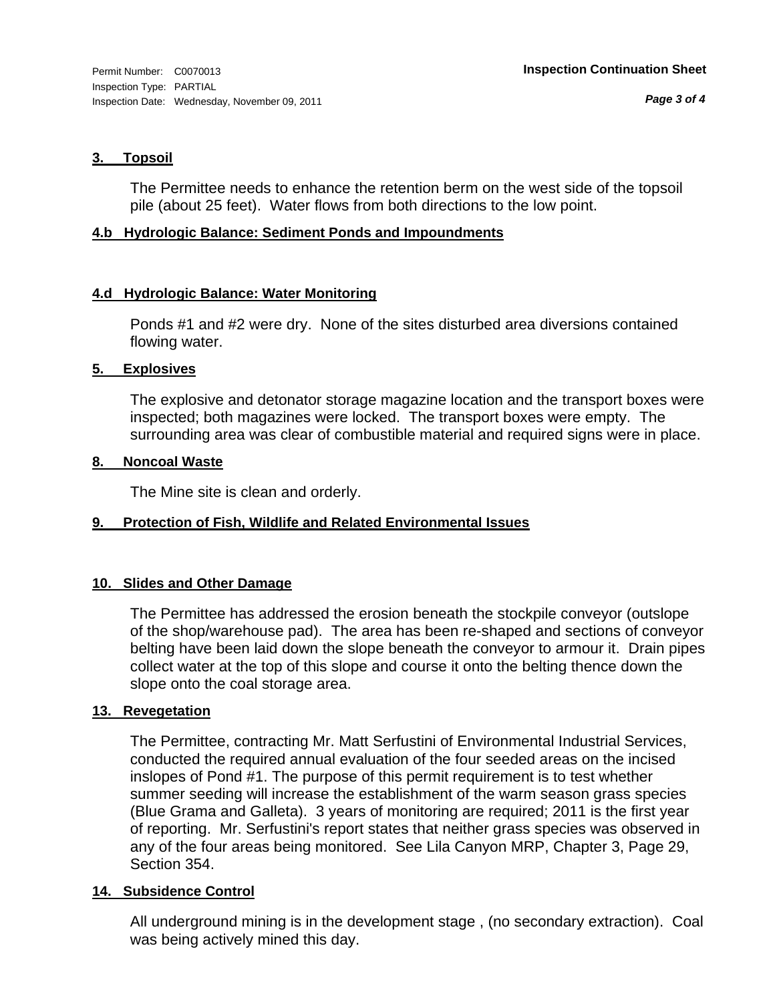### **3. Topsoil**

The Permittee needs to enhance the retention berm on the west side of the topsoil pile (about 25 feet). Water flows from both directions to the low point.

#### **4.b Hydrologic Balance: Sediment Ponds and Impoundments**

### **4.d Hydrologic Balance: Water Monitoring**

Ponds #1 and #2 were dry. None of the sites disturbed area diversions contained flowing water.

#### **5. Explosives**

The explosive and detonator storage magazine location and the transport boxes were inspected; both magazines were locked. The transport boxes were empty. The surrounding area was clear of combustible material and required signs were in place.

#### **8. Noncoal Waste**

The Mine site is clean and orderly.

### **9. Protection of Fish, Wildlife and Related Environmental Issues**

### **10. Slides and Other Damage**

The Permittee has addressed the erosion beneath the stockpile conveyor (outslope of the shop/warehouse pad). The area has been re-shaped and sections of conveyor belting have been laid down the slope beneath the conveyor to armour it. Drain pipes collect water at the top of this slope and course it onto the belting thence down the slope onto the coal storage area.

### **13. Revegetation**

The Permittee, contracting Mr. Matt Serfustini of Environmental Industrial Services, conducted the required annual evaluation of the four seeded areas on the incised inslopes of Pond #1. The purpose of this permit requirement is to test whether summer seeding will increase the establishment of the warm season grass species (Blue Grama and Galleta). 3 years of monitoring are required; 2011 is the first year of reporting. Mr. Serfustini's report states that neither grass species was observed in any of the four areas being monitored. See Lila Canyon MRP, Chapter 3, Page 29, Section 354.

### **14. Subsidence Control**

All underground mining is in the development stage , (no secondary extraction). Coal was being actively mined this day.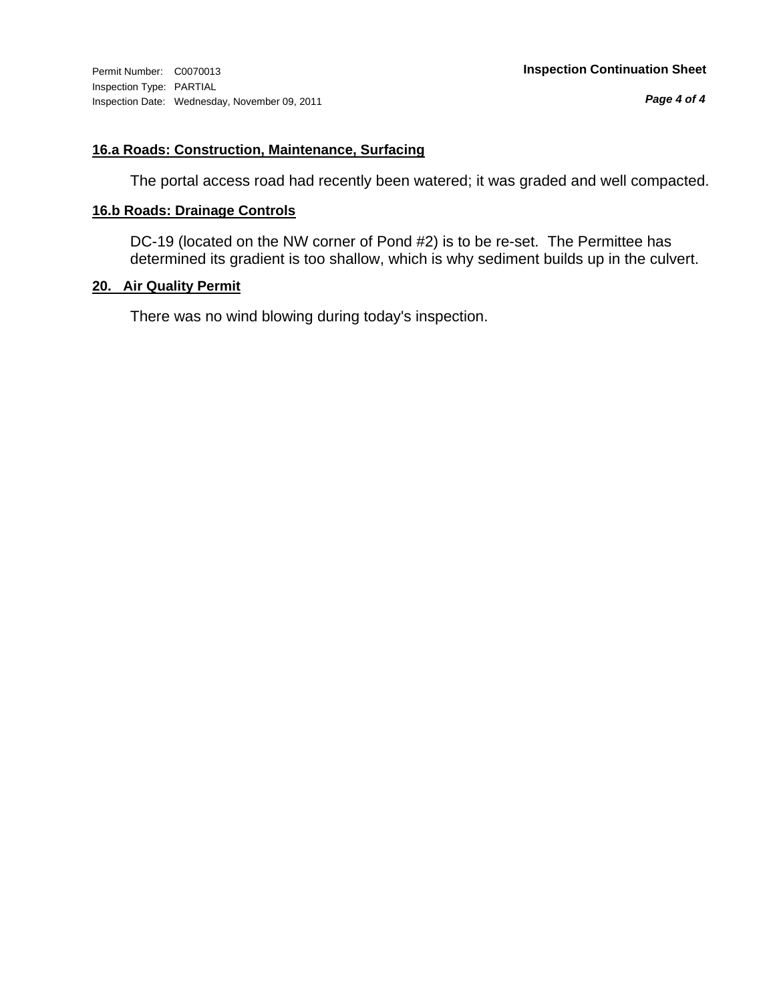*Page 4 of 4*

## **16.a Roads: Construction, Maintenance, Surfacing**

The portal access road had recently been watered; it was graded and well compacted.

#### **16.b Roads: Drainage Controls**

DC-19 (located on the NW corner of Pond #2) is to be re-set. The Permittee has determined its gradient is too shallow, which is why sediment builds up in the culvert.

### **20. Air Quality Permit**

There was no wind blowing during today's inspection.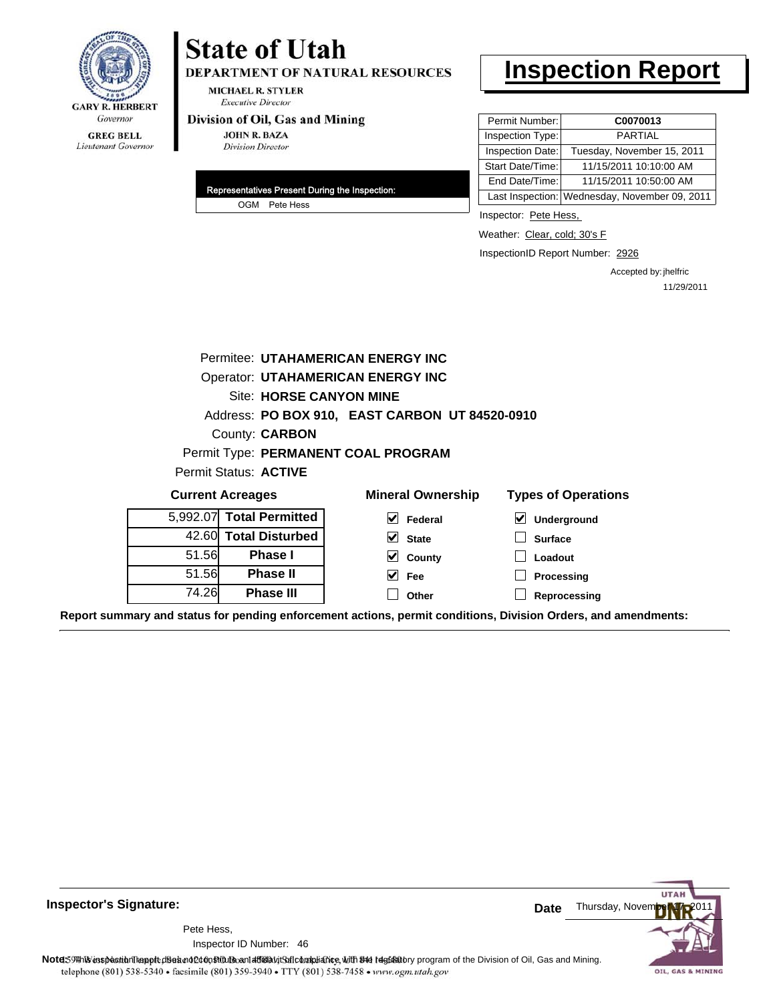

# **State of Utah**

DEPARTMENT OF NATURAL RESOURCES

**MICHAEL R. STYLER Executive Director** 

#### Division of Oil, Gas and Mining

**JOHN R. BAZA Division Director** 

| Representatives Present During the Inspection: |  |
|------------------------------------------------|--|
| OGM Pete Hess                                  |  |

# **Inspection Report**

| Permit Number:   | C0070013                                      |
|------------------|-----------------------------------------------|
| Inspection Type: | <b>PARTIAL</b>                                |
| Inspection Date: | Tuesday, November 15, 2011                    |
| Start Date/Time: | 11/15/2011 10:10:00 AM                        |
| End Date/Time:   | 11/15/2011 10:50:00 AM                        |
|                  | Last Inspection: Wednesday, November 09, 2011 |

Inspector: Pete Hess,

Weather: Clear, cold; 30's F

InspectionID Report Number: 2926

Accepted by: jhelfric 11/29/2011

| Permitee: UTAHAMERICAN ENERGY INC |                                                                                   |                                                |                  |  |  |
|-----------------------------------|-----------------------------------------------------------------------------------|------------------------------------------------|------------------|--|--|
|                                   | <b>Operator: UTAHAMERICAN ENERGY INC</b>                                          |                                                |                  |  |  |
|                                   | Site: HORSE CANYON MINE                                                           |                                                |                  |  |  |
|                                   |                                                                                   | Address: PO BOX 910, EAST CARBON UT 84520-0910 |                  |  |  |
|                                   | County: <b>CARBON</b>                                                             |                                                |                  |  |  |
|                                   |                                                                                   | Permit Type: PERMANENT COAL PROGRAM            |                  |  |  |
|                                   | <b>Permit Status: ACTIVE</b>                                                      |                                                |                  |  |  |
|                                   | <b>Mineral Ownership</b><br><b>Types of Operations</b><br><b>Current Acreages</b> |                                                |                  |  |  |
| 5.992.07                          | <b>Total Permitted</b>                                                            | M<br>Federal                                   | ⊻<br>Underground |  |  |
| 42.60                             | <b>Total Disturbed</b>                                                            | $\vee$ State                                   | <b>Surface</b>   |  |  |
| 51.56                             | <b>Phase I</b>                                                                    | $\vee$ County                                  | Loadout          |  |  |
| 51.56                             | <b>Phase II</b>                                                                   | $ v $ Fee                                      | Processing       |  |  |
| 74.26                             | <b>Phase III</b>                                                                  | Other                                          | Reprocessing     |  |  |

**Report summary and status for pending enforcement actions, permit conditions, Division Orders, and amendments:**



46 Inspector ID Number:Pete Hess,

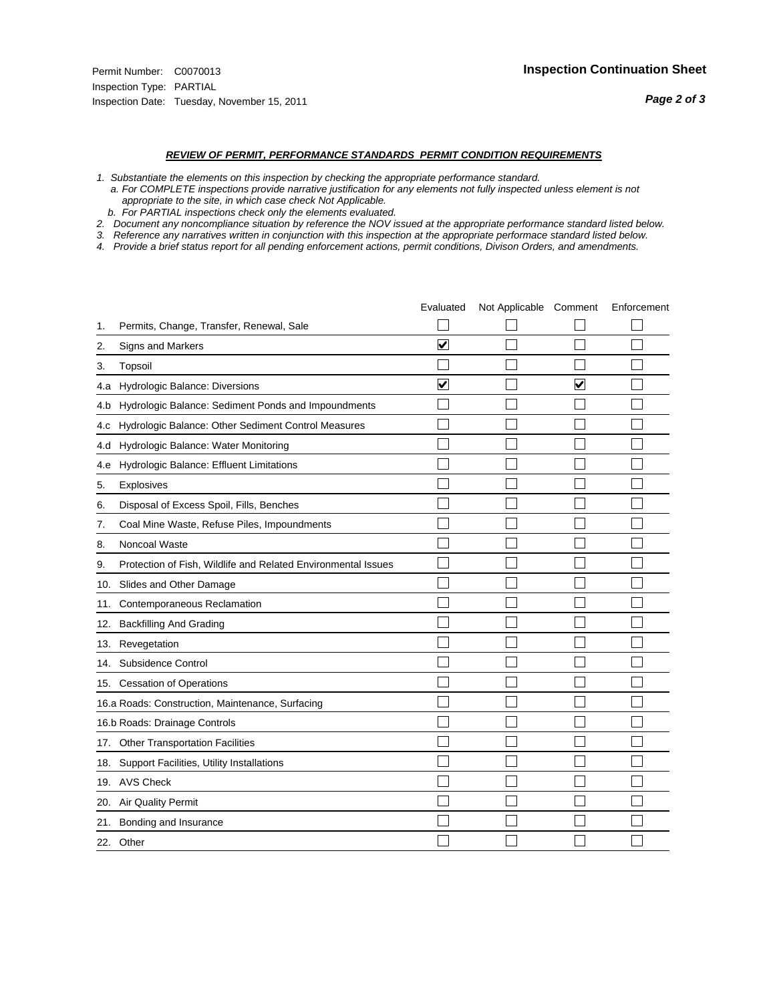#### *REVIEW OF PERMIT, PERFORMANCE STANDARDS PERMIT CONDITION REQUIREMENTS*

*1. Substantiate the elements on this inspection by checking the appropriate performance standard.*

 *a. For COMPLETE inspections provide narrative justification for any elements not fully inspected unless element is not appropriate to the site, in which case check Not Applicable.*

 *b. For PARTIAL inspections check only the elements evaluated.*

*2. Document any noncompliance situation by reference the NOV issued at the appropriate performance standard listed below.*

*3. Reference any narratives written in conjunction with this inspection at the appropriate performace standard listed below.*

|     |                                                               | Evaluated               | Not Applicable Comment |                      | Enforcement |
|-----|---------------------------------------------------------------|-------------------------|------------------------|----------------------|-------------|
| 1.  | Permits, Change, Transfer, Renewal, Sale                      |                         |                        |                      |             |
| 2.  | Signs and Markers                                             | $\overline{\mathbf{v}}$ |                        |                      |             |
| 3.  | Topsoil                                                       |                         |                        |                      |             |
| 4.a | Hydrologic Balance: Diversions                                | $\blacktriangledown$    |                        | $\blacktriangledown$ |             |
| 4.b | Hydrologic Balance: Sediment Ponds and Impoundments           |                         |                        |                      |             |
| 4.C | Hydrologic Balance: Other Sediment Control Measures           |                         |                        |                      |             |
| 4.d | Hydrologic Balance: Water Monitoring                          |                         |                        |                      |             |
| 4.e | Hydrologic Balance: Effluent Limitations                      |                         |                        |                      |             |
| 5.  | Explosives                                                    |                         |                        |                      |             |
| 6.  | Disposal of Excess Spoil, Fills, Benches                      |                         |                        |                      |             |
| 7.  | Coal Mine Waste, Refuse Piles, Impoundments                   |                         |                        |                      |             |
| 8.  | Noncoal Waste                                                 |                         |                        |                      |             |
| 9.  | Protection of Fish, Wildlife and Related Environmental Issues |                         |                        |                      |             |
| 10. | Slides and Other Damage                                       |                         |                        |                      |             |
| 11. | Contemporaneous Reclamation                                   |                         |                        |                      |             |
| 12. | <b>Backfilling And Grading</b>                                |                         |                        |                      |             |
| 13. | Revegetation                                                  |                         |                        |                      |             |
| 14. | Subsidence Control                                            |                         |                        |                      |             |
|     | 15. Cessation of Operations                                   |                         |                        |                      |             |
|     | 16.a Roads: Construction, Maintenance, Surfacing              |                         |                        |                      |             |
|     | 16.b Roads: Drainage Controls                                 |                         |                        |                      |             |
| 17. | <b>Other Transportation Facilities</b>                        |                         |                        |                      |             |
| 18. | Support Facilities, Utility Installations                     |                         |                        |                      |             |
|     | 19. AVS Check                                                 |                         |                        |                      |             |
| 20. | <b>Air Quality Permit</b>                                     |                         |                        |                      |             |
| 21. | Bonding and Insurance                                         |                         |                        |                      |             |
|     | 22. Other                                                     |                         |                        |                      |             |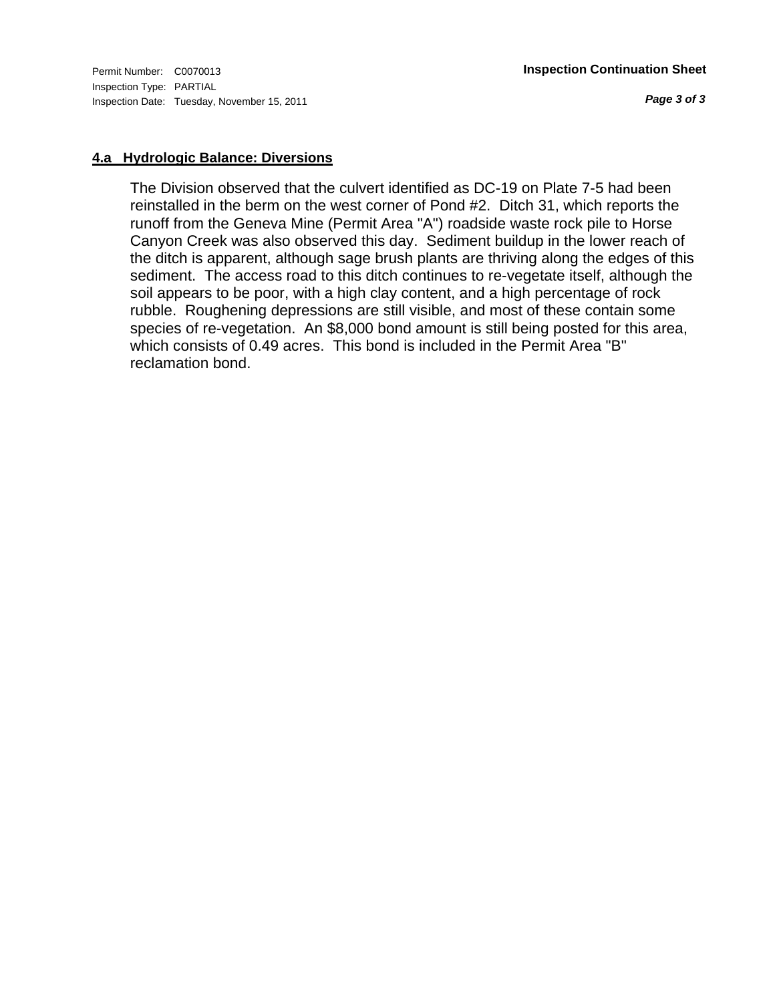Inspection Type: PARTIAL Inspection Date: Tuesday, November 15, 2011

*Page 3 of 3*

#### **4.a Hydrologic Balance: Diversions**

The Division observed that the culvert identified as DC-19 on Plate 7-5 had been reinstalled in the berm on the west corner of Pond #2. Ditch 31, which reports the runoff from the Geneva Mine (Permit Area "A") roadside waste rock pile to Horse Canyon Creek was also observed this day. Sediment buildup in the lower reach of the ditch is apparent, although sage brush plants are thriving along the edges of this sediment. The access road to this ditch continues to re-vegetate itself, although the soil appears to be poor, with a high clay content, and a high percentage of rock rubble. Roughening depressions are still visible, and most of these contain some species of re-vegetation. An \$8,000 bond amount is still being posted for this area, which consists of 0.49 acres. This bond is included in the Permit Area "B" reclamation bond.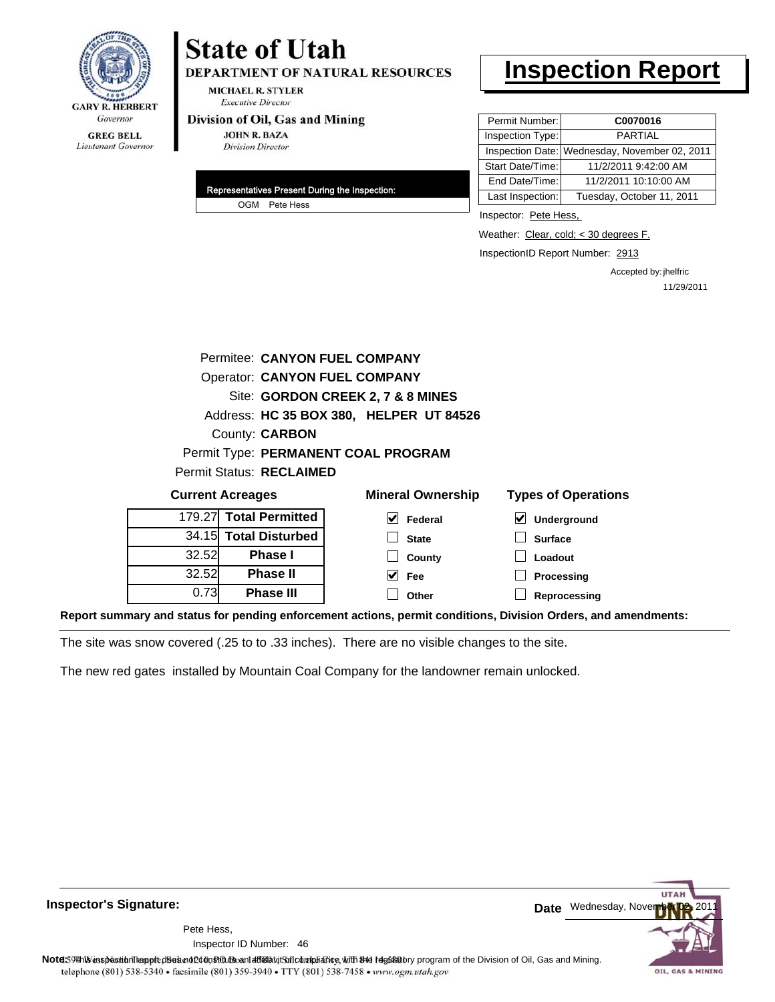

# **State of Utah**

**DEPARTMENT OF NATURAL RESOURCES** 

**MICHAEL R. STYLER Executive Director** 

#### Division of Oil, Gas and Mining

**JOHN R. BAZA Division Director** 

| Representatives Present During the Inspection: |
|------------------------------------------------|
| OGM Pete Hess                                  |

# **Inspection Report**

| Permit Number:   | C0070016                                      |
|------------------|-----------------------------------------------|
| Inspection Type: | <b>PARTIAL</b>                                |
|                  | Inspection Date: Wednesday, November 02, 2011 |
| Start Date/Time: | 11/2/2011 9:42:00 AM                          |
| End Date/Time:   | 11/2/2011 10:10:00 AM                         |
| Last Inspection: | Tuesday, October 11, 2011                     |

Inspector: Pete Hess,

Weather: Clear, cold; < 30 degrees F.

InspectionID Report Number: 2913

Accepted by: jhelfric 11/29/2011

|                                                                                   | Permitee: CANYON FUEL COMPANY           |                                     |                  |  |  |
|-----------------------------------------------------------------------------------|-----------------------------------------|-------------------------------------|------------------|--|--|
|                                                                                   | <b>Operator: CANYON FUEL COMPANY</b>    |                                     |                  |  |  |
|                                                                                   | Site: GORDON CREEK 2, 7 & 8 MINES       |                                     |                  |  |  |
|                                                                                   | Address: HC 35 BOX 380, HELPER UT 84526 |                                     |                  |  |  |
|                                                                                   | County: <b>CARBON</b>                   |                                     |                  |  |  |
|                                                                                   |                                         | Permit Type: PERMANENT COAL PROGRAM |                  |  |  |
|                                                                                   | Permit Status: RECLAIMED                |                                     |                  |  |  |
| <b>Types of Operations</b><br><b>Mineral Ownership</b><br><b>Current Acreages</b> |                                         |                                     |                  |  |  |
|                                                                                   | 179.27 Total Permitted                  | V<br>Federal                        | V<br>Underground |  |  |
|                                                                                   | 34.15 Total Disturbed                   | <b>State</b>                        | <b>Surface</b>   |  |  |
| 32.52                                                                             | <b>Phase I</b>                          | County                              | Loadout          |  |  |
| 32.52                                                                             | <b>Phase II</b>                         | M<br>Fee                            | Processing       |  |  |
| 0.73                                                                              | <b>Phase III</b>                        | Other                               | Reprocessing     |  |  |

**Report summary and status for pending enforcement actions, permit conditions, Division Orders, and amendments:**

The site was snow covered (.25 to to .33 inches). There are no visible changes to the site.

The new red gates installed by Mountain Coal Company for the landowner remain unlocked.

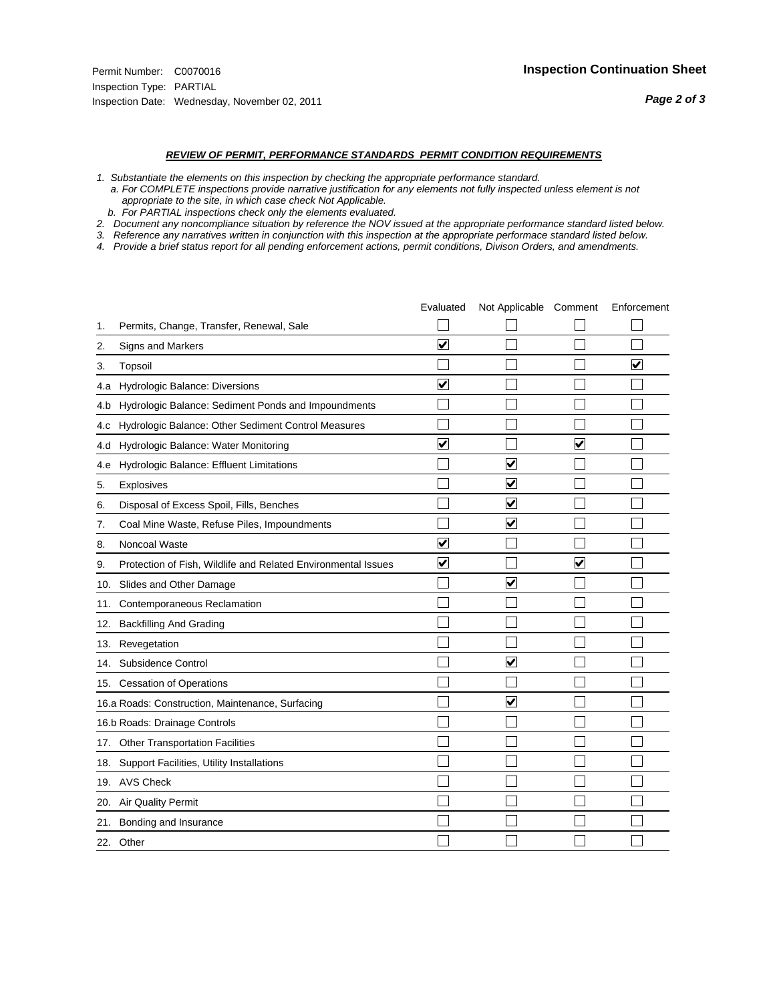#### *REVIEW OF PERMIT, PERFORMANCE STANDARDS PERMIT CONDITION REQUIREMENTS*

*1. Substantiate the elements on this inspection by checking the appropriate performance standard.*

 *a. For COMPLETE inspections provide narrative justification for any elements not fully inspected unless element is not appropriate to the site, in which case check Not Applicable.*

 *b. For PARTIAL inspections check only the elements evaluated.*

*2. Document any noncompliance situation by reference the NOV issued at the appropriate performance standard listed below.*

*3. Reference any narratives written in conjunction with this inspection at the appropriate performace standard listed below.*

|     |                                                               | Evaluated               | Not Applicable Comment  |                      | Enforcement          |
|-----|---------------------------------------------------------------|-------------------------|-------------------------|----------------------|----------------------|
| 1.  | Permits, Change, Transfer, Renewal, Sale                      |                         |                         |                      |                      |
| 2.  | Signs and Markers                                             | $\overline{\mathbf{v}}$ |                         |                      |                      |
| 3.  | Topsoil                                                       |                         |                         |                      | $\blacktriangledown$ |
| 4.a | Hydrologic Balance: Diversions                                | $\blacktriangledown$    |                         |                      |                      |
| 4.b | Hydrologic Balance: Sediment Ponds and Impoundments           |                         |                         |                      |                      |
| 4.c | Hydrologic Balance: Other Sediment Control Measures           |                         |                         |                      |                      |
| 4.d | Hydrologic Balance: Water Monitoring                          | $\overline{\mathbf{v}}$ |                         | $\blacktriangledown$ |                      |
| 4.e | Hydrologic Balance: Effluent Limitations                      |                         | ⊽                       |                      |                      |
| 5.  | Explosives                                                    |                         | ☑                       |                      |                      |
| 6.  | Disposal of Excess Spoil, Fills, Benches                      |                         | $\blacktriangledown$    |                      |                      |
| 7.  | Coal Mine Waste, Refuse Piles, Impoundments                   |                         | $\overline{\mathbf{v}}$ |                      |                      |
| 8.  | Noncoal Waste                                                 | $\overline{\mathsf{v}}$ |                         |                      |                      |
| 9.  | Protection of Fish, Wildlife and Related Environmental Issues | $\overline{\mathbf{v}}$ |                         | ⊽                    |                      |
|     | 10. Slides and Other Damage                                   |                         | ⊽                       |                      |                      |
| 11. | Contemporaneous Reclamation                                   |                         |                         |                      |                      |
| 12. | <b>Backfilling And Grading</b>                                |                         |                         |                      |                      |
| 13. | Revegetation                                                  |                         |                         |                      |                      |
| 14. | Subsidence Control                                            |                         | $\overline{\mathbf{v}}$ |                      |                      |
|     | 15. Cessation of Operations                                   |                         |                         |                      |                      |
|     | 16.a Roads: Construction, Maintenance, Surfacing              |                         | ☑                       |                      |                      |
|     | 16.b Roads: Drainage Controls                                 |                         |                         |                      |                      |
| 17. | Other Transportation Facilities                               |                         |                         |                      |                      |
| 18. | Support Facilities, Utility Installations                     |                         |                         |                      |                      |
|     | 19. AVS Check                                                 |                         |                         |                      |                      |
| 20. | <b>Air Quality Permit</b>                                     |                         |                         |                      |                      |
| 21. | Bonding and Insurance                                         |                         |                         |                      |                      |
|     | 22. Other                                                     |                         |                         |                      |                      |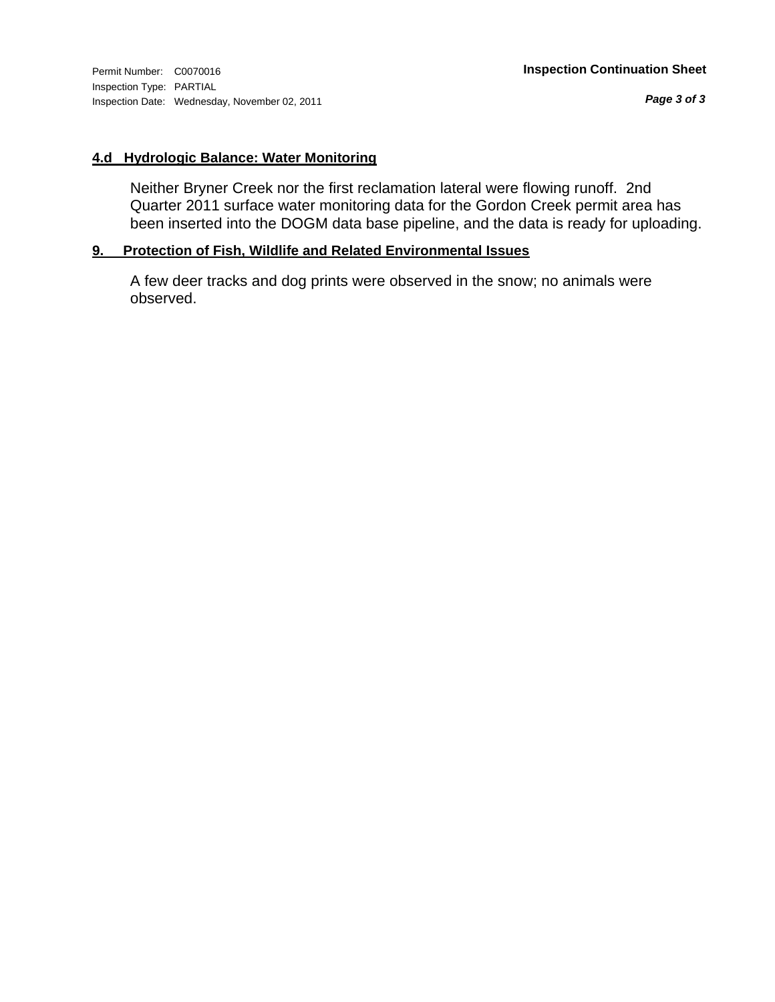*Page 3 of 3*

#### **4.d Hydrologic Balance: Water Monitoring**

Neither Bryner Creek nor the first reclamation lateral were flowing runoff. 2nd Quarter 2011 surface water monitoring data for the Gordon Creek permit area has been inserted into the DOGM data base pipeline, and the data is ready for uploading.

### **9. Protection of Fish, Wildlife and Related Environmental Issues**

A few deer tracks and dog prints were observed in the snow; no animals were observed.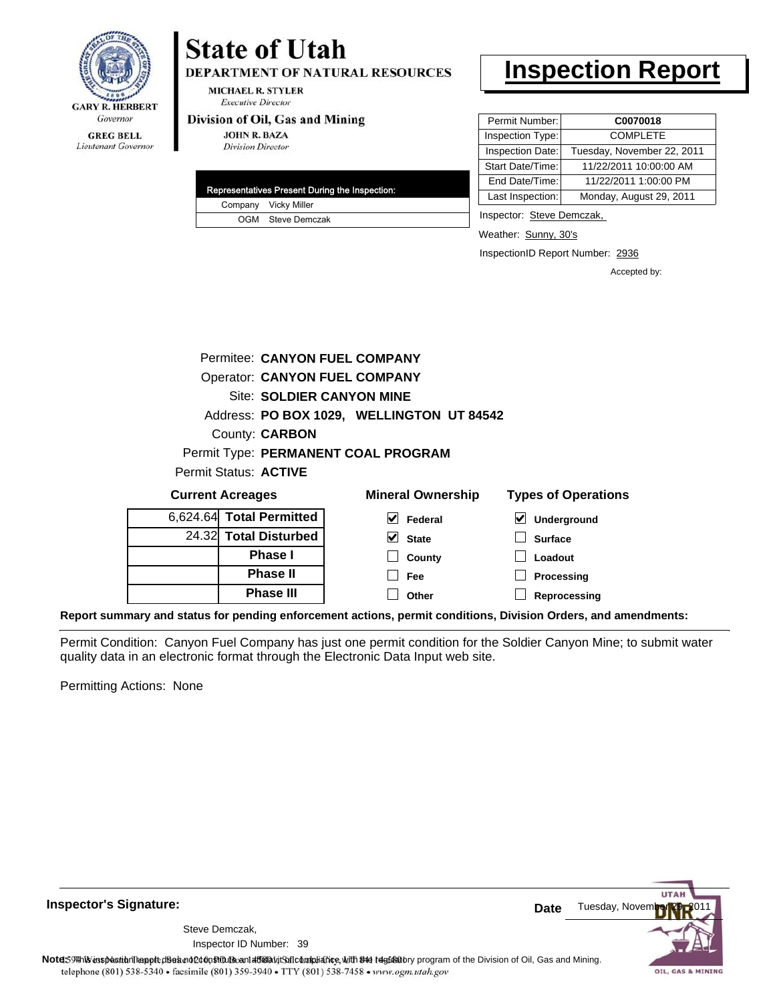

## **GREG BELL** Lieutenant Governor

# **State of Utah**

**DEPARTMENT OF NATURAL RESOURCES** 

**MICHAEL R. STYLER Executive Director** 

#### Division of Oil, Gas and Mining

**JOHN R. BAZA Division Director** 

| Representatives Present During the Inspection: |  |                      |  |
|------------------------------------------------|--|----------------------|--|
|                                                |  | Company Vicky Miller |  |
|                                                |  | OGM Steve Demczak    |  |

# **Inspection Report**

| Permit Number:   | C0070018                   |  |
|------------------|----------------------------|--|
| Inspection Type: | <b>COMPLETE</b>            |  |
| Inspection Date: | Tuesday, November 22, 2011 |  |
| Start Date/Time: | 11/22/2011 10:00:00 AM     |  |
| End Date/Time:   | 11/22/2011 1:00:00 PM      |  |
| Last Inspection: | Monday, August 29, 2011    |  |

Inspector: Steve Demczak,

**Loadout Processing**

Weather: Sunny, 30's

InspectionID Report Number: 2936

Accepted by:

|                         |                              | Permitee: CANYON FUEL COMPANY             |                            |
|-------------------------|------------------------------|-------------------------------------------|----------------------------|
|                         |                              | <b>Operator: CANYON FUEL COMPANY</b>      |                            |
|                         |                              | Site: SOLDIER CANYON MINE                 |                            |
|                         |                              | Address: PO BOX 1029, WELLINGTON UT 84542 |                            |
|                         | County: <b>CARBON</b>        |                                           |                            |
|                         |                              | Permit Type: PERMANENT COAL PROGRAM       |                            |
|                         | <b>Permit Status: ACTIVE</b> |                                           |                            |
| <b>Current Acreages</b> |                              | <b>Mineral Ownership</b>                  | <b>Types of Operations</b> |
|                         | 6,624.64 Total Permitted     | M<br>Federal                              | V<br>Underground           |
|                         | 24.32 Total Disturbed        | V<br><b>State</b>                         | <b>Surface</b>             |
|                         | <b>Phase</b> I               | County                                    | Loadout                    |

**County Fee**

**Reprocessing Report summary and status for pending enforcement actions, permit conditions, Division Orders, and amendments: Other**

**Phase II Phase III**

Permit Condition: Canyon Fuel Company has just one permit condition for the Soldier Canyon Mine; to submit water quality data in an electronic format through the Electronic Data Input web site.

Permitting Actions: None

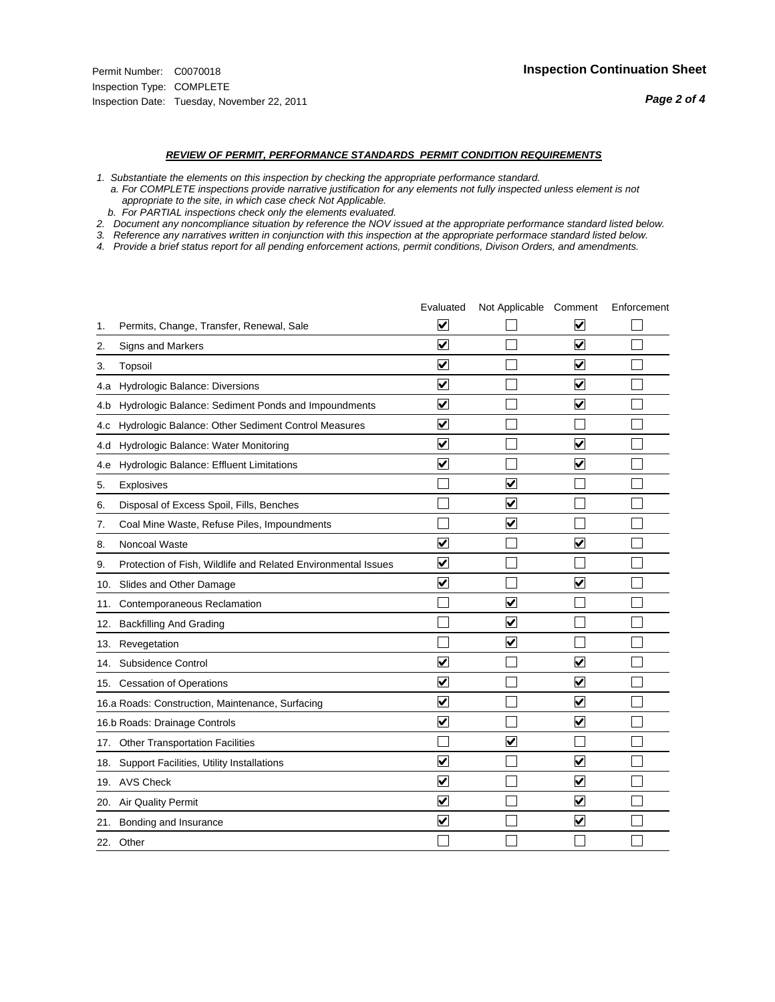#### *REVIEW OF PERMIT, PERFORMANCE STANDARDS PERMIT CONDITION REQUIREMENTS*

*1. Substantiate the elements on this inspection by checking the appropriate performance standard.*

 *a. For COMPLETE inspections provide narrative justification for any elements not fully inspected unless element is not appropriate to the site, in which case check Not Applicable.*

 *b. For PARTIAL inspections check only the elements evaluated.*

*2. Document any noncompliance situation by reference the NOV issued at the appropriate performance standard listed below.*

*3. Reference any narratives written in conjunction with this inspection at the appropriate performace standard listed below.*

|     |                                                               | Evaluated               | Not Applicable Comment          |                         | Enforcement |
|-----|---------------------------------------------------------------|-------------------------|---------------------------------|-------------------------|-------------|
| 1.  | Permits, Change, Transfer, Renewal, Sale                      | $\overline{\mathsf{v}}$ |                                 | V                       |             |
| 2.  | Signs and Markers                                             | $\overline{\mathbf{v}}$ |                                 | $\blacktriangledown$    |             |
| 3.  | Topsoil                                                       | $\overline{\mathbf{v}}$ |                                 | $\overline{\mathsf{v}}$ |             |
| 4.a | Hydrologic Balance: Diversions                                | $\overline{\mathsf{v}}$ |                                 | $\blacktriangledown$    |             |
| 4.b | Hydrologic Balance: Sediment Ponds and Impoundments           | $\blacktriangledown$    |                                 | ⊻                       |             |
| 4.C | Hydrologic Balance: Other Sediment Control Measures           | $\overline{\mathbf{v}}$ |                                 |                         |             |
| 4.d | Hydrologic Balance: Water Monitoring                          | $\overline{\mathbf{v}}$ |                                 | $\overline{\mathbf{v}}$ |             |
| 4.e | Hydrologic Balance: Effluent Limitations                      | $\overline{\mathbf{v}}$ |                                 | $\blacktriangledown$    |             |
| 5.  | <b>Explosives</b>                                             |                         | ⊽                               |                         |             |
| 6.  | Disposal of Excess Spoil, Fills, Benches                      |                         | $\blacktriangledown$            |                         |             |
| 7.  | Coal Mine Waste, Refuse Piles, Impoundments                   |                         | $\overline{\mathbf{v}}$         |                         |             |
| 8.  | Noncoal Waste                                                 | $\overline{\mathsf{v}}$ |                                 | $\overline{\mathbf{v}}$ |             |
| 9.  | Protection of Fish, Wildlife and Related Environmental Issues | $\overline{\mathbf{v}}$ |                                 |                         |             |
|     | 10. Slides and Other Damage                                   | $\overline{\mathbf{v}}$ |                                 | $\overline{\mathbf{v}}$ |             |
| 11. | Contemporaneous Reclamation                                   |                         | ☑                               |                         |             |
| 12. | <b>Backfilling And Grading</b>                                |                         | $\overline{\mathbf{v}}$         |                         |             |
| 13. | Revegetation                                                  |                         | $\overline{\blacktriangledown}$ |                         |             |
| 14. | Subsidence Control                                            | $\overline{\mathbf{v}}$ |                                 | $\overline{\mathbf{v}}$ |             |
|     | 15. Cessation of Operations                                   | $\overline{\mathbf{v}}$ |                                 | $\blacktriangledown$    |             |
|     | 16.a Roads: Construction, Maintenance, Surfacing              | $\blacktriangledown$    |                                 | $\blacktriangledown$    |             |
|     | 16.b Roads: Drainage Controls                                 | $\overline{\mathbf{v}}$ |                                 | $\overline{\mathbf{v}}$ |             |
| 17. | <b>Other Transportation Facilities</b>                        |                         | $\overline{\mathbf{v}}$         |                         |             |
| 18. | Support Facilities, Utility Installations                     | $\overline{\mathbf{v}}$ |                                 | $\blacktriangledown$    |             |
|     | 19. AVS Check                                                 | $\overline{\mathbf{v}}$ |                                 | $\blacktriangledown$    |             |
| 20. | Air Quality Permit                                            | $\checkmark$            |                                 | $\blacktriangledown$    |             |
| 21. | Bonding and Insurance                                         | $\overline{\mathbf{v}}$ |                                 | $\blacktriangledown$    |             |
|     | 22. Other                                                     |                         |                                 |                         |             |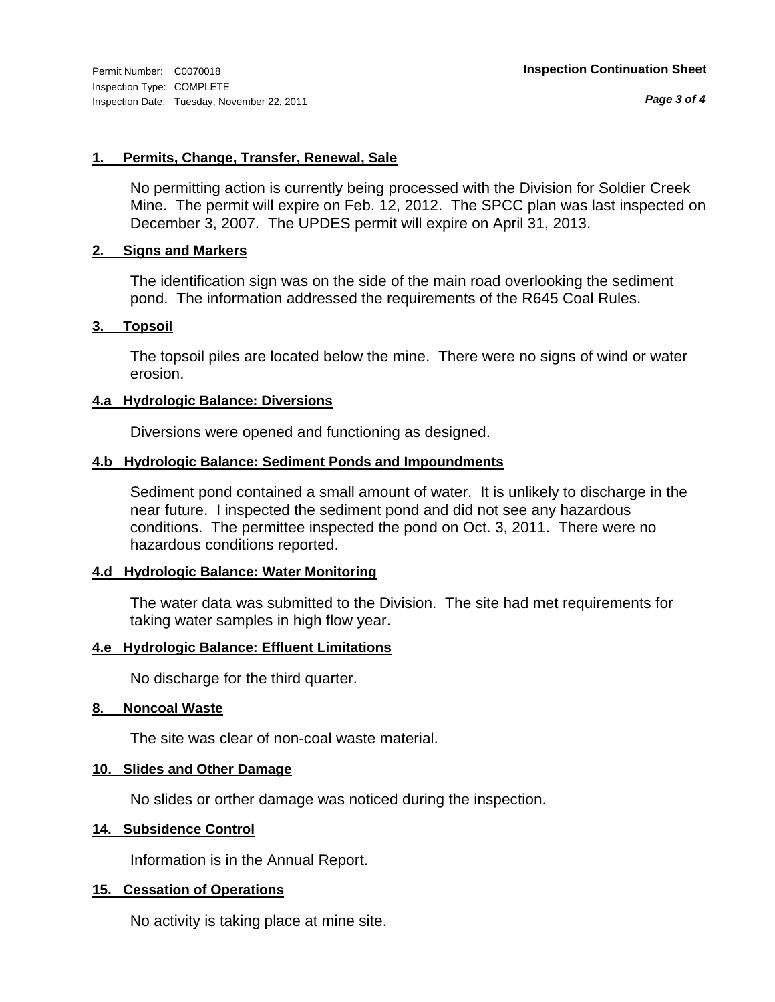*Page 3 of 4*

#### **1. Permits, Change, Transfer, Renewal, Sale**

No permitting action is currently being processed with the Division for Soldier Creek Mine. The permit will expire on Feb. 12, 2012. The SPCC plan was last inspected on December 3, 2007. The UPDES permit will expire on April 31, 2013.

#### **2. Signs and Markers**

The identification sign was on the side of the main road overlooking the sediment pond. The information addressed the requirements of the R645 Coal Rules.

#### **3. Topsoil**

The topsoil piles are located below the mine. There were no signs of wind or water erosion.

#### **4.a Hydrologic Balance: Diversions**

Diversions were opened and functioning as designed.

#### **4.b Hydrologic Balance: Sediment Ponds and Impoundments**

Sediment pond contained a small amount of water. It is unlikely to discharge in the near future. I inspected the sediment pond and did not see any hazardous conditions. The permittee inspected the pond on Oct. 3, 2011. There were no hazardous conditions reported.

#### **4.d Hydrologic Balance: Water Monitoring**

The water data was submitted to the Division. The site had met requirements for taking water samples in high flow year.

#### **4.e Hydrologic Balance: Effluent Limitations**

No discharge for the third quarter.

#### **8. Noncoal Waste**

The site was clear of non-coal waste material.

#### **10. Slides and Other Damage**

No slides or orther damage was noticed during the inspection.

#### **14. Subsidence Control**

Information is in the Annual Report.

### **15. Cessation of Operations**

No activity is taking place at mine site.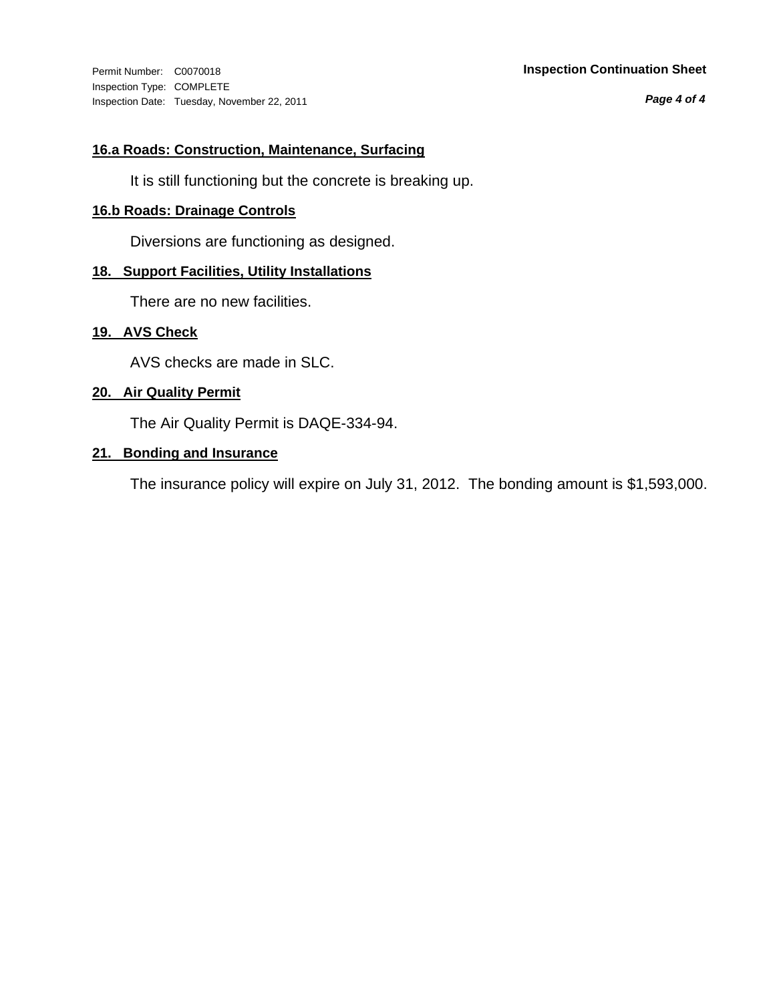Inspection Type: COMPLETE Inspection Date: Tuesday, November 22, 2011

#### Permit Number: C0070018 **Inspection Continuation Sheet**

*Page 4 of 4*

#### **16.a Roads: Construction, Maintenance, Surfacing**

It is still functioning but the concrete is breaking up.

## **16.b Roads: Drainage Controls**

Diversions are functioning as designed.

### **18. Support Facilities, Utility Installations**

There are no new facilities.

#### **19. AVS Check**

AVS checks are made in SLC.

#### **20. Air Quality Permit**

The Air Quality Permit is DAQE-334-94.

#### **21. Bonding and Insurance**

The insurance policy will expire on July 31, 2012. The bonding amount is \$1,593,000.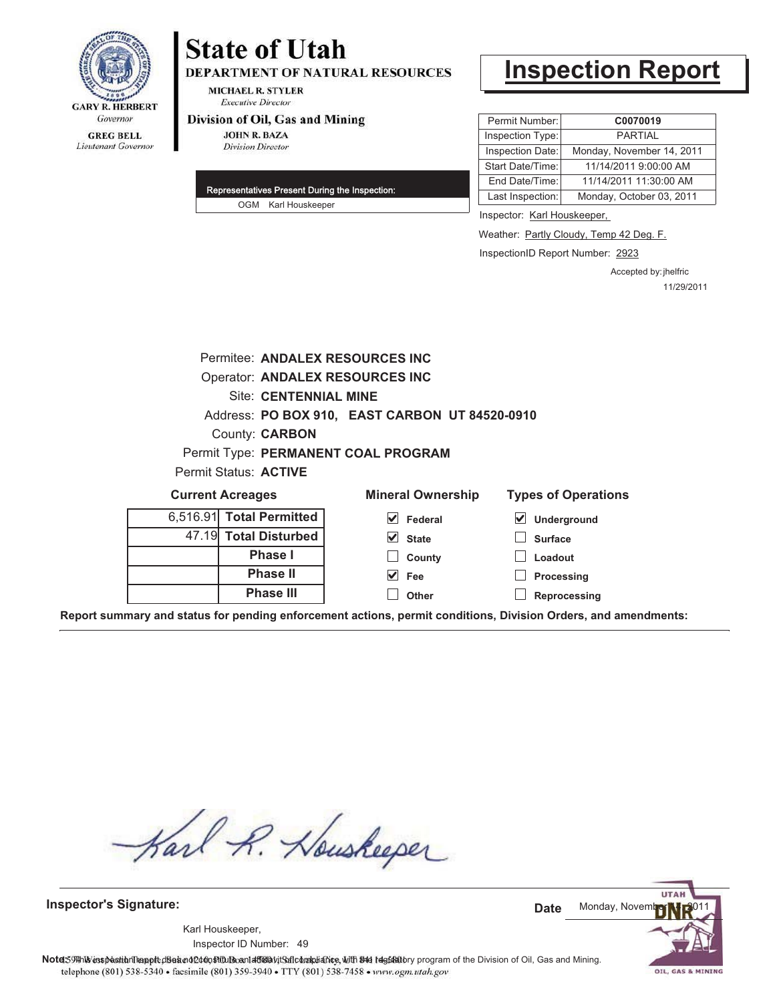

# **State of Utah DEPARTMENT OF NATURAL RESOURCES**

**MICHAEL R. STYLER Executive Director** 

#### Division of Oil, Gas and Mining

**JOHN R. BAZA Division Director** 

| Representatives Present During the Inspection: |                     |  |  |  |
|------------------------------------------------|---------------------|--|--|--|
|                                                | OGM Karl Houskeeper |  |  |  |

# **Inspection Report**

| Permit Number:   | C0070019                  |
|------------------|---------------------------|
| Inspection Type: | <b>PARTIAL</b>            |
| Inspection Date: | Monday, November 14, 2011 |
| Start Date/Time: | 11/14/2011 9:00:00 AM     |
| End Date/Time:   | 11/14/2011 11:30:00 AM    |
| Last Inspection: | Monday, October 03, 2011  |

Inspector: Karl Houskeeper,

Weather: **Partly Cloudy, Temp 42 Deg. F.** 

InspectionID Report Number: 2923

Accepted by: jhelfric 11/29/2011

|          |                              | Permitee: ANDALEX RESOURCES INC                |                            |
|----------|------------------------------|------------------------------------------------|----------------------------|
|          |                              | <b>Operator: ANDALEX RESOURCES INC</b>         |                            |
|          | <b>Site: CENTENNIAL MINE</b> |                                                |                            |
|          |                              | Address: PO BOX 910, EAST CARBON UT 84520-0910 |                            |
|          | County: <b>CARBON</b>        |                                                |                            |
|          |                              | Permit Type: PERMANENT COAL PROGRAM            |                            |
|          | <b>Permit Status: ACTIVE</b> |                                                |                            |
|          | <b>Current Acreages</b>      | <b>Mineral Ownership</b>                       | <b>Types of Operations</b> |
| 6,516.91 | <b>Total Permitted</b>       | Federal                                        | Underground                |
| 47.19    | <b>Total Disturbed</b>       | <b>State</b>                                   | <b>Surface</b>             |

**Phase I Phase II Phase III**

**State County Fee**

**Other**

**Loadout Processing**

**Reprocessing**

**Report summary and status for pending enforcement actions, permit conditions, Division Orders, and amendments:**

Karl R. Houskeeper

**Inspector's Signature:**

49 Inspector ID Number:Karl Houskeeper,



OIL, GAS & MINING

Note: 59 This inspection leapt disean of constitution of affidavit Safic barbiance, with the fegatatory program of the Division of Oil, Gas and Mining. telephone (801) 538-5340 · facsimile (801) 359-3940 · TTY (801) 538-7458 · www.ogm.utah.gov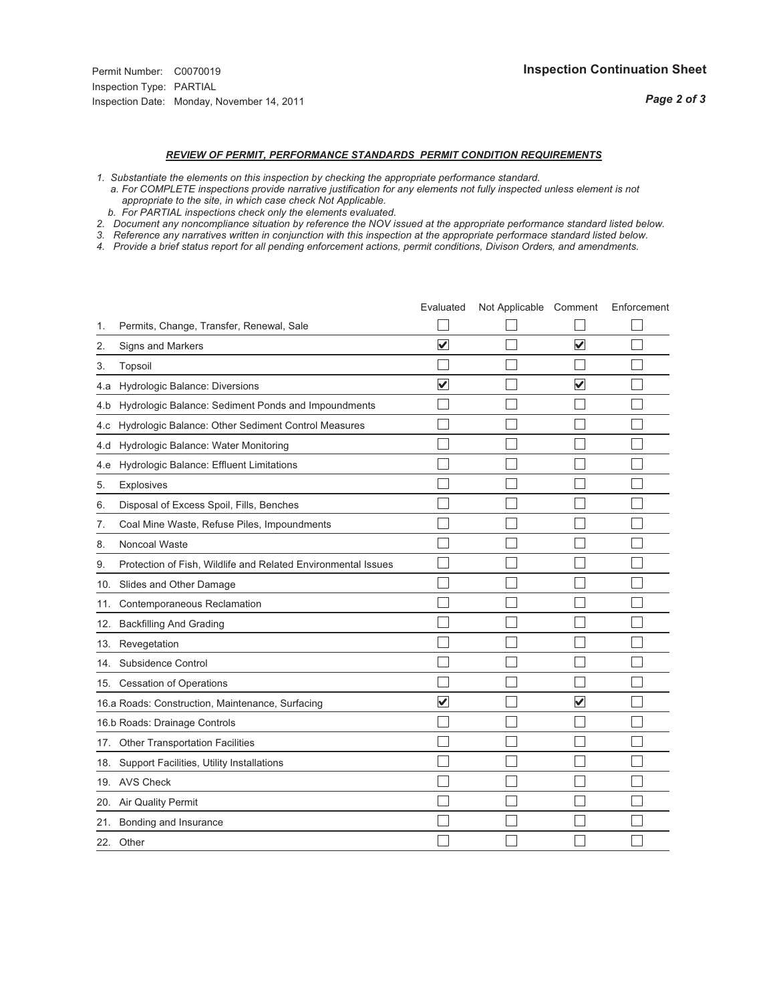### *REVIEW OF PERMIT, PERFORMANCE STANDARDS PERMIT CONDITION REQUIREMENTS*

- *1. Substantiate the elements on this inspection by checking the appropriate performance standard.*
- *a. For COMPLETE inspections provide narrative justification for any elements not fully inspected unless element is not appropriate to the site, in which case check Not Applicable.*
- *b. For PARTIAL inspections check only the elements evaluated.*
- *2. Document any noncompliance situation by reference the NOV issued at the appropriate performance standard listed below.*
- *3. Reference any narratives written in conjunction with this inspection at the appropriate performace standard listed below.*
- *4. Provide a brief status report for all pending enforcement actions, permit conditions, Divison Orders, and amendments.*

|     |                                                               | Evaluated               | Not Applicable Comment |                         | Enforcement |
|-----|---------------------------------------------------------------|-------------------------|------------------------|-------------------------|-------------|
| 1.  | Permits, Change, Transfer, Renewal, Sale                      |                         |                        |                         |             |
| 2.  | <b>Signs and Markers</b>                                      | $\overline{\mathbf{v}}$ |                        | $\overline{\mathbf{v}}$ |             |
| 3.  | Topsoil                                                       |                         |                        |                         |             |
| 4.a | Hydrologic Balance: Diversions                                | $\overline{\mathbf{v}}$ |                        | $\overline{\mathbf{v}}$ |             |
| 4.b | Hydrologic Balance: Sediment Ponds and Impoundments           |                         |                        |                         |             |
| 4.c | Hydrologic Balance: Other Sediment Control Measures           |                         |                        |                         |             |
| 4.d | Hydrologic Balance: Water Monitoring                          |                         |                        |                         |             |
| 4.e | Hydrologic Balance: Effluent Limitations                      |                         |                        |                         |             |
| 5.  | <b>Explosives</b>                                             |                         |                        |                         |             |
| 6.  | Disposal of Excess Spoil, Fills, Benches                      |                         |                        |                         |             |
| 7.  | Coal Mine Waste, Refuse Piles, Impoundments                   |                         |                        |                         |             |
| 8.  | Noncoal Waste                                                 |                         |                        |                         |             |
| 9.  | Protection of Fish, Wildlife and Related Environmental Issues |                         |                        |                         |             |
|     | 10. Slides and Other Damage                                   |                         |                        |                         |             |
| 11. | Contemporaneous Reclamation                                   |                         |                        |                         |             |
| 12. | <b>Backfilling And Grading</b>                                |                         |                        |                         |             |
| 13. | Revegetation                                                  |                         |                        |                         |             |
| 14. | Subsidence Control                                            |                         |                        |                         |             |
|     | 15. Cessation of Operations                                   |                         |                        |                         |             |
|     | 16.a Roads: Construction, Maintenance, Surfacing              | $\overline{\mathbf{v}}$ |                        | $\overline{\mathsf{v}}$ |             |
|     | 16.b Roads: Drainage Controls                                 |                         |                        |                         |             |
|     | 17. Other Transportation Facilities                           |                         |                        |                         |             |
| 18. | Support Facilities, Utility Installations                     |                         |                        |                         |             |
|     | 19. AVS Check                                                 |                         |                        |                         |             |
| 20. | Air Quality Permit                                            |                         |                        |                         |             |
|     | 21. Bonding and Insurance                                     |                         |                        |                         |             |
|     | 22. Other                                                     |                         |                        |                         |             |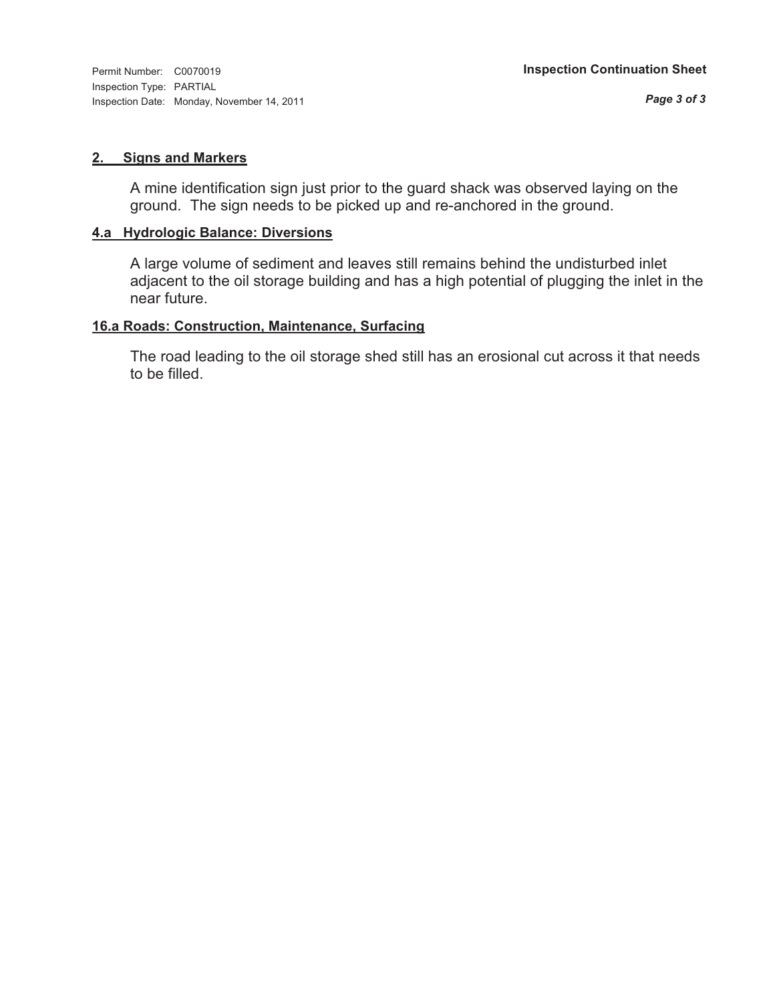Inspection Type: PARTIAL Inspection Date: Monday, November 14, 2011

#### **2. Signs and Markers**

A mine identification sign just prior to the guard shack was observed laying on the ground. The sign needs to be picked up and re-anchored in the ground.

#### **4.a Hydrologic Balance: Diversions**

A large volume of sediment and leaves still remains behind the undisturbed inlet adjacent to the oil storage building and has a high potential of plugging the inlet in the near future.

#### **16.a Roads: Construction, Maintenance, Surfacing**

The road leading to the oil storage shed still has an erosional cut across it that needs to be filled.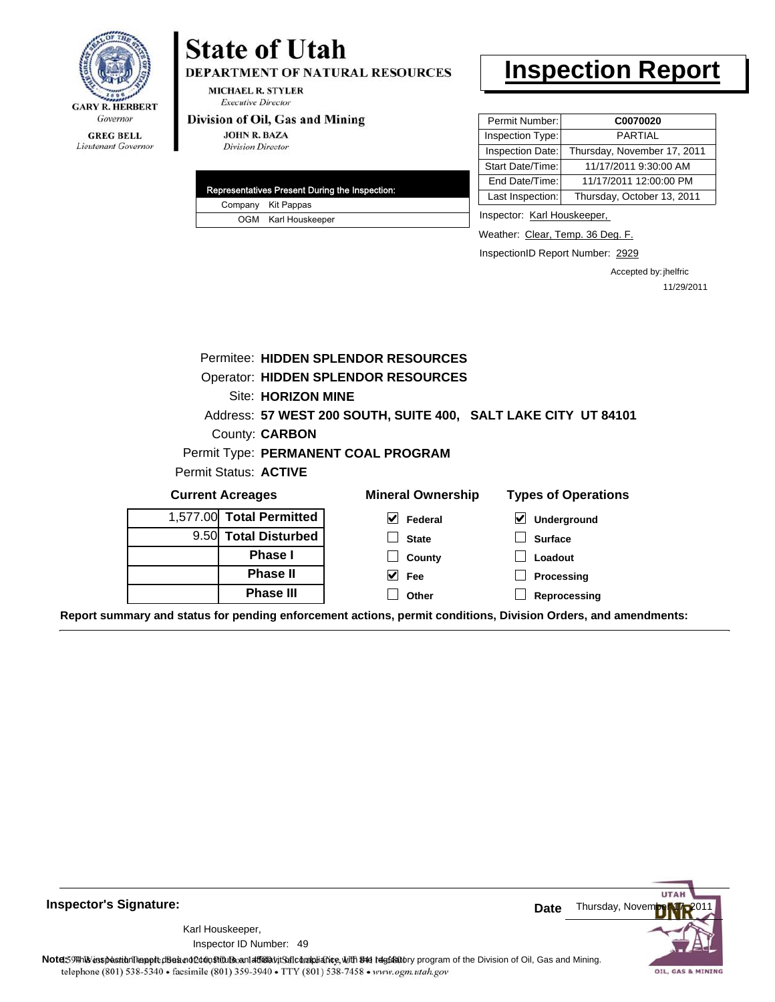

Lieutenant Governor

## **State of Utah**

DEPARTMENT OF NATURAL RESOURCES

**MICHAEL R. STYLER Executive Director** 

#### Division of Oil, Gas and Mining

**JOHN R. BAZA Division Director** 

|  |  | Representatives Present During the Inspection: |
|--|--|------------------------------------------------|
|  |  | Company Kit Pappas                             |
|  |  | OGM Karl Houskeeper                            |

### **Inspection Report**

| Permit Number:   | C0070020                    |
|------------------|-----------------------------|
| Inspection Type: | <b>PARTIAL</b>              |
| Inspection Date: | Thursday, November 17, 2011 |
| Start Date/Time: | 11/17/2011 9:30:00 AM       |
| End Date/Time:   | 11/17/2011 12:00:00 PM      |
| Last Inspection: | Thursday, October 13, 2011  |
|                  |                             |

Inspector: Karl Houskeeper,

Weather: Clear, Temp. 36 Deg. F.

InspectionID Report Number: 2929

Accepted by: jhelfric 11/29/2011

|                                             |                                            |                          | Permitee: HIDDEN SPLENDOR RESOURCES                            |                                                                                                                |  |
|---------------------------------------------|--------------------------------------------|--------------------------|----------------------------------------------------------------|----------------------------------------------------------------------------------------------------------------|--|
|                                             | <b>Operator: HIDDEN SPLENDOR RESOURCES</b> |                          |                                                                |                                                                                                                |  |
|                                             | Site: HORIZON MINE                         |                          |                                                                |                                                                                                                |  |
|                                             |                                            |                          | Address: 57 WEST 200 SOUTH, SUITE 400, SALT LAKE CITY UT 84101 |                                                                                                                |  |
|                                             |                                            | County: <b>CARBON</b>    |                                                                |                                                                                                                |  |
|                                             |                                            |                          | Permit Type: PERMANENT COAL PROGRAM                            |                                                                                                                |  |
|                                             |                                            | Permit Status: ACTIVE    |                                                                |                                                                                                                |  |
|                                             | <b>Current Acreages</b>                    |                          | <b>Mineral Ownership</b>                                       | <b>Types of Operations</b>                                                                                     |  |
|                                             |                                            | 1,577.00 Total Permitted | V<br>Federal                                                   | ⊻<br>Underground                                                                                               |  |
|                                             |                                            | 9.50 Total Disturbed     | <b>State</b>                                                   | <b>Surface</b>                                                                                                 |  |
|                                             |                                            | <b>Phase I</b>           | County                                                         | Loadout                                                                                                        |  |
| <b>Phase II</b><br>$\vee$ Fee<br>Processing |                                            |                          |                                                                |                                                                                                                |  |
|                                             |                                            | <b>Phase III</b>         | Other                                                          | Reprocessing                                                                                                   |  |
|                                             |                                            |                          |                                                                | Report summary and status for pending enforcement actions, permit conditions, Division Orders, and amendments: |  |



**Inspector's Signature:**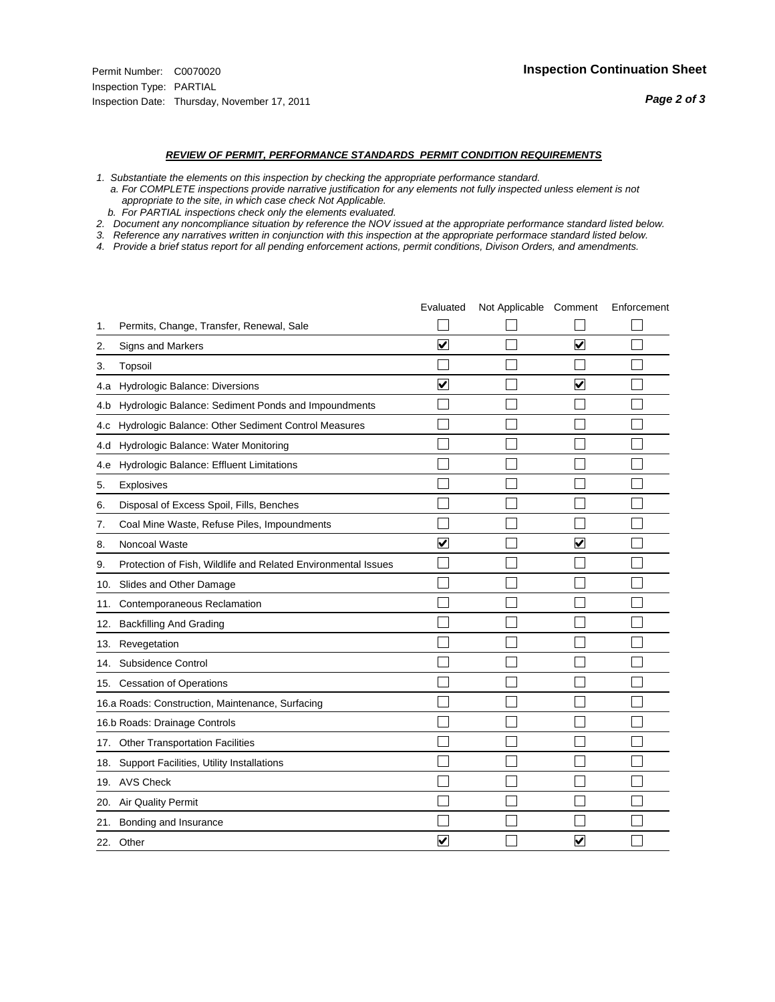#### *REVIEW OF PERMIT, PERFORMANCE STANDARDS PERMIT CONDITION REQUIREMENTS*

- *1. Substantiate the elements on this inspection by checking the appropriate performance standard.*
- *a. For COMPLETE inspections provide narrative justification for any elements not fully inspected unless element is not appropriate to the site, in which case check Not Applicable.*
- *b. For PARTIAL inspections check only the elements evaluated.*
- *2. Document any noncompliance situation by reference the NOV issued at the appropriate performance standard listed below.*
- *3. Reference any narratives written in conjunction with this inspection at the appropriate performace standard listed below.*
- *4. Provide a brief status report for all pending enforcement actions, permit conditions, Divison Orders, and amendments.*

|     |                                                               | Evaluated               | Not Applicable Comment |                         | Enforcement |
|-----|---------------------------------------------------------------|-------------------------|------------------------|-------------------------|-------------|
| 1.  | Permits, Change, Transfer, Renewal, Sale                      |                         |                        |                         |             |
| 2.  | <b>Signs and Markers</b>                                      | $\overline{\mathbf{v}}$ |                        | $\overline{\mathbf{v}}$ |             |
| 3.  | Topsoil                                                       |                         |                        |                         |             |
| 4.a | Hydrologic Balance: Diversions                                | $\blacktriangledown$    |                        | $\blacktriangledown$    |             |
| 4.b | Hydrologic Balance: Sediment Ponds and Impoundments           |                         |                        |                         |             |
| 4.c | Hydrologic Balance: Other Sediment Control Measures           |                         |                        |                         |             |
| 4.d | Hydrologic Balance: Water Monitoring                          |                         |                        |                         |             |
| 4.e | Hydrologic Balance: Effluent Limitations                      |                         |                        |                         |             |
| 5.  | <b>Explosives</b>                                             |                         |                        |                         |             |
| 6.  | Disposal of Excess Spoil, Fills, Benches                      |                         |                        |                         |             |
| 7.  | Coal Mine Waste, Refuse Piles, Impoundments                   |                         |                        |                         |             |
| 8.  | Noncoal Waste                                                 | $\overline{\mathbf{v}}$ |                        | $\overline{\mathsf{v}}$ |             |
| 9.  | Protection of Fish, Wildlife and Related Environmental Issues |                         |                        |                         |             |
|     | 10. Slides and Other Damage                                   |                         |                        |                         |             |
| 11. | Contemporaneous Reclamation                                   |                         |                        |                         |             |
| 12. | <b>Backfilling And Grading</b>                                |                         |                        |                         |             |
| 13. | Revegetation                                                  |                         |                        |                         |             |
| 14. | Subsidence Control                                            |                         |                        |                         |             |
|     | 15. Cessation of Operations                                   |                         |                        |                         |             |
|     | 16.a Roads: Construction, Maintenance, Surfacing              |                         |                        |                         |             |
|     | 16.b Roads: Drainage Controls                                 |                         |                        |                         |             |
|     | 17. Other Transportation Facilities                           |                         |                        |                         |             |
| 18. | Support Facilities, Utility Installations                     |                         |                        |                         |             |
|     | 19. AVS Check                                                 |                         |                        |                         |             |
| 20. | Air Quality Permit                                            |                         |                        |                         |             |
| 21. | Bonding and Insurance                                         |                         |                        |                         |             |
|     | 22. Other                                                     | $\overline{\mathbf{v}}$ |                        | $\overline{\mathbf{v}}$ |             |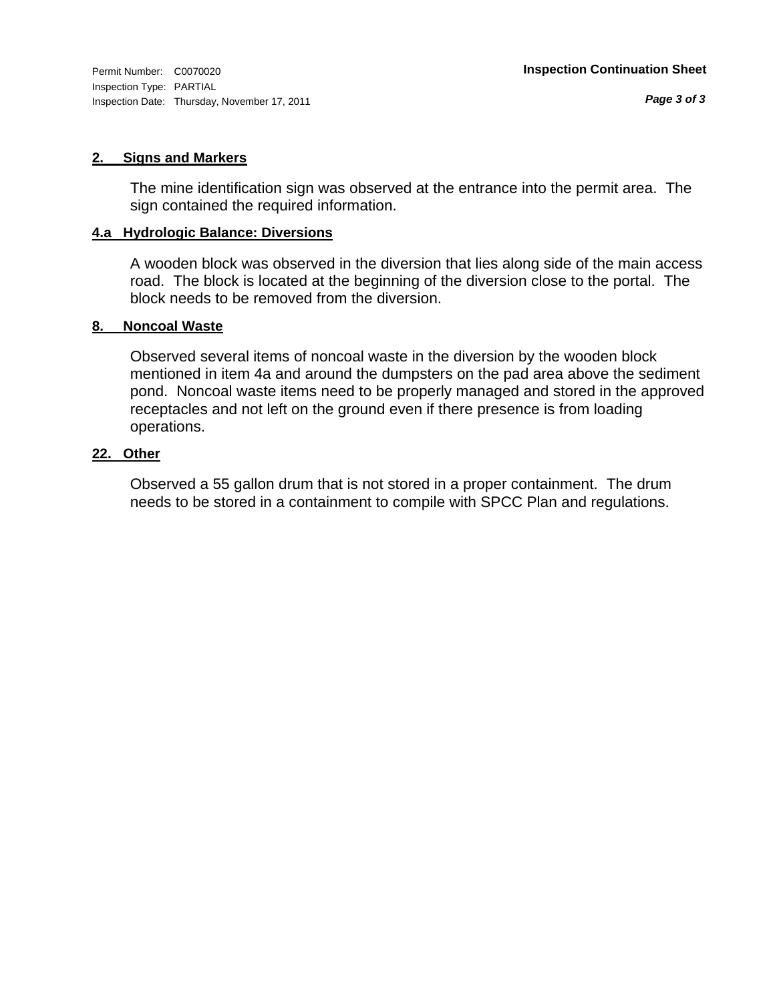Inspection Type: PARTIAL Inspection Date: Thursday, November 17, 2011

#### **2. Signs and Markers**

The mine identification sign was observed at the entrance into the permit area. The sign contained the required information.

#### **4.a Hydrologic Balance: Diversions**

A wooden block was observed in the diversion that lies along side of the main access road. The block is located at the beginning of the diversion close to the portal. The block needs to be removed from the diversion.

#### **8. Noncoal Waste**

Observed several items of noncoal waste in the diversion by the wooden block mentioned in item 4a and around the dumpsters on the pad area above the sediment pond. Noncoal waste items need to be properly managed and stored in the approved receptacles and not left on the ground even if there presence is from loading operations.

#### **22. Other**

Observed a 55 gallon drum that is not stored in a proper containment. The drum needs to be stored in a containment to compile with SPCC Plan and regulations.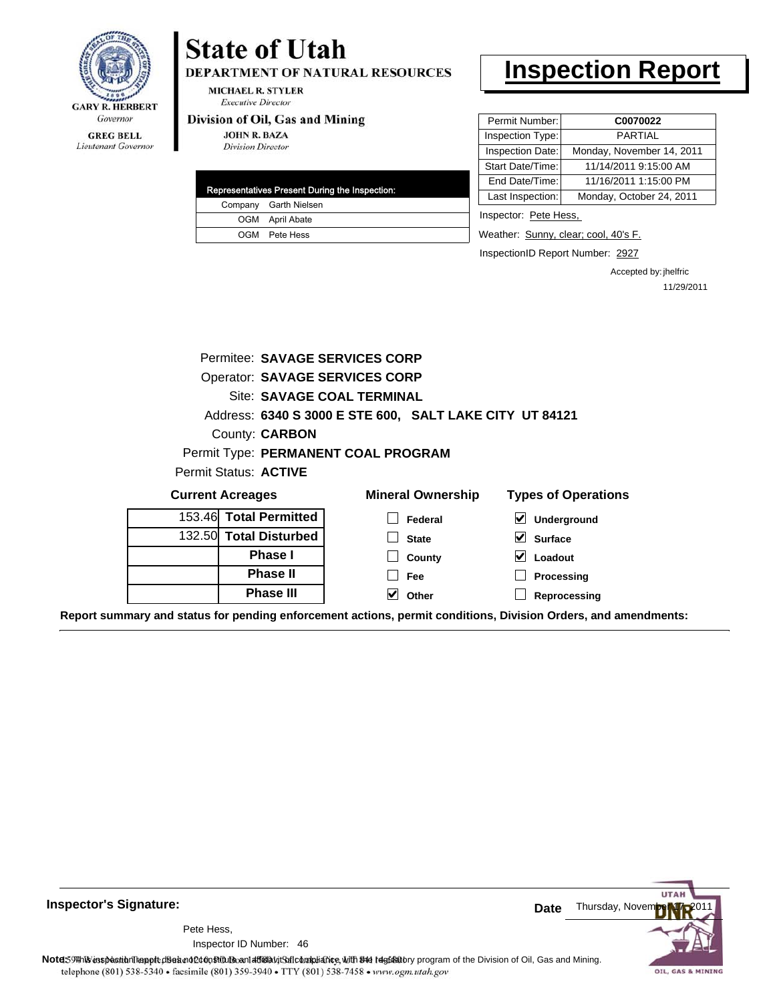

**State of Utah** 

DEPARTMENT OF NATURAL RESOURCES

**MICHAEL R. STYLER Executive Director** 

#### Division of Oil, Gas and Mining

**JOHN R. BAZA Division Director** 

|  | Representatives Present During the Inspection: |
|--|------------------------------------------------|
|  | Company Garth Nielsen                          |
|  | OGM April Abate                                |
|  | OGM Pete Hess                                  |

### **Inspection Report**

| Permit Number:   | C0070022                  |
|------------------|---------------------------|
| Inspection Type: | <b>PARTIAL</b>            |
| Inspection Date: | Monday, November 14, 2011 |
| Start Date/Time: | 11/14/2011 9:15:00 AM     |
| End Date/Time:   | 11/16/2011 1:15:00 PM     |
| Last Inspection: | Monday, October 24, 2011  |
|                  |                           |

Inspector: Pete Hess,

Weather: Sunny, clear; cool, 40's F.

InspectionID Report Number: 2927

Accepted by: jhelfric 11/29/2011

|                                                                                                                | Permitee: SAVAGE SERVICES CORP        |                                     |                                               |  |
|----------------------------------------------------------------------------------------------------------------|---------------------------------------|-------------------------------------|-----------------------------------------------|--|
|                                                                                                                | <b>Operator: SAVAGE SERVICES CORP</b> |                                     |                                               |  |
|                                                                                                                | Site: SAVAGE COAL TERMINAL            |                                     |                                               |  |
| Address: 6340 S 3000 E STE 600, SALT LAKE CITY UT 84121                                                        |                                       |                                     |                                               |  |
|                                                                                                                | County: <b>CARBON</b>                 |                                     |                                               |  |
|                                                                                                                |                                       | Permit Type: PERMANENT COAL PROGRAM |                                               |  |
| Permit Status: ACTIVE                                                                                          |                                       |                                     |                                               |  |
| <b>Current Acreages</b>                                                                                        |                                       | <b>Mineral Ownership</b>            | <b>Types of Operations</b>                    |  |
| 153.46 Total Permitted                                                                                         |                                       | Federal                             | ⊻<br>Underground                              |  |
| 132.50 Total Disturbed                                                                                         |                                       | <b>State</b>                        | $\vert\bm{\mathsf{v}}\vert$<br><b>Surface</b> |  |
| <b>Phase I</b>                                                                                                 |                                       | County                              | V<br>Loadout                                  |  |
|                                                                                                                | <b>Phase II</b>                       | Fee                                 | Processing                                    |  |
|                                                                                                                | <b>Phase III</b>                      | V<br>Other                          | Reprocessing                                  |  |
| Report summary and status for pending enforcement actions, permit conditions, Division Orders, and amendments: |                                       |                                     |                                               |  |

**UTAF** Thursday, Novem **Date** Pete Hess, 46 Inspector ID Number:Note59 This inspection report does not constitute and affidavit Soft compliance, with the regulatory program of the Division of Oil, Gas and Mining. telephone (801) 538-5340 · facsimile (801) 359-3940 · TTY (801) 538-7458 · www.ogm.utah.gov OIL, GAS & MINING

**Inspector's Signature:**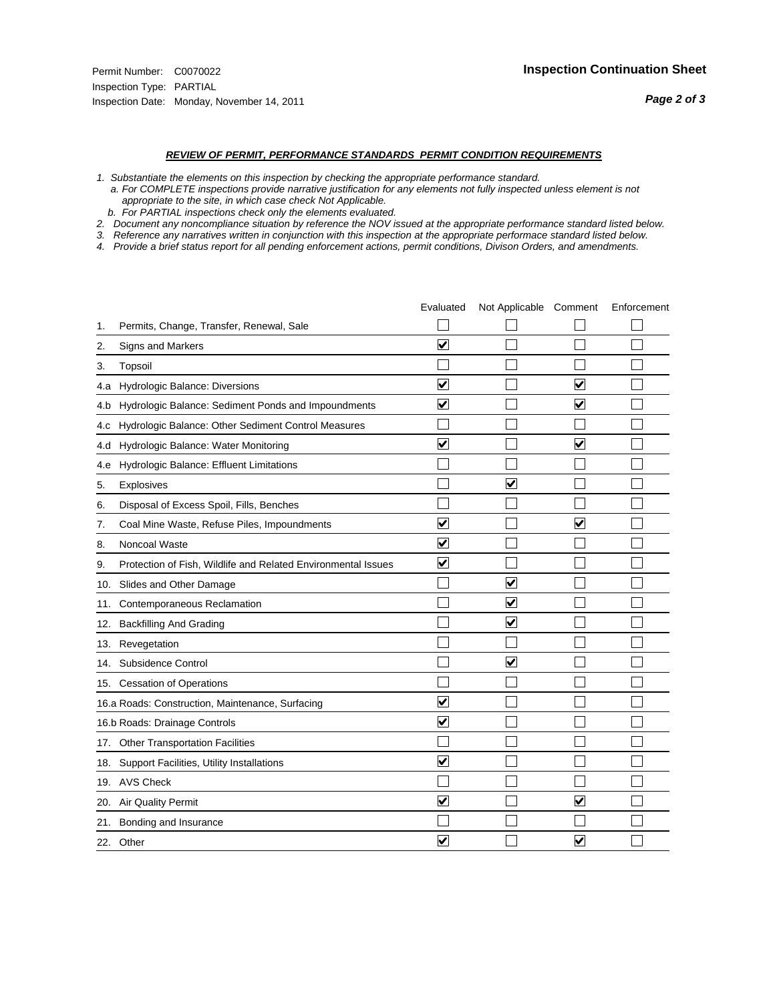#### *REVIEW OF PERMIT, PERFORMANCE STANDARDS PERMIT CONDITION REQUIREMENTS*

*1. Substantiate the elements on this inspection by checking the appropriate performance standard.*

 *a. For COMPLETE inspections provide narrative justification for any elements not fully inspected unless element is not appropriate to the site, in which case check Not Applicable.*

 *b. For PARTIAL inspections check only the elements evaluated.*

*2. Document any noncompliance situation by reference the NOV issued at the appropriate performance standard listed below.*

*3. Reference any narratives written in conjunction with this inspection at the appropriate performace standard listed below.*

*4. Provide a brief status report for all pending enforcement actions, permit conditions, Divison Orders, and amendments.*

|     |                                                               | Evaluated               | Not Applicable Comment  |                         | Enforcement |
|-----|---------------------------------------------------------------|-------------------------|-------------------------|-------------------------|-------------|
| 1.  | Permits, Change, Transfer, Renewal, Sale                      |                         |                         |                         |             |
| 2.  | Signs and Markers                                             | $\overline{\mathbf{v}}$ |                         |                         |             |
| 3.  | Topsoil                                                       |                         |                         |                         |             |
| 4.a | Hydrologic Balance: Diversions                                | $\blacktriangledown$    |                         | $\overline{\mathbf{v}}$ |             |
| 4.b | Hydrologic Balance: Sediment Ponds and Impoundments           | $\blacktriangledown$    |                         | V                       |             |
| 4.C | Hydrologic Balance: Other Sediment Control Measures           |                         |                         |                         |             |
| 4.d | Hydrologic Balance: Water Monitoring                          | $\overline{\mathbf{v}}$ |                         | $\overline{\mathbf{v}}$ |             |
| 4.e | Hydrologic Balance: Effluent Limitations                      |                         |                         |                         |             |
| 5.  | <b>Explosives</b>                                             |                         | ⊽                       |                         |             |
| 6.  | Disposal of Excess Spoil, Fills, Benches                      |                         |                         |                         |             |
| 7.  | Coal Mine Waste, Refuse Piles, Impoundments                   | $\overline{\mathsf{v}}$ |                         | $\overline{\mathbf{v}}$ |             |
| 8.  | Noncoal Waste                                                 | $\overline{\mathsf{v}}$ |                         |                         |             |
| 9.  | Protection of Fish, Wildlife and Related Environmental Issues | $\overline{\mathbf{v}}$ |                         |                         |             |
|     | 10. Slides and Other Damage                                   |                         | ⊽                       |                         |             |
| 11. | Contemporaneous Reclamation                                   |                         | ☑                       |                         |             |
| 12. | <b>Backfilling And Grading</b>                                |                         | $\overline{\mathbf{v}}$ |                         |             |
| 13. | Revegetation                                                  |                         |                         |                         |             |
| 14. | Subsidence Control                                            |                         | $\overline{\mathbf{v}}$ |                         |             |
|     | 15. Cessation of Operations                                   |                         |                         |                         |             |
|     | 16.a Roads: Construction, Maintenance, Surfacing              | ⊽                       |                         |                         |             |
|     | 16.b Roads: Drainage Controls                                 | $\overline{\mathbf{v}}$ |                         |                         |             |
| 17. | Other Transportation Facilities                               |                         |                         |                         |             |
| 18. | Support Facilities, Utility Installations                     | $\overline{\mathbf{v}}$ |                         |                         |             |
|     | 19. AVS Check                                                 |                         |                         |                         |             |
| 20. | <b>Air Quality Permit</b>                                     | $\checkmark$            |                         | $\blacktriangledown$    |             |
| 21. | Bonding and Insurance                                         |                         |                         |                         |             |
|     | 22. Other                                                     | $\overline{\mathbf{v}}$ |                         | V                       |             |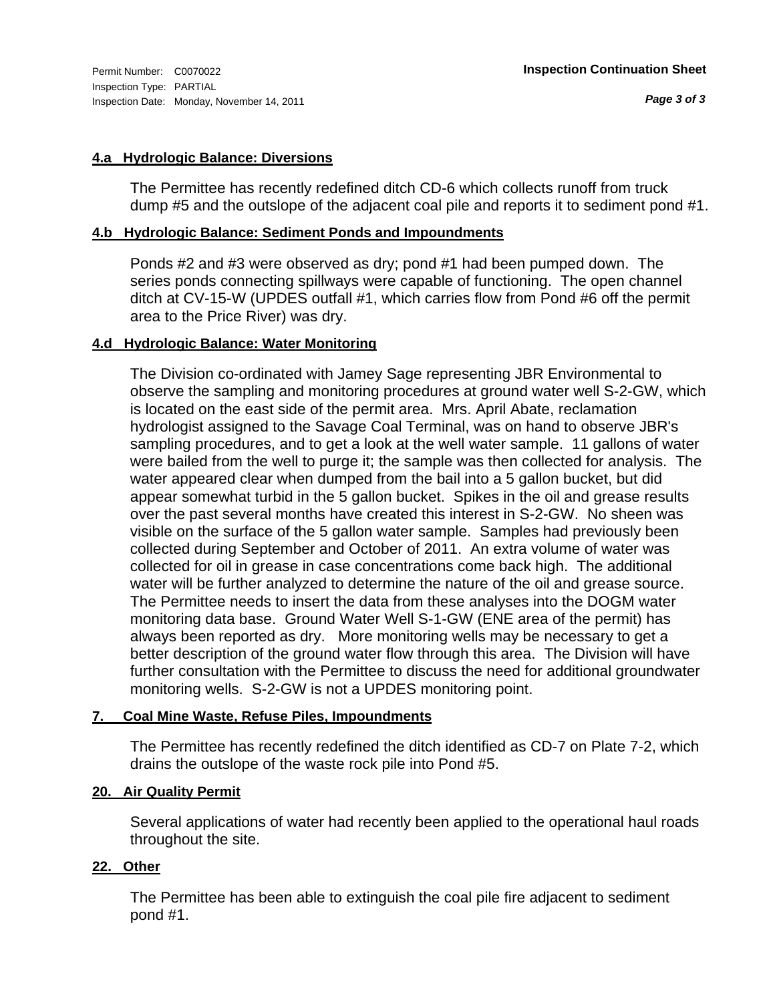#### **4.a Hydrologic Balance: Diversions**

The Permittee has recently redefined ditch CD-6 which collects runoff from truck dump #5 and the outslope of the adjacent coal pile and reports it to sediment pond #1.

#### **4.b Hydrologic Balance: Sediment Ponds and Impoundments**

Ponds #2 and #3 were observed as dry; pond #1 had been pumped down. The series ponds connecting spillways were capable of functioning. The open channel ditch at CV-15-W (UPDES outfall #1, which carries flow from Pond #6 off the permit area to the Price River) was dry.

#### **4.d Hydrologic Balance: Water Monitoring**

The Division co-ordinated with Jamey Sage representing JBR Environmental to observe the sampling and monitoring procedures at ground water well S-2-GW, which is located on the east side of the permit area. Mrs. April Abate, reclamation hydrologist assigned to the Savage Coal Terminal, was on hand to observe JBR's sampling procedures, and to get a look at the well water sample. 11 gallons of water were bailed from the well to purge it; the sample was then collected for analysis. The water appeared clear when dumped from the bail into a 5 gallon bucket, but did appear somewhat turbid in the 5 gallon bucket. Spikes in the oil and grease results over the past several months have created this interest in S-2-GW. No sheen was visible on the surface of the 5 gallon water sample. Samples had previously been collected during September and October of 2011. An extra volume of water was collected for oil in grease in case concentrations come back high. The additional water will be further analyzed to determine the nature of the oil and grease source. The Permittee needs to insert the data from these analyses into the DOGM water monitoring data base. Ground Water Well S-1-GW (ENE area of the permit) has always been reported as dry. More monitoring wells may be necessary to get a better description of the ground water flow through this area. The Division will have further consultation with the Permittee to discuss the need for additional groundwater monitoring wells. S-2-GW is not a UPDES monitoring point.

#### **7. Coal Mine Waste, Refuse Piles, Impoundments**

The Permittee has recently redefined the ditch identified as CD-7 on Plate 7-2, which drains the outslope of the waste rock pile into Pond #5.

#### **20. Air Quality Permit**

Several applications of water had recently been applied to the operational haul roads throughout the site.

#### **22. Other**

The Permittee has been able to extinguish the coal pile fire adjacent to sediment pond #1.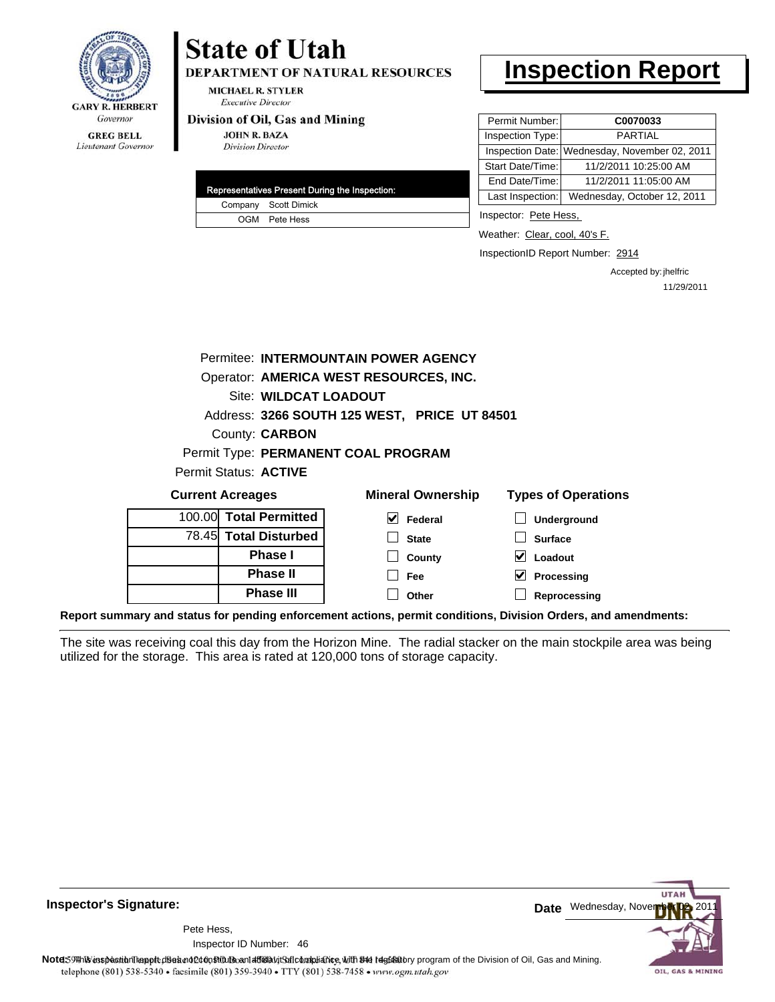

## **State of Utah**

**DEPARTMENT OF NATURAL RESOURCES** 

**MICHAEL R. STYLER Executive Director** 

#### Division of Oil, Gas and Mining

**JOHN R. BAZA Division Director** 

|  | Representatives Present During the Inspection: |
|--|------------------------------------------------|
|  | Company Scott Dimick                           |
|  | OGM Pete Hess                                  |

### **Inspection Report**

| Permit Number:   | C0070033                                      |
|------------------|-----------------------------------------------|
| Inspection Type: | <b>PARTIAL</b>                                |
|                  | Inspection Date: Wednesday, November 02, 2011 |
| Start Date/Time: | 11/2/2011 10:25:00 AM                         |
| End Date/Time:   | 11/2/2011 11:05:00 AM                         |
| Last Inspection: | Wednesday, October 12, 2011                   |

Inspector: Pete Hess,

Weather: Clear, cool, 40's F.

InspectionID Report Number: 2914

Accepted by: jhelfric 11/29/2011

| Permitee: INTERMOUNTAIN POWER AGENCY |                                                                                   |                                              |                                 |  |  |  |
|--------------------------------------|-----------------------------------------------------------------------------------|----------------------------------------------|---------------------------------|--|--|--|
|                                      | Operator: AMERICA WEST RESOURCES, INC.                                            |                                              |                                 |  |  |  |
|                                      | <b>Site: WILDCAT LOADOUT</b>                                                      |                                              |                                 |  |  |  |
|                                      |                                                                                   | Address: 3266 SOUTH 125 WEST, PRICE UT 84501 |                                 |  |  |  |
|                                      | County: <b>CARBON</b>                                                             |                                              |                                 |  |  |  |
|                                      |                                                                                   | Permit Type: PERMANENT COAL PROGRAM          |                                 |  |  |  |
|                                      | Permit Status: ACTIVE                                                             |                                              |                                 |  |  |  |
|                                      | <b>Mineral Ownership</b><br><b>Types of Operations</b><br><b>Current Acreages</b> |                                              |                                 |  |  |  |
| 100.00                               | <b>Total Permitted</b>                                                            | $\vert \mathbf{v} \vert$ Federal             | <b>Underground</b>              |  |  |  |
|                                      | 78.45 Total Disturbed                                                             | <b>State</b>                                 | <b>Surface</b>                  |  |  |  |
|                                      | <b>Phase I</b>                                                                    | County                                       | $\blacktriangledown$<br>Loadout |  |  |  |
|                                      | <b>Phase II</b>                                                                   | <b>Fee</b>                                   | V<br>Processing                 |  |  |  |
|                                      | <b>Phase III</b>                                                                  | Other                                        | Reprocessing                    |  |  |  |

**Report summary and status for pending enforcement actions, permit conditions, Division Orders, and amendments:**

The site was receiving coal this day from the Horizon Mine. The radial stacker on the main stockpile area was being utilized for the storage. This area is rated at 120,000 tons of storage capacity.



**Inspector's Signature:**

46 Inspector ID Number:Pete Hess,

Note: This inspection report does not constitute and affidavitor compliance, with the regulatory program of the Division of Oil, Gas and Mining. telephone (801) 538-5340 · facsimile (801) 359-3940 · TTY (801) 538-7458 · www.ogm.utah.gov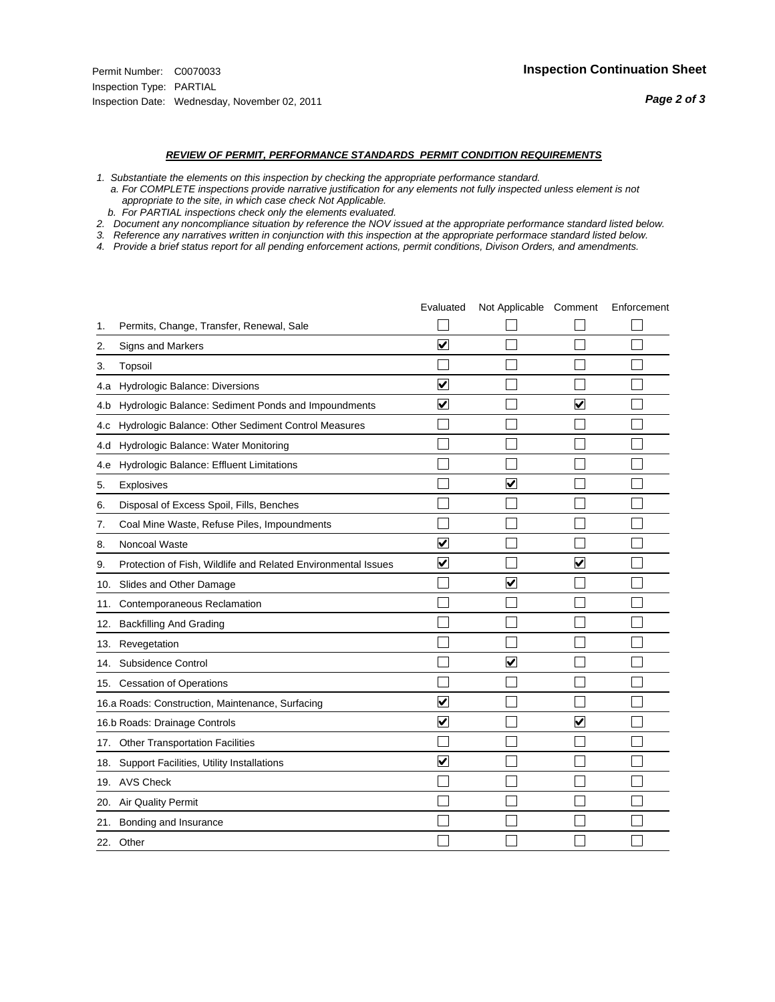#### *REVIEW OF PERMIT, PERFORMANCE STANDARDS PERMIT CONDITION REQUIREMENTS*

- *1. Substantiate the elements on this inspection by checking the appropriate performance standard.*
- *a. For COMPLETE inspections provide narrative justification for any elements not fully inspected unless element is not appropriate to the site, in which case check Not Applicable.*
- *b. For PARTIAL inspections check only the elements evaluated.*
- *2. Document any noncompliance situation by reference the NOV issued at the appropriate performance standard listed below.*
- *3. Reference any narratives written in conjunction with this inspection at the appropriate performace standard listed below.*
- *4. Provide a brief status report for all pending enforcement actions, permit conditions, Divison Orders, and amendments.*

|     |                                                               | Evaluated               | Not Applicable Comment  |                         | Enforcement |
|-----|---------------------------------------------------------------|-------------------------|-------------------------|-------------------------|-------------|
| 1.  | Permits, Change, Transfer, Renewal, Sale                      |                         |                         |                         |             |
| 2.  | <b>Signs and Markers</b>                                      | $\overline{\mathbf{v}}$ |                         |                         |             |
| 3.  | Topsoil                                                       |                         |                         |                         |             |
| 4.a | Hydrologic Balance: Diversions                                | $\blacktriangledown$    |                         |                         |             |
| 4.b | Hydrologic Balance: Sediment Ponds and Impoundments           | $\blacktriangledown$    |                         | V                       |             |
| 4.c | Hydrologic Balance: Other Sediment Control Measures           |                         |                         |                         |             |
| 4.d | Hydrologic Balance: Water Monitoring                          |                         |                         |                         |             |
| 4.e | Hydrologic Balance: Effluent Limitations                      |                         |                         |                         |             |
| 5.  | <b>Explosives</b>                                             |                         | $\overline{\mathbf{v}}$ |                         |             |
| 6.  | Disposal of Excess Spoil, Fills, Benches                      |                         |                         |                         |             |
| 7.  | Coal Mine Waste, Refuse Piles, Impoundments                   |                         |                         |                         |             |
| 8.  | Noncoal Waste                                                 | $\overline{\mathbf{v}}$ |                         |                         |             |
| 9.  | Protection of Fish, Wildlife and Related Environmental Issues | $\overline{\mathbf{v}}$ |                         | $\overline{\mathbf{v}}$ |             |
|     | 10. Slides and Other Damage                                   |                         | $\overline{\mathsf{v}}$ |                         |             |
| 11. | Contemporaneous Reclamation                                   |                         |                         |                         |             |
| 12. | <b>Backfilling And Grading</b>                                |                         |                         |                         |             |
| 13. | Revegetation                                                  |                         |                         |                         |             |
| 14. | Subsidence Control                                            |                         | $\overline{\mathbf{v}}$ |                         |             |
|     | 15. Cessation of Operations                                   |                         |                         |                         |             |
|     | 16.a Roads: Construction, Maintenance, Surfacing              | ⊽                       |                         |                         |             |
|     | 16.b Roads: Drainage Controls                                 | $\overline{\mathbf{v}}$ |                         | V                       |             |
| 17. | <b>Other Transportation Facilities</b>                        |                         |                         |                         |             |
| 18. | Support Facilities, Utility Installations                     | $\overline{\mathbf{v}}$ |                         |                         |             |
|     | 19. AVS Check                                                 |                         |                         |                         |             |
| 20. | Air Quality Permit                                            |                         |                         |                         |             |
| 21. | Bonding and Insurance                                         |                         |                         |                         |             |
|     | 22. Other                                                     |                         |                         |                         |             |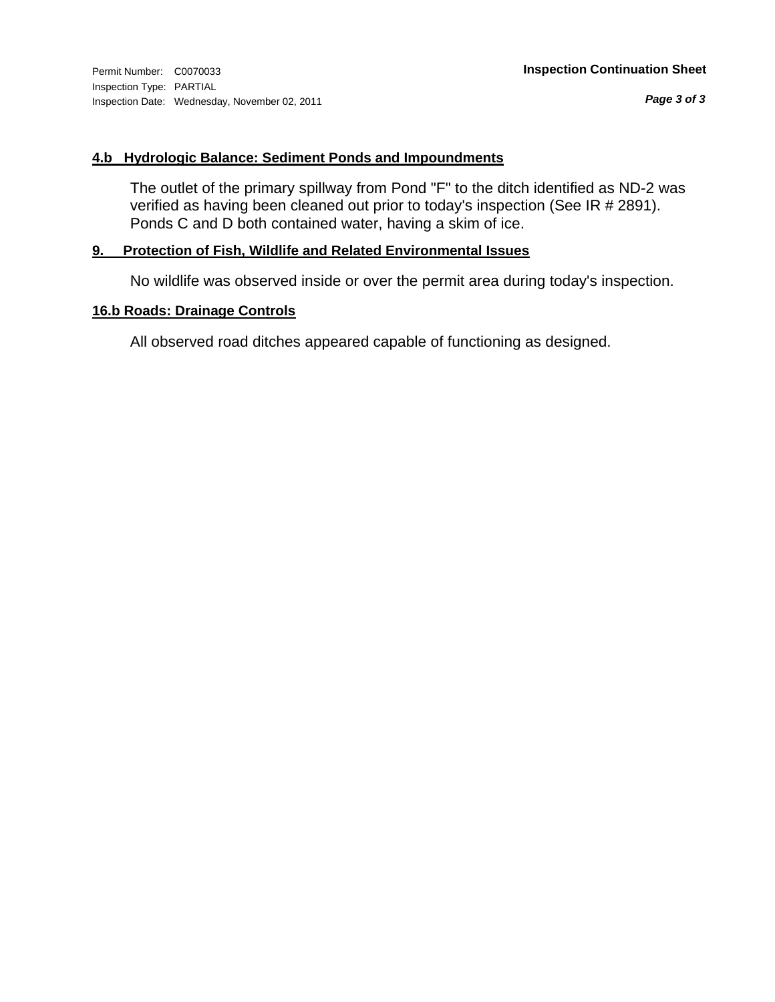#### **4.b Hydrologic Balance: Sediment Ponds and Impoundments**

The outlet of the primary spillway from Pond "F" to the ditch identified as ND-2 was verified as having been cleaned out prior to today's inspection (See IR # 2891). Ponds C and D both contained water, having a skim of ice.

#### **9. Protection of Fish, Wildlife and Related Environmental Issues**

No wildlife was observed inside or over the permit area during today's inspection.

#### **16.b Roads: Drainage Controls**

All observed road ditches appeared capable of functioning as designed.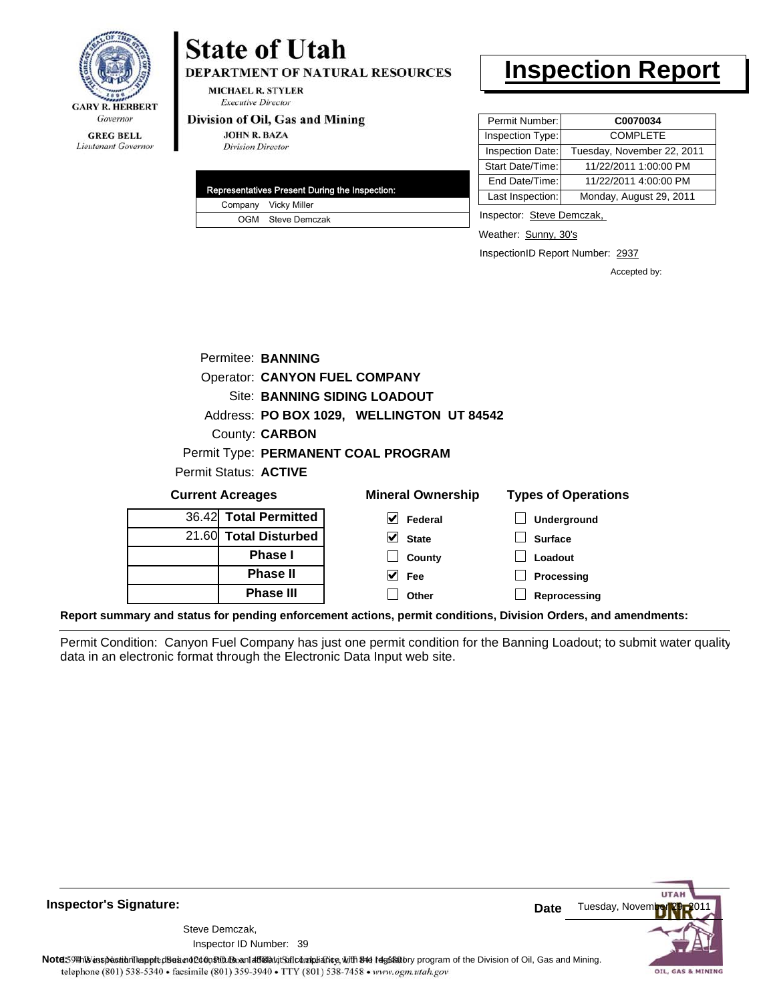

#### **GREG BELL** Lieutenant Governor

## **State of Utah**

**DEPARTMENT OF NATURAL RESOURCES** 

**MICHAEL R. STYLER Executive Director** 

#### Division of Oil, Gas and Mining

**JOHN R. BAZA Division Director** 

| Representatives Present During the Inspection: |
|------------------------------------------------|
| Company Vicky Miller                           |
| OGM Steve Demczak                              |

### **Inspection Report**

| Permit Number:   | C0070034                   |
|------------------|----------------------------|
| Inspection Type: | <b>COMPLETE</b>            |
| Inspection Date: | Tuesday, November 22, 2011 |
| Start Date/Time: | 11/22/2011 1:00:00 PM      |
| End Date/Time:   | 11/22/2011 4:00:00 PM      |
| Last Inspection: | Monday, August 29, 2011    |

Inspector: Steve Demczak,

Weather: Sunny, 30's

InspectionID Report Number: 2937

Accepted by:

|                              | Permitee: BANNING     |                                           |                            |
|------------------------------|-----------------------|-------------------------------------------|----------------------------|
|                              |                       | <b>Operator: CANYON FUEL COMPANY</b>      |                            |
|                              |                       | Site: BANNING SIDING LOADOUT              |                            |
|                              |                       | Address: PO BOX 1029, WELLINGTON UT 84542 |                            |
|                              | County: <b>CARBON</b> |                                           |                            |
|                              |                       | Permit Type: PERMANENT COAL PROGRAM       |                            |
| <b>Permit Status: ACTIVE</b> |                       |                                           |                            |
| <b>Current Acreages</b>      |                       | <b>Mineral Ownership</b>                  | <b>Types of Operations</b> |
| 36.42 Total Permitted        |                       | Federal                                   | <b>Underground</b>         |

| 36.421 Total Permitted |
|------------------------|
| 21.60 Total Disturbed  |
| <b>Phase I</b>         |
| <b>Phase II</b>        |
| <b>Phase III</b>       |

| eral Ownership           | Types of Op     |
|--------------------------|-----------------|
| $\triangleright$ Federal | $\Box$ Undergro |
| $\vee$ State             | $\Box$ Surface  |
| $\Box$ County            | $\Box$ Loadout  |
| $\vee$ Fee               | $\Box$ Processi |

**Processing Reprocessing**

**Report summary and status for pending enforcement actions, permit conditions, Division Orders, and amendments:**

Permit Condition: Canyon Fuel Company has just one permit condition for the Banning Loadout; to submit water quality data in an electronic format through the Electronic Data Input web site.

**Other**



**Inspector's Signature:**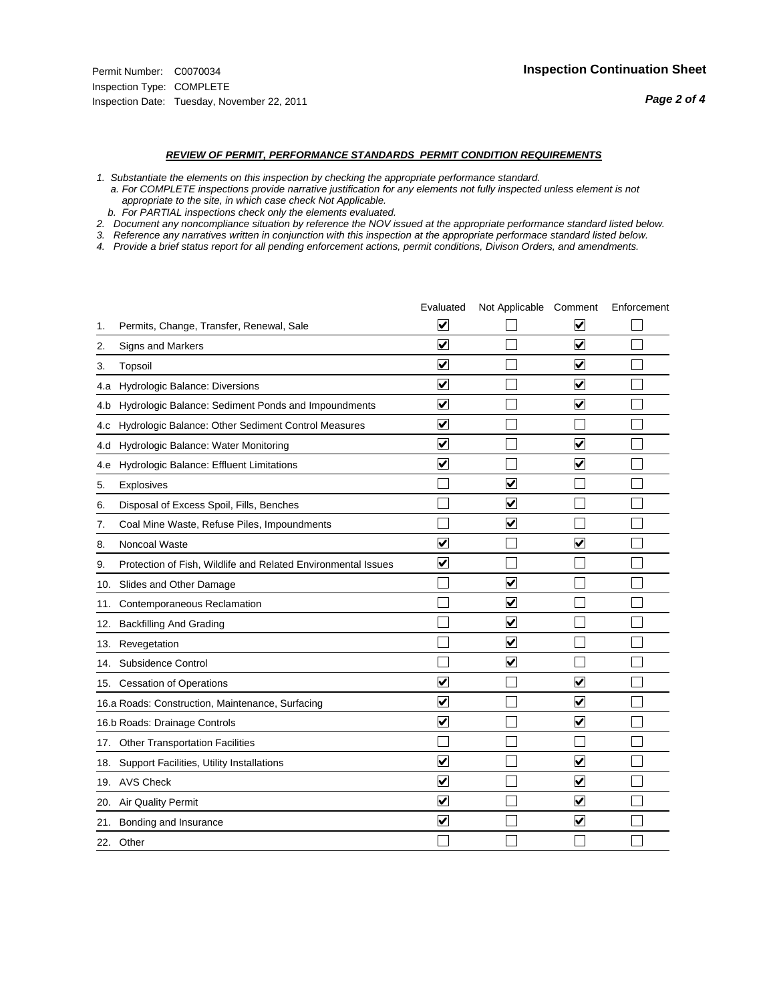#### *REVIEW OF PERMIT, PERFORMANCE STANDARDS PERMIT CONDITION REQUIREMENTS*

*1. Substantiate the elements on this inspection by checking the appropriate performance standard.*

 *a. For COMPLETE inspections provide narrative justification for any elements not fully inspected unless element is not appropriate to the site, in which case check Not Applicable.*

 *b. For PARTIAL inspections check only the elements evaluated.*

*2. Document any noncompliance situation by reference the NOV issued at the appropriate performance standard listed below.*

*3. Reference any narratives written in conjunction with this inspection at the appropriate performace standard listed below.*

*4. Provide a brief status report for all pending enforcement actions, permit conditions, Divison Orders, and amendments.*

|     |                                                               | Evaluated               | Not Applicable Comment          |                         | Enforcement |
|-----|---------------------------------------------------------------|-------------------------|---------------------------------|-------------------------|-------------|
| 1.  | Permits, Change, Transfer, Renewal, Sale                      | $\overline{\mathsf{v}}$ |                                 | V                       |             |
| 2.  | Signs and Markers                                             | $\overline{\mathbf{v}}$ |                                 | $\blacktriangledown$    |             |
| 3.  | Topsoil                                                       | $\overline{\mathbf{v}}$ |                                 | $\overline{\mathsf{v}}$ |             |
| 4.a | Hydrologic Balance: Diversions                                | $\overline{\mathsf{v}}$ |                                 | $\blacktriangledown$    |             |
| 4.b | Hydrologic Balance: Sediment Ponds and Impoundments           | $\blacktriangledown$    |                                 | ⊻                       |             |
| 4.C | Hydrologic Balance: Other Sediment Control Measures           | $\overline{\mathbf{v}}$ |                                 |                         |             |
| 4.d | Hydrologic Balance: Water Monitoring                          | $\overline{\mathbf{v}}$ |                                 | $\overline{\mathbf{v}}$ |             |
| 4.e | Hydrologic Balance: Effluent Limitations                      | $\overline{\mathbf{v}}$ |                                 | $\blacktriangledown$    |             |
| 5.  | <b>Explosives</b>                                             |                         | ⊽                               |                         |             |
| 6.  | Disposal of Excess Spoil, Fills, Benches                      |                         | $\blacktriangledown$            |                         |             |
| 7.  | Coal Mine Waste, Refuse Piles, Impoundments                   |                         | $\overline{\mathbf{v}}$         |                         |             |
| 8.  | Noncoal Waste                                                 | $\overline{\mathsf{v}}$ |                                 | $\overline{\mathbf{v}}$ |             |
| 9.  | Protection of Fish, Wildlife and Related Environmental Issues | $\overline{\mathbf{v}}$ |                                 |                         |             |
|     | 10. Slides and Other Damage                                   |                         | ☑                               |                         |             |
| 11. | Contemporaneous Reclamation                                   |                         | ☑                               |                         |             |
| 12. | <b>Backfilling And Grading</b>                                |                         | $\overline{\mathbf{v}}$         |                         |             |
| 13. | Revegetation                                                  |                         | $\overline{\blacktriangledown}$ |                         |             |
| 14. | Subsidence Control                                            |                         | $\overline{\mathbf{v}}$         |                         |             |
|     | 15. Cessation of Operations                                   | $\blacktriangledown$    |                                 | $\blacktriangledown$    |             |
|     | 16.a Roads: Construction, Maintenance, Surfacing              | $\blacktriangledown$    |                                 | $\blacktriangledown$    |             |
|     | 16.b Roads: Drainage Controls                                 | $\overline{\mathbf{v}}$ |                                 | $\overline{\mathbf{v}}$ |             |
| 17. | <b>Other Transportation Facilities</b>                        |                         |                                 |                         |             |
| 18. | Support Facilities, Utility Installations                     | $\overline{\mathbf{v}}$ |                                 | $\blacktriangledown$    |             |
|     | 19. AVS Check                                                 | $\overline{\mathbf{v}}$ |                                 | $\blacktriangledown$    |             |
| 20. | Air Quality Permit                                            | $\checkmark$            |                                 | $\blacktriangledown$    |             |
| 21. | Bonding and Insurance                                         | $\overline{\mathbf{v}}$ |                                 | $\blacktriangledown$    |             |
|     | 22. Other                                                     |                         |                                 |                         |             |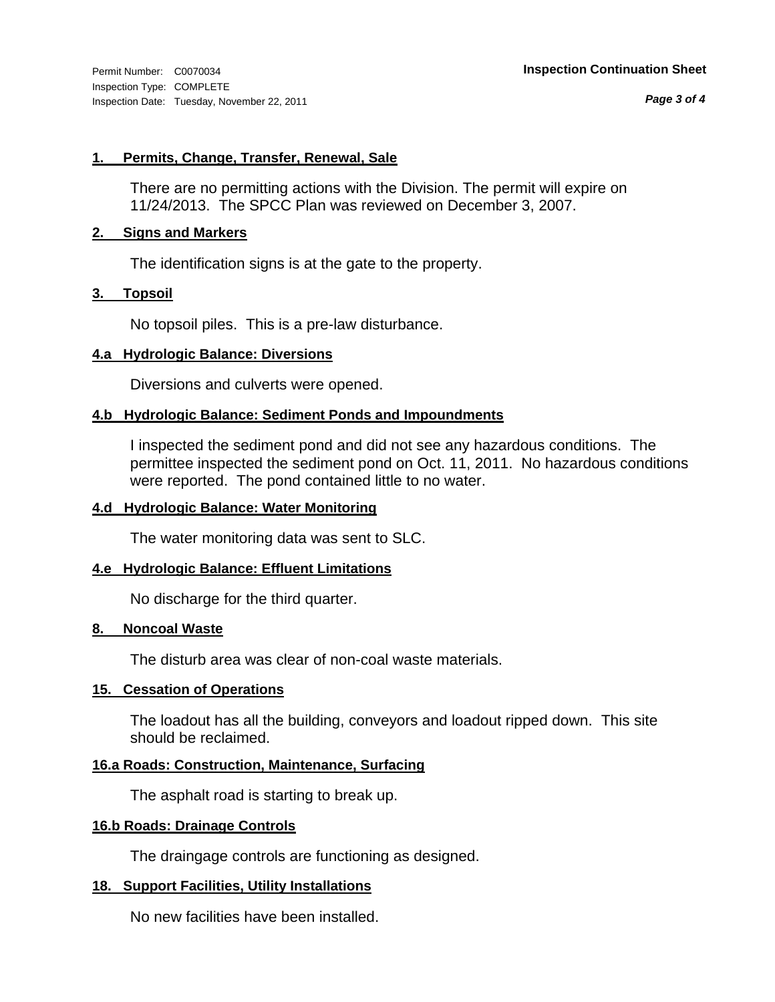*Page 3 of 4*

#### **1. Permits, Change, Transfer, Renewal, Sale**

There are no permitting actions with the Division. The permit will expire on 11/24/2013. The SPCC Plan was reviewed on December 3, 2007.

#### **2. Signs and Markers**

The identification signs is at the gate to the property.

#### **3. Topsoil**

No topsoil piles. This is a pre-law disturbance.

#### **4.a Hydrologic Balance: Diversions**

Diversions and culverts were opened.

#### **4.b Hydrologic Balance: Sediment Ponds and Impoundments**

I inspected the sediment pond and did not see any hazardous conditions. The permittee inspected the sediment pond on Oct. 11, 2011. No hazardous conditions were reported. The pond contained little to no water.

#### **4.d Hydrologic Balance: Water Monitoring**

The water monitoring data was sent to SLC.

#### **4.e Hydrologic Balance: Effluent Limitations**

No discharge for the third quarter.

#### **8. Noncoal Waste**

The disturb area was clear of non-coal waste materials.

#### **15. Cessation of Operations**

The loadout has all the building, conveyors and loadout ripped down. This site should be reclaimed.

#### **16.a Roads: Construction, Maintenance, Surfacing**

The asphalt road is starting to break up.

#### **16.b Roads: Drainage Controls**

The draingage controls are functioning as designed.

#### **18. Support Facilities, Utility Installations**

No new facilities have been installed.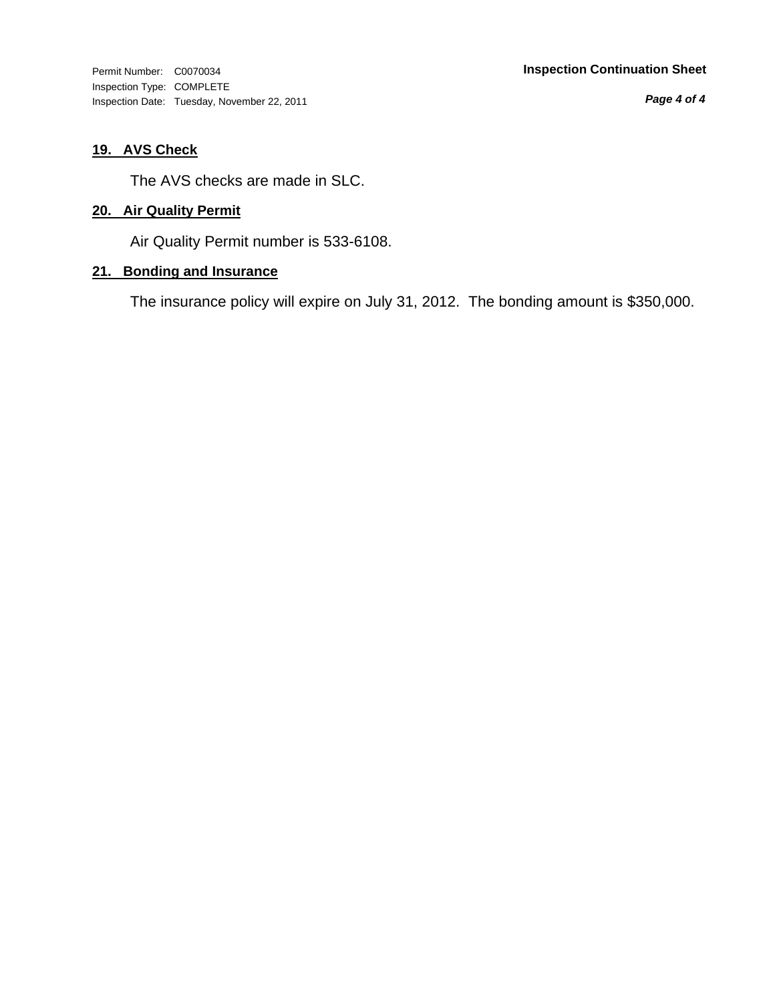Inspection Type: COMPLETE Inspection Date: Tuesday, November 22, 2011

*Page 4 of 4*

#### **19. AVS Check**

The AVS checks are made in SLC.

#### **20. Air Quality Permit**

Air Quality Permit number is 533-6108.

#### **21. Bonding and Insurance**

The insurance policy will expire on July 31, 2012. The bonding amount is \$350,000.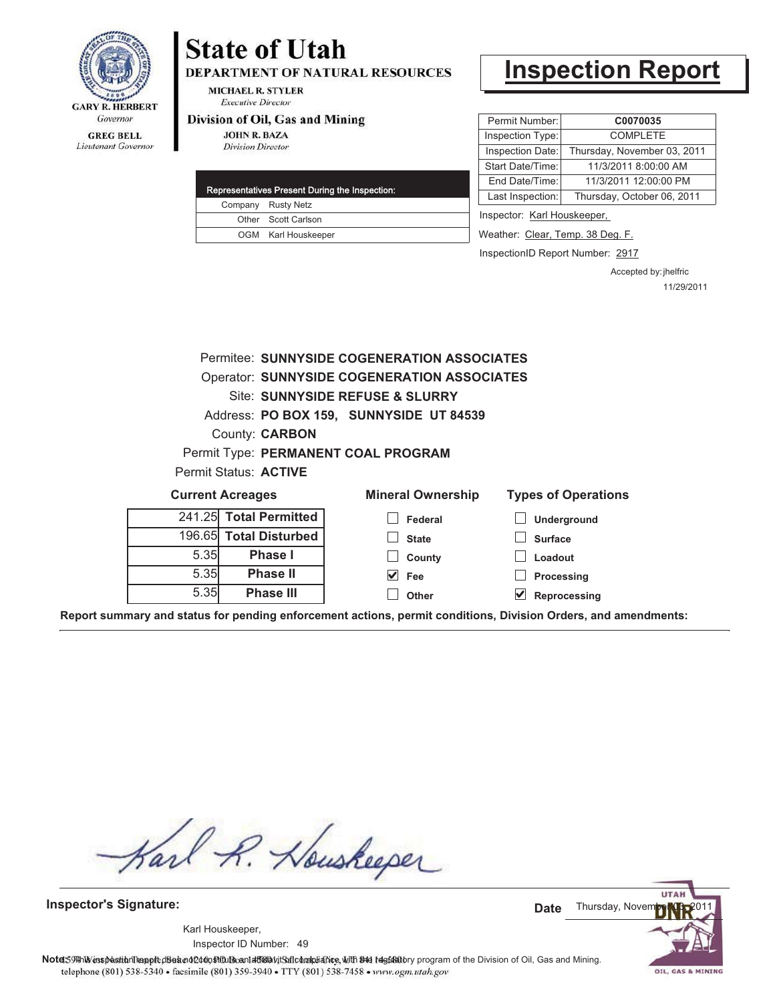

# **State of Utah**

**DEPARTMENT OF NATURAL RESOURCES** 

**MICHAEL R. STYLER Executive Director** 

#### Division of Oil, Gas and Mining

**JOHN R. BAZA Division Director** 

|  | Representatives Present During the Inspection: |
|--|------------------------------------------------|
|  | Company Rusty Netz                             |
|  | Other Scott Carlson                            |
|  | OGM Karl Houskeeper                            |
|  |                                                |

### **Inspection Report**

| Permit Number:          | C0070035                    |
|-------------------------|-----------------------------|
| Inspection Type:        | <b>COMPLETE</b>             |
| <b>Inspection Date:</b> | Thursday, November 03, 2011 |
| Start Date/Time:        | 11/3/2011 8:00:00 AM        |
| End Date/Time:          | 11/3/2011 12:00:00 PM       |
| Last Inspection:        | Thursday, October 06, 2011  |
|                         |                             |

Inspector: Karl Houskeeper,

Weather: Clear, Temp. 38 Deg. F.

InspectionID Report Number: 2917

Accepted by: jhelfric 11/29/2011

|      |                                                    | Permitee: SUNNYSIDE COGENERATION ASSOCIATES |                            |  |  |
|------|----------------------------------------------------|---------------------------------------------|----------------------------|--|--|
|      | <b>Operator: SUNNYSIDE COGENERATION ASSOCIATES</b> |                                             |                            |  |  |
|      | Site: SUNNYSIDE REFUSE & SLURRY                    |                                             |                            |  |  |
|      |                                                    | Address: PO BOX 159, SUNNYSIDE UT 84539     |                            |  |  |
|      | County: <b>CARBON</b>                              |                                             |                            |  |  |
|      |                                                    | Permit Type: PERMANENT COAL PROGRAM         |                            |  |  |
|      | Permit Status: <b>ACTIVE</b>                       |                                             |                            |  |  |
|      | <b>Current Acreages</b>                            | <b>Mineral Ownership</b>                    | <b>Types of Operations</b> |  |  |
|      | 241.25 Total Permitted                             | Federal                                     | <b>Underground</b>         |  |  |
|      | 196.65 Total Disturbed                             | <b>State</b>                                | <b>Surface</b>             |  |  |
| 5.35 | Phase I                                            | County                                      | Loadout                    |  |  |
| 5.35 | <b>Phase II</b>                                    | V<br><b>Fee</b>                             | Processing                 |  |  |
| 5.35 | <b>Phase III</b>                                   | Other                                       | Reprocessing               |  |  |

**Report summary and status for pending enforcement actions, permit conditions, Division Orders, and amendments:**

Karl R. Houskeeper

**Inspector's Signature:**

49 Inspector ID Number:Karl Houskeeper,

**UTAI** Thursday, Noven **Date**

OIL, GAS & MINING

Note: 59#h% inspection leappt diseanot constitution affidavit Salcompliance, with the regulatory program of the Division of Oil, Gas and Mining. telephone (801) 538-5340 · facsimile (801) 359-3940 · TTY (801) 538-7458 · www.ogm.utah.gov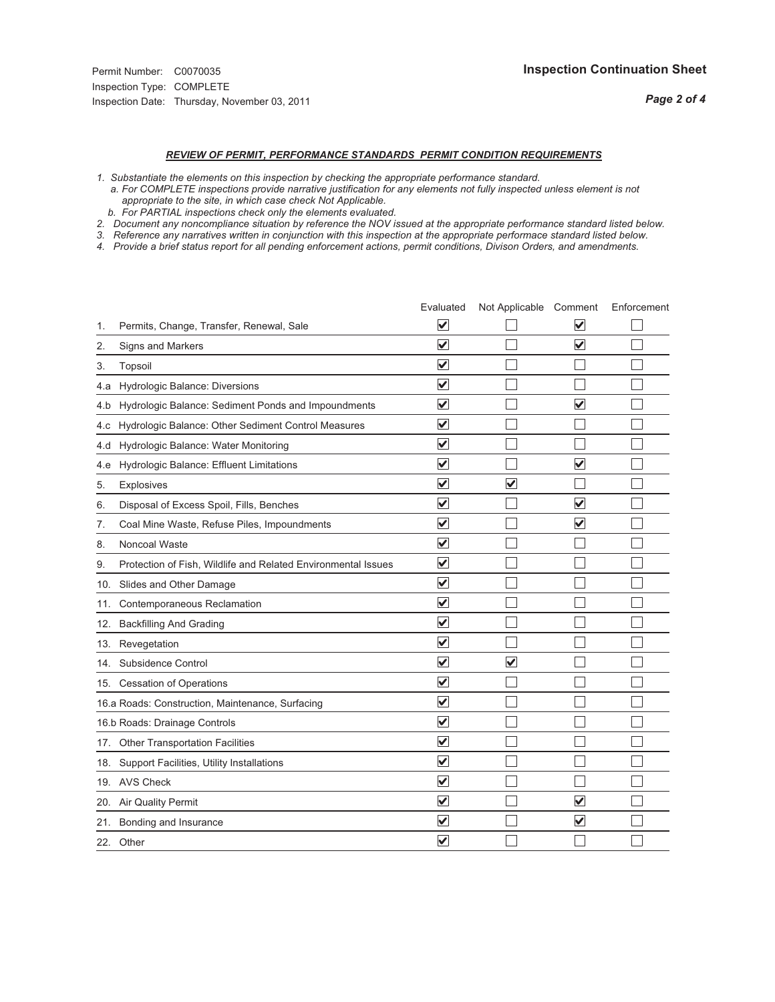### *REVIEW OF PERMIT, PERFORMANCE STANDARDS PERMIT CONDITION REQUIREMENTS*

*1. Substantiate the elements on this inspection by checking the appropriate performance standard.*

 *a. For COMPLETE inspections provide narrative justification for any elements not fully inspected unless element is not appropriate to the site, in which case check Not Applicable.*

 *b. For PARTIAL inspections check only the elements evaluated.*

*2. Document any noncompliance situation by reference the NOV issued at the appropriate performance standard listed below.*

*3. Reference any narratives written in conjunction with this inspection at the appropriate performace standard listed below.*

*4. Provide a brief status report for all pending enforcement actions, permit conditions, Divison Orders, and amendments.*

|     |                                                               | Evaluated               | Not Applicable Comment  |                         | Enforcement |
|-----|---------------------------------------------------------------|-------------------------|-------------------------|-------------------------|-------------|
| 1.  | Permits, Change, Transfer, Renewal, Sale                      | $\overline{\mathsf{v}}$ |                         | V                       |             |
| 2.  | Signs and Markers                                             | $\overline{\mathbf{v}}$ |                         | $\blacktriangledown$    |             |
| 3.  | Topsoil                                                       | $\overline{\mathbf{v}}$ |                         |                         |             |
| 4.a | Hydrologic Balance: Diversions                                | $\blacktriangledown$    |                         |                         |             |
| 4.b | Hydrologic Balance: Sediment Ponds and Impoundments           | $\blacktriangledown$    |                         | $\overline{\mathsf{v}}$ |             |
| 4.c | Hydrologic Balance: Other Sediment Control Measures           | $\overline{\mathbf{v}}$ |                         |                         |             |
| 4.d | Hydrologic Balance: Water Monitoring                          | $\overline{\mathbf{v}}$ |                         |                         |             |
| 4.e | Hydrologic Balance: Effluent Limitations                      | $\overline{\mathbf{v}}$ |                         | $\overline{\mathbf{v}}$ |             |
| 5.  | <b>Explosives</b>                                             | $\overline{\mathbf{v}}$ | $\overline{\mathsf{v}}$ |                         |             |
| 6.  | Disposal of Excess Spoil, Fills, Benches                      | $\overline{\mathbf{v}}$ |                         | $\blacktriangledown$    |             |
| 7.  | Coal Mine Waste, Refuse Piles, Impoundments                   | $\overline{\mathsf{v}}$ |                         | $\blacktriangledown$    |             |
| 8.  | Noncoal Waste                                                 | $\overline{\mathbf{v}}$ |                         |                         |             |
| 9.  | Protection of Fish, Wildlife and Related Environmental Issues | $\overline{\mathbf{v}}$ |                         |                         |             |
|     | 10. Slides and Other Damage                                   | $\overline{\mathbf{v}}$ |                         |                         |             |
| 11. | Contemporaneous Reclamation                                   | $\overline{\mathbf{v}}$ |                         |                         |             |
| 12. | <b>Backfilling And Grading</b>                                | $\overline{\mathbf{v}}$ |                         |                         |             |
| 13. | Revegetation                                                  | $\overline{\mathbf{v}}$ |                         |                         |             |
| 14. | Subsidence Control                                            | $\overline{\mathbf{v}}$ | $\overline{\mathbf{v}}$ |                         |             |
|     | 15. Cessation of Operations                                   | $\overline{\mathbf{v}}$ |                         |                         |             |
|     | 16.a Roads: Construction, Maintenance, Surfacing              | $\blacktriangledown$    |                         |                         |             |
|     | 16.b Roads: Drainage Controls                                 | $\overline{\mathbf{v}}$ |                         |                         |             |
| 17. | <b>Other Transportation Facilities</b>                        | $\overline{\mathbf{v}}$ |                         |                         |             |
| 18. | Support Facilities, Utility Installations                     | $\overline{\mathbf{v}}$ |                         |                         |             |
|     | 19. AVS Check                                                 | $\overline{\mathbf{v}}$ |                         |                         |             |
| 20. | <b>Air Quality Permit</b>                                     | $\checkmark$            |                         | $\overline{\mathsf{v}}$ |             |
| 21. | Bonding and Insurance                                         | $\overline{\mathbf{v}}$ |                         | $\blacktriangledown$    |             |
|     | 22. Other                                                     | $\overline{\mathsf{v}}$ |                         |                         |             |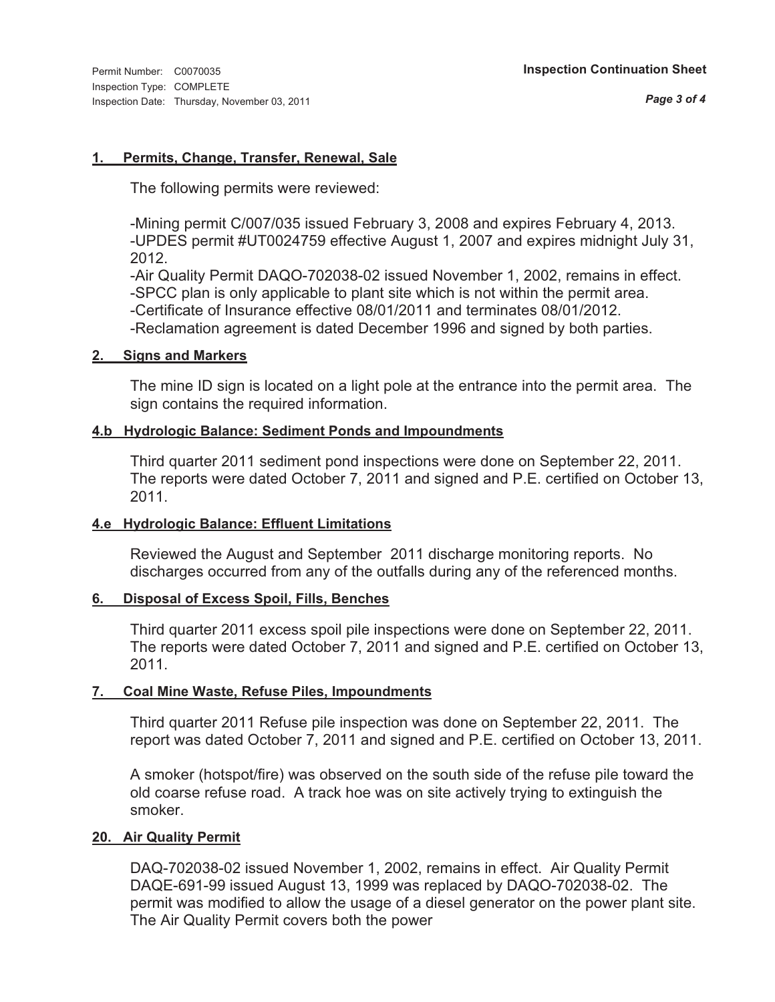#### **1. Permits, Change, Transfer, Renewal, Sale**

The following permits were reviewed:

-Mining permit C/007/035 issued February 3, 2008 and expires February 4, 2013. -UPDES permit #UT0024759 effective August 1, 2007 and expires midnight July 31, 2012.

-Air Quality Permit DAQO-702038-02 issued November 1, 2002, remains in effect. -SPCC plan is only applicable to plant site which is not within the permit area.

-Certificate of Insurance effective 08/01/2011 and terminates 08/01/2012.

-Reclamation agreement is dated December 1996 and signed by both parties.

#### **2. Signs and Markers**

The mine ID sign is located on a light pole at the entrance into the permit area. The sign contains the required information.

#### **4.b Hydrologic Balance: Sediment Ponds and Impoundments**

Third quarter 2011 sediment pond inspections were done on September 22, 2011. The reports were dated October 7, 2011 and signed and P.E. certified on October 13, 2011.

#### **4.e Hydrologic Balance: Effluent Limitations**

Reviewed the August and September 2011 discharge monitoring reports. No discharges occurred from any of the outfalls during any of the referenced months.

#### **6. Disposal of Excess Spoil, Fills, Benches**

Third quarter 2011 excess spoil pile inspections were done on September 22, 2011. The reports were dated October 7, 2011 and signed and P.E. certified on October 13, 2011.

#### **7. Coal Mine Waste, Refuse Piles, Impoundments**

Third quarter 2011 Refuse pile inspection was done on September 22, 2011. The report was dated October 7, 2011 and signed and P.E. certified on October 13, 2011.

A smoker (hotspot/fire) was observed on the south side of the refuse pile toward the old coarse refuse road. A track hoe was on site actively trying to extinguish the smoker.

#### **20. Air Quality Permit**

DAQ-702038-02 issued November 1, 2002, remains in effect. Air Quality Permit DAQE-691-99 issued August 13, 1999 was replaced by DAQO-702038-02. The permit was modified to allow the usage of a diesel generator on the power plant site. The Air Quality Permit covers both the power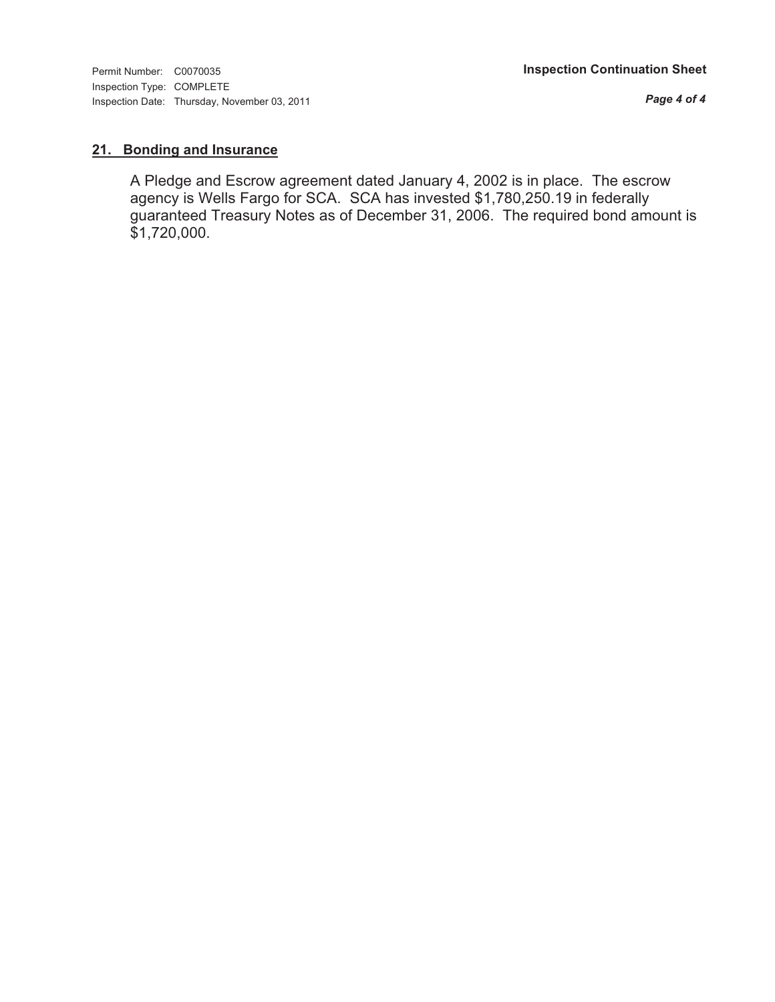*Page 4 of 4*

#### **21. Bonding and Insurance**

A Pledge and Escrow agreement dated January 4, 2002 is in place. The escrow agency is Wells Fargo for SCA. SCA has invested \$1,780,250.19 in federally guaranteed Treasury Notes as of December 31, 2006. The required bond amount is \$1,720,000.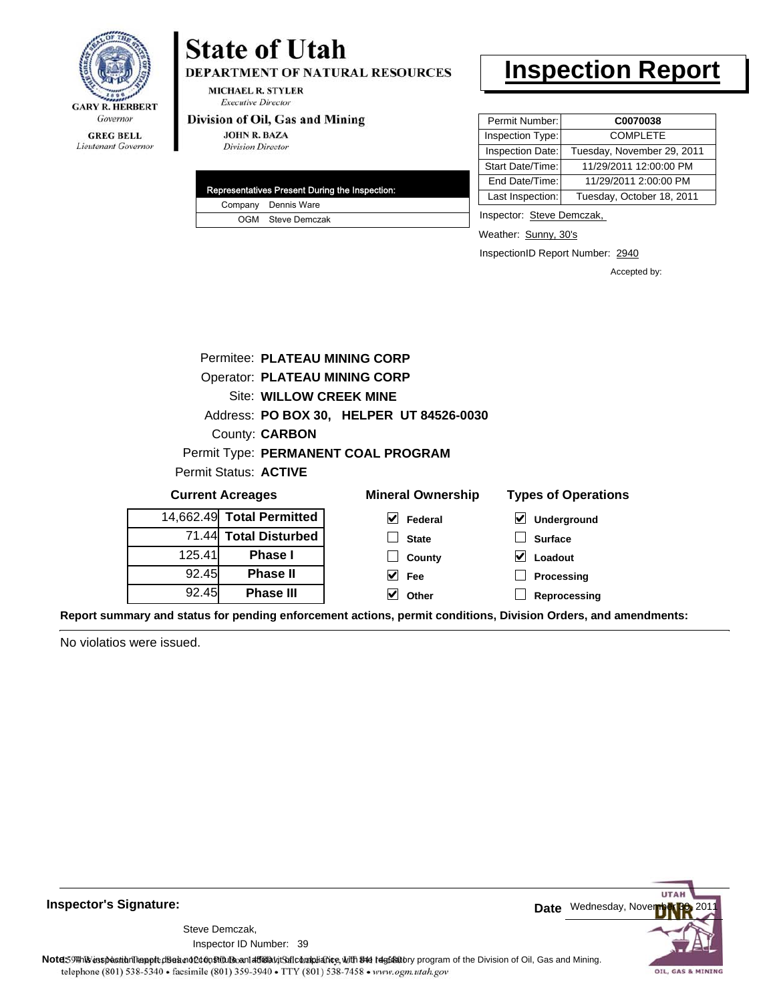

#### **GREG BELL** Lieutenant Governor

## **State of Utah**

DEPARTMENT OF NATURAL RESOURCES

**MICHAEL R. STYLER Executive Director** 

#### Division of Oil, Gas and Mining

**JOHN R. BAZA Division Director** 

|  | Representatives Present During the Inspection: |
|--|------------------------------------------------|
|  | Company Dennis Ware                            |
|  | OGM Steve Demczak                              |

### **Inspection Report**

| Permit Number:   | C0070038                   |
|------------------|----------------------------|
| Inspection Type: | <b>COMPLETE</b>            |
| Inspection Date: | Tuesday, November 29, 2011 |
| Start Date/Time: | 11/29/2011 12:00:00 PM     |
| End Date/Time:   | 11/29/2011 2:00:00 PM      |
| Last Inspection: | Tuesday, October 18, 2011  |

Inspector: Steve Demczak,

Weather: Sunny, 30's

InspectionID Report Number: 2940

**Reprocessing**

Accepted by:

|        | Permitee: PLATEAU MINING CORP        |                                          |                                        |  |  |
|--------|--------------------------------------|------------------------------------------|----------------------------------------|--|--|
|        | <b>Operator: PLATEAU MINING CORP</b> |                                          |                                        |  |  |
|        | Site: WILLOW CREEK MINE              |                                          |                                        |  |  |
|        |                                      | Address: PO BOX 30, HELPER UT 84526-0030 |                                        |  |  |
|        | County: <b>CARBON</b>                |                                          |                                        |  |  |
|        |                                      | Permit Type: PERMANENT COAL PROGRAM      |                                        |  |  |
|        | Permit Status: ACTIVE                |                                          |                                        |  |  |
|        | <b>Current Acreages</b>              | <b>Mineral Ownership</b>                 | <b>Types of Operations</b>             |  |  |
|        | 14,662.49 Total Permitted            | $\vee$ Federal                           | $\overline{\mathsf{v}}$<br>Underground |  |  |
|        | 71.44 Total Disturbed                | <b>State</b>                             | <b>Surface</b>                         |  |  |
| 125.41 | <b>Phase I</b>                       | County                                   | Loadout<br>VI                          |  |  |
| 92.45  | <b>Phase II</b>                      | Fee                                      | Processing                             |  |  |

**Other**

**Report summary and status for pending enforcement actions, permit conditions, Division Orders, and amendments:**

No violatios were issued.

92.45

**Phase III**



#### **Inspector's Signature:**

39 Inspector ID Number:Steve Demczak,

Note: 59Hh is inspection report does not constitute and affidavit Control and Mining.<br>
telephone (801) 538-5340 • facsimile (801) 539-3940 • TTY (801) 538-7458 • www.ogm.utah.gov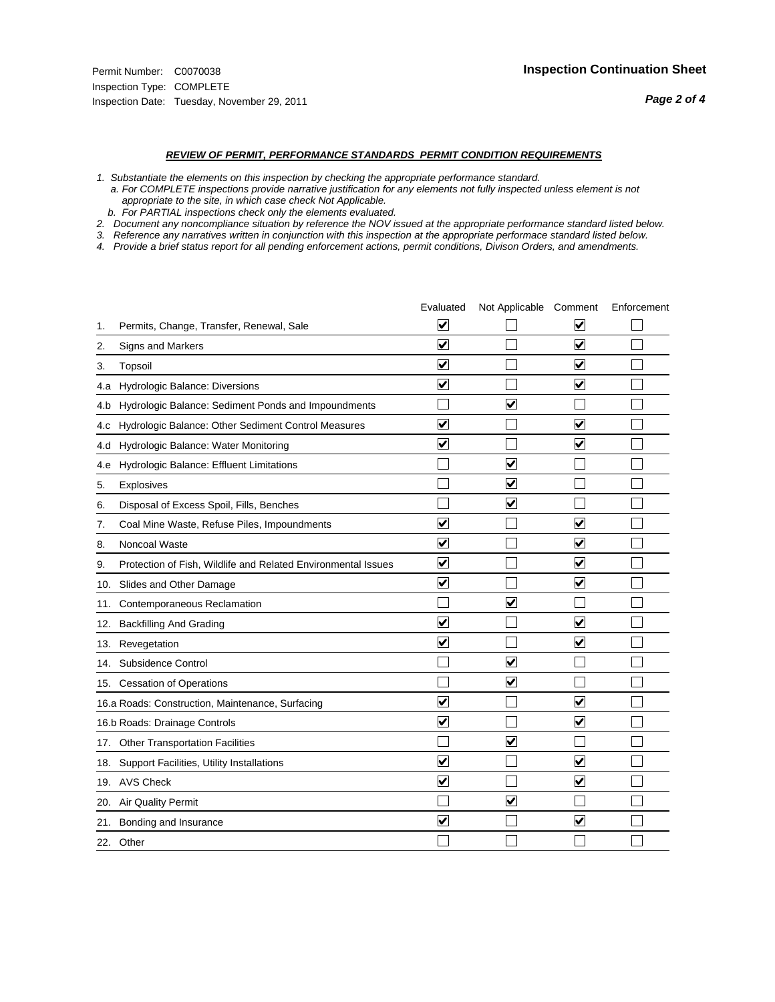#### *REVIEW OF PERMIT, PERFORMANCE STANDARDS PERMIT CONDITION REQUIREMENTS*

*1. Substantiate the elements on this inspection by checking the appropriate performance standard.*

 *a. For COMPLETE inspections provide narrative justification for any elements not fully inspected unless element is not appropriate to the site, in which case check Not Applicable.*

 *b. For PARTIAL inspections check only the elements evaluated.*

*2. Document any noncompliance situation by reference the NOV issued at the appropriate performance standard listed below.*

*3. Reference any narratives written in conjunction with this inspection at the appropriate performace standard listed below.*

*4. Provide a brief status report for all pending enforcement actions, permit conditions, Divison Orders, and amendments.*

|     |                                                               | Evaluated               | Not Applicable Comment  |                         | Enforcement |
|-----|---------------------------------------------------------------|-------------------------|-------------------------|-------------------------|-------------|
| 1.  | Permits, Change, Transfer, Renewal, Sale                      | $\overline{\mathsf{v}}$ |                         | V                       |             |
| 2.  | Signs and Markers                                             | $\overline{\mathbf{v}}$ |                         | $\blacktriangledown$    |             |
| 3.  | Topsoil                                                       | $\overline{\mathbf{v}}$ |                         | $\overline{\mathsf{v}}$ |             |
| 4.a | Hydrologic Balance: Diversions                                | $\blacktriangledown$    |                         | $\blacktriangledown$    |             |
| 4.b | Hydrologic Balance: Sediment Ponds and Impoundments           |                         | ⊽                       |                         |             |
| 4.C | Hydrologic Balance: Other Sediment Control Measures           | $\overline{\mathbf{v}}$ |                         | $\blacktriangledown$    |             |
| 4.d | Hydrologic Balance: Water Monitoring                          | $\overline{\mathbf{v}}$ |                         | $\overline{\mathbf{v}}$ |             |
| 4.e | Hydrologic Balance: Effluent Limitations                      |                         | ⊽                       |                         |             |
| 5.  | <b>Explosives</b>                                             |                         | $\overline{\mathbf{v}}$ |                         |             |
| 6.  | Disposal of Excess Spoil, Fills, Benches                      |                         | $\blacktriangledown$    |                         |             |
| 7.  | Coal Mine Waste, Refuse Piles, Impoundments                   | $\overline{\mathsf{v}}$ |                         | $\overline{\mathbf{v}}$ |             |
| 8.  | Noncoal Waste                                                 | $\overline{\mathbf{v}}$ |                         | $\blacktriangledown$    |             |
| 9.  | Protection of Fish, Wildlife and Related Environmental Issues | $\overline{\mathbf{v}}$ |                         | $\overline{\mathsf{v}}$ |             |
|     | 10. Slides and Other Damage                                   | $\overline{\mathbf{v}}$ |                         | ☑                       |             |
| 11. | Contemporaneous Reclamation                                   |                         | ☑                       |                         |             |
| 12. | <b>Backfilling And Grading</b>                                | $\overline{\mathbf{v}}$ |                         | $\blacktriangledown$    |             |
| 13. | Revegetation                                                  | $\overline{\mathbf{v}}$ |                         | $\overline{\mathbf{v}}$ |             |
| 14. | Subsidence Control                                            |                         | $\overline{\mathbf{v}}$ |                         |             |
|     | 15. Cessation of Operations                                   |                         | $\blacktriangleright$   |                         |             |
|     | 16.a Roads: Construction, Maintenance, Surfacing              | ⊽                       |                         | $\overline{\mathbf{v}}$ |             |
|     | 16.b Roads: Drainage Controls                                 | $\overline{\mathbf{v}}$ |                         | $\overline{\mathbf{v}}$ |             |
| 17. | <b>Other Transportation Facilities</b>                        |                         | $\overline{\mathbf{v}}$ |                         |             |
| 18. | Support Facilities, Utility Installations                     | $\overline{\mathbf{v}}$ |                         | $\blacktriangledown$    |             |
|     | 19. AVS Check                                                 | $\overline{\mathbf{v}}$ |                         | $\blacktriangledown$    |             |
| 20. | <b>Air Quality Permit</b>                                     |                         | $\checkmark$            |                         |             |
| 21. | Bonding and Insurance                                         | $\overline{\mathbf{v}}$ |                         | $\blacktriangledown$    |             |
|     | 22. Other                                                     |                         |                         |                         |             |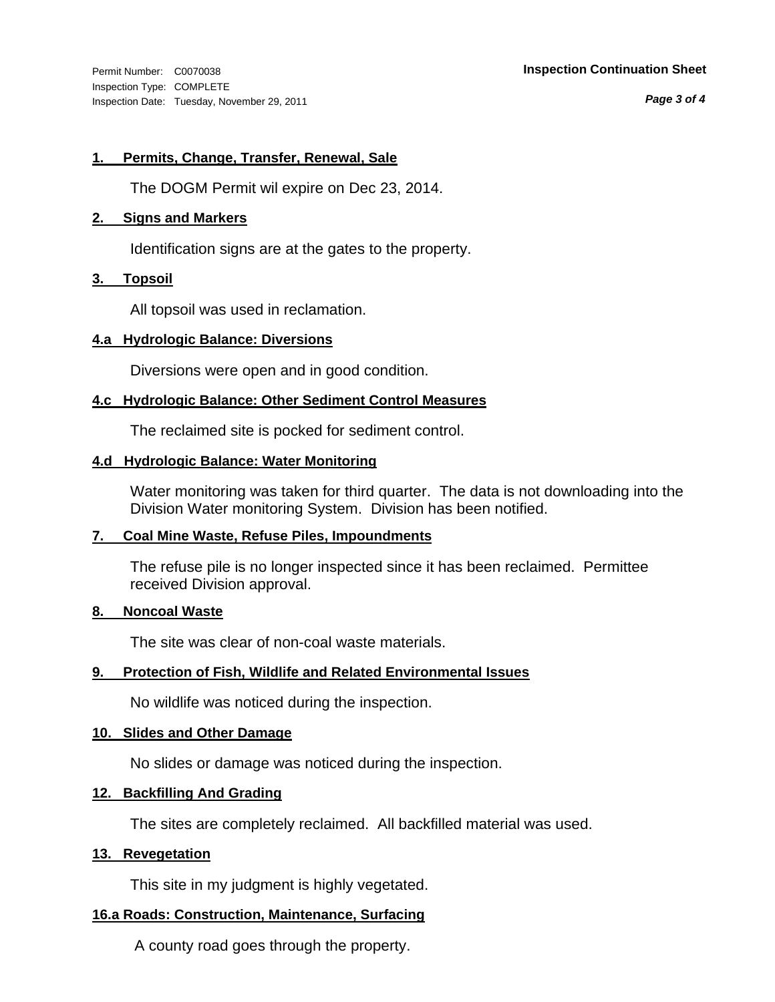Inspection Type: COMPLETE Inspection Date: Tuesday, November 29, 2011

#### Permit Number: C0070038 **Inspection Continuation Sheet**

*Page 3 of 4*

#### **1. Permits, Change, Transfer, Renewal, Sale**

The DOGM Permit wil expire on Dec 23, 2014.

#### **2. Signs and Markers**

Identification signs are at the gates to the property.

#### **3. Topsoil**

All topsoil was used in reclamation.

#### **4.a Hydrologic Balance: Diversions**

Diversions were open and in good condition.

#### **4.c Hydrologic Balance: Other Sediment Control Measures**

The reclaimed site is pocked for sediment control.

#### **4.d Hydrologic Balance: Water Monitoring**

Water monitoring was taken for third quarter. The data is not downloading into the Division Water monitoring System. Division has been notified.

#### **7. Coal Mine Waste, Refuse Piles, Impoundments**

The refuse pile is no longer inspected since it has been reclaimed. Permittee received Division approval.

#### **8. Noncoal Waste**

The site was clear of non-coal waste materials.

#### **9. Protection of Fish, Wildlife and Related Environmental Issues**

No wildlife was noticed during the inspection.

#### **10. Slides and Other Damage**

No slides or damage was noticed during the inspection.

#### **12. Backfilling And Grading**

The sites are completely reclaimed. All backfilled material was used.

#### **13. Revegetation**

This site in my judgment is highly vegetated.

#### **16.a Roads: Construction, Maintenance, Surfacing**

A county road goes through the property.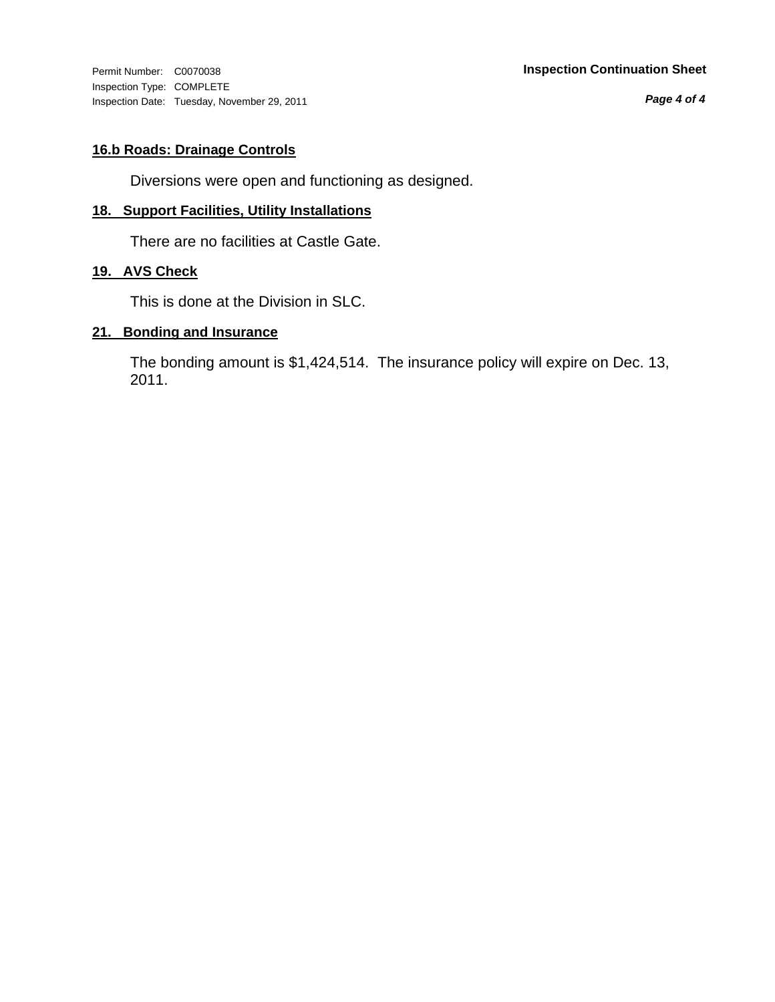Inspection Type: COMPLETE Inspection Date: Tuesday, November 29, 2011

*Page 4 of 4*

#### **16.b Roads: Drainage Controls**

Diversions were open and functioning as designed.

#### **18. Support Facilities, Utility Installations**

There are no facilities at Castle Gate.

#### **19. AVS Check**

This is done at the Division in SLC.

#### **21. Bonding and Insurance**

The bonding amount is \$1,424,514. The insurance policy will expire on Dec. 13, 2011.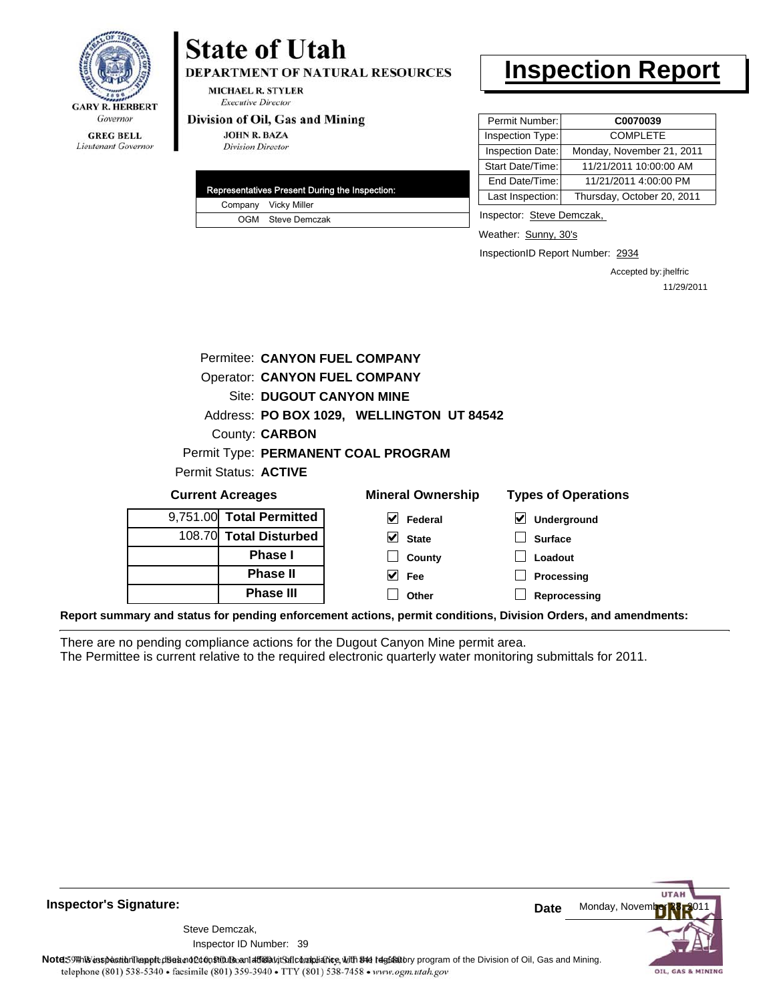

#### **GREG BELL** Lieutenant Governor

## **State of Utah**

DEPARTMENT OF NATURAL RESOURCES

**MICHAEL R. STYLER Executive Director** 

#### Division of Oil, Gas and Mining

**JOHN R. BAZA Division Director** 

| Representatives Present During the Inspection: |                      |  |
|------------------------------------------------|----------------------|--|
|                                                | Company Vicky Miller |  |
|                                                | OGM Steve Demczak    |  |

### **Inspection Report**

| Permit Number:   | C0070039                   |
|------------------|----------------------------|
| Inspection Type: | <b>COMPLETE</b>            |
| Inspection Date: | Monday, November 21, 2011  |
| Start Date/Time: | 11/21/2011 10:00:00 AM     |
| End Date/Time:   | 11/21/2011 4:00:00 PM      |
| Last Inspection: | Thursday, October 20, 2011 |

Inspector: Steve Demczak,

Weather: Sunny, 30's

InspectionID Report Number: 2934

Accepted by: jhelfric 11/29/2011

|                         |                                 | Permitee: CANYON FUEL COMPANY             |                                                                                                                |
|-------------------------|---------------------------------|-------------------------------------------|----------------------------------------------------------------------------------------------------------------|
|                         |                                 | <b>Operator: CANYON FUEL COMPANY</b>      |                                                                                                                |
|                         | <b>Site: DUGOUT CANYON MINE</b> |                                           |                                                                                                                |
|                         |                                 | Address: PO BOX 1029, WELLINGTON UT 84542 |                                                                                                                |
|                         | County: <b>CARBON</b>           |                                           |                                                                                                                |
|                         |                                 | Permit Type: PERMANENT COAL PROGRAM       |                                                                                                                |
|                         | Permit Status: ACTIVE           |                                           |                                                                                                                |
| <b>Current Acreages</b> |                                 | <b>Mineral Ownership</b>                  | <b>Types of Operations</b>                                                                                     |
|                         | 9,751.00 Total Permitted        | $\triangleright$ Federal                  | ⊻<br>Underground                                                                                               |
|                         | 108.70 Total Disturbed          | $\vee$ State                              | <b>Surface</b>                                                                                                 |
|                         | <b>Phase I</b>                  | County                                    | Loadout                                                                                                        |
|                         | <b>Phase II</b>                 | $\vee$ Fee                                | Processing                                                                                                     |
|                         | <b>Phase III</b>                | Other                                     | Reprocessing                                                                                                   |
|                         |                                 |                                           | Report summary and status for pending enforcement actions, permit conditions, Division Orders, and amendments: |

There are no pending compliance actions for the Dugout Canyon Mine permit area. The Permittee is current relative to the required electronic quarterly water monitoring submittals for 2011.



**Inspector's Signature:**

39 Inspector ID Number:Steve Demczak,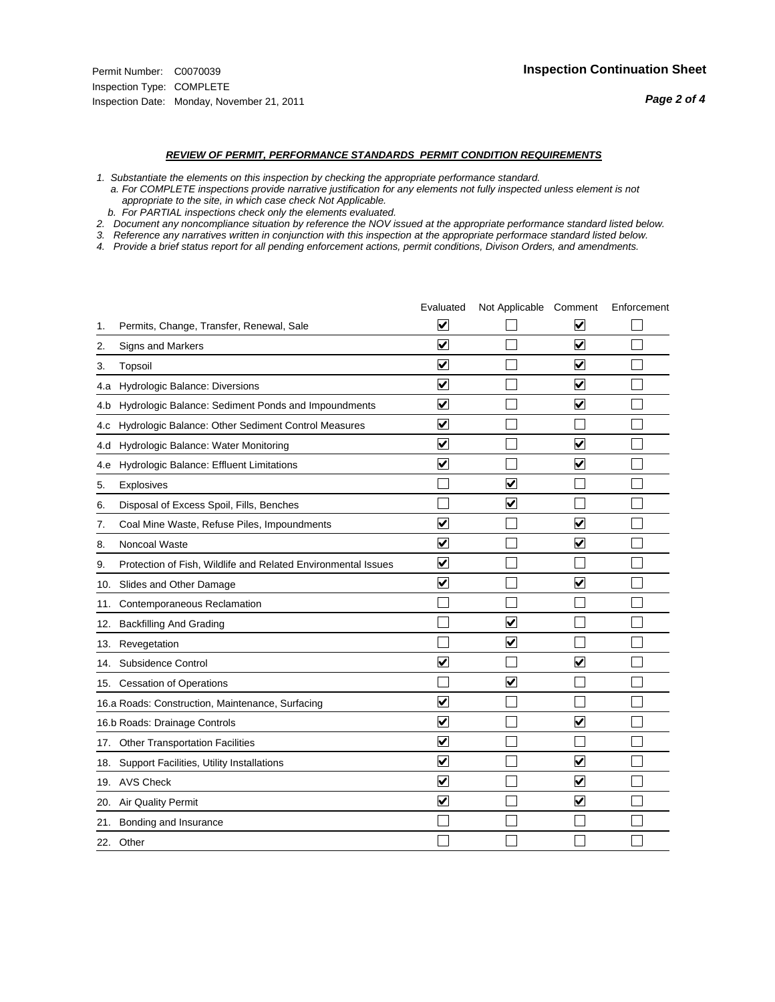#### *REVIEW OF PERMIT, PERFORMANCE STANDARDS PERMIT CONDITION REQUIREMENTS*

*1. Substantiate the elements on this inspection by checking the appropriate performance standard.*

 *a. For COMPLETE inspections provide narrative justification for any elements not fully inspected unless element is not appropriate to the site, in which case check Not Applicable.*

 *b. For PARTIAL inspections check only the elements evaluated.*

*2. Document any noncompliance situation by reference the NOV issued at the appropriate performance standard listed below.*

*3. Reference any narratives written in conjunction with this inspection at the appropriate performace standard listed below.*

*4. Provide a brief status report for all pending enforcement actions, permit conditions, Divison Orders, and amendments.*

|     |                                                               | Evaluated               | Not Applicable Comment  |                         | Enforcement |
|-----|---------------------------------------------------------------|-------------------------|-------------------------|-------------------------|-------------|
| 1.  | Permits, Change, Transfer, Renewal, Sale                      | $\overline{\mathsf{v}}$ |                         | $\overline{\mathbf{v}}$ |             |
| 2.  | Signs and Markers                                             | $\overline{\mathbf{v}}$ |                         | $\blacktriangledown$    |             |
| 3.  | Topsoil                                                       | $\overline{\mathbf{v}}$ |                         | $\overline{\mathbf{v}}$ |             |
| 4.a | Hydrologic Balance: Diversions                                | $\blacktriangledown$    |                         | V                       |             |
| 4.b | Hydrologic Balance: Sediment Ponds and Impoundments           | $\blacktriangledown$    |                         | $\blacktriangledown$    |             |
| 4.C | Hydrologic Balance: Other Sediment Control Measures           | $\overline{\mathbf{v}}$ |                         |                         |             |
| 4.d | Hydrologic Balance: Water Monitoring                          | $\overline{\mathbf{v}}$ |                         | $\blacktriangledown$    |             |
| 4.e | Hydrologic Balance: Effluent Limitations                      | $\overline{\mathbf{v}}$ |                         | $\blacktriangledown$    |             |
| 5.  | <b>Explosives</b>                                             |                         | ⊽                       |                         |             |
| 6.  | Disposal of Excess Spoil, Fills, Benches                      |                         | $\overline{\mathbf{v}}$ |                         |             |
| 7.  | Coal Mine Waste, Refuse Piles, Impoundments                   | $\overline{\mathsf{v}}$ |                         | $\overline{\mathbf{v}}$ |             |
| 8.  | Noncoal Waste                                                 | $\overline{\mathbf{v}}$ |                         | $\overline{\mathbf{v}}$ |             |
| 9.  | Protection of Fish, Wildlife and Related Environmental Issues | $\overline{\mathbf{v}}$ |                         |                         |             |
|     | 10. Slides and Other Damage                                   | $\overline{\mathbf{v}}$ |                         | ⊽                       |             |
| 11. | Contemporaneous Reclamation                                   |                         |                         |                         |             |
| 12. | <b>Backfilling And Grading</b>                                |                         | $\overline{\mathbf{v}}$ |                         |             |
| 13. | Revegetation                                                  |                         | $\overline{\mathbf{v}}$ |                         |             |
| 14. | Subsidence Control                                            | $\overline{\mathbf{v}}$ |                         | $\blacktriangledown$    |             |
|     | 15. Cessation of Operations                                   |                         | $\blacktriangledown$    |                         |             |
|     | 16.a Roads: Construction, Maintenance, Surfacing              | $\overline{\mathbf{v}}$ |                         |                         |             |
|     | 16.b Roads: Drainage Controls                                 | $\overline{\mathsf{v}}$ |                         | $\blacktriangledown$    |             |
| 17. | <b>Other Transportation Facilities</b>                        | $\overline{\mathbf{v}}$ |                         |                         |             |
| 18. | Support Facilities, Utility Installations                     | $\overline{\mathbf{v}}$ |                         | $\overline{\mathbf{v}}$ |             |
|     | 19. AVS Check                                                 | $\overline{\mathbf{v}}$ |                         | ✓                       |             |
| 20. | <b>Air Quality Permit</b>                                     | $\blacktriangledown$    |                         | $\blacktriangledown$    |             |
| 21. | Bonding and Insurance                                         |                         |                         |                         |             |
|     | 22. Other                                                     |                         |                         |                         |             |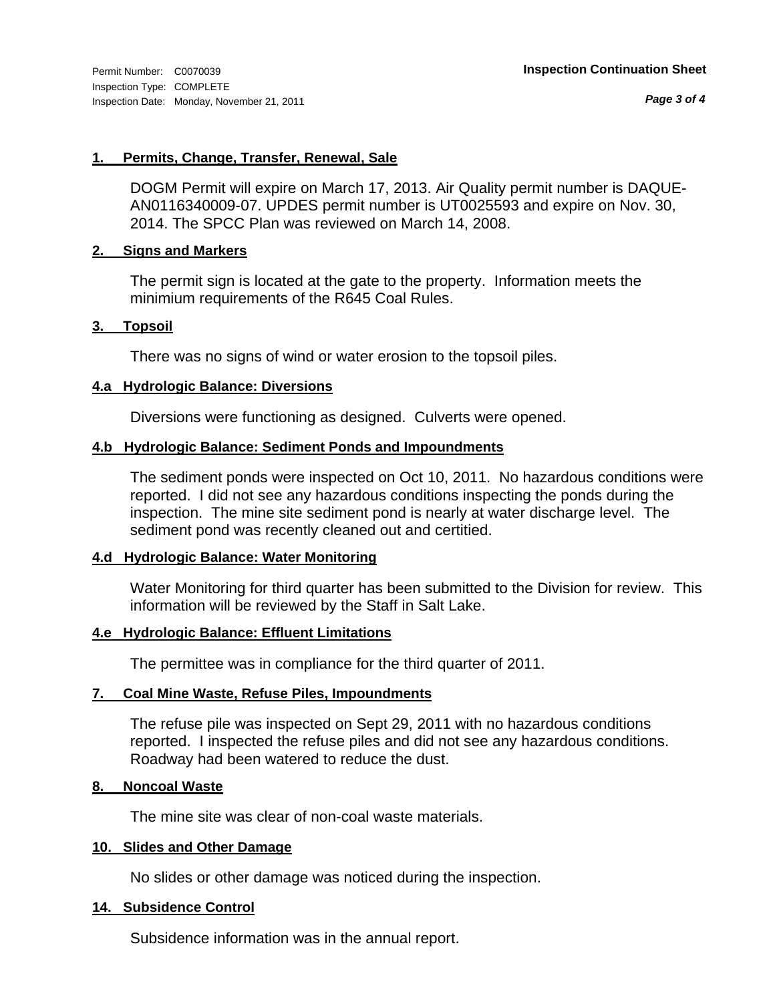*Page 3 of 4*

#### **1. Permits, Change, Transfer, Renewal, Sale**

DOGM Permit will expire on March 17, 2013. Air Quality permit number is DAQUE-AN0116340009-07. UPDES permit number is UT0025593 and expire on Nov. 30, 2014. The SPCC Plan was reviewed on March 14, 2008.

#### **2. Signs and Markers**

The permit sign is located at the gate to the property. Information meets the minimium requirements of the R645 Coal Rules.

#### **3. Topsoil**

There was no signs of wind or water erosion to the topsoil piles.

#### **4.a Hydrologic Balance: Diversions**

Diversions were functioning as designed. Culverts were opened.

#### **4.b Hydrologic Balance: Sediment Ponds and Impoundments**

The sediment ponds were inspected on Oct 10, 2011. No hazardous conditions were reported. I did not see any hazardous conditions inspecting the ponds during the inspection. The mine site sediment pond is nearly at water discharge level. The sediment pond was recently cleaned out and certitied.

#### **4.d Hydrologic Balance: Water Monitoring**

Water Monitoring for third quarter has been submitted to the Division for review. This information will be reviewed by the Staff in Salt Lake.

#### **4.e Hydrologic Balance: Effluent Limitations**

The permittee was in compliance for the third quarter of 2011.

#### **7. Coal Mine Waste, Refuse Piles, Impoundments**

The refuse pile was inspected on Sept 29, 2011 with no hazardous conditions reported. I inspected the refuse piles and did not see any hazardous conditions. Roadway had been watered to reduce the dust.

#### **8. Noncoal Waste**

The mine site was clear of non-coal waste materials.

#### **10. Slides and Other Damage**

No slides or other damage was noticed during the inspection.

#### **14. Subsidence Control**

Subsidence information was in the annual report.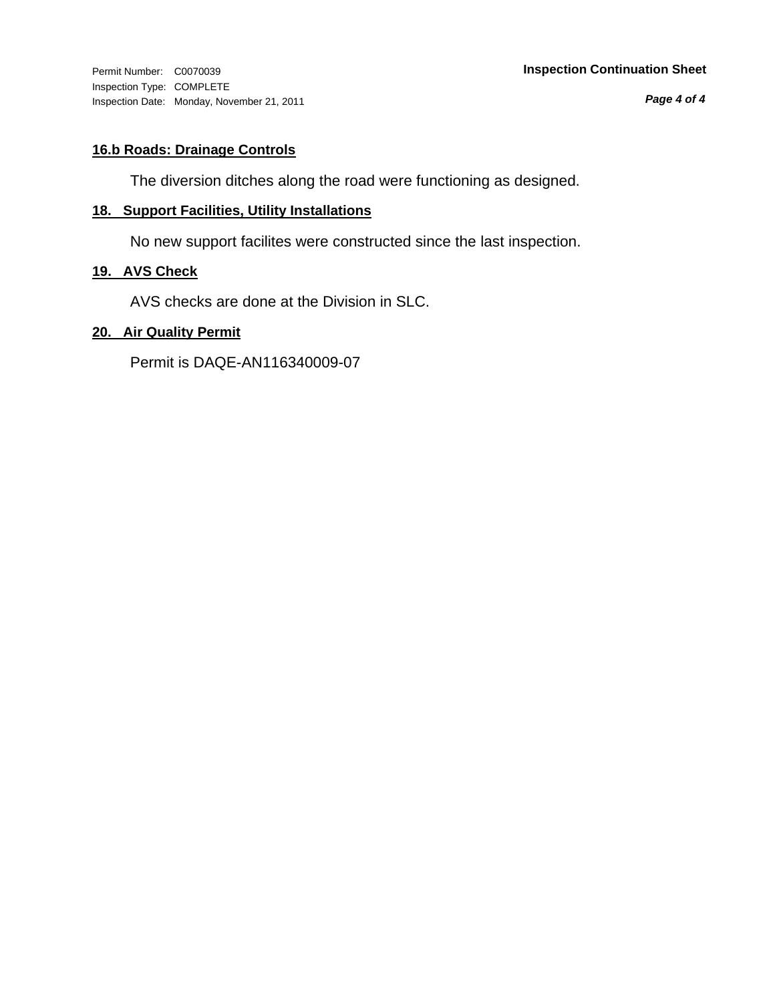Inspection Type: COMPLETE Inspection Date: Monday, November 21, 2011

*Page 4 of 4*

#### **16.b Roads: Drainage Controls**

The diversion ditches along the road were functioning as designed.

#### **18. Support Facilities, Utility Installations**

No new support facilites were constructed since the last inspection.

#### **19. AVS Check**

AVS checks are done at the Division in SLC.

#### **20. Air Quality Permit**

Permit is DAQE-AN116340009-07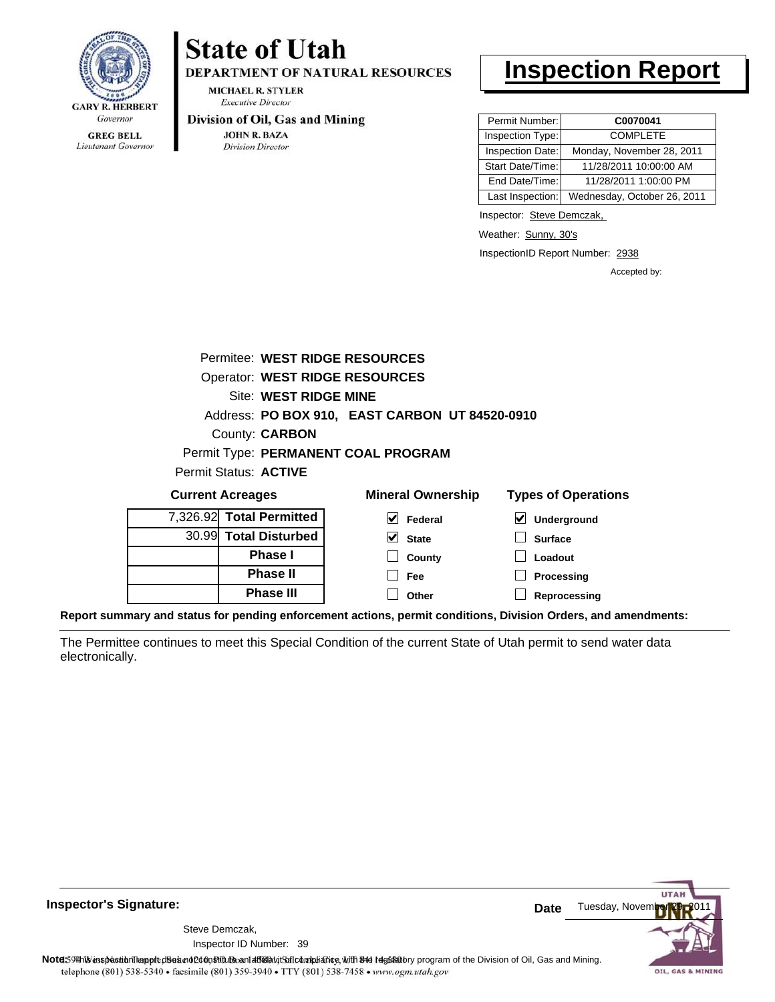

Lieutenant Governor

## **State of Utah**

DEPARTMENT OF NATURAL RESOURCES

**MICHAEL R. STYLER Executive Director** 

#### Division of Oil, Gas and Mining

**JOHN R. BAZA Division Director** 

### **Inspection Report**

| Permit Number:   | C0070041                    |
|------------------|-----------------------------|
| Inspection Type: | <b>COMPLETE</b>             |
| Inspection Date: | Monday, November 28, 2011   |
| Start Date/Time: | 11/28/2011 10:00:00 AM      |
| End Date/Time:   | 11/28/2011 1:00:00 PM       |
| Last Inspection: | Wednesday, October 26, 2011 |

Inspector: Steve Demczak,

Weather: Sunny, 30's

InspectionID Report Number: 2938

Accepted by:

| <b>Current Acreages</b> |                                       | <b>Mineral Ownership</b>                       | <b>Types of Operations</b> |
|-------------------------|---------------------------------------|------------------------------------------------|----------------------------|
| Permit Status: ACTIVE   |                                       |                                                |                            |
|                         |                                       | Permit Type: PERMANENT COAL PROGRAM            |                            |
|                         | County: <b>CARBON</b>                 |                                                |                            |
|                         |                                       | Address: PO BOX 910, EAST CARBON UT 84520-0910 |                            |
|                         | Site: WEST RIDGE MINE                 |                                                |                            |
|                         | <b>Operator: WEST RIDGE RESOURCES</b> |                                                |                            |
|                         | Permitee: WEST RIDGE RESOURCES        |                                                |                            |
|                         |                                       |                                                |                            |

| <b>Current Acreages</b>  |                  | <b>Mineral Ownership</b> | Types of Operations |
|--------------------------|------------------|--------------------------|---------------------|
| 7,326.92 Total Permitted |                  | V<br>Federal             | V<br>Underground    |
| 30.99 Total Disturbed    |                  | $\triangledown$ State    | <b>Surface</b>      |
|                          | <b>Phase I</b>   | County                   | Loadout             |
|                          | <b>Phase II</b>  | Fee                      | Processing          |
|                          | <b>Phase III</b> | Other                    | Reprocessing        |
|                          |                  |                          |                     |

**Report summary and status for pending enforcement actions, permit conditions, Division Orders, and amendments:**

The Permittee continues to meet this Special Condition of the current State of Utah permit to send water data electronically.



**Inspector's Signature:**

Inspector ID Number: 39 Steve Demczak,

Note: 59Hh is inspection report does not constitute and affidavit Control and Mining.<br>
telephone (801) 538-5340 • facsimile (801) 539-3940 • TTY (801) 538-7458 • www.ogm.utah.gov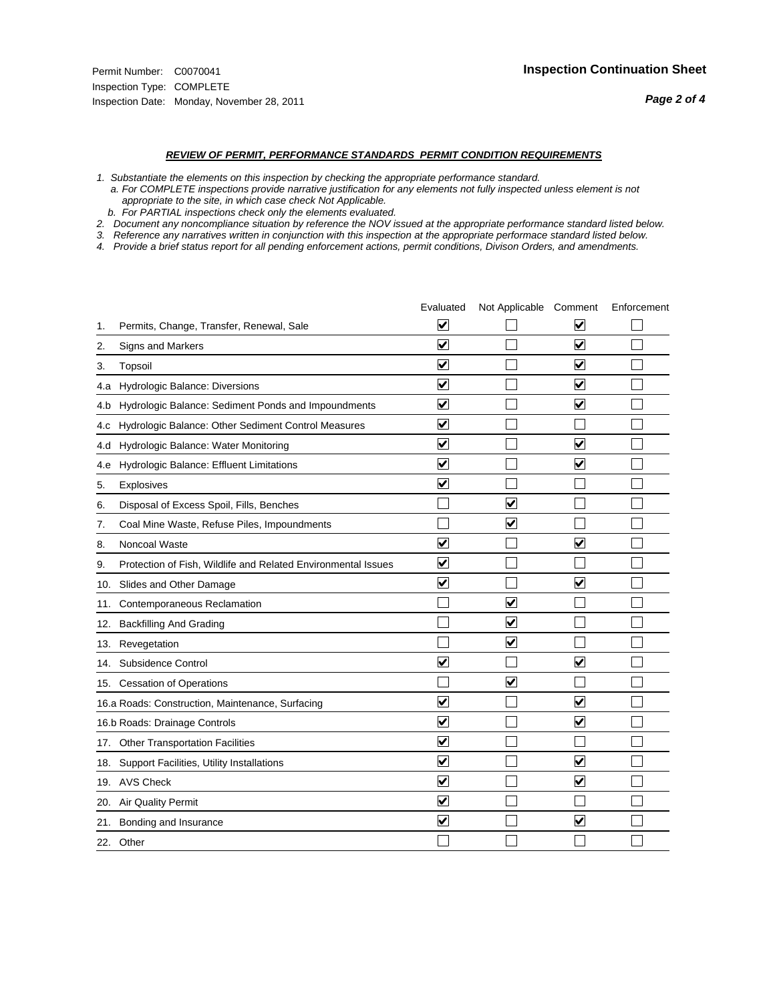#### *REVIEW OF PERMIT, PERFORMANCE STANDARDS PERMIT CONDITION REQUIREMENTS*

*1. Substantiate the elements on this inspection by checking the appropriate performance standard.*

 *a. For COMPLETE inspections provide narrative justification for any elements not fully inspected unless element is not appropriate to the site, in which case check Not Applicable.*

 *b. For PARTIAL inspections check only the elements evaluated.*

*2. Document any noncompliance situation by reference the NOV issued at the appropriate performance standard listed below.*

*3. Reference any narratives written in conjunction with this inspection at the appropriate performace standard listed below.*

*4. Provide a brief status report for all pending enforcement actions, permit conditions, Divison Orders, and amendments.*

|     |                                                               | Evaluated               | Not Applicable Comment          |                         | Enforcement |
|-----|---------------------------------------------------------------|-------------------------|---------------------------------|-------------------------|-------------|
| 1.  | Permits, Change, Transfer, Renewal, Sale                      | $\overline{\mathsf{v}}$ |                                 | V                       |             |
| 2.  | Signs and Markers                                             | $\overline{\mathbf{v}}$ |                                 | $\blacktriangledown$    |             |
| 3.  | Topsoil                                                       | $\overline{\mathbf{v}}$ |                                 | $\overline{\mathsf{v}}$ |             |
| 4.a | Hydrologic Balance: Diversions                                | $\overline{\mathsf{v}}$ |                                 | $\overline{\mathbf{v}}$ |             |
| 4.b | Hydrologic Balance: Sediment Ponds and Impoundments           | $\blacktriangledown$    |                                 | ⊻                       |             |
| 4.C | Hydrologic Balance: Other Sediment Control Measures           | $\overline{\mathbf{v}}$ |                                 |                         |             |
| 4.d | Hydrologic Balance: Water Monitoring                          | $\overline{\mathbf{v}}$ |                                 | $\overline{\mathbf{v}}$ |             |
| 4.e | Hydrologic Balance: Effluent Limitations                      | $\overline{\mathbf{v}}$ |                                 | $\blacktriangledown$    |             |
| 5.  | <b>Explosives</b>                                             | $\overline{\mathbf{v}}$ |                                 |                         |             |
| 6.  | Disposal of Excess Spoil, Fills, Benches                      |                         | $\blacktriangledown$            |                         |             |
| 7.  | Coal Mine Waste, Refuse Piles, Impoundments                   |                         | $\overline{\mathbf{v}}$         |                         |             |
| 8.  | Noncoal Waste                                                 | $\overline{\mathsf{v}}$ |                                 | $\overline{\mathbf{v}}$ |             |
| 9.  | Protection of Fish, Wildlife and Related Environmental Issues | $\overline{\mathbf{v}}$ |                                 |                         |             |
|     | 10. Slides and Other Damage                                   | $\overline{\mathbf{v}}$ |                                 | $\overline{\mathbf{v}}$ |             |
| 11. | Contemporaneous Reclamation                                   |                         | ☑                               |                         |             |
| 12. | <b>Backfilling And Grading</b>                                |                         | $\overline{\mathbf{v}}$         |                         |             |
| 13. | Revegetation                                                  |                         | $\overline{\blacktriangledown}$ |                         |             |
| 14. | Subsidence Control                                            | $\overline{\mathbf{v}}$ |                                 | $\blacktriangledown$    |             |
|     | 15. Cessation of Operations                                   |                         | $\blacktriangledown$            |                         |             |
|     | 16.a Roads: Construction, Maintenance, Surfacing              | $\blacktriangledown$    |                                 | $\blacktriangledown$    |             |
|     | 16.b Roads: Drainage Controls                                 | $\overline{\mathbf{v}}$ |                                 | $\overline{\mathbf{v}}$ |             |
| 17. | <b>Other Transportation Facilities</b>                        | $\overline{\mathbf{v}}$ |                                 |                         |             |
| 18. | Support Facilities, Utility Installations                     | $\overline{\mathbf{v}}$ |                                 | $\blacktriangledown$    |             |
|     | 19. AVS Check                                                 | $\overline{\mathbf{v}}$ |                                 | $\blacktriangledown$    |             |
| 20. | <b>Air Quality Permit</b>                                     | $\checkmark$            |                                 |                         |             |
| 21. | Bonding and Insurance                                         | $\overline{\mathbf{v}}$ |                                 | $\blacktriangledown$    |             |
|     | 22. Other                                                     |                         |                                 |                         |             |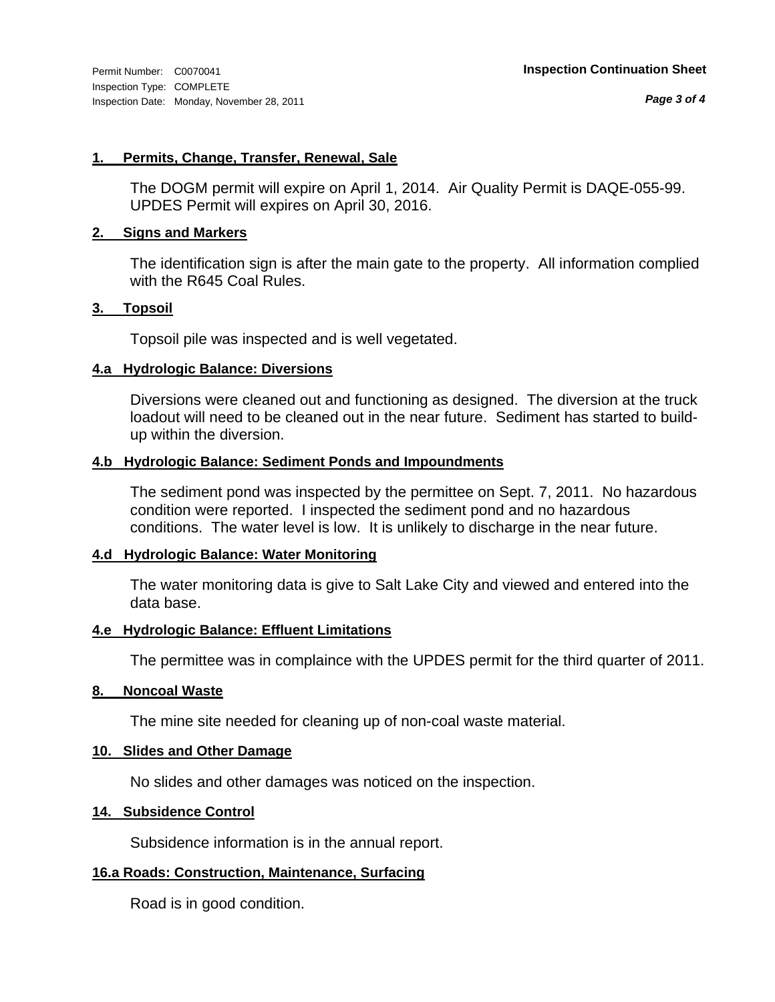#### **1. Permits, Change, Transfer, Renewal, Sale**

The DOGM permit will expire on April 1, 2014. Air Quality Permit is DAQE-055-99. UPDES Permit will expires on April 30, 2016.

#### **2. Signs and Markers**

The identification sign is after the main gate to the property. All information complied with the R645 Coal Rules.

#### **3. Topsoil**

Topsoil pile was inspected and is well vegetated.

#### **4.a Hydrologic Balance: Diversions**

Diversions were cleaned out and functioning as designed. The diversion at the truck loadout will need to be cleaned out in the near future. Sediment has started to buildup within the diversion.

#### **4.b Hydrologic Balance: Sediment Ponds and Impoundments**

The sediment pond was inspected by the permittee on Sept. 7, 2011. No hazardous condition were reported. I inspected the sediment pond and no hazardous conditions. The water level is low. It is unlikely to discharge in the near future.

#### **4.d Hydrologic Balance: Water Monitoring**

The water monitoring data is give to Salt Lake City and viewed and entered into the data base.

#### **4.e Hydrologic Balance: Effluent Limitations**

The permittee was in complaince with the UPDES permit for the third quarter of 2011.

#### **8. Noncoal Waste**

The mine site needed for cleaning up of non-coal waste material.

#### **10. Slides and Other Damage**

No slides and other damages was noticed on the inspection.

#### **14. Subsidence Control**

Subsidence information is in the annual report.

#### **16.a Roads: Construction, Maintenance, Surfacing**

Road is in good condition.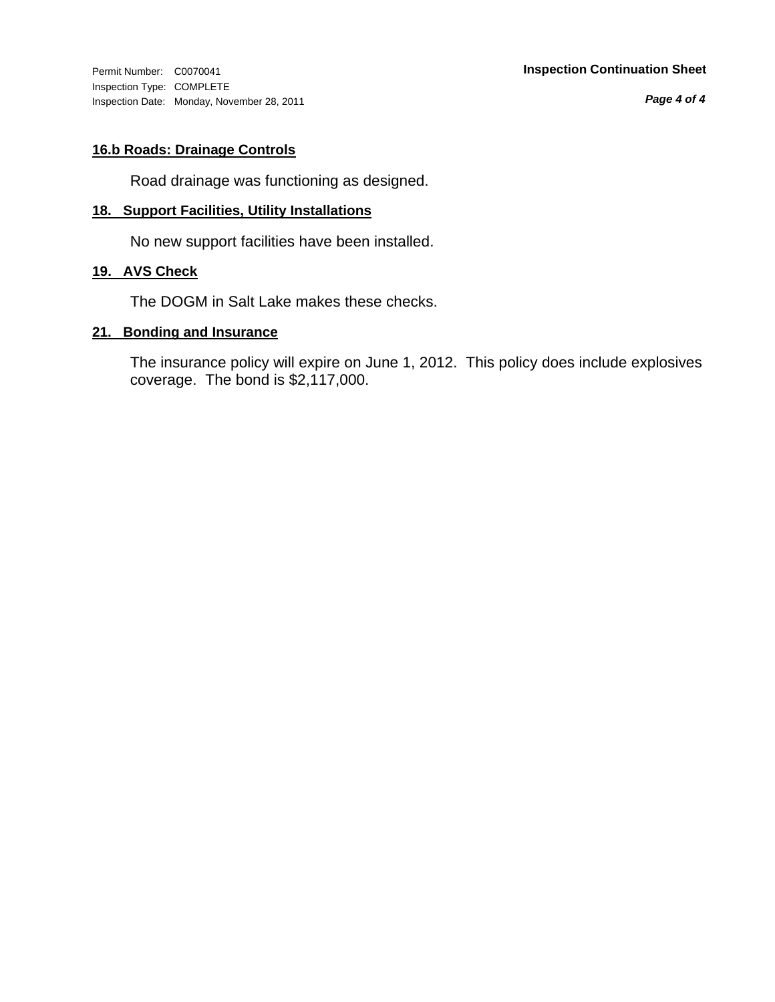Inspection Type: COMPLETE Inspection Date: Monday, November 28, 2011

#### Permit Number: C0070041 **Inspection Continuation Sheet**

*Page 4 of 4*

#### **16.b Roads: Drainage Controls**

Road drainage was functioning as designed.

#### **18. Support Facilities, Utility Installations**

No new support facilities have been installed.

#### **19. AVS Check**

The DOGM in Salt Lake makes these checks.

#### **21. Bonding and Insurance**

The insurance policy will expire on June 1, 2012. This policy does include explosives coverage. The bond is \$2,117,000.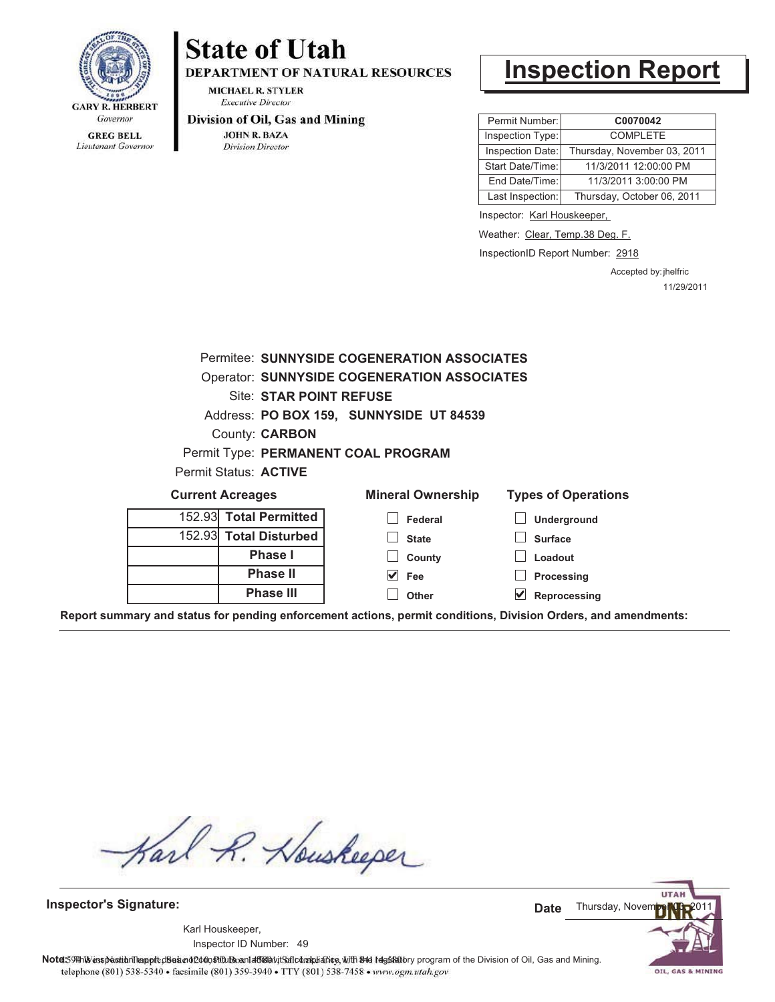

## **State of Utah**

**DEPARTMENT OF NATURAL RESOURCES** 

**MICHAEL R. STYLER Executive Director** 

#### Division of Oil, Gas and Mining

**JOHN R. BAZA Division Director** 

### **Inspection Report**

| Permit Number:   | C0070042                    |
|------------------|-----------------------------|
| Inspection Type: | <b>COMPI FTF</b>            |
| Inspection Date: | Thursday, November 03, 2011 |
| Start Date/Time: | 11/3/2011 12:00:00 PM       |
| End Date/Time:   | 11/3/2011 3:00:00 PM        |
| Last Inspection: | Thursday, October 06, 2011  |

Inspector: Karl Houskeeper,

Weather: Clear, Temp.38 Deg. F.

InspectionID Report Number: 2918

Accepted by: jhelfric 11/29/2011

|                                         |                                     | Permitee: SUNNYSIDE COGENERATION ASSOCIATES        |                            |  |  |  |  |
|-----------------------------------------|-------------------------------------|----------------------------------------------------|----------------------------|--|--|--|--|
|                                         |                                     | <b>Operator: SUNNYSIDE COGENERATION ASSOCIATES</b> |                            |  |  |  |  |
| Site: STAR POINT REFUSE                 |                                     |                                                    |                            |  |  |  |  |
| Address: PO BOX 159, SUNNYSIDE UT 84539 |                                     |                                                    |                            |  |  |  |  |
| <b>County: CARBON</b>                   |                                     |                                                    |                            |  |  |  |  |
|                                         | Permit Type: PERMANENT COAL PROGRAM |                                                    |                            |  |  |  |  |
|                                         | Permit Status: ACTIVE               |                                                    |                            |  |  |  |  |
|                                         | <b>Current Acreages</b>             | <b>Mineral Ownership</b>                           | <b>Types of Operations</b> |  |  |  |  |
|                                         | 152.93 Total Permitted              | Federal                                            | <b>Underground</b>         |  |  |  |  |
|                                         | 152.93 Total Disturbed              | <b>State</b>                                       | <b>Surface</b>             |  |  |  |  |
|                                         | <b>Phase I</b>                      | County                                             | Loadout                    |  |  |  |  |
|                                         | <b>Phase II</b>                     | V<br>Fee                                           | Processing                 |  |  |  |  |
|                                         | <b>Phase III</b>                    | Other                                              | Reprocessing               |  |  |  |  |

**Report summary and status for pending enforcement actions, permit conditions, Division Orders, and amendments:**

Karl R. Houskeeper

**Inspector's Signature:**

49 Inspector ID Number:Karl Houskeeper,

**UTAI** Thursday, Noven **Date**

Note: 59#h% inspection leappt diseanot constitution affidavit Salcompliance, with the regulatory program of the Division of Oil, Gas and Mining. telephone (801) 538-5340 · facsimile (801) 359-3940 · TTY (801) 538-7458 · www.ogm.utah.gov

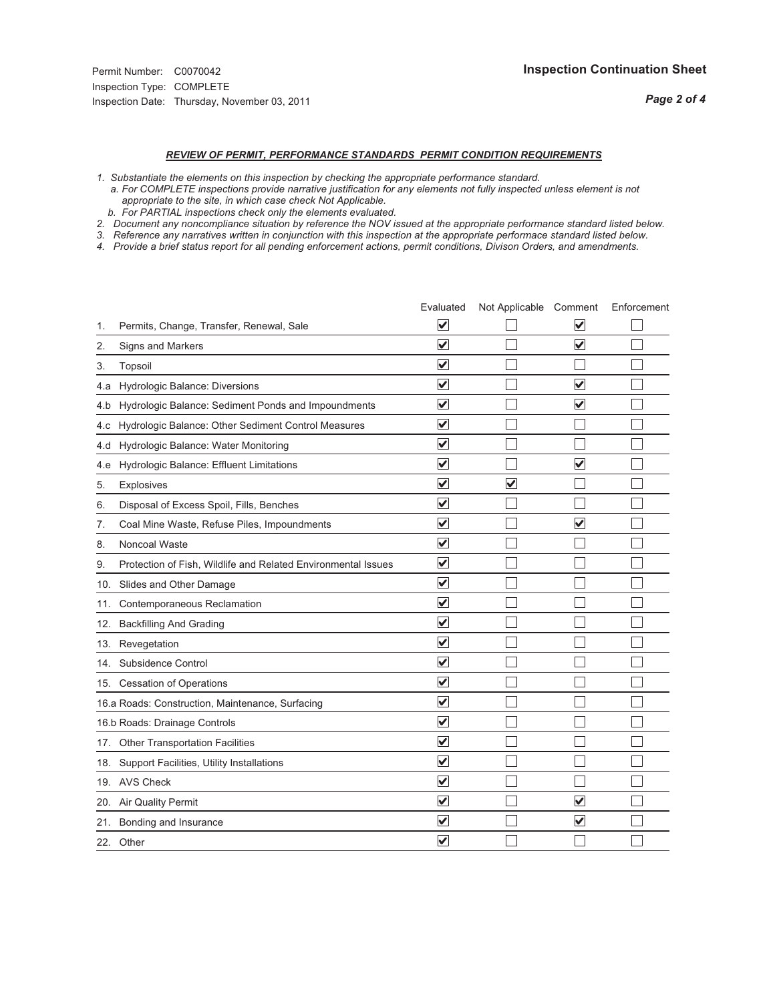### *REVIEW OF PERMIT, PERFORMANCE STANDARDS PERMIT CONDITION REQUIREMENTS*

*1. Substantiate the elements on this inspection by checking the appropriate performance standard.*

 *a. For COMPLETE inspections provide narrative justification for any elements not fully inspected unless element is not appropriate to the site, in which case check Not Applicable.*

 *b. For PARTIAL inspections check only the elements evaluated.*

*2. Document any noncompliance situation by reference the NOV issued at the appropriate performance standard listed below.*

*3. Reference any narratives written in conjunction with this inspection at the appropriate performace standard listed below.*

*4. Provide a brief status report for all pending enforcement actions, permit conditions, Divison Orders, and amendments.*

|     |                                                               | Evaluated                       | Not Applicable Comment  |                         | Enforcement |
|-----|---------------------------------------------------------------|---------------------------------|-------------------------|-------------------------|-------------|
| 1.  | Permits, Change, Transfer, Renewal, Sale                      | $\overline{\mathbf{v}}$         |                         | V                       |             |
| 2.  | Signs and Markers                                             | $\overline{\mathbf{v}}$         |                         | $\blacktriangledown$    |             |
| 3.  | Topsoil                                                       | $\overline{\mathbf{v}}$         |                         |                         |             |
| 4.a | Hydrologic Balance: Diversions                                | $\blacktriangledown$            |                         | $\overline{\mathbf{v}}$ |             |
| 4.b | Hydrologic Balance: Sediment Ponds and Impoundments           | $\blacktriangledown$            |                         | $\overline{\mathsf{v}}$ |             |
| 4.C | Hydrologic Balance: Other Sediment Control Measures           | $\blacktriangledown$            |                         |                         |             |
| 4.d | Hydrologic Balance: Water Monitoring                          | $\overline{\mathbf{v}}$         |                         |                         |             |
| 4.e | Hydrologic Balance: Effluent Limitations                      | $\blacktriangledown$            |                         | $\overline{\mathbf{v}}$ |             |
| 5.  | <b>Explosives</b>                                             | $\overline{\blacktriangledown}$ | $\overline{\mathbf{v}}$ |                         |             |
| 6.  | Disposal of Excess Spoil, Fills, Benches                      | $\blacktriangledown$            |                         |                         |             |
| 7.  | Coal Mine Waste, Refuse Piles, Impoundments                   | $\overline{\mathsf{v}}$         |                         | $\overline{\mathbf{v}}$ |             |
| 8.  | Noncoal Waste                                                 | $\overline{\mathbf{v}}$         |                         |                         |             |
| 9.  | Protection of Fish, Wildlife and Related Environmental Issues | $\blacktriangledown$            |                         |                         |             |
| 10. | Slides and Other Damage                                       | $\blacktriangledown$            |                         |                         |             |
| 11. | Contemporaneous Reclamation                                   | $\overline{\blacktriangledown}$ |                         |                         |             |
| 12. | <b>Backfilling And Grading</b>                                | $\blacktriangledown$            |                         |                         |             |
|     | 13. Revegetation                                              | $\overline{\mathbf{v}}$         |                         |                         |             |
| 14. | Subsidence Control                                            | $\blacktriangledown$            |                         |                         |             |
|     | 15. Cessation of Operations                                   | $\blacktriangledown$            |                         |                         |             |
|     | 16.a Roads: Construction, Maintenance, Surfacing              | $\overline{\blacktriangledown}$ |                         |                         |             |
|     | 16.b Roads: Drainage Controls                                 | $\blacktriangledown$            |                         |                         |             |
|     | 17. Other Transportation Facilities                           | $\overline{\mathbf{v}}$         |                         |                         |             |
| 18. | Support Facilities, Utility Installations                     | $\overline{\mathbf{v}}$         |                         |                         |             |
|     | 19. AVS Check                                                 | $\overline{\blacktriangledown}$ |                         |                         |             |
| 20. | Air Quality Permit                                            | $\blacktriangledown$            |                         | $\overline{\checkmark}$ |             |
|     | 21. Bonding and Insurance                                     | V                               |                         | $\blacktriangledown$    |             |
| 22. | Other                                                         | $\overline{\mathsf{v}}$         |                         |                         |             |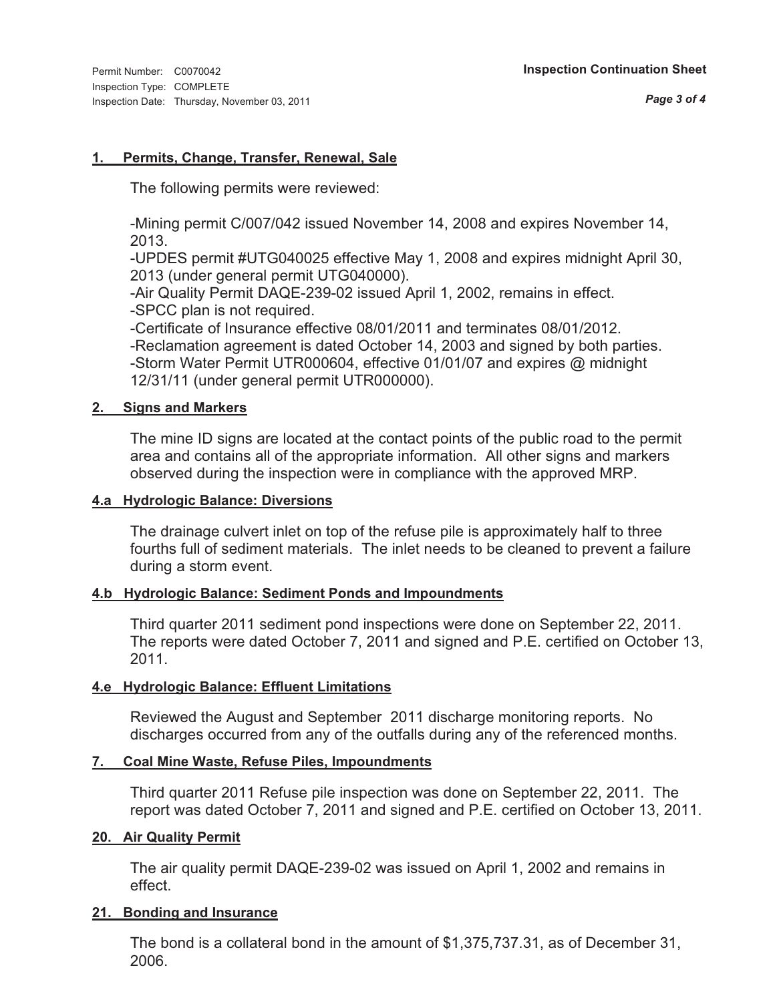#### **1. Permits, Change, Transfer, Renewal, Sale**

The following permits were reviewed:

-Mining permit C/007/042 issued November 14, 2008 and expires November 14, 2013.

-UPDES permit #UTG040025 effective May 1, 2008 and expires midnight April 30, 2013 (under general permit UTG040000).

-Air Quality Permit DAQE-239-02 issued April 1, 2002, remains in effect. -SPCC plan is not required.

-Certificate of Insurance effective 08/01/2011 and terminates 08/01/2012.

-Reclamation agreement is dated October 14, 2003 and signed by both parties. -Storm Water Permit UTR000604, effective 01/01/07 and expires @ midnight 12/31/11 (under general permit UTR000000).

#### **2. Signs and Markers**

The mine ID signs are located at the contact points of the public road to the permit area and contains all of the appropriate information. All other signs and markers observed during the inspection were in compliance with the approved MRP.

#### **4.a Hydrologic Balance: Diversions**

The drainage culvert inlet on top of the refuse pile is approximately half to three fourths full of sediment materials. The inlet needs to be cleaned to prevent a failure during a storm event.

#### **4.b Hydrologic Balance: Sediment Ponds and Impoundments**

Third quarter 2011 sediment pond inspections were done on September 22, 2011. The reports were dated October 7, 2011 and signed and P.E. certified on October 13, 2011.

#### **4.e Hydrologic Balance: Effluent Limitations**

Reviewed the August and September 2011 discharge monitoring reports. No discharges occurred from any of the outfalls during any of the referenced months.

#### **7. Coal Mine Waste, Refuse Piles, Impoundments**

Third quarter 2011 Refuse pile inspection was done on September 22, 2011. The report was dated October 7, 2011 and signed and P.E. certified on October 13, 2011.

#### **20. Air Quality Permit**

The air quality permit DAQE-239-02 was issued on April 1, 2002 and remains in effect.

#### **21. Bonding and Insurance**

The bond is a collateral bond in the amount of \$1,375,737.31, as of December 31, 2006.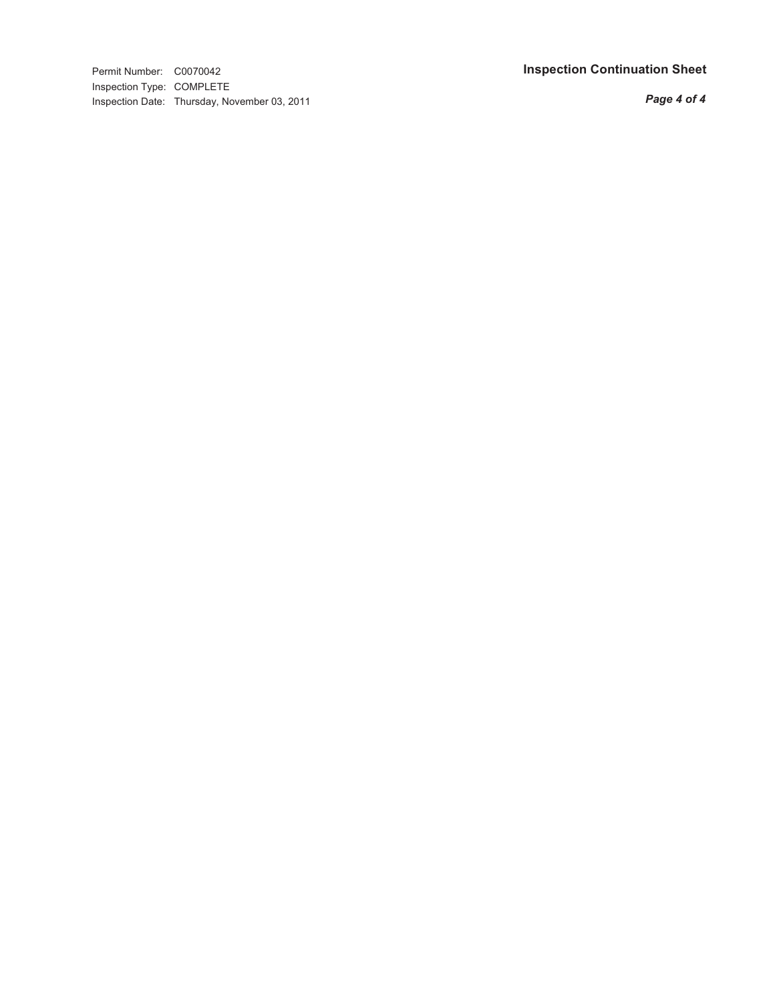Permit Number: C0070042 **Inspection Continuation Shee t** Inspection Type: COMPLETE Inspection Date: Thursday, November 03, 2011

*Page 4 of 4*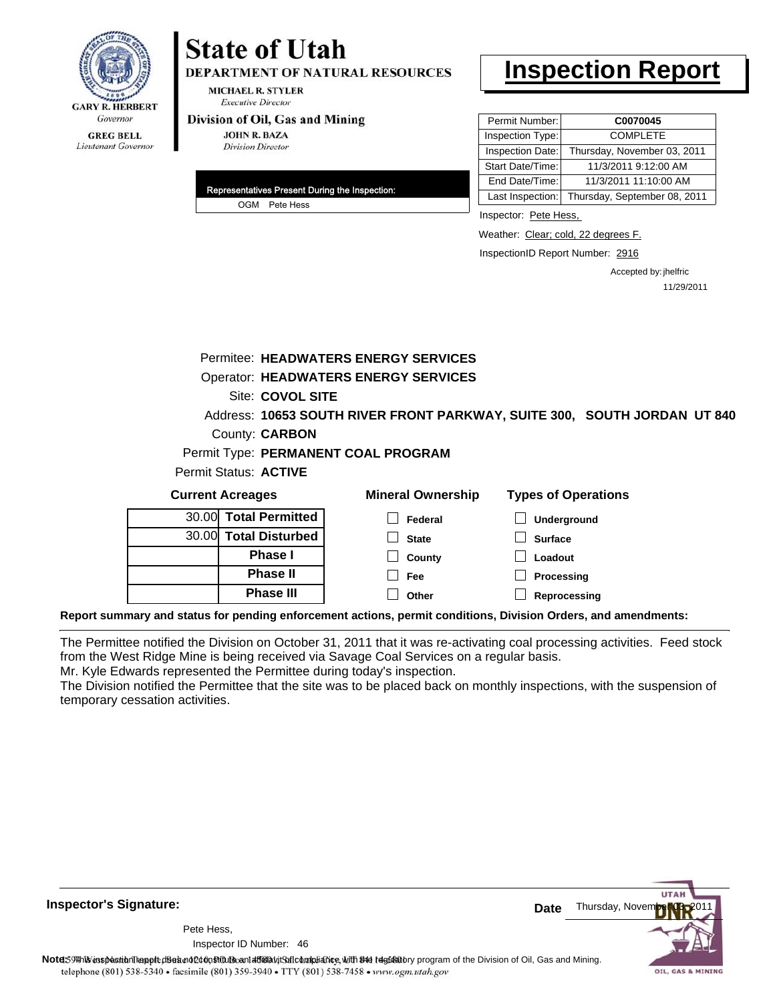

## **State of Utah**

**DEPARTMENT OF NATURAL RESOURCES** 

**MICHAEL R. STYLER Executive Director** 

#### Division of Oil, Gas and Mining

**JOHN R. BAZA Division Director** 

| Representatives Present During the Inspection: |               |  |  |  |
|------------------------------------------------|---------------|--|--|--|
|                                                | OGM Pete Hess |  |  |  |

### **Inspection Report**

| Permit Number:   | C0070045                                      |
|------------------|-----------------------------------------------|
| Inspection Type: | <b>COMPLETE</b>                               |
| Inspection Date: | Thursday, November 03, 2011                   |
| Start Date/Time: | 11/3/2011 9:12:00 AM                          |
| End Date/Time:   | 11/3/2011 11:10:00 AM                         |
|                  | Last Inspection: Thursday, September 08, 2011 |

Inspector: Pete Hess,

Weather: Clear; cold, 22 degrees F.

InspectionID Report Number: 2916

Accepted by: jhelfric 11/29/2011

Site: COVOL SITE Permitee: HEADWATERS ENERGY SERVICES Operator: HEADWATERS ENERGY SERVICES

**10653 SOUTH RIVER FRONT PARKWAY, SUITE 300, SOUTH JORDAN UT 840** Address: County: **CARBON** 

Permit Type: **PERMANENT COAL PROGRAM**

Permit Status: **ACTIVE** 

| <b>Current Acreages</b> |                       | <b>Mineral Ownership</b>                                                                        | <b>Types of Operations</b> |  |
|-------------------------|-----------------------|-------------------------------------------------------------------------------------------------|----------------------------|--|
|                         | 30.00 Total Permitted | Federal                                                                                         | Underground                |  |
|                         | 30.00 Total Disturbed | <b>State</b>                                                                                    | <b>Surface</b>             |  |
|                         | <b>Phase I</b>        | County                                                                                          | Loadout                    |  |
|                         | <b>Phase II</b>       | Fee                                                                                             | Processing                 |  |
|                         | <b>Phase III</b>      | Other                                                                                           | Reprocessing               |  |
|                         |                       | ary and status for nonding onforcoment actions, normit conditions. Division Orders, and amondme |                            |  |

**Report summary and status for pending enforcement actions, permit conditions, Division Orders, and amendments:**

The Permittee notified the Division on October 31, 2011 that it was re-activating coal processing activities. Feed stock from the West Ridge Mine is being received via Savage Coal Services on a regular basis.

Mr. Kyle Edwards represented the Permittee during today's inspection.

The Division notified the Permittee that the site was to be placed back on monthly inspections, with the suspension of temporary cessation activities.

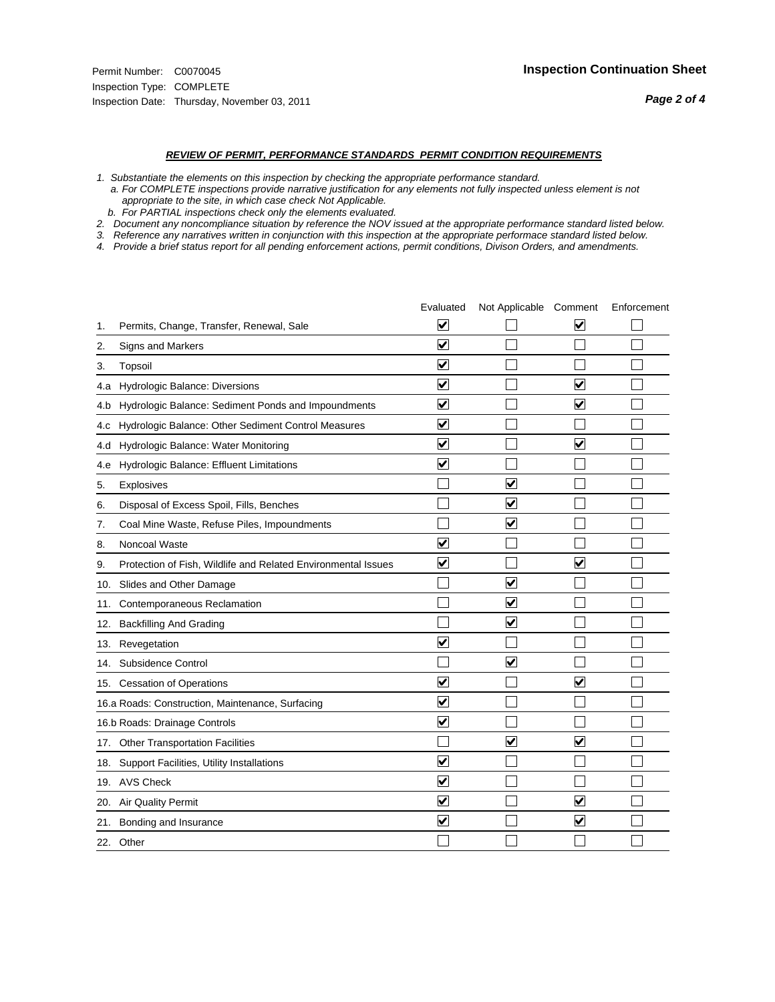#### *REVIEW OF PERMIT, PERFORMANCE STANDARDS PERMIT CONDITION REQUIREMENTS*

*1. Substantiate the elements on this inspection by checking the appropriate performance standard.*

 *a. For COMPLETE inspections provide narrative justification for any elements not fully inspected unless element is not appropriate to the site, in which case check Not Applicable.*

 *b. For PARTIAL inspections check only the elements evaluated.*

*2. Document any noncompliance situation by reference the NOV issued at the appropriate performance standard listed below.*

*3. Reference any narratives written in conjunction with this inspection at the appropriate performace standard listed below.*

*4. Provide a brief status report for all pending enforcement actions, permit conditions, Divison Orders, and amendments.*

|     |                                                               | Evaluated               | Not Applicable Comment  |                         | Enforcement |
|-----|---------------------------------------------------------------|-------------------------|-------------------------|-------------------------|-------------|
| 1.  | Permits, Change, Transfer, Renewal, Sale                      | $\overline{\mathsf{v}}$ |                         | $\overline{\mathsf{v}}$ |             |
| 2.  | Signs and Markers                                             | $\overline{\mathbf{v}}$ |                         |                         |             |
| 3.  | Topsoil                                                       | $\overline{\mathbf{v}}$ |                         |                         |             |
| 4.a | Hydrologic Balance: Diversions                                | V                       |                         | V                       |             |
| 4.b | Hydrologic Balance: Sediment Ponds and Impoundments           | $\blacktriangledown$    |                         | $\blacktriangledown$    |             |
| 4.C | Hydrologic Balance: Other Sediment Control Measures           | $\overline{\mathbf{v}}$ |                         |                         |             |
| 4.d | Hydrologic Balance: Water Monitoring                          | $\overline{\mathbf{v}}$ |                         | $\blacktriangledown$    |             |
| 4.e | Hydrologic Balance: Effluent Limitations                      | $\overline{\mathbf{v}}$ |                         |                         |             |
| 5.  | <b>Explosives</b>                                             |                         | ⊽                       |                         |             |
| 6.  | Disposal of Excess Spoil, Fills, Benches                      |                         | $\overline{\mathbf{v}}$ |                         |             |
| 7.  | Coal Mine Waste, Refuse Piles, Impoundments                   |                         | $\overline{\mathbf{v}}$ |                         |             |
| 8.  | Noncoal Waste                                                 | $\overline{\mathsf{v}}$ |                         |                         |             |
| 9.  | Protection of Fish, Wildlife and Related Environmental Issues | $\overline{\mathbf{v}}$ |                         | ☑                       |             |
|     | 10. Slides and Other Damage                                   |                         | ⊽                       |                         |             |
| 11. | Contemporaneous Reclamation                                   |                         | $\blacktriangledown$    |                         |             |
| 12. | <b>Backfilling And Grading</b>                                |                         | $\overline{\mathbf{v}}$ |                         |             |
| 13. | Revegetation                                                  | $\overline{\mathbf{v}}$ |                         |                         |             |
| 14. | Subsidence Control                                            |                         | $\overline{\mathbf{v}}$ |                         |             |
|     | 15. Cessation of Operations                                   | $\blacktriangledown$    |                         | ☑                       |             |
|     | 16.a Roads: Construction, Maintenance, Surfacing              | $\overline{\mathsf{v}}$ |                         |                         |             |
|     | 16.b Roads: Drainage Controls                                 | $\overline{\mathsf{v}}$ |                         |                         |             |
| 17. | <b>Other Transportation Facilities</b>                        |                         | $\overline{\mathbf{v}}$ | $\overline{\mathbf{v}}$ |             |
| 18. | Support Facilities, Utility Installations                     | $\overline{\mathbf{v}}$ |                         |                         |             |
|     | 19. AVS Check                                                 | $\overline{\mathbf{v}}$ |                         |                         |             |
| 20. | <b>Air Quality Permit</b>                                     | $\blacktriangledown$    |                         | $\overline{\mathsf{v}}$ |             |
| 21. | Bonding and Insurance                                         | $\overline{\mathbf{v}}$ |                         | $\blacktriangledown$    |             |
|     | 22. Other                                                     |                         |                         |                         |             |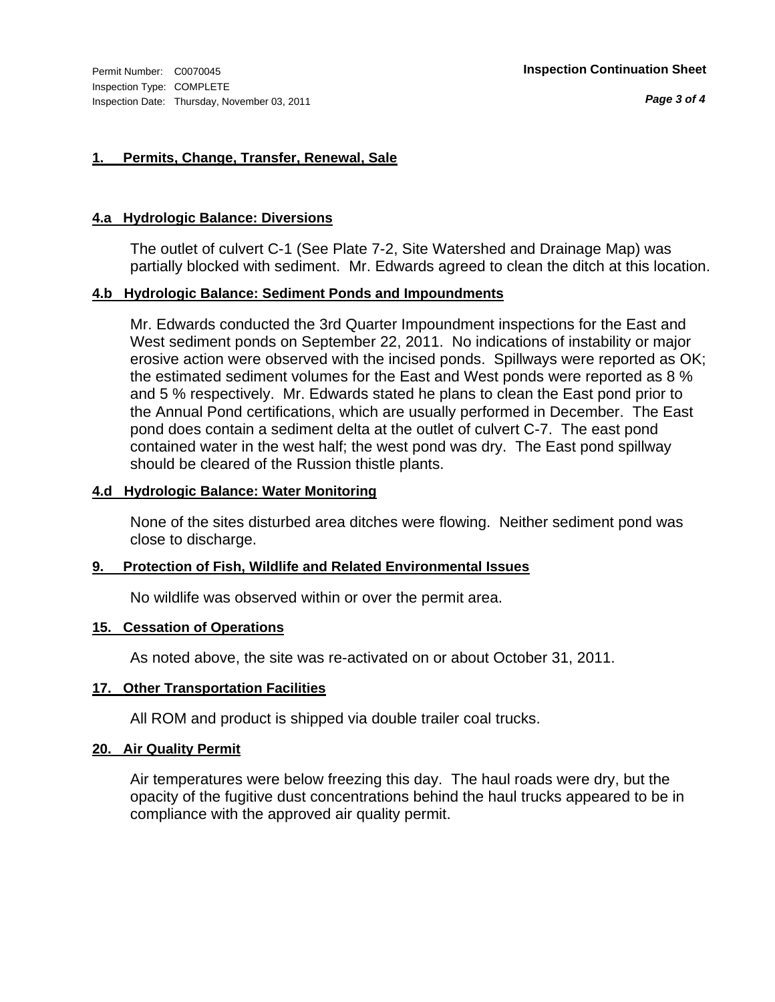### **1. Permits, Change, Transfer, Renewal, Sale**

#### **4.a Hydrologic Balance: Diversions**

The outlet of culvert C-1 (See Plate 7-2, Site Watershed and Drainage Map) was partially blocked with sediment. Mr. Edwards agreed to clean the ditch at this location.

#### **4.b Hydrologic Balance: Sediment Ponds and Impoundments**

Mr. Edwards conducted the 3rd Quarter Impoundment inspections for the East and West sediment ponds on September 22, 2011. No indications of instability or major erosive action were observed with the incised ponds. Spillways were reported as OK; the estimated sediment volumes for the East and West ponds were reported as 8 % and 5 % respectively. Mr. Edwards stated he plans to clean the East pond prior to the Annual Pond certifications, which are usually performed in December. The East pond does contain a sediment delta at the outlet of culvert C-7. The east pond contained water in the west half; the west pond was dry. The East pond spillway should be cleared of the Russion thistle plants.

#### **4.d Hydrologic Balance: Water Monitoring**

None of the sites disturbed area ditches were flowing. Neither sediment pond was close to discharge.

### **9. Protection of Fish, Wildlife and Related Environmental Issues**

No wildlife was observed within or over the permit area.

#### **15. Cessation of Operations**

As noted above, the site was re-activated on or about October 31, 2011.

#### **17. Other Transportation Facilities**

All ROM and product is shipped via double trailer coal trucks.

#### **20. Air Quality Permit**

Air temperatures were below freezing this day. The haul roads were dry, but the opacity of the fugitive dust concentrations behind the haul trucks appeared to be in compliance with the approved air quality permit.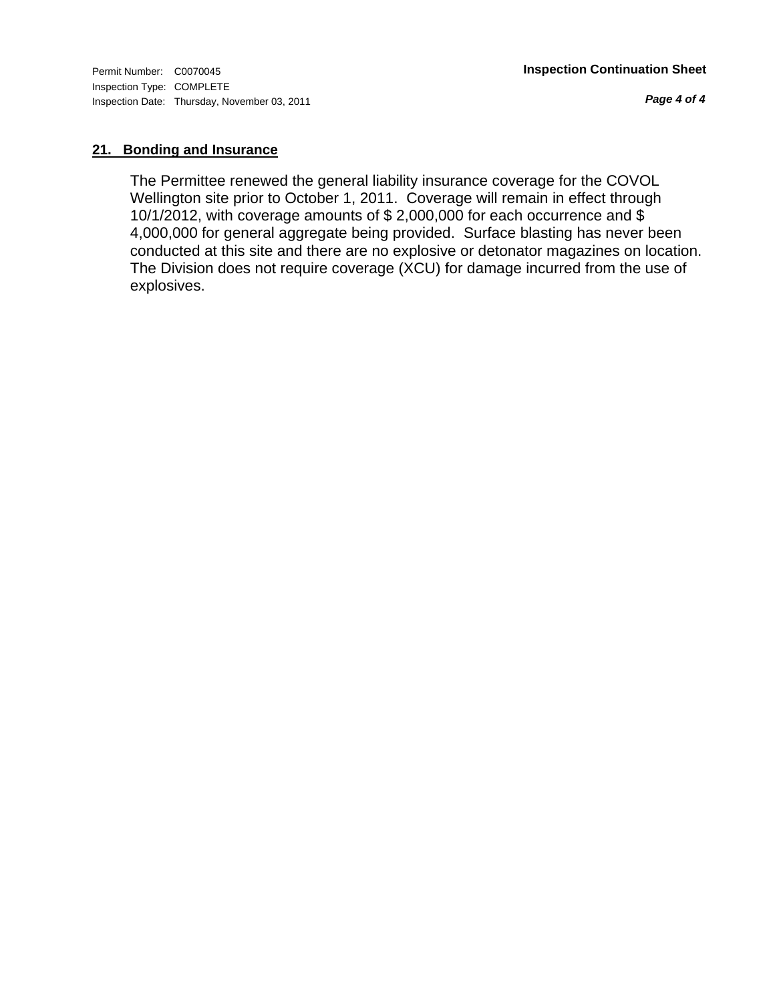*Page 4 of 4*

### **21. Bonding and Insurance**

The Permittee renewed the general liability insurance coverage for the COVOL Wellington site prior to October 1, 2011. Coverage will remain in effect through 10/1/2012, with coverage amounts of \$ 2,000,000 for each occurrence and \$ 4,000,000 for general aggregate being provided. Surface blasting has never been conducted at this site and there are no explosive or detonator magazines on location. The Division does not require coverage (XCU) for damage incurred from the use of explosives.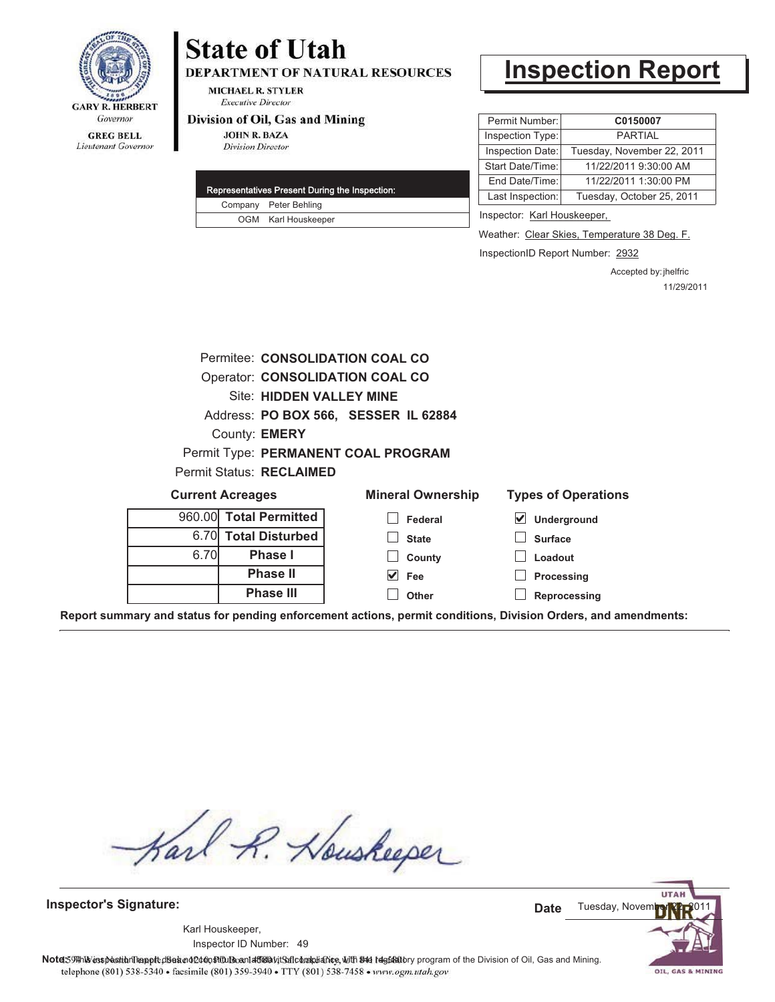

# **State of Utah**

**DEPARTMENT OF NATURAL RESOURCES** 

**MICHAEL R. STYLER Executive Director** 

#### Division of Oil, Gas and Mining

**JOHN R. BAZA Division Director** 

|  | Representatives Present During the Inspection: |
|--|------------------------------------------------|
|  | Company Peter Behling                          |
|  | OGM Karl Houskeeper                            |

# **Inspection Report**

| Permit Number:   | C0150007                   |
|------------------|----------------------------|
| Inspection Type: | <b>PARTIAL</b>             |
| Inspection Date: | Tuesday, November 22, 2011 |
| Start Date/Time: | 11/22/2011 9:30:00 AM      |
| End Date/Time:   | 11/22/2011 1:30:00 PM      |
| Last Inspection: | Tuesday, October 25, 2011  |
|                  |                            |

Inspector: Karl Houskeeper,

Weather: Clear Skies, Temperature 38 Deg. F.

InspectionID Report Number: 2932

Accepted by: jhelfric 11/29/2011

|                                      |                         |                                 | Permitee: CONSOLIDATION COAL CO |                          |                                                                                                                |
|--------------------------------------|-------------------------|---------------------------------|---------------------------------|--------------------------|----------------------------------------------------------------------------------------------------------------|
|                                      |                         |                                 | Operator: CONSOLIDATION COAL CO |                          |                                                                                                                |
|                                      |                         | <b>Site: HIDDEN VALLEY MINE</b> |                                 |                          |                                                                                                                |
| Address: PO BOX 566, SESSER IL 62884 |                         |                                 |                                 |                          |                                                                                                                |
| County: <b>EMERY</b>                 |                         |                                 |                                 |                          |                                                                                                                |
| Permit Type: PERMANENT COAL PROGRAM  |                         |                                 |                                 |                          |                                                                                                                |
| Permit Status: RECLAIMED             |                         |                                 |                                 |                          |                                                                                                                |
|                                      | <b>Current Acreages</b> |                                 |                                 | <b>Mineral Ownership</b> | <b>Types of Operations</b>                                                                                     |
|                                      |                         | 960.00 Total Permitted          |                                 | Federal                  | ⊻<br><b>Underground</b>                                                                                        |
|                                      |                         | 6.70 Total Disturbed            | <b>State</b>                    |                          | <b>Surface</b>                                                                                                 |
|                                      | 6.70                    | <b>Phase I</b>                  |                                 | County                   | Loadout                                                                                                        |
|                                      |                         | <b>Phase II</b>                 | $\blacktriangledown$<br>Fee     |                          | Processing                                                                                                     |
|                                      |                         | <b>Phase III</b>                | Other                           |                          | Reprocessing                                                                                                   |
|                                      |                         |                                 |                                 |                          | Report summary and status for pending enforcement actions, permit conditions, Division Orders, and amendments: |

Karl R. Houskeeper

**Inspector's Signature:**

49 Inspector ID Number:Karl Houskeeper,

**UTA** Tuesday, Novem **Date**

OIL, GAS & MINING

Note: 59#h% inspection leappt diseanot constitution affidavit Salcompliance, with the regulatory program of the Division of Oil, Gas and Mining. telephone (801) 538-5340 · facsimile (801) 359-3940 · TTY (801) 538-7458 · www.ogm.utah.gov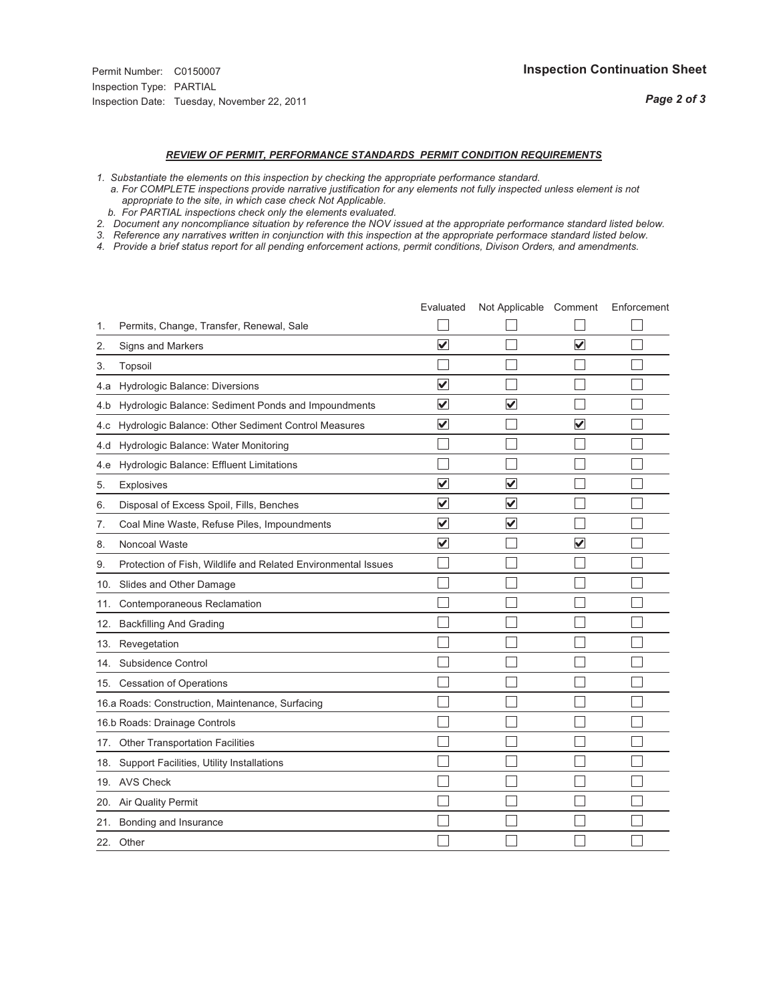## *REVIEW OF PERMIT, PERFORMANCE STANDARDS PERMIT CONDITION REQUIREMENTS*

- *1. Substantiate the elements on this inspection by checking the appropriate performance standard.*
- *a. For COMPLETE inspections provide narrative justification for any elements not fully inspected unless element is not appropriate to the site, in which case check Not Applicable.*
- *b. For PARTIAL inspections check only the elements evaluated.*
- *2. Document any noncompliance situation by reference the NOV issued at the appropriate performance standard listed below.*
- *3. Reference any narratives written in conjunction with this inspection at the appropriate performace standard listed below.*
- *4. Provide a brief status report for all pending enforcement actions, permit conditions, Divison Orders, and amendments.*

|     |                                                               | Evaluated               | Not Applicable Comment  |                         | Enforcement |
|-----|---------------------------------------------------------------|-------------------------|-------------------------|-------------------------|-------------|
| 1.  | Permits, Change, Transfer, Renewal, Sale                      |                         |                         |                         |             |
| 2.  | Signs and Markers                                             | $\overline{\mathbf{v}}$ |                         | $\overline{\mathbf{v}}$ |             |
| 3.  | Topsoil                                                       |                         |                         |                         |             |
| 4.a | Hydrologic Balance: Diversions                                | $\checkmark$            |                         |                         |             |
| 4.b | Hydrologic Balance: Sediment Ponds and Impoundments           | $\overline{\mathsf{v}}$ | V                       |                         |             |
| 4.c | Hydrologic Balance: Other Sediment Control Measures           | $\overline{\mathbf{v}}$ |                         | $\checkmark$            |             |
| 4.d | Hydrologic Balance: Water Monitoring                          |                         |                         |                         |             |
| 4.e | Hydrologic Balance: Effluent Limitations                      |                         |                         |                         |             |
| 5.  | <b>Explosives</b>                                             | $\overline{\mathbf{v}}$ | $\overline{\mathsf{v}}$ |                         |             |
| 6.  | Disposal of Excess Spoil, Fills, Benches                      | V                       | $\blacktriangledown$    |                         |             |
| 7.  | Coal Mine Waste, Refuse Piles, Impoundments                   | $\overline{\mathbf{v}}$ | $\overline{\mathbf{v}}$ |                         |             |
| 8.  | Noncoal Waste                                                 | $\overline{\mathsf{v}}$ |                         | V                       |             |
| 9.  | Protection of Fish, Wildlife and Related Environmental Issues |                         |                         |                         |             |
|     | 10. Slides and Other Damage                                   |                         |                         |                         |             |
| 11. | Contemporaneous Reclamation                                   |                         |                         |                         |             |
| 12. | <b>Backfilling And Grading</b>                                |                         |                         |                         |             |
| 13. | Revegetation                                                  |                         |                         |                         |             |
| 14. | Subsidence Control                                            |                         |                         |                         |             |
|     | 15. Cessation of Operations                                   |                         |                         |                         |             |
|     | 16.a Roads: Construction, Maintenance, Surfacing              |                         |                         |                         |             |
|     | 16.b Roads: Drainage Controls                                 |                         |                         |                         |             |
| 17. | Other Transportation Facilities                               |                         |                         |                         |             |
| 18. | Support Facilities, Utility Installations                     |                         |                         |                         |             |
|     | 19. AVS Check                                                 |                         |                         |                         |             |
| 20. | Air Quality Permit                                            |                         |                         |                         |             |
|     | 21. Bonding and Insurance                                     |                         |                         |                         |             |
|     | 22. Other                                                     |                         |                         |                         |             |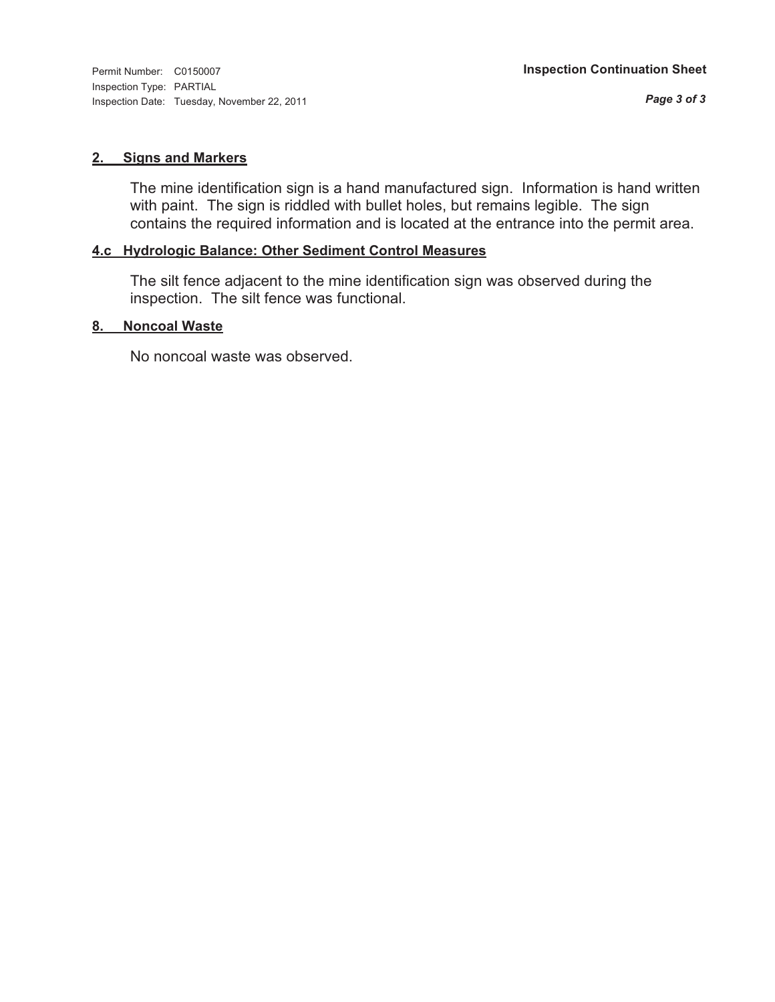Inspection Type: PARTIAL Inspection Date: Tuesday, November 22, 2011

#### **2. Signs and Markers**

The mine identification sign is a hand manufactured sign. Information is hand written with paint. The sign is riddled with bullet holes, but remains legible. The sign contains the required information and is located at the entrance into the permit area.

### **4.c Hydrologic Balance: Other Sediment Control Measures**

The silt fence adjacent to the mine identification sign was observed during the inspection. The silt fence was functional.

#### **8. Noncoal Waste**

No noncoal waste was observed.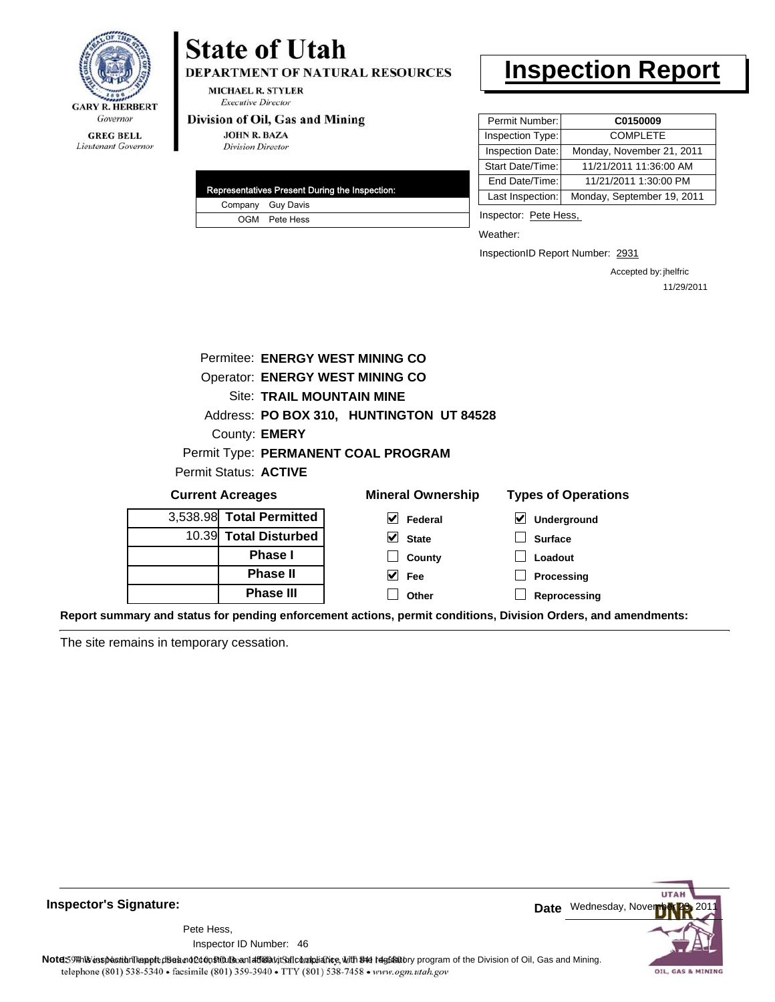

# **State of Utah**

DEPARTMENT OF NATURAL RESOURCES

**MICHAEL R. STYLER Executive Director** 

#### Division of Oil, Gas and Mining

**JOHN R. BAZA Division Director** 

|  | Representatives Present During the Inspection: |
|--|------------------------------------------------|
|  | Company Guy Davis                              |
|  | OGM Pete Hess                                  |

# **Inspection Report**

| Permit Number:   | C0150009                   |
|------------------|----------------------------|
| Inspection Type: | <b>COMPLETE</b>            |
| Inspection Date: | Monday, November 21, 2011  |
| Start Date/Time: | 11/21/2011 11:36:00 AM     |
| End Date/Time:   | 11/21/2011 1:30:00 PM      |
| Last Inspection: | Monday, September 19, 2011 |

Inspector: Pete Hess,

Weather:

InspectionID Report Number: 2931

Accepted by: jhelfric 11/29/2011

|                                        | Permitee: ENERGY WEST MINING CO     |                                          |                                            |  |  |  |
|----------------------------------------|-------------------------------------|------------------------------------------|--------------------------------------------|--|--|--|
| <b>Operator: ENERGY WEST MINING CO</b> |                                     |                                          |                                            |  |  |  |
|                                        | <b>Site: TRAIL MOUNTAIN MINE</b>    |                                          |                                            |  |  |  |
|                                        |                                     | Address: PO BOX 310, HUNTINGTON UT 84528 |                                            |  |  |  |
|                                        | County: <b>EMERY</b>                |                                          |                                            |  |  |  |
|                                        | Permit Type: PERMANENT COAL PROGRAM |                                          |                                            |  |  |  |
|                                        | Permit Status: ACTIVE               |                                          |                                            |  |  |  |
|                                        | <b>Current Acreages</b>             | <b>Mineral Ownership</b>                 | <b>Types of Operations</b>                 |  |  |  |
|                                        | 3,538.98 Total Permitted            | V<br>Federal                             | $\vert\bm{\mathsf{v}}\vert$<br>Underground |  |  |  |
|                                        | 10.39 Total Disturbed               | M<br><b>State</b>                        | <b>Surface</b>                             |  |  |  |
|                                        | <b>Phase I</b>                      | County                                   | Loadout                                    |  |  |  |
|                                        | <b>Phase II</b>                     | V<br>Fee                                 | Processing                                 |  |  |  |
|                                        | <b>Phase III</b>                    | Other                                    | Reprocessing                               |  |  |  |
|                                        | _ _ _ _ _ _<br>                     |                                          |                                            |  |  |  |

**Report summary and status for pending enforcement actions, permit conditions, Division Orders, and amendments:**

The site remains in temporary cessation.



**Inspector's Signature:**

46 Inspector ID Number:Pete Hess,

**Note**: This inspection report does not constitute and affidavit and compliance, with the regulatory program of the Division of Oil, Gas and Mining. telephone (801) 538-5340 · facsimile (801) 359-3940 · TTY (801) 538-7458 · www.ogm.utah.gov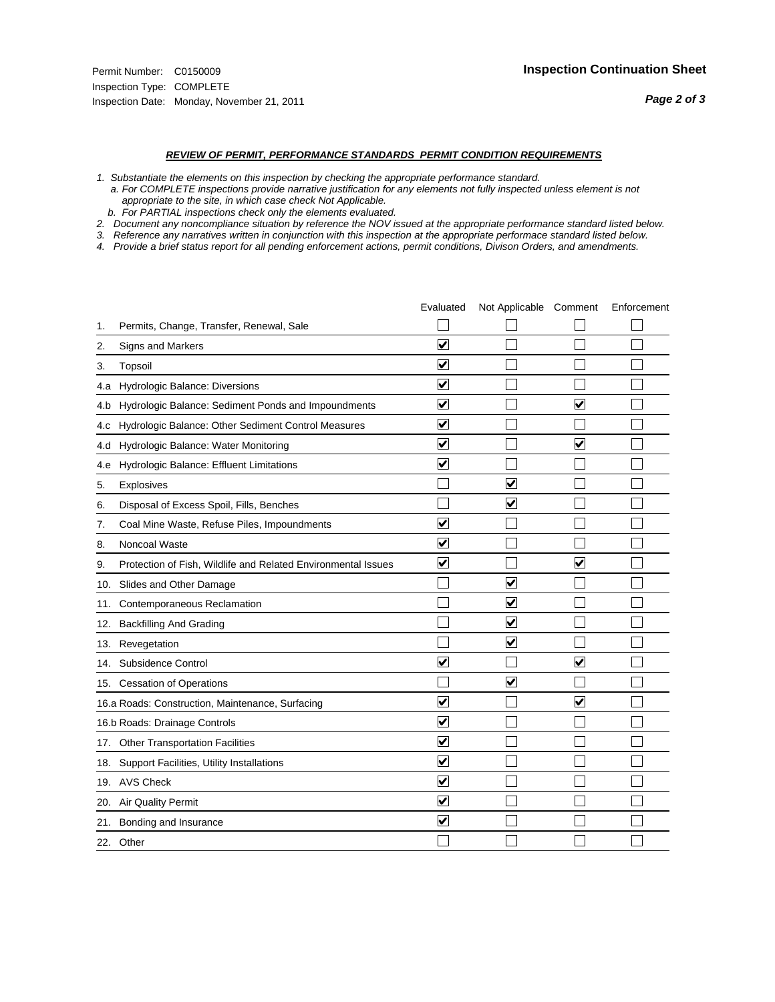#### *REVIEW OF PERMIT, PERFORMANCE STANDARDS PERMIT CONDITION REQUIREMENTS*

*1. Substantiate the elements on this inspection by checking the appropriate performance standard.*

 *a. For COMPLETE inspections provide narrative justification for any elements not fully inspected unless element is not appropriate to the site, in which case check Not Applicable.*

 *b. For PARTIAL inspections check only the elements evaluated.*

*2. Document any noncompliance situation by reference the NOV issued at the appropriate performance standard listed below.*

*3. Reference any narratives written in conjunction with this inspection at the appropriate performace standard listed below.*

*4. Provide a brief status report for all pending enforcement actions, permit conditions, Divison Orders, and amendments.*

|     |                                                               | Evaluated               | Not Applicable Comment  |                         | Enforcement |
|-----|---------------------------------------------------------------|-------------------------|-------------------------|-------------------------|-------------|
| 1.  | Permits, Change, Transfer, Renewal, Sale                      |                         |                         |                         |             |
| 2.  | Signs and Markers                                             | $\overline{\mathbf{v}}$ |                         |                         |             |
| 3.  | Topsoil                                                       | $\overline{\mathbf{v}}$ |                         |                         |             |
| 4.a | Hydrologic Balance: Diversions                                | $\overline{\mathsf{v}}$ |                         |                         |             |
| 4.b | Hydrologic Balance: Sediment Ponds and Impoundments           | $\blacktriangledown$    |                         | V                       |             |
| 4.C | Hydrologic Balance: Other Sediment Control Measures           | $\overline{\mathbf{v}}$ |                         |                         |             |
| 4.d | Hydrologic Balance: Water Monitoring                          | $\overline{\mathsf{v}}$ |                         | $\overline{\mathbf{v}}$ |             |
| 4.e | Hydrologic Balance: Effluent Limitations                      | ✔                       |                         |                         |             |
| 5.  | <b>Explosives</b>                                             |                         | ⊽                       |                         |             |
| 6.  | Disposal of Excess Spoil, Fills, Benches                      |                         | ⊻                       |                         |             |
| 7.  | Coal Mine Waste, Refuse Piles, Impoundments                   | $\overline{\mathsf{v}}$ |                         |                         |             |
| 8.  | Noncoal Waste                                                 | $\overline{\mathbf{v}}$ |                         |                         |             |
| 9.  | Protection of Fish, Wildlife and Related Environmental Issues | $\blacktriangledown$    |                         | $\overline{\mathbf{v}}$ |             |
| 10. | Slides and Other Damage                                       |                         | ▽                       |                         |             |
| 11. | Contemporaneous Reclamation                                   |                         | V                       |                         |             |
| 12. | <b>Backfilling And Grading</b>                                |                         | $\overline{\mathbf{v}}$ |                         |             |
| 13. | Revegetation                                                  |                         | $\blacktriangledown$    |                         |             |
| 14. | Subsidence Control                                            | $\overline{\mathbf{v}}$ |                         | $\overline{\mathbf{v}}$ |             |
|     | 15. Cessation of Operations                                   |                         | $\blacktriangledown$    |                         |             |
|     | 16.a Roads: Construction, Maintenance, Surfacing              | ☑                       |                         | V                       |             |
|     | 16.b Roads: Drainage Controls                                 | $\overline{\mathbf{v}}$ |                         |                         |             |
| 17. | <b>Other Transportation Facilities</b>                        | $\overline{\mathbf{v}}$ |                         |                         |             |
| 18. | Support Facilities, Utility Installations                     | $\overline{\mathbf{v}}$ |                         |                         |             |
|     | 19. AVS Check                                                 | $\blacktriangledown$    |                         |                         |             |
| 20. | <b>Air Quality Permit</b>                                     | $\blacktriangledown$    |                         |                         |             |
| 21. | Bonding and Insurance                                         | $\overline{\mathbf{v}}$ |                         |                         |             |
|     | 22. Other                                                     |                         |                         |                         |             |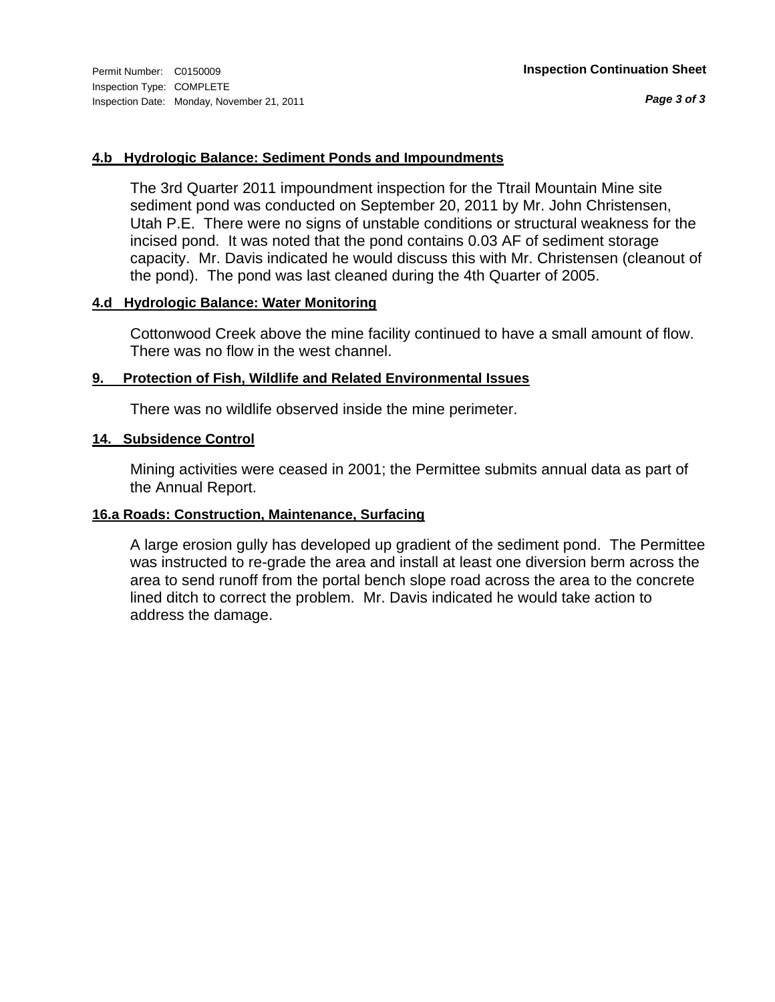#### **4.b Hydrologic Balance: Sediment Ponds and Impoundments**

The 3rd Quarter 2011 impoundment inspection for the Ttrail Mountain Mine site sediment pond was conducted on September 20, 2011 by Mr. John Christensen, Utah P.E. There were no signs of unstable conditions or structural weakness for the incised pond. It was noted that the pond contains 0.03 AF of sediment storage capacity. Mr. Davis indicated he would discuss this with Mr. Christensen (cleanout of the pond). The pond was last cleaned during the 4th Quarter of 2005.

### **4.d Hydrologic Balance: Water Monitoring**

Cottonwood Creek above the mine facility continued to have a small amount of flow. There was no flow in the west channel.

#### **9. Protection of Fish, Wildlife and Related Environmental Issues**

There was no wildlife observed inside the mine perimeter.

#### **14. Subsidence Control**

Mining activities were ceased in 2001; the Permittee submits annual data as part of the Annual Report.

### **16.a Roads: Construction, Maintenance, Surfacing**

A large erosion gully has developed up gradient of the sediment pond. The Permittee was instructed to re-grade the area and install at least one diversion berm across the area to send runoff from the portal bench slope road across the area to the concrete lined ditch to correct the problem. Mr. Davis indicated he would take action to address the damage.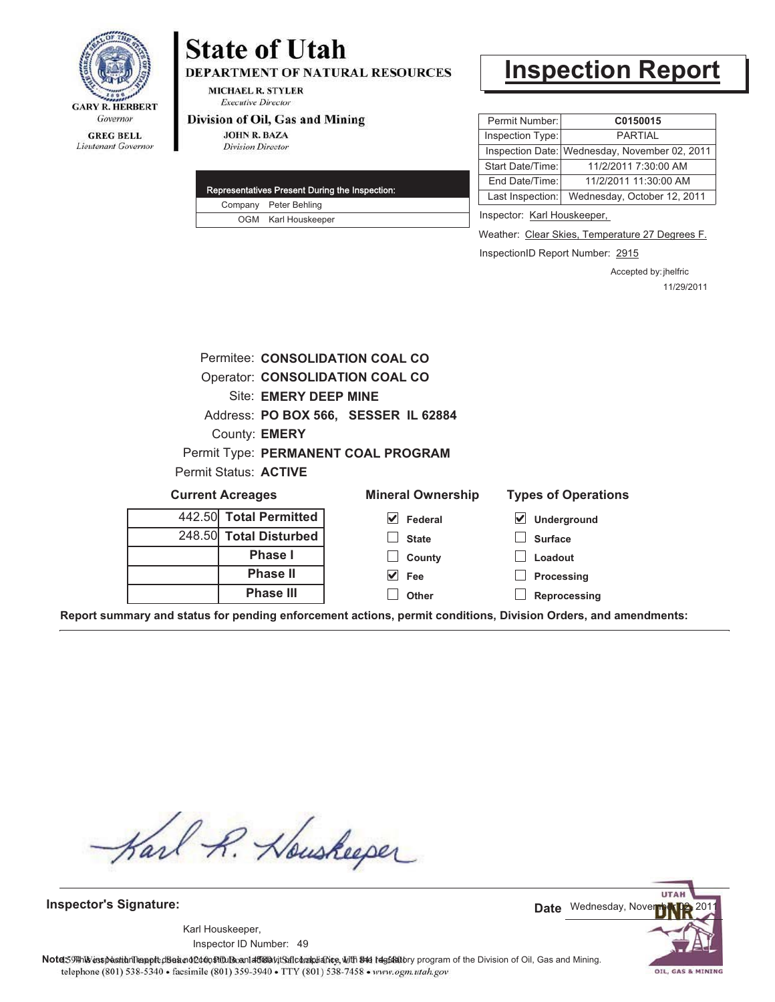

# **State of Utah**

**DEPARTMENT OF NATURAL RESOURCES** 

**MICHAEL R. STYLER Executive Director** 

#### Division of Oil, Gas and Mining

**JOHN R. BAZA Division Director** 

|  | Representatives Present During the Inspection: |
|--|------------------------------------------------|
|  | Company Peter Behling                          |
|  | OGM Karl Houskeeper                            |

# **Inspection Report**

| Permit Number:   | C0150015                                      |
|------------------|-----------------------------------------------|
| Inspection Type: | <b>PARTIAL</b>                                |
|                  | Inspection Date: Wednesday, November 02, 2011 |
| Start Date/Time: | 11/2/2011 7:30:00 AM                          |
| End Date/Time:   | 11/2/2011 11:30:00 AM                         |
| Last Inspection: | Wednesday, October 12, 2011                   |
|                  |                                               |

Inspector: Karl Houskeeper,

Weather: Clear Skies, Temperature 27 Degrees F.

InspectionID Report Number: 2915

Accepted by: jhelfric 11/29/2011

|                                 |                              | Permitee: CONSOLIDATION COAL CO      |                            |
|---------------------------------|------------------------------|--------------------------------------|----------------------------|
| Operator: CONSOLIDATION COAL CO |                              |                                      |                            |
|                                 | Site: EMERY DEEP MINE        |                                      |                            |
|                                 |                              | Address: PO BOX 566, SESSER IL 62884 |                            |
|                                 | County: <b>EMERY</b>         |                                      |                            |
|                                 |                              | Permit Type: PERMANENT COAL PROGRAM  |                            |
|                                 | <b>Permit Status: ACTIVE</b> |                                      |                            |
| <b>Current Acreages</b>         |                              | <b>Mineral Ownership</b>             | <b>Types of Operations</b> |
|                                 | 442.50 Total Permitted       | $\sqrt{\phantom{a}}$ Federal         | ⊻<br>Underground           |
|                                 | 248.50 Total Disturbed       | <b>State</b>                         | <b>Surface</b>             |
|                                 |                              |                                      |                            |
|                                 | Phase I                      | County                               | Loadout                    |
|                                 | <b>Phase II</b>              | $\vee$ Fee                           | Processing                 |
|                                 | <b>Phase III</b>             | Other                                | Reprocessing               |

**Report summary and status for pending enforcement actions, permit conditions, Division Orders, and amendments:**

Karl R. Houskeeper

**Inspector's Signature:**

49 Inspector ID Number:Karl Houskeeper,



Note: 59#h% inspection leappt diseanot constitution affidavit Salcompliance, with the regulatory program of the Division of Oil, Gas and Mining. telephone (801) 538-5340 · facsimile (801) 359-3940 · TTY (801) 538-7458 · www.ogm.utah.gov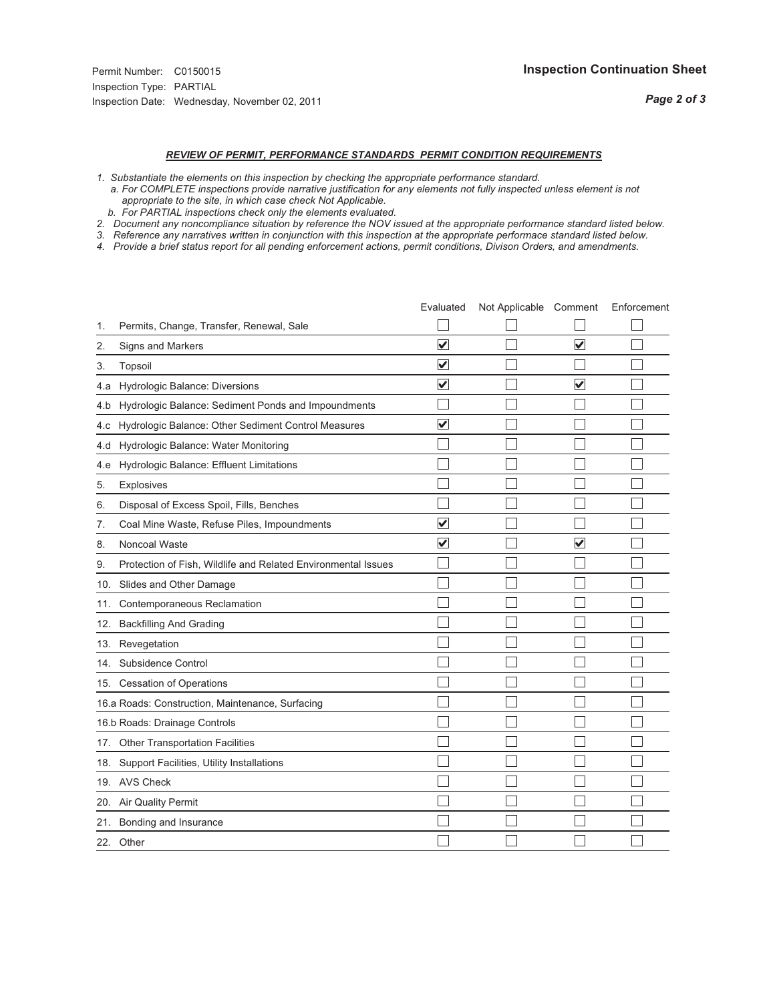## *REVIEW OF PERMIT, PERFORMANCE STANDARDS PERMIT CONDITION REQUIREMENTS*

- *1. Substantiate the elements on this inspection by checking the appropriate performance standard.*
- *a. For COMPLETE inspections provide narrative justification for any elements not fully inspected unless element is not appropriate to the site, in which case check Not Applicable.*
- *b. For PARTIAL inspections check only the elements evaluated.*
- *2. Document any noncompliance situation by reference the NOV issued at the appropriate performance standard listed below.*
- *3. Reference any narratives written in conjunction with this inspection at the appropriate performace standard listed below.*
- *4. Provide a brief status report for all pending enforcement actions, permit conditions, Divison Orders, and amendments.*

|     |                                                               | Evaluated               | Not Applicable Comment |                         | Enforcement |
|-----|---------------------------------------------------------------|-------------------------|------------------------|-------------------------|-------------|
| 1.  | Permits, Change, Transfer, Renewal, Sale                      |                         |                        |                         |             |
| 2.  | <b>Signs and Markers</b>                                      | $\overline{\mathbf{v}}$ |                        | $\overline{\mathbf{v}}$ |             |
| 3.  | Topsoil                                                       | $\overline{\mathbf{v}}$ |                        |                         |             |
| 4.a | Hydrologic Balance: Diversions                                | $\blacktriangledown$    |                        | $\overline{\mathbf{v}}$ |             |
| 4.b | Hydrologic Balance: Sediment Ponds and Impoundments           |                         |                        |                         |             |
| 4.c | Hydrologic Balance: Other Sediment Control Measures           | $\overline{\mathbf{v}}$ |                        |                         |             |
| 4.d | Hydrologic Balance: Water Monitoring                          |                         |                        |                         |             |
| 4.e | Hydrologic Balance: Effluent Limitations                      |                         |                        |                         |             |
| 5.  | <b>Explosives</b>                                             |                         |                        |                         |             |
| 6.  | Disposal of Excess Spoil, Fills, Benches                      |                         |                        |                         |             |
| 7.  | Coal Mine Waste, Refuse Piles, Impoundments                   | $\overline{\mathsf{v}}$ |                        |                         |             |
| 8.  | Noncoal Waste                                                 | $\overline{\mathbf{v}}$ |                        | $\overline{\mathsf{v}}$ |             |
| 9.  | Protection of Fish, Wildlife and Related Environmental Issues |                         |                        |                         |             |
|     | 10. Slides and Other Damage                                   |                         |                        |                         |             |
| 11. | Contemporaneous Reclamation                                   |                         |                        |                         |             |
| 12. | <b>Backfilling And Grading</b>                                |                         |                        |                         |             |
| 13. | Revegetation                                                  |                         |                        |                         |             |
| 14. | Subsidence Control                                            |                         |                        |                         |             |
|     | 15. Cessation of Operations                                   |                         |                        |                         |             |
|     | 16.a Roads: Construction, Maintenance, Surfacing              |                         |                        |                         |             |
|     | 16.b Roads: Drainage Controls                                 |                         |                        |                         |             |
|     | 17. Other Transportation Facilities                           |                         |                        |                         |             |
| 18. | Support Facilities, Utility Installations                     |                         |                        |                         |             |
|     | 19. AVS Check                                                 |                         |                        |                         |             |
| 20. | Air Quality Permit                                            |                         |                        |                         |             |
|     | 21. Bonding and Insurance                                     |                         |                        |                         |             |
|     | 22. Other                                                     |                         |                        |                         |             |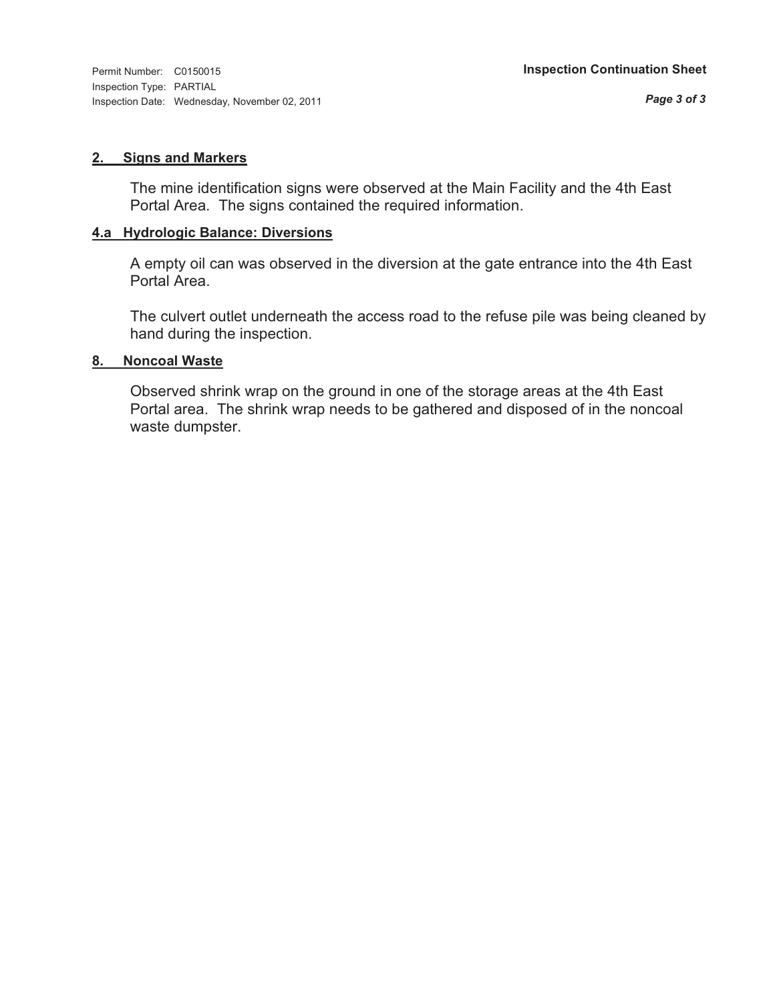#### **2. Signs and Markers**

The mine identification signs were observed at the Main Facility and the 4th East Portal Area. The signs contained the required information.

#### **4.a Hydrologic Balance: Diversions**

A empty oil can was observed in the diversion at the gate entrance into the 4th East Portal Area.

The culvert outlet underneath the access road to the refuse pile was being cleaned by hand during the inspection.

#### **8. Noncoal Waste**

Observed shrink wrap on the ground in one of the storage areas at the 4th East Portal area. The shrink wrap needs to be gathered and disposed of in the noncoal waste dumpster.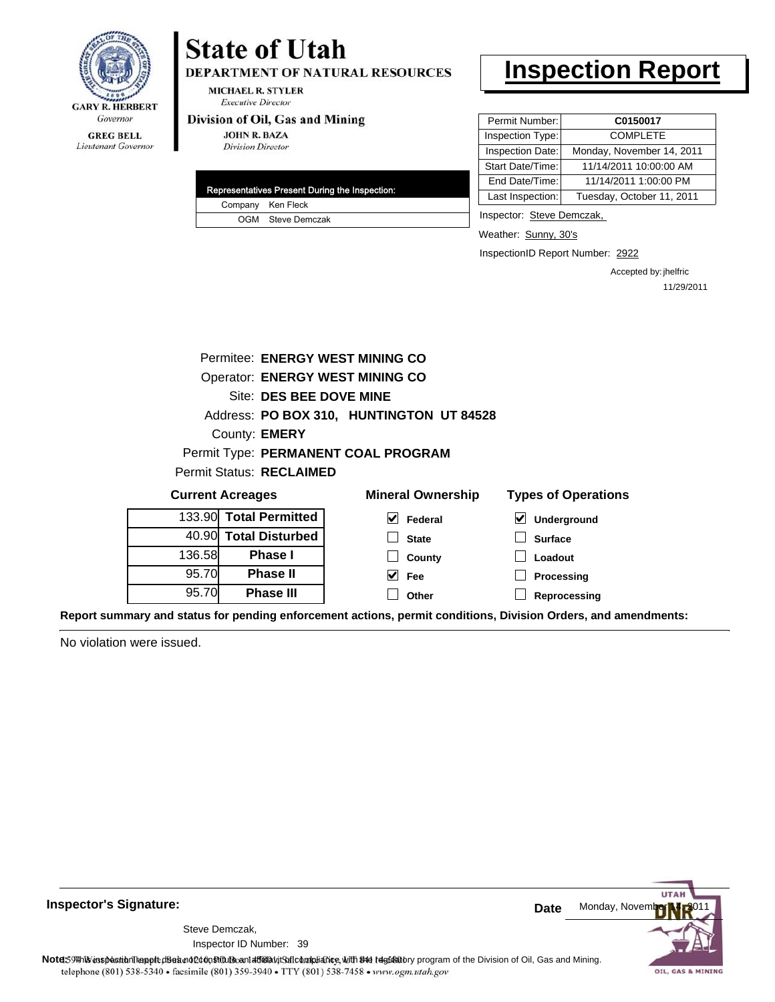

#### **GREG BELL** Lieutenant Governor

# **State of Utah**

DEPARTMENT OF NATURAL RESOURCES

**MICHAEL R. STYLER Executive Director** 

#### Division of Oil, Gas and Mining

**JOHN R. BAZA Division Director** 

|  | Representatives Present During the Inspection: |
|--|------------------------------------------------|
|  | Company Ken Fleck                              |
|  | OGM Steve Demczak                              |

# **Inspection Report**

| Permit Number:   | C0150017                  |
|------------------|---------------------------|
| Inspection Type: | <b>COMPLETE</b>           |
| Inspection Date: | Monday, November 14, 2011 |
| Start Date/Time: | 11/14/2011 10:00:00 AM    |
| End Date/Time:   | 11/14/2011 1:00:00 PM     |
| Last Inspection: | Tuesday, October 11, 2011 |

Inspector: Steve Demczak,

Weather: Sunny, 30's

InspectionID Report Number: 2922

Accepted by: jhelfric 11/29/2011

|                                                                                   | Permitee: ENERGY WEST MINING CO        |                                          |                  |  |
|-----------------------------------------------------------------------------------|----------------------------------------|------------------------------------------|------------------|--|
|                                                                                   | <b>Operator: ENERGY WEST MINING CO</b> |                                          |                  |  |
| Site: DES BEE DOVE MINE                                                           |                                        |                                          |                  |  |
|                                                                                   |                                        | Address: PO BOX 310, HUNTINGTON UT 84528 |                  |  |
|                                                                                   | County: <b>EMERY</b>                   |                                          |                  |  |
|                                                                                   |                                        | Permit Type: PERMANENT COAL PROGRAM      |                  |  |
|                                                                                   | <b>Permit Status: RECLAIMED</b>        |                                          |                  |  |
| <b>Current Acreages</b><br><b>Mineral Ownership</b><br><b>Types of Operations</b> |                                        |                                          |                  |  |
|                                                                                   | 133.90 Total Permitted                 | $\vert \mathbf{v} \vert$ Federal         | M<br>Underground |  |
|                                                                                   | 40.90 Total Disturbed                  | <b>State</b>                             | <b>Surface</b>   |  |
| 136.58                                                                            | <b>Phase I</b>                         | County                                   | Loadout          |  |
| 95.70                                                                             | <b>Phase II</b>                        | $\vee$ Fee                               | Processing       |  |
| 95.70                                                                             | <b>Phase III</b>                       | Other                                    | Reprocessing     |  |
|                                                                                   |                                        |                                          |                  |  |

**Report summary and status for pending enforcement actions, permit conditions, Division Orders, and amendments:**

No violation were issued.



**Inspector's Signature:**

Inspector ID Number: 39 Steve Demczak,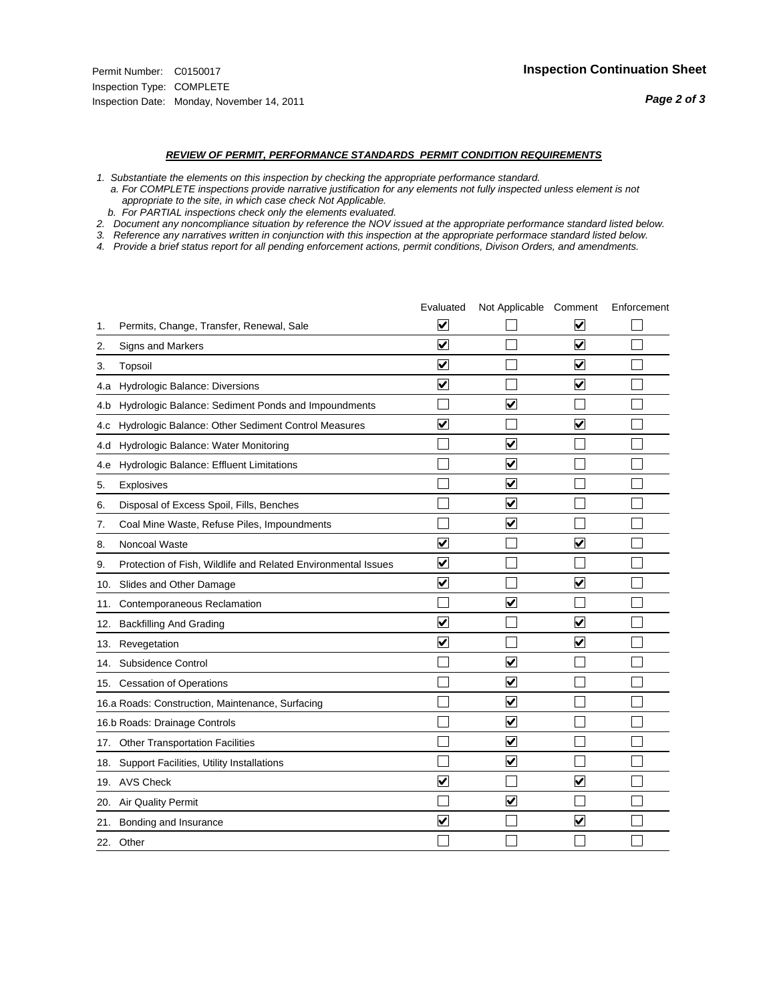#### *REVIEW OF PERMIT, PERFORMANCE STANDARDS PERMIT CONDITION REQUIREMENTS*

*1. Substantiate the elements on this inspection by checking the appropriate performance standard.*

 *a. For COMPLETE inspections provide narrative justification for any elements not fully inspected unless element is not appropriate to the site, in which case check Not Applicable.*

 *b. For PARTIAL inspections check only the elements evaluated.*

*2. Document any noncompliance situation by reference the NOV issued at the appropriate performance standard listed below.*

*3. Reference any narratives written in conjunction with this inspection at the appropriate performace standard listed below.*

*4. Provide a brief status report for all pending enforcement actions, permit conditions, Divison Orders, and amendments.*

|     |                                                               | Evaluated               | Not Applicable Comment          |                         | Enforcement |
|-----|---------------------------------------------------------------|-------------------------|---------------------------------|-------------------------|-------------|
| 1.  | Permits, Change, Transfer, Renewal, Sale                      | ⊻                       |                                 | V                       |             |
| 2.  | Signs and Markers                                             | $\overline{\mathbf{v}}$ |                                 | $\blacktriangledown$    |             |
| 3.  | Topsoil                                                       | $\overline{\mathbf{v}}$ |                                 | $\overline{\mathbf{v}}$ |             |
| 4.a | <b>Hydrologic Balance: Diversions</b>                         | $\overline{\mathsf{v}}$ |                                 | $\blacktriangledown$    |             |
| 4.b | Hydrologic Balance: Sediment Ponds and Impoundments           |                         | $\overline{\mathbf{v}}$         |                         |             |
| 4.C | Hydrologic Balance: Other Sediment Control Measures           | $\overline{\mathbf{v}}$ |                                 | $\blacktriangledown$    |             |
| 4.d | Hydrologic Balance: Water Monitoring                          |                         | $\overline{\mathbf{v}}$         |                         |             |
| 4.e | Hydrologic Balance: Effluent Limitations                      |                         | $\blacktriangledown$            |                         |             |
| 5.  | <b>Explosives</b>                                             |                         | $\blacktriangledown$            |                         |             |
| 6.  | Disposal of Excess Spoil, Fills, Benches                      |                         | $\blacktriangledown$            |                         |             |
| 7.  | Coal Mine Waste, Refuse Piles, Impoundments                   |                         | $\overline{\mathbf{v}}$         |                         |             |
| 8.  | Noncoal Waste                                                 | $\overline{\mathsf{v}}$ |                                 | $\blacktriangledown$    |             |
| 9.  | Protection of Fish, Wildlife and Related Environmental Issues | $\blacktriangledown$    |                                 |                         |             |
| 10. | Slides and Other Damage                                       | $\overline{\mathbf{v}}$ |                                 | ⊽                       |             |
| 11. | Contemporaneous Reclamation                                   |                         | $\blacktriangledown$            |                         |             |
| 12. | <b>Backfilling And Grading</b>                                | $\overline{\mathbf{v}}$ |                                 | $\blacktriangledown$    |             |
| 13. | Revegetation                                                  | $\overline{\mathbf{v}}$ |                                 | $\overline{\mathbf{v}}$ |             |
| 14. | Subsidence Control                                            |                         | $\overline{\mathbf{v}}$         |                         |             |
|     | 15. Cessation of Operations                                   |                         | $\blacktriangledown$            |                         |             |
|     | 16.a Roads: Construction, Maintenance, Surfacing              |                         | $\overline{\mathbf{v}}$         |                         |             |
|     | 16.b Roads: Drainage Controls                                 |                         | $\blacktriangledown$            |                         |             |
| 17. | <b>Other Transportation Facilities</b>                        |                         | $\overline{\blacktriangledown}$ |                         |             |
| 18. | Support Facilities, Utility Installations                     |                         | $\overline{\blacktriangledown}$ |                         |             |
|     | 19. AVS Check                                                 | $\overline{\mathbf{v}}$ |                                 | $\blacktriangledown$    |             |
| 20. | <b>Air Quality Permit</b>                                     |                         | $\blacktriangledown$            |                         |             |
| 21. | Bonding and Insurance                                         | $\overline{\mathbf{v}}$ |                                 | $\blacktriangledown$    |             |
|     | 22. Other                                                     |                         |                                 |                         |             |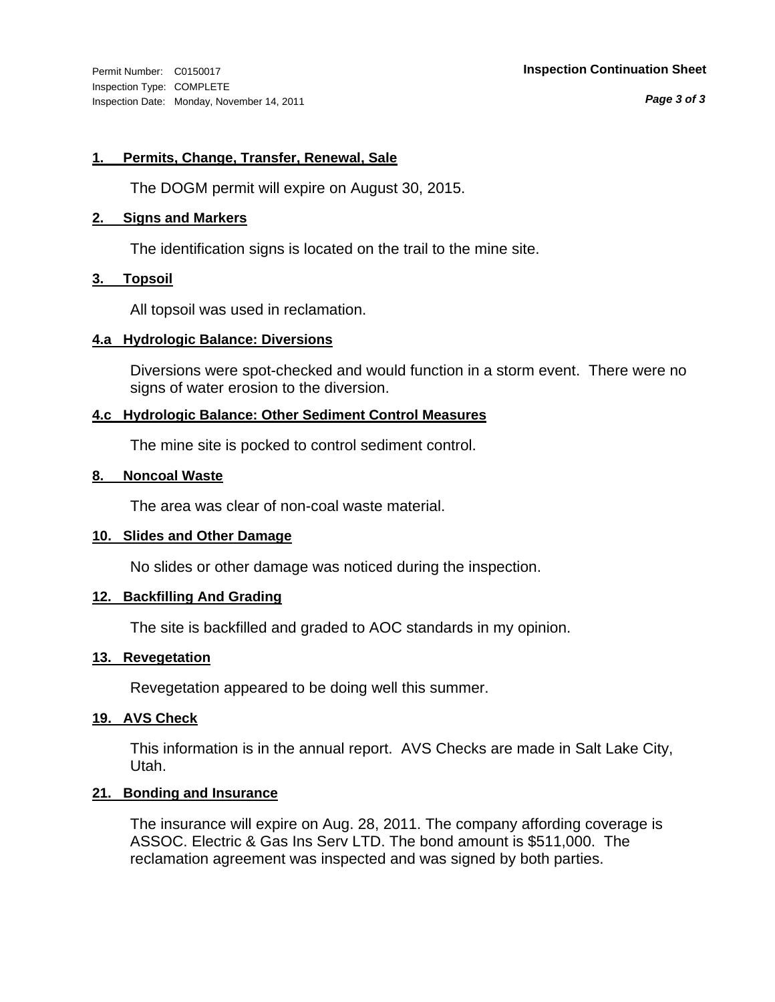Inspection Type: COMPLETE Inspection Date: Monday, November 14, 2011

#### Permit Number: C0150017 **Inspection Continuation Sheet**

*Page 3 of 3*

#### **1. Permits, Change, Transfer, Renewal, Sale**

The DOGM permit will expire on August 30, 2015.

#### **2. Signs and Markers**

The identification signs is located on the trail to the mine site.

#### **3. Topsoil**

All topsoil was used in reclamation.

#### **4.a Hydrologic Balance: Diversions**

Diversions were spot-checked and would function in a storm event. There were no signs of water erosion to the diversion.

#### **4.c Hydrologic Balance: Other Sediment Control Measures**

The mine site is pocked to control sediment control.

#### **8. Noncoal Waste**

The area was clear of non-coal waste material.

#### **10. Slides and Other Damage**

No slides or other damage was noticed during the inspection.

#### **12. Backfilling And Grading**

The site is backfilled and graded to AOC standards in my opinion.

#### **13. Revegetation**

Revegetation appeared to be doing well this summer.

#### **19. AVS Check**

This information is in the annual report. AVS Checks are made in Salt Lake City, Utah.

#### **21. Bonding and Insurance**

The insurance will expire on Aug. 28, 2011. The company affording coverage is ASSOC. Electric & Gas Ins Serv LTD. The bond amount is \$511,000. The reclamation agreement was inspected and was signed by both parties.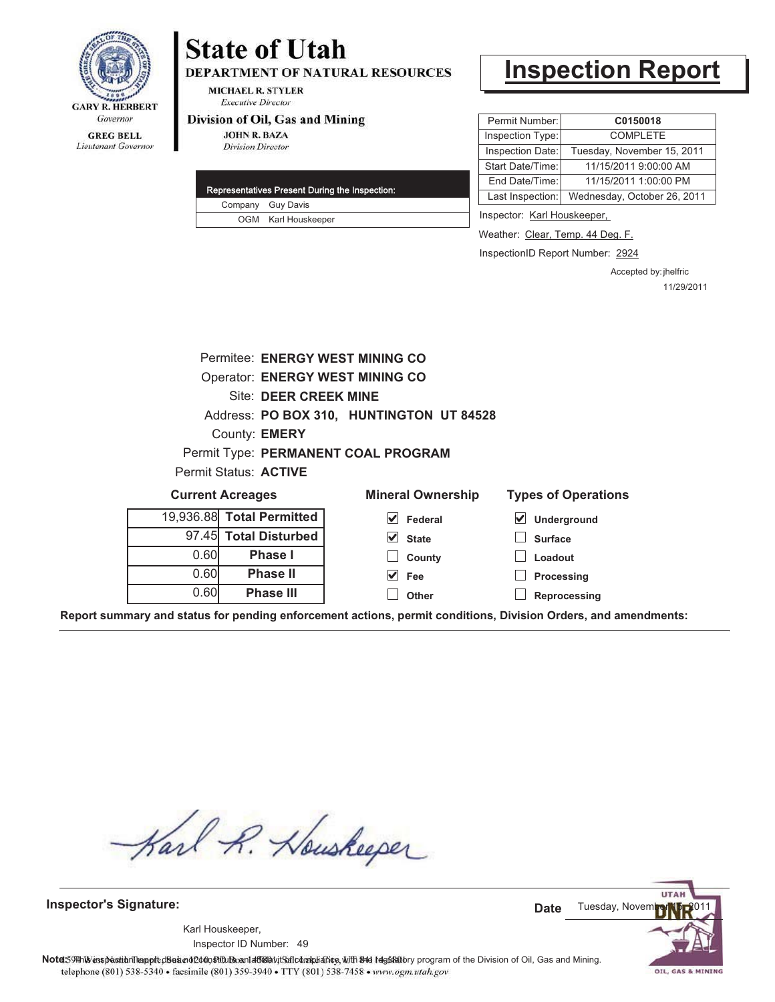

# **State of Utah**

**DEPARTMENT OF NATURAL RESOURCES** 

**MICHAEL R. STYLER Executive Director** 

#### Division of Oil, Gas and Mining

**JOHN R. BAZA Division Director** 

|  | Representatives Present During the Inspection: |
|--|------------------------------------------------|
|  | Company Guy Davis                              |
|  | OGM Karl Houskeeper                            |

# **Inspection Report**

| Permit Number:   | C0150018                    |
|------------------|-----------------------------|
| Inspection Type: | <b>COMPLETE</b>             |
| Inspection Date: | Tuesday, November 15, 2011  |
| Start Date/Time: | 11/15/2011 9:00:00 AM       |
| End Date/Time:   | 11/15/2011 1:00:00 PM       |
| Last Inspection: | Wednesday, October 26, 2011 |

Inspector: Karl Houskeeper,

Weather: Clear, Temp. 44 Deg. F.

InspectionID Report Number: 2924

Accepted by: jhelfric 11/29/2011

| <b>Operator: ENERGY WEST MINING CO</b>                                                    |  |  |  |
|-------------------------------------------------------------------------------------------|--|--|--|
| <b>Site: DEER CREEK MINE</b>                                                              |  |  |  |
| Address: PO BOX 310, HUNTINGTON UT 84528                                                  |  |  |  |
| County: <b>EMERY</b>                                                                      |  |  |  |
| Permit Type: PERMANENT COAL PROGRAM                                                       |  |  |  |
| Permit Status: ACTIVE                                                                     |  |  |  |
| <b>Types of Operations</b><br><b>Current Acreages</b><br><b>Mineral Ownership</b>         |  |  |  |
| 19,936.88 Total Permitted<br>V<br>Federal<br>V<br>Underground                             |  |  |  |
| <b>Total Disturbed</b><br>97.45<br>$\blacktriangledown$<br><b>State</b><br><b>Surface</b> |  |  |  |
| 0.60<br>Phase I<br>County<br>Loadout                                                      |  |  |  |
| 0.60<br><b>Phase II</b><br>V<br><b>Fee</b><br>Processing                                  |  |  |  |
| 0.60<br><b>Phase III</b><br>Other<br><b>Reprocessing</b>                                  |  |  |  |

**Report summary and status for pending enforcement actions, permit conditions, Division Orders, and amendments:**

Karl R. Houskeeper

**Inspector's Signature:**

49 Inspector ID Number:Karl Houskeeper,

**UTAF** Tuesday, Novem **Date**

OIL, GAS & MINING

Note: 59#h% inspection leappt diseanot constitution affidavit Salcompliance, with the regulatory program of the Division of Oil, Gas and Mining. telephone (801) 538-5340 · facsimile (801) 359-3940 · TTY (801) 538-7458 · www.ogm.utah.gov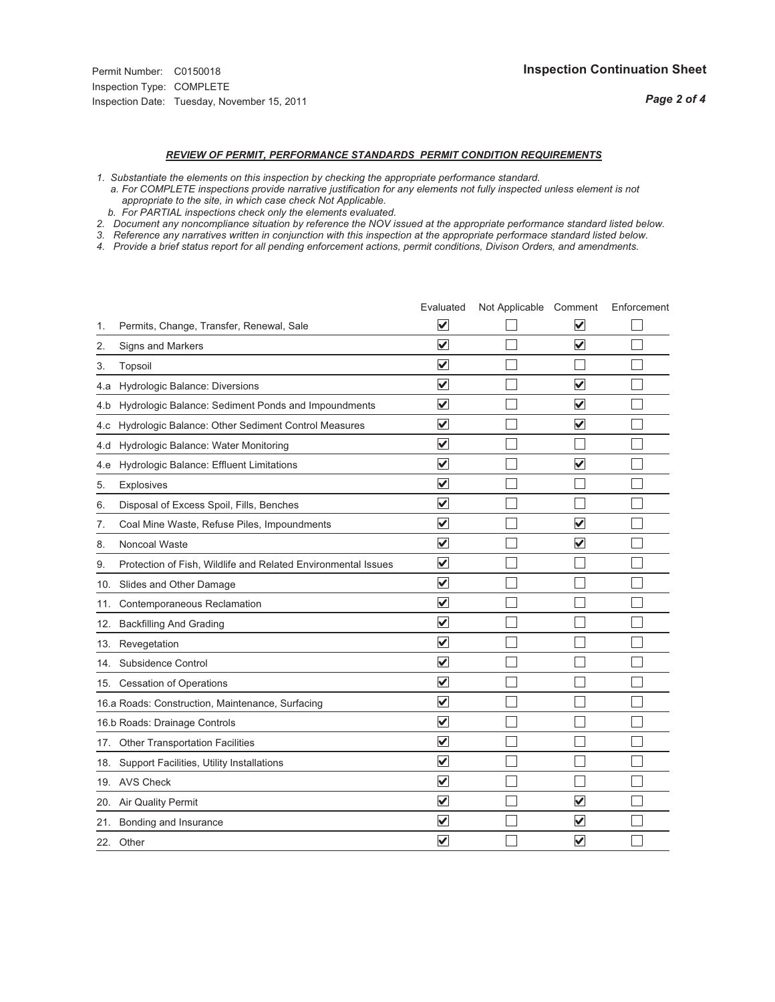## *REVIEW OF PERMIT, PERFORMANCE STANDARDS PERMIT CONDITION REQUIREMENTS*

*1. Substantiate the elements on this inspection by checking the appropriate performance standard.*

 *a. For COMPLETE inspections provide narrative justification for any elements not fully inspected unless element is not appropriate to the site, in which case check Not Applicable.*

 *b. For PARTIAL inspections check only the elements evaluated.*

*2. Document any noncompliance situation by reference the NOV issued at the appropriate performance standard listed below.*

*3. Reference any narratives written in conjunction with this inspection at the appropriate performace standard listed below.*

*4. Provide a brief status report for all pending enforcement actions, permit conditions, Divison Orders, and amendments.*

|     |                                                               | Evaluated               | Not Applicable Comment |                         | Enforcement |
|-----|---------------------------------------------------------------|-------------------------|------------------------|-------------------------|-------------|
| 1.  | Permits, Change, Transfer, Renewal, Sale                      | V                       |                        | V                       |             |
| 2.  | Signs and Markers                                             | $\overline{\mathbf{v}}$ |                        | $\blacktriangledown$    |             |
| 3.  | Topsoil                                                       | $\overline{\mathbf{v}}$ |                        |                         |             |
| 4.a | Hydrologic Balance: Diversions                                | $\overline{\mathsf{v}}$ |                        | $\blacktriangledown$    |             |
| 4.b | Hydrologic Balance: Sediment Ponds and Impoundments           | $\blacktriangledown$    |                        | $\checkmark$            |             |
| 4.C | Hydrologic Balance: Other Sediment Control Measures           | $\checkmark$            |                        | $\blacktriangledown$    |             |
| 4.d | Hydrologic Balance: Water Monitoring                          | $\overline{\mathbf{v}}$ |                        |                         |             |
| 4.e | Hydrologic Balance: Effluent Limitations                      | $\overline{\mathbf{v}}$ |                        | $\overline{\mathbf{v}}$ |             |
| 5.  | <b>Explosives</b>                                             | $\overline{\mathbf{v}}$ |                        |                         |             |
| 6.  | Disposal of Excess Spoil, Fills, Benches                      | $\overline{\mathbf{v}}$ |                        |                         |             |
| 7.  | Coal Mine Waste, Refuse Piles, Impoundments                   | $\overline{\mathsf{v}}$ |                        | $\blacktriangledown$    |             |
| 8.  | Noncoal Waste                                                 | $\overline{\mathbf{v}}$ |                        | $\overline{\mathbf{v}}$ |             |
| 9.  | Protection of Fish, Wildlife and Related Environmental Issues | $\overline{\mathbf{v}}$ |                        |                         |             |
| 10. | Slides and Other Damage                                       | $\overline{\mathsf{v}}$ |                        |                         |             |
| 11. | Contemporaneous Reclamation                                   | $\blacktriangledown$    |                        |                         |             |
| 12. | <b>Backfilling And Grading</b>                                | $\overline{\mathsf{v}}$ |                        |                         |             |
| 13. | Revegetation                                                  | $\overline{\mathbf{v}}$ |                        |                         |             |
| 14. | Subsidence Control                                            | $\overline{\mathbf{v}}$ |                        |                         |             |
|     | 15. Cessation of Operations                                   | $\overline{\mathbf{v}}$ |                        |                         |             |
|     | 16.a Roads: Construction, Maintenance, Surfacing              | $\overline{\mathsf{v}}$ |                        |                         |             |
|     | 16.b Roads: Drainage Controls                                 | $\overline{\mathbf{v}}$ |                        |                         |             |
| 17. | <b>Other Transportation Facilities</b>                        | $\overline{\mathbf{v}}$ |                        |                         |             |
| 18. | Support Facilities, Utility Installations                     | $\overline{\mathbf{v}}$ |                        |                         |             |
|     | 19. AVS Check                                                 | $\overline{\mathsf{v}}$ |                        |                         |             |
| 20. | <b>Air Quality Permit</b>                                     | $\checkmark$            |                        | $\overline{\mathsf{v}}$ |             |
| 21. | Bonding and Insurance                                         | $\overline{\mathbf{v}}$ |                        | $\blacktriangledown$    |             |
|     | 22. Other                                                     | $\overline{\mathsf{v}}$ |                        | $\overline{\checkmark}$ |             |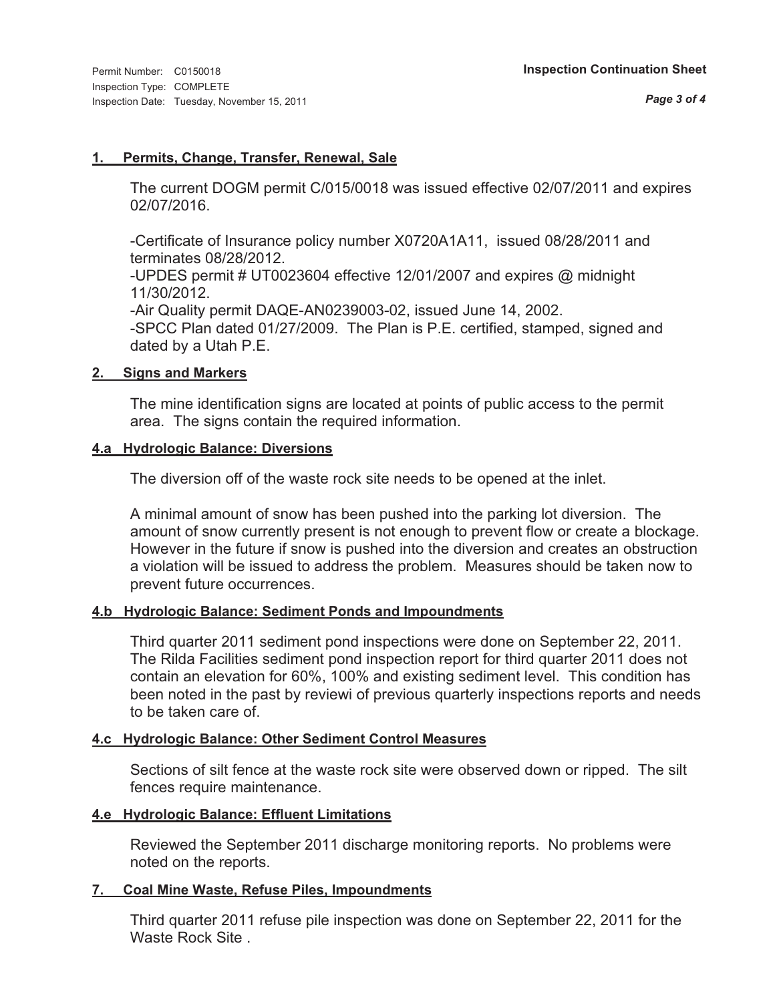### **1. Permits, Change, Transfer, Renewal, Sale**

The current DOGM permit C/015/0018 was issued effective 02/07/2011 and expires 02/07/2016.

-Certificate of Insurance policy number X0720A1A11, issued 08/28/2011 and terminates 08/28/2012.

-UPDES permit # UT0023604 effective 12/01/2007 and expires @ midnight 11/30/2012.

-Air Quality permit DAQE-AN0239003-02, issued June 14, 2002. -SPCC Plan dated 01/27/2009. The Plan is P.E. certified, stamped, signed and dated by a Utah P.E.

### **2. Signs and Markers**

The mine identification signs are located at points of public access to the permit area. The signs contain the required information.

#### **4.a Hydrologic Balance: Diversions**

The diversion off of the waste rock site needs to be opened at the inlet.

A minimal amount of snow has been pushed into the parking lot diversion. The amount of snow currently present is not enough to prevent flow or create a blockage. However in the future if snow is pushed into the diversion and creates an obstruction a violation will be issued to address the problem. Measures should be taken now to prevent future occurrences.

### **4.b Hydrologic Balance: Sediment Ponds and Impoundments**

Third quarter 2011 sediment pond inspections were done on September 22, 2011. The Rilda Facilities sediment pond inspection report for third quarter 2011 does not contain an elevation for 60%, 100% and existing sediment level. This condition has been noted in the past by reviewi of previous quarterly inspections reports and needs to be taken care of.

### **4.c Hydrologic Balance: Other Sediment Control Measures**

Sections of silt fence at the waste rock site were observed down or ripped. The silt fences require maintenance.

### **4.e Hydrologic Balance: Effluent Limitations**

Reviewed the September 2011 discharge monitoring reports. No problems were noted on the reports.

### **7. Coal Mine Waste, Refuse Piles, Impoundments**

Third quarter 2011 refuse pile inspection was done on September 22, 2011 for the Waste Rock Site .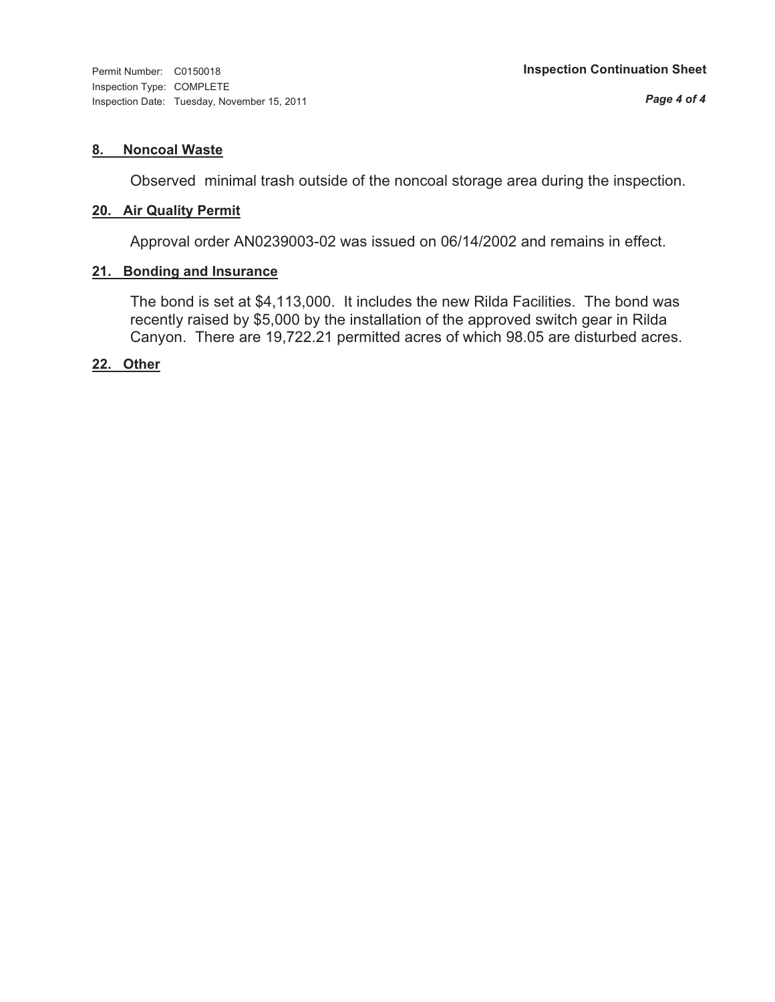Inspection Type: COMPLETE Inspection Date: Tuesday, November 15, 2011

#### **8. Noncoal Waste**

Observed minimal trash outside of the noncoal storage area during the inspection.

#### **20. Air Quality Permit**

Approval order AN0239003-02 was issued on 06/14/2002 and remains in effect.

### **21. Bonding and Insurance**

The bond is set at \$4,113,000. It includes the new Rilda Facilities. The bond was recently raised by \$5,000 by the installation of the approved switch gear in Rilda Canyon. There are 19,722.21 permitted acres of which 98.05 are disturbed acres.

#### **22. Other**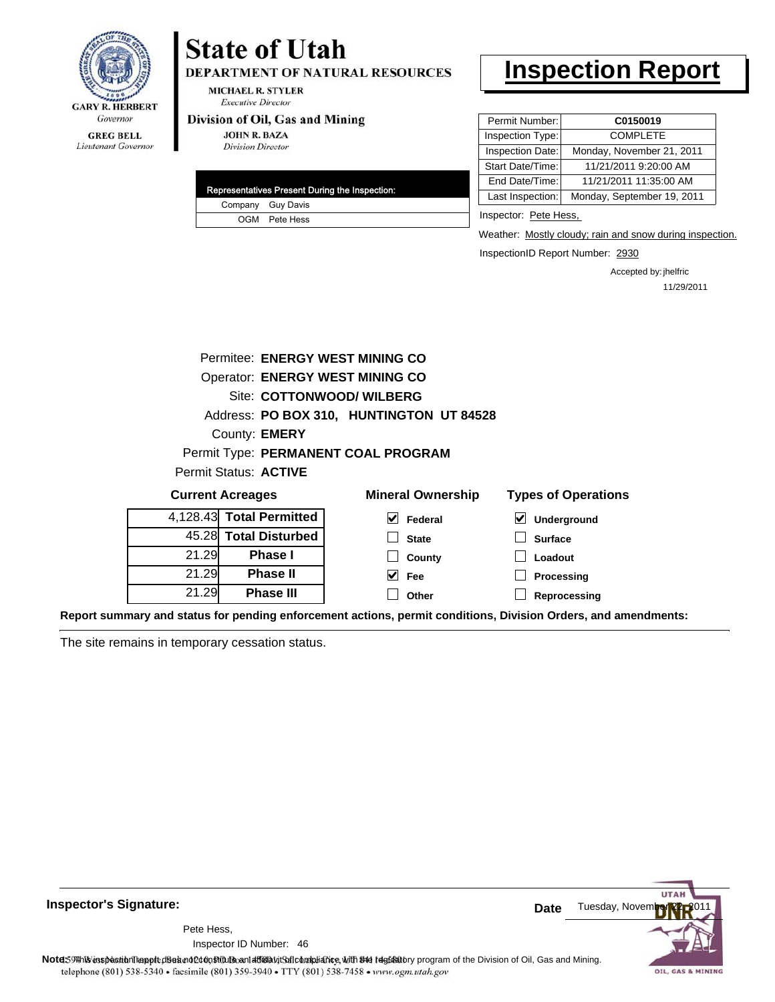

### **GREG BELL** Lieutenant Governor

# **State of Utah**

DEPARTMENT OF NATURAL RESOURCES

**MICHAEL R. STYLER Executive Director** 

#### Division of Oil, Gas and Mining

**JOHN R. BAZA Division Director** 

| Representatives Present During the Inspection: |
|------------------------------------------------|
| Company Guy Davis                              |
| OGM Pete Hess                                  |

# **Inspection Report**

| Permit Number:   | C0150019                   |
|------------------|----------------------------|
| Inspection Type: | <b>COMPLETE</b>            |
| Inspection Date: | Monday, November 21, 2011  |
| Start Date/Time: | 11/21/2011 9:20:00 AM      |
| End Date/Time:   | 11/21/2011 11:35:00 AM     |
| Last Inspection: | Monday, September 19, 2011 |
|                  |                            |

Inspector: Pete Hess,

Weather: Mostly cloudy; rain and snow during inspection.

InspectionID Report Number: 2930

Accepted by: jhelfric 11/29/2011

| Permitee: ENERGY WEST MINING CO                                                   |                          |                                          |                  |  |  |
|-----------------------------------------------------------------------------------|--------------------------|------------------------------------------|------------------|--|--|
| <b>Operator: ENERGY WEST MINING CO</b>                                            |                          |                                          |                  |  |  |
| Site: COTTONWOOD/ WILBERG                                                         |                          |                                          |                  |  |  |
|                                                                                   |                          | Address: PO BOX 310, HUNTINGTON UT 84528 |                  |  |  |
|                                                                                   | County: <b>EMERY</b>     |                                          |                  |  |  |
|                                                                                   |                          | Permit Type: PERMANENT COAL PROGRAM      |                  |  |  |
|                                                                                   | Permit Status: ACTIVE    |                                          |                  |  |  |
| <b>Mineral Ownership</b><br><b>Types of Operations</b><br><b>Current Acreages</b> |                          |                                          |                  |  |  |
|                                                                                   | 4.128.43 Total Permitted | V<br>Federal                             | ⊻<br>Underground |  |  |
|                                                                                   | 45.28 Total Disturbed    | <b>State</b>                             | <b>Surface</b>   |  |  |
| 21.29                                                                             | <b>Phase I</b>           | County                                   | Loadout          |  |  |
| 21.29                                                                             | <b>Phase II</b>          | V<br><b>Fee</b>                          | Processing       |  |  |
| 21.29                                                                             | <b>Phase III</b>         | Other                                    | Reprocessing     |  |  |
|                                                                                   |                          |                                          |                  |  |  |

**Report summary and status for pending enforcement actions, permit conditions, Division Orders, and amendments:**

The site remains in temporary cessation status.



**Inspector's Signature:**

46 Inspector ID Number:Pete Hess,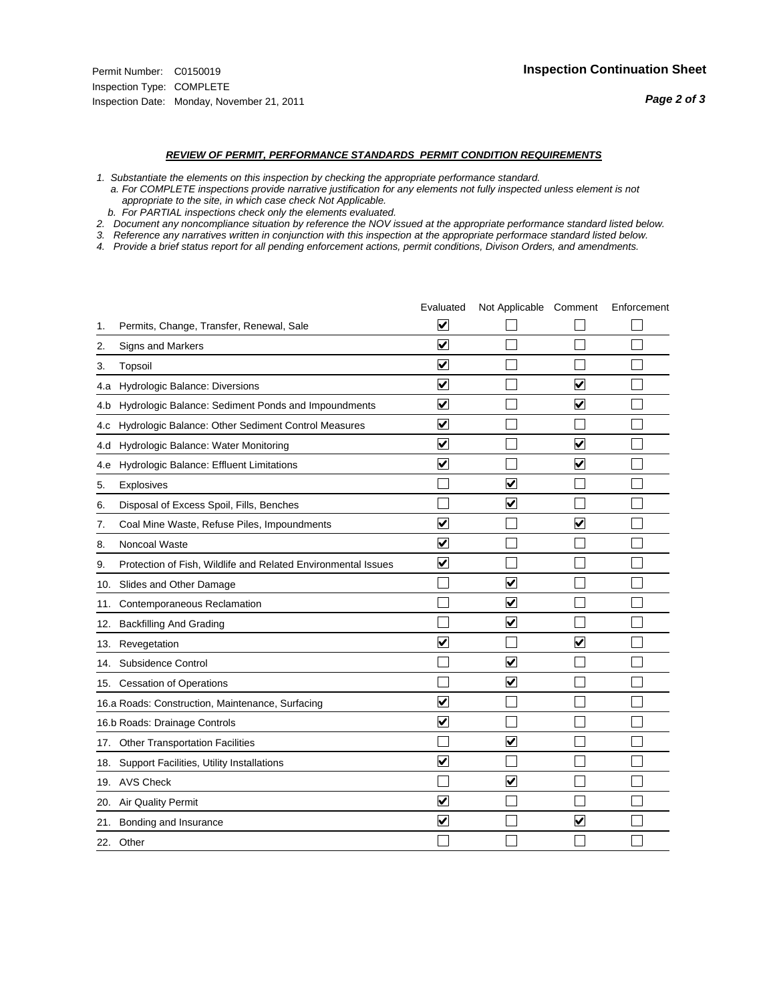#### *REVIEW OF PERMIT, PERFORMANCE STANDARDS PERMIT CONDITION REQUIREMENTS*

*1. Substantiate the elements on this inspection by checking the appropriate performance standard.*

 *a. For COMPLETE inspections provide narrative justification for any elements not fully inspected unless element is not appropriate to the site, in which case check Not Applicable.*

 *b. For PARTIAL inspections check only the elements evaluated.*

*2. Document any noncompliance situation by reference the NOV issued at the appropriate performance standard listed below.*

*3. Reference any narratives written in conjunction with this inspection at the appropriate performace standard listed below.*

*4. Provide a brief status report for all pending enforcement actions, permit conditions, Divison Orders, and amendments.*

|     |                                                               | Evaluated               | Not Applicable Comment  |                         | Enforcement |
|-----|---------------------------------------------------------------|-------------------------|-------------------------|-------------------------|-------------|
| 1.  | Permits, Change, Transfer, Renewal, Sale                      | ⊻                       |                         |                         |             |
| 2.  | Signs and Markers                                             | $\overline{\mathbf{v}}$ |                         |                         |             |
| 3.  | Topsoil                                                       | $\overline{\mathbf{v}}$ |                         |                         |             |
| 4.a | Hydrologic Balance: Diversions                                | $\blacktriangledown$    |                         | $\blacktriangledown$    |             |
| 4.b | Hydrologic Balance: Sediment Ponds and Impoundments           | $\overline{\mathbf{v}}$ |                         | $\blacktriangledown$    |             |
| 4.c | Hydrologic Balance: Other Sediment Control Measures           | $\checkmark$            |                         |                         |             |
| 4.d | Hydrologic Balance: Water Monitoring                          | $\overline{\mathbf{v}}$ |                         | $\overline{\mathbf{v}}$ |             |
| 4.e | Hydrologic Balance: Effluent Limitations                      | $\overline{\mathbf{v}}$ |                         | $\blacktriangledown$    |             |
| 5.  | <b>Explosives</b>                                             |                         | $\overline{\mathsf{v}}$ |                         |             |
| 6.  | Disposal of Excess Spoil, Fills, Benches                      |                         | $\blacktriangledown$    |                         |             |
| 7.  | Coal Mine Waste, Refuse Piles, Impoundments                   | $\overline{\mathbf{v}}$ |                         | $\overline{\mathbf{v}}$ |             |
| 8.  | Noncoal Waste                                                 | $\overline{\mathbf{v}}$ |                         |                         |             |
| 9.  | Protection of Fish, Wildlife and Related Environmental Issues | $\blacktriangledown$    |                         |                         |             |
| 10. | Slides and Other Damage                                       |                         | $\overline{\mathbf{v}}$ |                         |             |
| 11. | Contemporaneous Reclamation                                   |                         | $\blacktriangledown$    |                         |             |
| 12. | <b>Backfilling And Grading</b>                                |                         | $\overline{\mathbf{v}}$ |                         |             |
| 13. | Revegetation                                                  | $\overline{\mathbf{v}}$ |                         | $\overline{\mathbf{v}}$ |             |
| 14. | Subsidence Control                                            |                         | ✓                       |                         |             |
|     | 15. Cessation of Operations                                   |                         | $\blacktriangledown$    |                         |             |
|     | 16.a Roads: Construction, Maintenance, Surfacing              | $\overline{\mathsf{v}}$ |                         |                         |             |
|     | 16.b Roads: Drainage Controls                                 | $\overline{\mathbf{v}}$ |                         |                         |             |
|     | 17. Other Transportation Facilities                           |                         | $\overline{\mathbf{v}}$ |                         |             |
| 18. | Support Facilities, Utility Installations                     | $\overline{\mathbf{v}}$ |                         |                         |             |
|     | 19. AVS Check                                                 |                         | $\overline{\mathbf{v}}$ |                         |             |
|     | 20. Air Quality Permit                                        | $\blacktriangledown$    |                         |                         |             |
| 21. | Bonding and Insurance                                         | $\overline{\mathbf{v}}$ |                         | $\blacktriangledown$    |             |
|     | 22. Other                                                     |                         |                         |                         |             |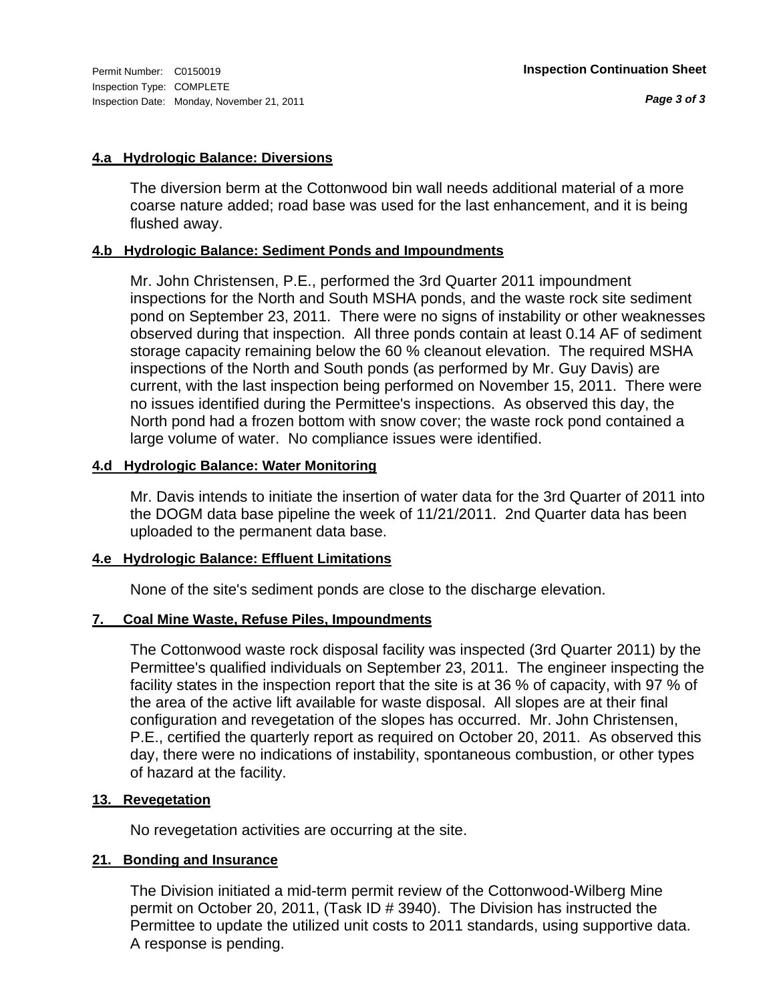### **4.a Hydrologic Balance: Diversions**

The diversion berm at the Cottonwood bin wall needs additional material of a more coarse nature added; road base was used for the last enhancement, and it is being flushed away.

#### **4.b Hydrologic Balance: Sediment Ponds and Impoundments**

Mr. John Christensen, P.E., performed the 3rd Quarter 2011 impoundment inspections for the North and South MSHA ponds, and the waste rock site sediment pond on September 23, 2011. There were no signs of instability or other weaknesses observed during that inspection. All three ponds contain at least 0.14 AF of sediment storage capacity remaining below the 60 % cleanout elevation. The required MSHA inspections of the North and South ponds (as performed by Mr. Guy Davis) are current, with the last inspection being performed on November 15, 2011. There were no issues identified during the Permittee's inspections. As observed this day, the North pond had a frozen bottom with snow cover; the waste rock pond contained a large volume of water. No compliance issues were identified.

#### **4.d Hydrologic Balance: Water Monitoring**

Mr. Davis intends to initiate the insertion of water data for the 3rd Quarter of 2011 into the DOGM data base pipeline the week of 11/21/2011. 2nd Quarter data has been uploaded to the permanent data base.

### **4.e Hydrologic Balance: Effluent Limitations**

None of the site's sediment ponds are close to the discharge elevation.

### **7. Coal Mine Waste, Refuse Piles, Impoundments**

The Cottonwood waste rock disposal facility was inspected (3rd Quarter 2011) by the Permittee's qualified individuals on September 23, 2011. The engineer inspecting the facility states in the inspection report that the site is at 36 % of capacity, with 97 % of the area of the active lift available for waste disposal. All slopes are at their final configuration and revegetation of the slopes has occurred. Mr. John Christensen, P.E., certified the quarterly report as required on October 20, 2011. As observed this day, there were no indications of instability, spontaneous combustion, or other types of hazard at the facility.

### **13. Revegetation**

No revegetation activities are occurring at the site.

### **21. Bonding and Insurance**

The Division initiated a mid-term permit review of the Cottonwood-Wilberg Mine permit on October 20, 2011, (Task ID # 3940). The Division has instructed the Permittee to update the utilized unit costs to 2011 standards, using supportive data. A response is pending.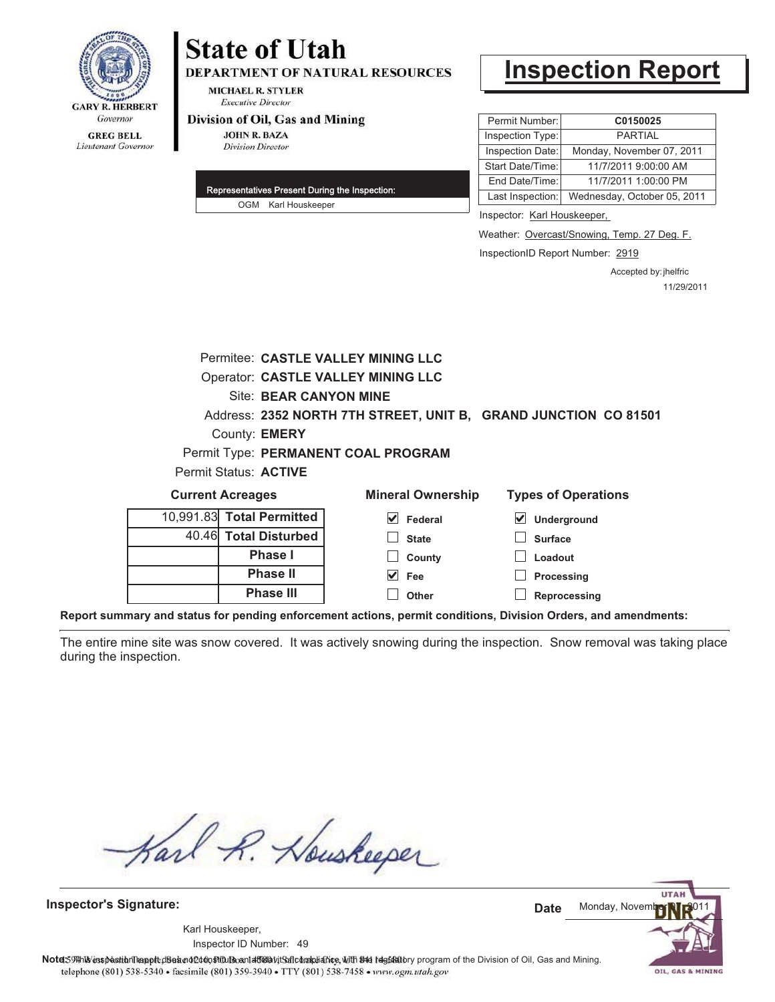

## **State of Utah DEPARTMENT OF NATURAL RESOURCES**

**MICHAEL R. STYLER Executive Director** 

#### Division of Oil, Gas and Mining

**JOHN R. BAZA Division Director** 

| Representatives Present During the Inspection: |
|------------------------------------------------|
| OGM Karl Houskeeper                            |

# **Inspection Report**

| Permit Number:          | C0150025                    |  |
|-------------------------|-----------------------------|--|
| Inspection Type:        | <b>PARTIAL</b>              |  |
| Inspection Date:        | Monday, November 07, 2011   |  |
| <b>Start Date/Time:</b> | 11/7/2011 9:00:00 AM        |  |
| End Date/Time:          | 11/7/2011 1:00:00 PM        |  |
| Last Inspection:        | Wednesday, October 05, 2011 |  |

Inspector: Karl Houskeeper,

Weather: Overcast/Snowing, Temp. 27 Deg. F.

InspectionID Report Number: 2919

Accepted by: jhelfric 11/29/2011

| Permitee: CASTLE VALLEY MINING LLC                                                 |  |  |  |  |
|------------------------------------------------------------------------------------|--|--|--|--|
| <b>Operator: CASTLE VALLEY MINING LLC</b>                                          |  |  |  |  |
| Site: BEAR CANYON MINE                                                             |  |  |  |  |
| Address: 2352 NORTH 7TH STREET, UNIT B, GRAND JUNCTION CO 81501                    |  |  |  |  |
| County: <b>EMERY</b>                                                               |  |  |  |  |
| Permit Type: PERMANENT COAL PROGRAM                                                |  |  |  |  |
| Permit Status: ACTIVE                                                              |  |  |  |  |
| <b>Mineral Ownership</b><br><b>Types of Operations</b><br><b>Current Acreages</b>  |  |  |  |  |
| 10,991.83 Total Permitted<br>V<br>Federal<br>$\vert\checkmark\vert$<br>Underground |  |  |  |  |
| <b>Total Disturbed</b><br>40.46<br><b>Surface</b><br><b>State</b>                  |  |  |  |  |
| Phase I<br>Loadout<br>County                                                       |  |  |  |  |
| <b>Phase II</b><br>$\vee$ Fee<br><b>Processing</b>                                 |  |  |  |  |
| <b>Phase III</b><br>Other<br>Reprocessing                                          |  |  |  |  |

**Report summary and status for pending enforcement actions, permit conditions, Division Orders, and amendments:**

The entire mine site was snow covered. It was actively snowing during the inspection. Snow removal was taking place during the inspection.

Karl R. Houskeeper

**Inspector's Signature:**

49 Inspector ID Number:Karl Houskeeper,

**UTA** Monday, Novem **Date**

OIL, GAS & MINING

Note: 59#h% inspection leappt diseanot constitution affidavit Salcompliance, with the regulatory program of the Division of Oil, Gas and Mining. telephone (801) 538-5340 · facsimile (801) 359-3940 · TTY (801) 538-7458 · www.ogm.utah.gov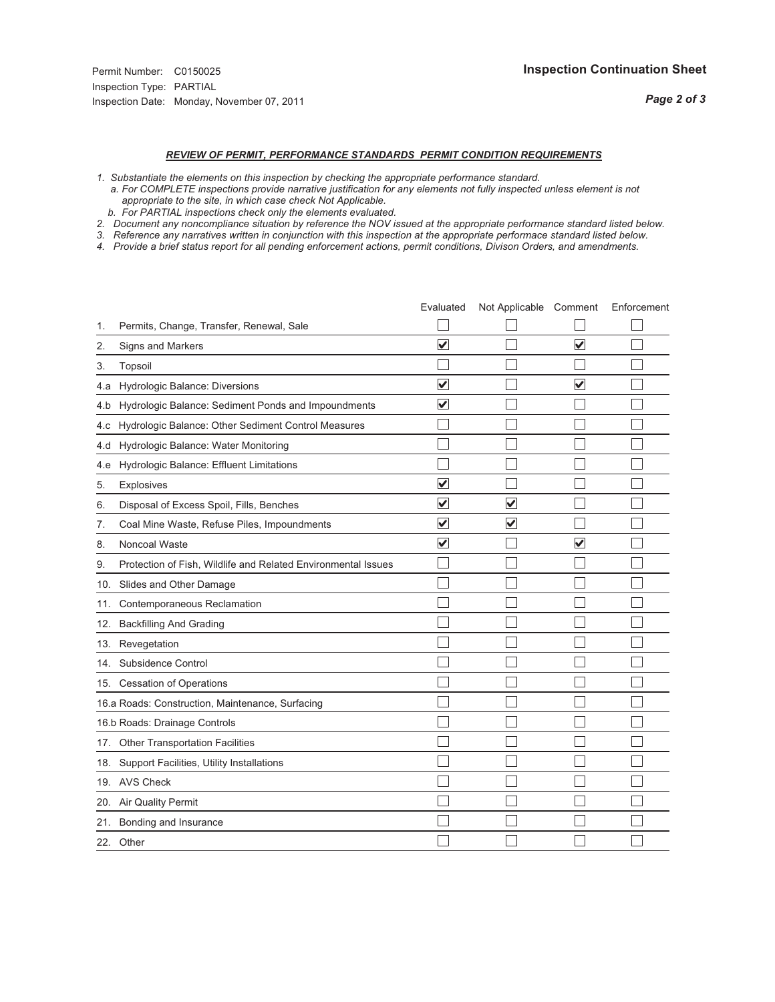## *REVIEW OF PERMIT, PERFORMANCE STANDARDS PERMIT CONDITION REQUIREMENTS*

- *1. Substantiate the elements on this inspection by checking the appropriate performance standard.*
- *a. For COMPLETE inspections provide narrative justification for any elements not fully inspected unless element is not appropriate to the site, in which case check Not Applicable.*
- *b. For PARTIAL inspections check only the elements evaluated.*
- *2. Document any noncompliance situation by reference the NOV issued at the appropriate performance standard listed below.*
- *3. Reference any narratives written in conjunction with this inspection at the appropriate performace standard listed below.*
- *4. Provide a brief status report for all pending enforcement actions, permit conditions, Divison Orders, and amendments.*

|     |                                                               | Evaluated               | Not Applicable Comment |                         | Enforcement |
|-----|---------------------------------------------------------------|-------------------------|------------------------|-------------------------|-------------|
| 1.  | Permits, Change, Transfer, Renewal, Sale                      |                         |                        |                         |             |
| 2.  | <b>Signs and Markers</b>                                      | $\overline{\mathbf{v}}$ |                        | $\overline{\mathbf{v}}$ |             |
| 3.  | Topsoil                                                       |                         |                        |                         |             |
| 4.a | Hydrologic Balance: Diversions                                | $\blacktriangledown$    |                        | $\overline{\mathbf{v}}$ |             |
| 4.b | Hydrologic Balance: Sediment Ponds and Impoundments           | $\blacktriangledown$    |                        |                         |             |
| 4.c | Hydrologic Balance: Other Sediment Control Measures           |                         |                        |                         |             |
| 4.d | Hydrologic Balance: Water Monitoring                          |                         |                        |                         |             |
| 4.e | Hydrologic Balance: Effluent Limitations                      |                         |                        |                         |             |
| 5.  | <b>Explosives</b>                                             | $\overline{\mathbf{v}}$ |                        |                         |             |
| 6.  | Disposal of Excess Spoil, Fills, Benches                      | $\overline{\mathsf{v}}$ | $\blacktriangledown$   |                         |             |
| 7.  | Coal Mine Waste, Refuse Piles, Impoundments                   | $\overline{\mathsf{v}}$ | $\blacktriangledown$   |                         |             |
| 8.  | Noncoal Waste                                                 | $\overline{\mathbf{v}}$ |                        | $\overline{\mathsf{v}}$ |             |
| 9.  | Protection of Fish, Wildlife and Related Environmental Issues |                         |                        |                         |             |
|     | 10. Slides and Other Damage                                   |                         |                        |                         |             |
| 11. | Contemporaneous Reclamation                                   |                         |                        |                         |             |
| 12. | <b>Backfilling And Grading</b>                                |                         |                        |                         |             |
| 13. | Revegetation                                                  |                         |                        |                         |             |
| 14. | Subsidence Control                                            |                         |                        |                         |             |
|     | 15. Cessation of Operations                                   |                         |                        |                         |             |
|     | 16.a Roads: Construction, Maintenance, Surfacing              |                         |                        |                         |             |
|     | 16.b Roads: Drainage Controls                                 |                         |                        |                         |             |
|     | 17. Other Transportation Facilities                           |                         |                        |                         |             |
| 18. | Support Facilities, Utility Installations                     |                         |                        |                         |             |
|     | 19. AVS Check                                                 |                         |                        |                         |             |
| 20. | Air Quality Permit                                            |                         |                        |                         |             |
|     | 21. Bonding and Insurance                                     |                         |                        |                         |             |
|     | 22. Other                                                     |                         |                        |                         |             |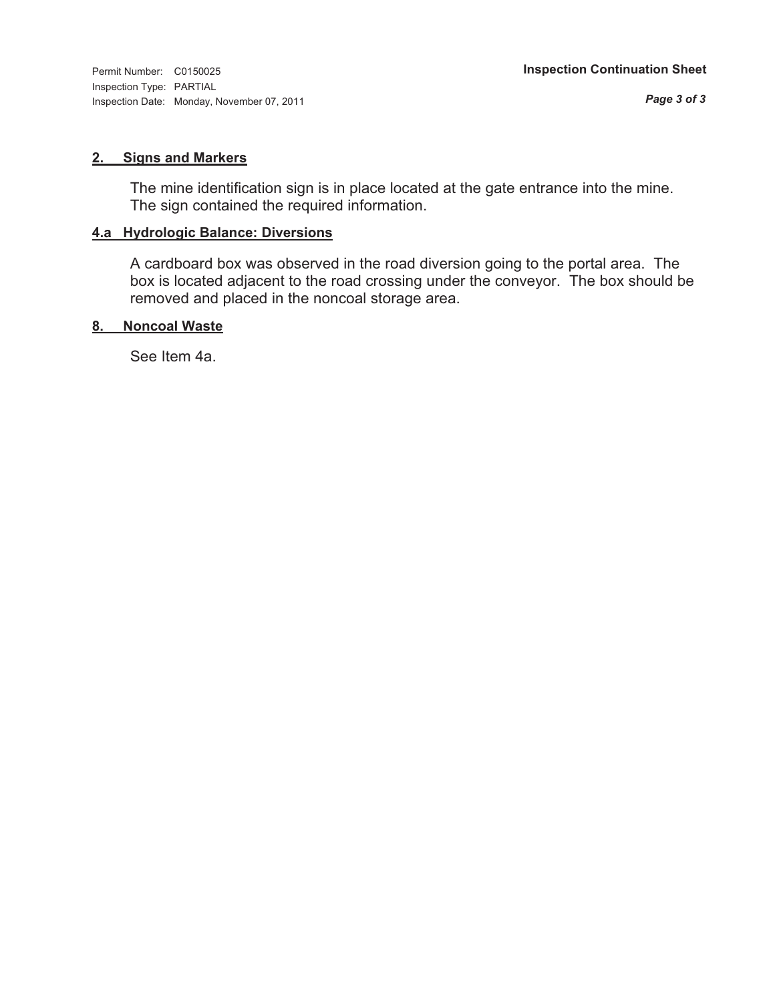Inspection Type: PARTIAL Inspection Date: Monday, November 07, 2011

#### **2. Signs and Markers**

The mine identification sign is in place located at the gate entrance into the mine. The sign contained the required information.

#### **4.a Hydrologic Balance: Diversions**

A cardboard box was observed in the road diversion going to the portal area. The box is located adjacent to the road crossing under the conveyor. The box should be removed and placed in the noncoal storage area.

#### **8. Noncoal Waste**

See Item 4a.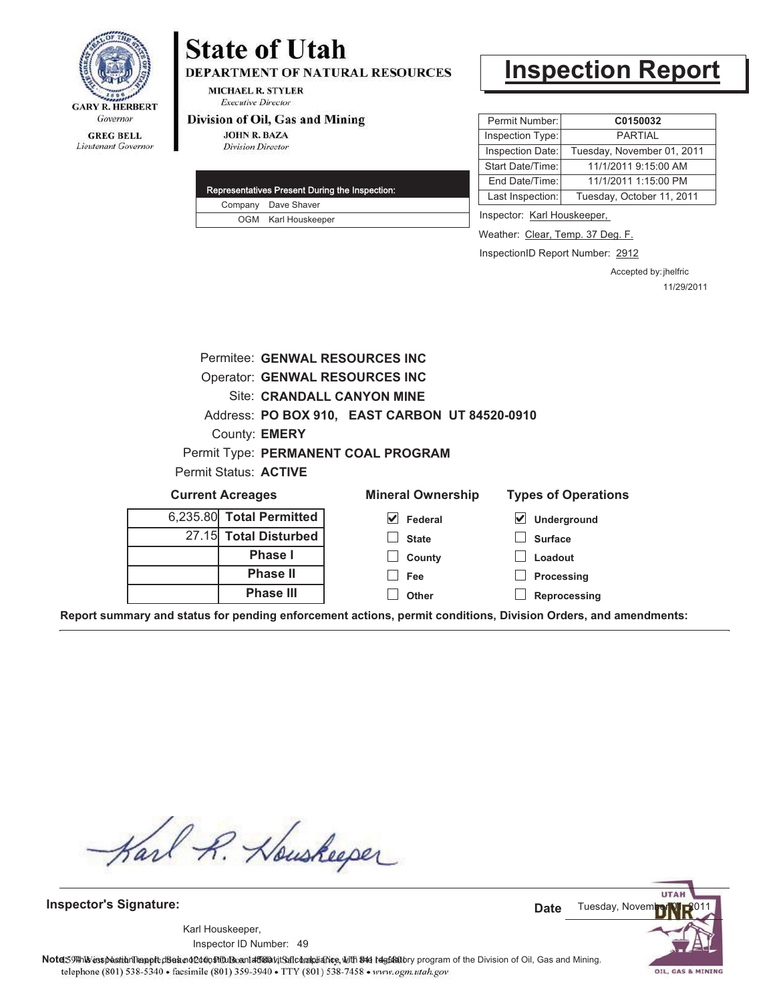

## **State of Utah DEPARTMENT OF NATURAL RESOURCES**

**MICHAEL R. STYLER Executive Director** 

#### Division of Oil, Gas and Mining

**JOHN R. BAZA Division Director** 

|  | Representatives Present During the Inspection: |
|--|------------------------------------------------|
|  | Company Dave Shaver                            |
|  | OGM Karl Houskeeper                            |

# **Inspection Report**

| Permit Number:   | C0150032                   |  |
|------------------|----------------------------|--|
| Inspection Type: | <b>PARTIAL</b>             |  |
| Inspection Date: | Tuesday, November 01, 2011 |  |
| Start Date/Time: | 11/1/2011 9:15:00 AM       |  |
| End Date/Time:   | 11/1/2011 1:15:00 PM       |  |
| Last Inspection: | Tuesday, October 11, 2011  |  |

Inspector: Karl Houskeeper,

Weather: Clear, Temp. 37 Deg. F.

InspectionID Report Number: 2912

Accepted by: jhelfric 11/29/2011

|                                                                                                                |                                                | Permitee: GENWAL RESOURCES INC        |                                     |  |
|----------------------------------------------------------------------------------------------------------------|------------------------------------------------|---------------------------------------|-------------------------------------|--|
|                                                                                                                |                                                | <b>Operator: GENWAL RESOURCES INC</b> |                                     |  |
| Site: CRANDALL CANYON MINE                                                                                     |                                                |                                       |                                     |  |
|                                                                                                                | Address: PO BOX 910, EAST CARBON UT 84520-0910 |                                       |                                     |  |
|                                                                                                                | County: <b>EMERY</b>                           |                                       |                                     |  |
|                                                                                                                |                                                | Permit Type: PERMANENT COAL PROGRAM   |                                     |  |
| Permit Status: ACTIVE                                                                                          |                                                |                                       |                                     |  |
| <b>Current Acreages</b>                                                                                        |                                                | <b>Mineral Ownership</b>              | <b>Types of Operations</b>          |  |
|                                                                                                                | 6,235.80 Total Permitted                       | V<br>Federal                          | $\blacktriangledown$<br>Underground |  |
|                                                                                                                | 27.15 Total Disturbed                          | <b>State</b>                          | <b>Surface</b>                      |  |
| <b>Phase I</b>                                                                                                 |                                                | County                                | Loadout                             |  |
|                                                                                                                | <b>Phase II</b>                                | Fee                                   | Processing                          |  |
| <b>Phase III</b><br>Other                                                                                      |                                                |                                       | Reprocessing                        |  |
| Report summary and status for pending enforcement actions, permit conditions, Division Orders, and amendments: |                                                |                                       |                                     |  |

Karl R. Houskeeper

**Inspector's Signature:**

49 Inspector ID Number:Karl Houskeeper,



Note: 59#h% inspection leappt diseanot constitution affidavit Salcompliance, with the regulatory program of the Division of Oil, Gas and Mining. telephone (801) 538-5340 · facsimile (801) 359-3940 · TTY (801) 538-7458 · www.ogm.utah.gov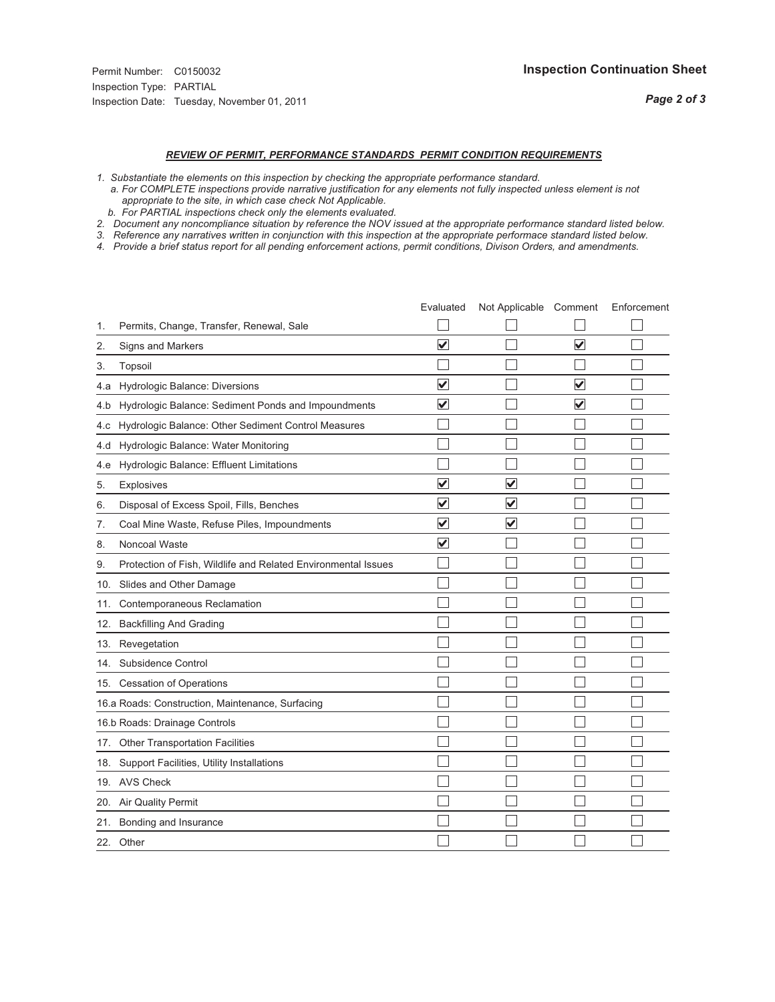## *REVIEW OF PERMIT, PERFORMANCE STANDARDS PERMIT CONDITION REQUIREMENTS*

- *1. Substantiate the elements on this inspection by checking the appropriate performance standard.*
- *a. For COMPLETE inspections provide narrative justification for any elements not fully inspected unless element is not appropriate to the site, in which case check Not Applicable.*
- *b. For PARTIAL inspections check only the elements evaluated.*
- *2. Document any noncompliance situation by reference the NOV issued at the appropriate performance standard listed below.*
- *3. Reference any narratives written in conjunction with this inspection at the appropriate performace standard listed below.*
- *4. Provide a brief status report for all pending enforcement actions, permit conditions, Divison Orders, and amendments.*

|     |                                                               | Evaluated               | Not Applicable Comment  |                         | Enforcement |
|-----|---------------------------------------------------------------|-------------------------|-------------------------|-------------------------|-------------|
| 1.  | Permits, Change, Transfer, Renewal, Sale                      |                         |                         |                         |             |
| 2.  | <b>Signs and Markers</b>                                      | $\overline{\mathbf{v}}$ |                         | $\overline{\mathbf{v}}$ |             |
| 3.  | Topsoil                                                       |                         |                         |                         |             |
| 4.a | Hydrologic Balance: Diversions                                | $\blacktriangledown$    |                         | $\overline{\mathbf{v}}$ |             |
| 4.b | Hydrologic Balance: Sediment Ponds and Impoundments           | $\blacktriangledown$    |                         | V                       |             |
| 4.c | Hydrologic Balance: Other Sediment Control Measures           |                         |                         |                         |             |
| 4.d | Hydrologic Balance: Water Monitoring                          |                         |                         |                         |             |
| 4.e | Hydrologic Balance: Effluent Limitations                      |                         |                         |                         |             |
| 5.  | <b>Explosives</b>                                             | $\overline{\mathbf{v}}$ | $\overline{\mathbf{v}}$ |                         |             |
| 6.  | Disposal of Excess Spoil, Fills, Benches                      | $\overline{\mathsf{v}}$ | $\blacktriangledown$    |                         |             |
| 7.  | Coal Mine Waste, Refuse Piles, Impoundments                   | $\overline{\mathsf{v}}$ | $\blacktriangledown$    |                         |             |
| 8.  | Noncoal Waste                                                 | $\overline{\mathbf{v}}$ |                         |                         |             |
| 9.  | Protection of Fish, Wildlife and Related Environmental Issues |                         |                         |                         |             |
|     | 10. Slides and Other Damage                                   |                         |                         |                         |             |
| 11. | Contemporaneous Reclamation                                   |                         |                         |                         |             |
| 12. | <b>Backfilling And Grading</b>                                |                         |                         |                         |             |
| 13. | Revegetation                                                  |                         |                         |                         |             |
| 14. | Subsidence Control                                            |                         |                         |                         |             |
|     | 15. Cessation of Operations                                   |                         |                         |                         |             |
|     | 16.a Roads: Construction, Maintenance, Surfacing              |                         |                         |                         |             |
|     | 16.b Roads: Drainage Controls                                 |                         |                         |                         |             |
|     | 17. Other Transportation Facilities                           |                         |                         |                         |             |
| 18. | Support Facilities, Utility Installations                     |                         |                         |                         |             |
|     | 19. AVS Check                                                 |                         |                         |                         |             |
| 20. | Air Quality Permit                                            |                         |                         |                         |             |
|     | 21. Bonding and Insurance                                     |                         |                         |                         |             |
|     | 22. Other                                                     |                         |                         |                         |             |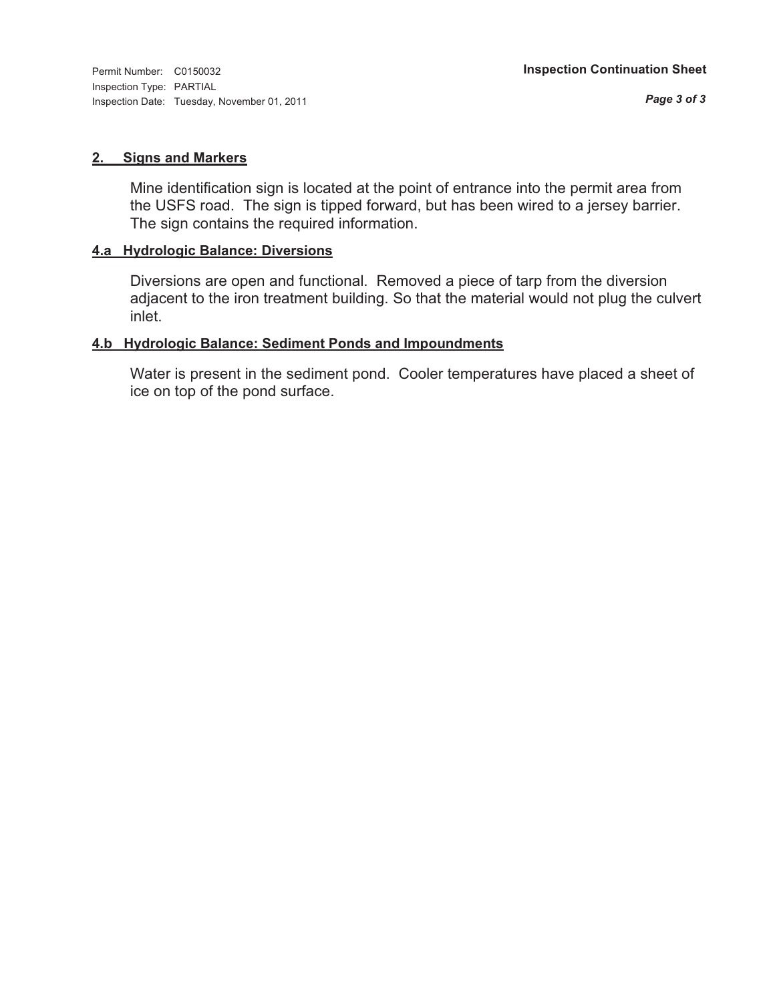#### **2. Signs and Markers**

Mine identification sign is located at the point of entrance into the permit area from the USFS road. The sign is tipped forward, but has been wired to a jersey barrier. The sign contains the required information.

#### **4.a Hydrologic Balance: Diversions**

Diversions are open and functional. Removed a piece of tarp from the diversion adjacent to the iron treatment building. So that the material would not plug the culvert inlet.

#### **4.b Hydrologic Balance: Sediment Ponds and Impoundments**

Water is present in the sediment pond. Cooler temperatures have placed a sheet of ice on top of the pond surface.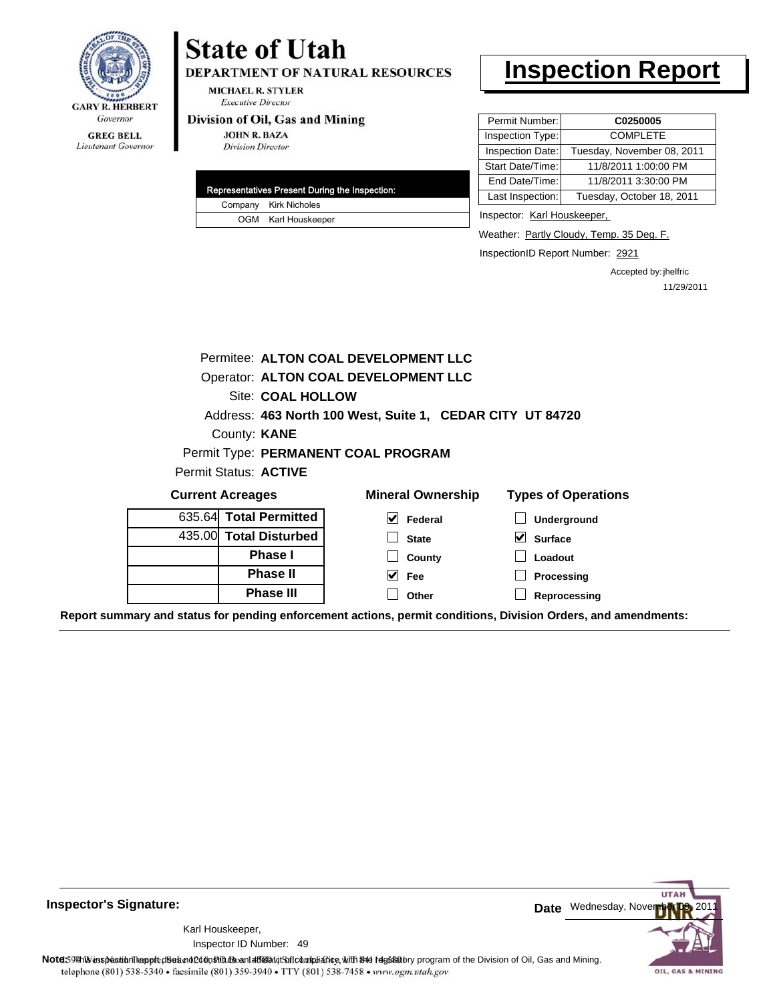

Lieutenant Governor

# **State of Utah**

DEPARTMENT OF NATURAL RESOURCES

**MICHAEL R. STYLER Executive Director** 

### Division of Oil, Gas and Mining

**JOHN R. BAZA Division Director** 

|  | Representatives Present During the Inspection: |
|--|------------------------------------------------|
|  | Company Kirk Nicholes                          |
|  | OGM Karl Houskeeper                            |

# **Inspection Report**

| Permit Number:   | C0250005                   |  |  |
|------------------|----------------------------|--|--|
| Inspection Type: | <b>COMPLETE</b>            |  |  |
| Inspection Date: | Tuesday, November 08, 2011 |  |  |
| Start Date/Time: | 11/8/2011 1:00:00 PM       |  |  |
| End Date/Time:   | 11/8/2011 3:30:00 PM       |  |  |
| Last Inspection: | Tuesday, October 18, 2011  |  |  |
|                  |                            |  |  |

Inspector: Karl Houskeeper,

Weather: Partly Cloudy, Temp. 35 Deg. F.

InspectionID Report Number: 2921

**Reprocessing**

Accepted by: jhelfric 11/29/2011

| Permitee: ALTON COAL DEVELOPMENT LLC |                                                           |                               |  |  |  |  |
|--------------------------------------|-----------------------------------------------------------|-------------------------------|--|--|--|--|
| Operator: ALTON COAL DEVELOPMENT LLC |                                                           |                               |  |  |  |  |
| Site: COAL HOLLOW                    |                                                           |                               |  |  |  |  |
|                                      | Address: 463 North 100 West, Suite 1, CEDAR CITY UT 84720 |                               |  |  |  |  |
| County: <b>KANE</b>                  |                                                           |                               |  |  |  |  |
|                                      | Permit Type: PERMANENT COAL PROGRAM                       |                               |  |  |  |  |
| Permit Status: ACTIVE                |                                                           |                               |  |  |  |  |
| <b>Current Acreages</b>              | <b>Mineral Ownership</b>                                  | <b>Types of Operations</b>    |  |  |  |  |
| 635.64 Total Permitted               | V<br>Federal                                              | <b>Underground</b>            |  |  |  |  |
| 435.00 Total Disturbed               | <b>State</b>                                              | $\bm{\vee}$<br><b>Surface</b> |  |  |  |  |
| Phase I                              | County                                                    | Loadout                       |  |  |  |  |
| <b>Phase II</b>                      | $\vee$ Fee                                                | Processing                    |  |  |  |  |
| Phase III                            | Other                                                     | Reprocessing                  |  |  |  |  |

**Report summary and status for pending enforcement actions, permit conditions, Division Orders, and amendments:**

**Other**



49 Inspector ID Number:Karl Houskeeper,

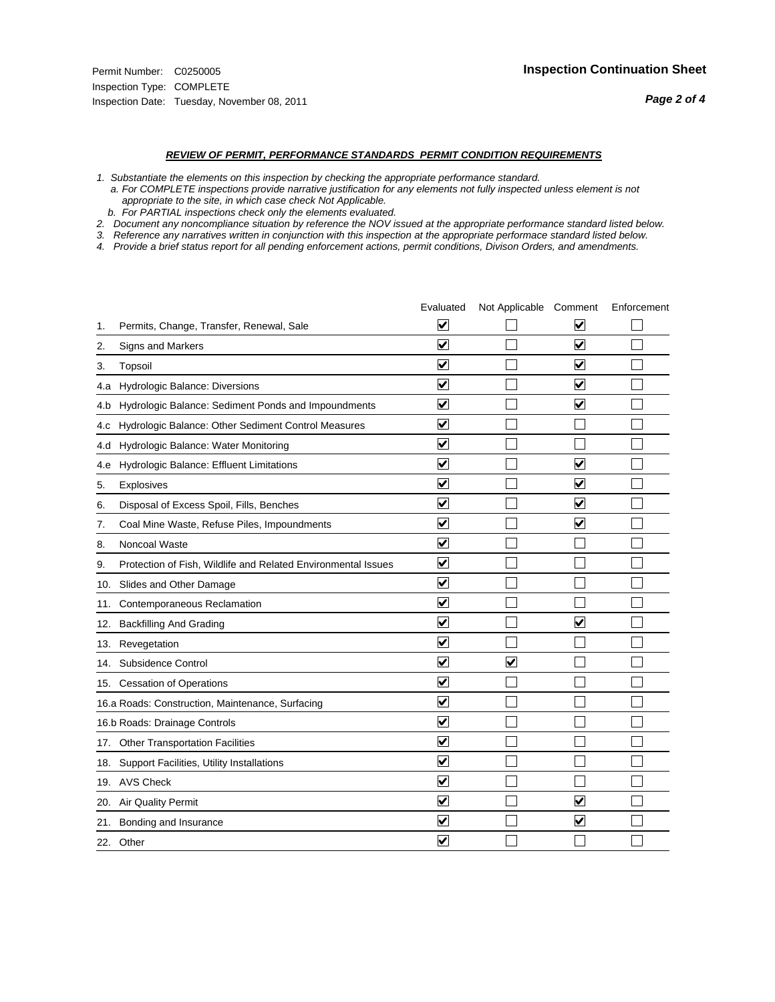#### *REVIEW OF PERMIT, PERFORMANCE STANDARDS PERMIT CONDITION REQUIREMENTS*

*1. Substantiate the elements on this inspection by checking the appropriate performance standard.*

 *a. For COMPLETE inspections provide narrative justification for any elements not fully inspected unless element is not appropriate to the site, in which case check Not Applicable.*

 *b. For PARTIAL inspections check only the elements evaluated.*

*2. Document any noncompliance situation by reference the NOV issued at the appropriate performance standard listed below.*

*3. Reference any narratives written in conjunction with this inspection at the appropriate performace standard listed below.*

*4. Provide a brief status report for all pending enforcement actions, permit conditions, Divison Orders, and amendments.*

|     |                                                               | Evaluated               | Not Applicable Comment  |                         | Enforcement |
|-----|---------------------------------------------------------------|-------------------------|-------------------------|-------------------------|-------------|
| 1.  | Permits, Change, Transfer, Renewal, Sale                      | $\overline{\mathbf{v}}$ |                         | V                       |             |
| 2.  | Signs and Markers                                             | $\overline{\mathbf{v}}$ |                         | $\blacktriangledown$    |             |
| 3.  | Topsoil                                                       | $\overline{\mathbf{v}}$ |                         | $\overline{\mathsf{v}}$ |             |
| 4.a | Hydrologic Balance: Diversions                                | $\overline{\mathsf{v}}$ |                         | $\blacktriangledown$    |             |
| 4.b | Hydrologic Balance: Sediment Ponds and Impoundments           | $\blacktriangledown$    |                         | ⊻                       |             |
| 4.C | Hydrologic Balance: Other Sediment Control Measures           | $\overline{\mathbf{v}}$ |                         |                         |             |
| 4.d | Hydrologic Balance: Water Monitoring                          | $\overline{\mathbf{v}}$ |                         |                         |             |
| 4.e | Hydrologic Balance: Effluent Limitations                      | $\overline{\mathbf{v}}$ |                         | $\overline{\mathbf{v}}$ |             |
| 5.  | <b>Explosives</b>                                             | $\overline{\mathbf{v}}$ |                         | ⊽                       |             |
| 6.  | Disposal of Excess Spoil, Fills, Benches                      | $\blacktriangledown$    |                         | $\blacktriangledown$    |             |
| 7.  | Coal Mine Waste, Refuse Piles, Impoundments                   | $\overline{\mathsf{v}}$ |                         | $\overline{\mathbf{v}}$ |             |
| 8.  | Noncoal Waste                                                 | $\overline{\mathbf{v}}$ |                         |                         |             |
| 9.  | Protection of Fish, Wildlife and Related Environmental Issues | $\overline{\mathbf{v}}$ |                         |                         |             |
|     | 10. Slides and Other Damage                                   | $\overline{\mathbf{v}}$ |                         |                         |             |
| 11. | Contemporaneous Reclamation                                   | ⊽                       |                         |                         |             |
| 12. | <b>Backfilling And Grading</b>                                | $\overline{\mathbf{v}}$ |                         | $\blacktriangledown$    |             |
| 13. | Revegetation                                                  | $\overline{\mathbf{v}}$ |                         |                         |             |
| 14. | Subsidence Control                                            | $\overline{\mathbf{v}}$ | $\overline{\mathbf{v}}$ |                         |             |
|     | 15. Cessation of Operations                                   | $\overline{\mathbf{v}}$ |                         |                         |             |
|     | 16.a Roads: Construction, Maintenance, Surfacing              | $\blacktriangledown$    |                         |                         |             |
|     | 16.b Roads: Drainage Controls                                 | $\overline{\mathbf{v}}$ |                         |                         |             |
| 17. | <b>Other Transportation Facilities</b>                        | $\overline{\mathbf{v}}$ |                         |                         |             |
| 18. | Support Facilities, Utility Installations                     | $\overline{\mathbf{v}}$ |                         |                         |             |
|     | 19. AVS Check                                                 | $\overline{\mathbf{v}}$ |                         |                         |             |
| 20. | <b>Air Quality Permit</b>                                     | $\checkmark$            |                         | $\blacktriangledown$    |             |
| 21. | Bonding and Insurance                                         | $\blacktriangledown$    |                         | $\blacktriangledown$    |             |
|     | 22. Other                                                     | $\overline{\mathbf{v}}$ |                         |                         |             |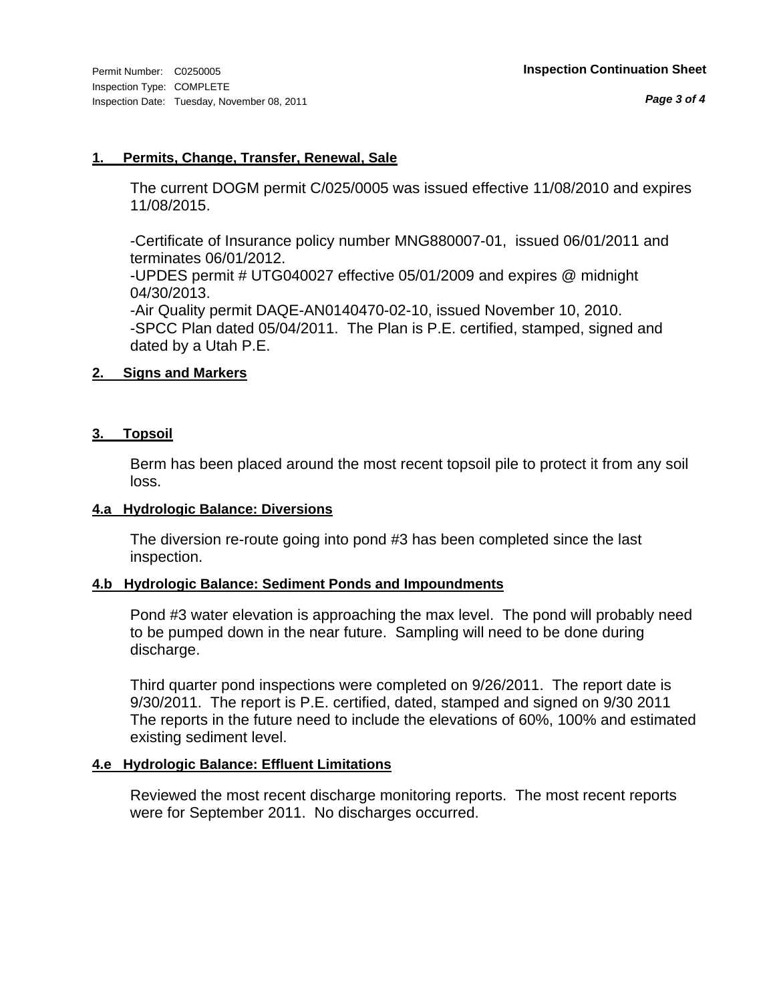#### **1. Permits, Change, Transfer, Renewal, Sale**

The current DOGM permit C/025/0005 was issued effective 11/08/2010 and expires 11/08/2015.

-Certificate of Insurance policy number MNG880007-01, issued 06/01/2011 and terminates 06/01/2012.

-UPDES permit # UTG040027 effective 05/01/2009 and expires @ midnight 04/30/2013.

-Air Quality permit DAQE-AN0140470-02-10, issued November 10, 2010. -SPCC Plan dated 05/04/2011. The Plan is P.E. certified, stamped, signed and dated by a Utah P.E.

### **2. Signs and Markers**

### **3. Topsoil**

Berm has been placed around the most recent topsoil pile to protect it from any soil loss.

#### **4.a Hydrologic Balance: Diversions**

The diversion re-route going into pond #3 has been completed since the last inspection.

### **4.b Hydrologic Balance: Sediment Ponds and Impoundments**

Pond #3 water elevation is approaching the max level. The pond will probably need to be pumped down in the near future. Sampling will need to be done during discharge.

Third quarter pond inspections were completed on 9/26/2011. The report date is 9/30/2011. The report is P.E. certified, dated, stamped and signed on 9/30 2011 The reports in the future need to include the elevations of 60%, 100% and estimated existing sediment level.

### **4.e Hydrologic Balance: Effluent Limitations**

Reviewed the most recent discharge monitoring reports. The most recent reports were for September 2011. No discharges occurred.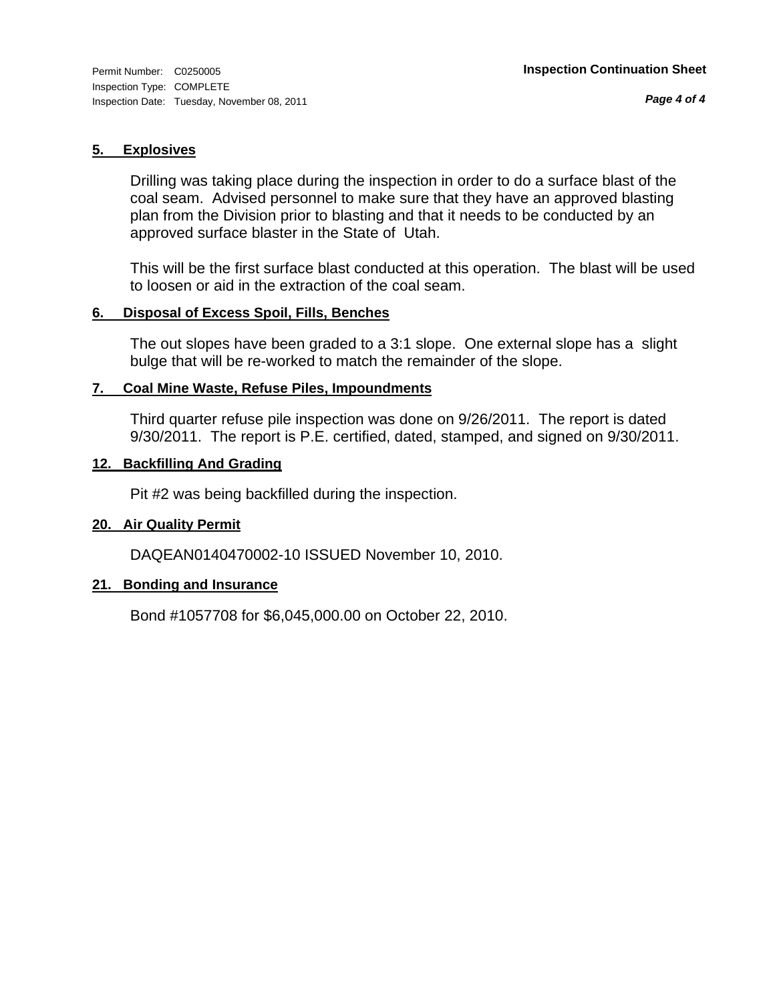#### **5. Explosives**

Drilling was taking place during the inspection in order to do a surface blast of the coal seam. Advised personnel to make sure that they have an approved blasting plan from the Division prior to blasting and that it needs to be conducted by an approved surface blaster in the State of Utah.

This will be the first surface blast conducted at this operation. The blast will be used to loosen or aid in the extraction of the coal seam.

#### **6. Disposal of Excess Spoil, Fills, Benches**

The out slopes have been graded to a 3:1 slope. One external slope has a slight bulge that will be re-worked to match the remainder of the slope.

#### **7. Coal Mine Waste, Refuse Piles, Impoundments**

Third quarter refuse pile inspection was done on 9/26/2011. The report is dated 9/30/2011. The report is P.E. certified, dated, stamped, and signed on 9/30/2011.

#### **12. Backfilling And Grading**

Pit #2 was being backfilled during the inspection.

### **20. Air Quality Permit**

DAQEAN0140470002-10 ISSUED November 10, 2010.

#### **21. Bonding and Insurance**

Bond #1057708 for \$6,045,000.00 on October 22, 2010.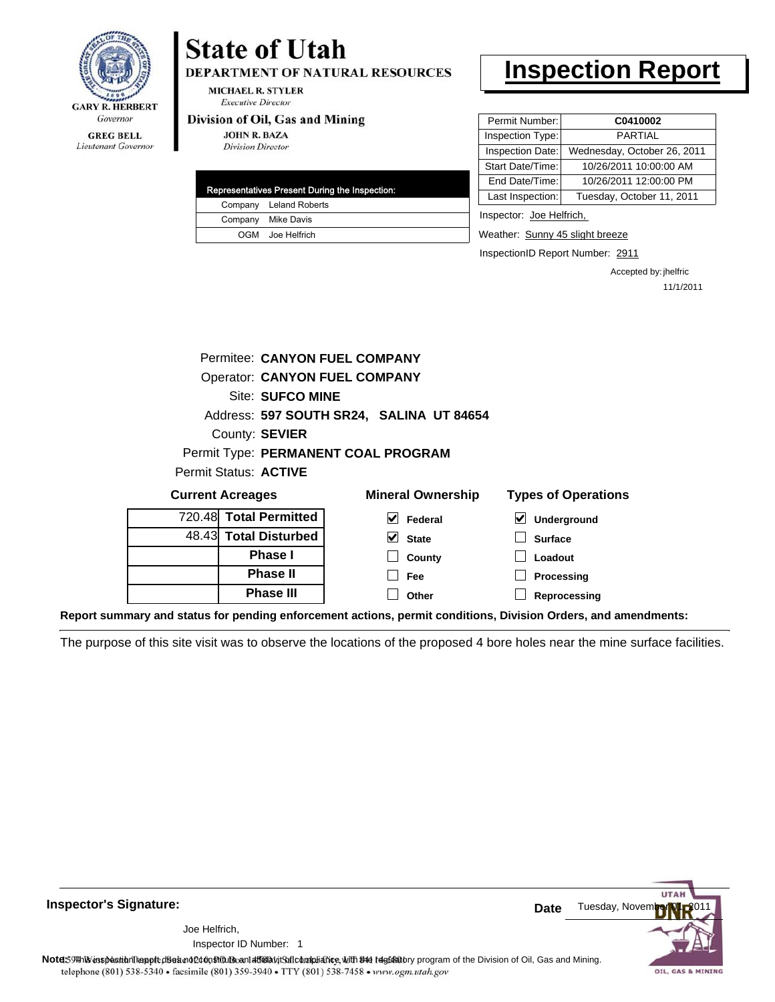

#### **GREG BELL** Lieutenant Governor

# **State of Utah**

**DEPARTMENT OF NATURAL RESOURCES** 

**MICHAEL R. STYLER Executive Director** 

#### Division of Oil, Gas and Mining

**JOHN R. BAZA Division Director** 

| Representatives Present During the Inspection: |                        |  |  |  |  |  |
|------------------------------------------------|------------------------|--|--|--|--|--|
|                                                | Company Leland Roberts |  |  |  |  |  |
|                                                | Company Mike Davis     |  |  |  |  |  |
|                                                | OGM Joe Helfrich       |  |  |  |  |  |

# **Inspection Report**

| Permit Number:   | C0410002                    |  |  |
|------------------|-----------------------------|--|--|
| Inspection Type: | <b>PARTIAL</b>              |  |  |
| Inspection Date: | Wednesday, October 26, 2011 |  |  |
| Start Date/Time: | 10/26/2011 10:00:00 AM      |  |  |
| End Date/Time:   | 10/26/2011 12:00:00 PM      |  |  |
| Last Inspection: | Tuesday, October 11, 2011   |  |  |
|                  |                             |  |  |

Inspector: Joe Helfrich,

Weather: Sunny 45 slight breeze

InspectionID Report Number: 2911

Accepted by: jhelfric 11/1/2011

|                                      |  | Permitee: CANYON FUEL COMPANY |  |   |                                          |   |                            |
|--------------------------------------|--|-------------------------------|--|---|------------------------------------------|---|----------------------------|
| <b>Operator: CANYON FUEL COMPANY</b> |  |                               |  |   |                                          |   |                            |
| Site: SUFCO MINE                     |  |                               |  |   |                                          |   |                            |
|                                      |  |                               |  |   | Address: 597 SOUTH SR24, SALINA UT 84654 |   |                            |
| County: SEVIER                       |  |                               |  |   |                                          |   |                            |
| Permit Type: PERMANENT COAL PROGRAM  |  |                               |  |   |                                          |   |                            |
|                                      |  | <b>Permit Status: ACTIVE</b>  |  |   |                                          |   |                            |
| <b>Current Acreages</b>              |  |                               |  |   | <b>Mineral Ownership</b>                 |   | <b>Types of Operations</b> |
|                                      |  | 720.48 Total Permitted        |  | M | Federal                                  | V | <b>Underground</b>         |
|                                      |  | 48.43 Total Disturbed         |  | ✓ | <b>State</b>                             |   | Surface                    |

48.43 **Total Disturbed Phase I Phase II Phase III**

**State County**

**Underground Surface Loadout Processing**

**Reprocessing**

**Report summary and status for pending enforcement actions, permit conditions, Division Orders, and amendments:**

The purpose of this site visit was to observe the locations of the proposed 4 bore holes near the mine surface facilities.

**Fee Other**

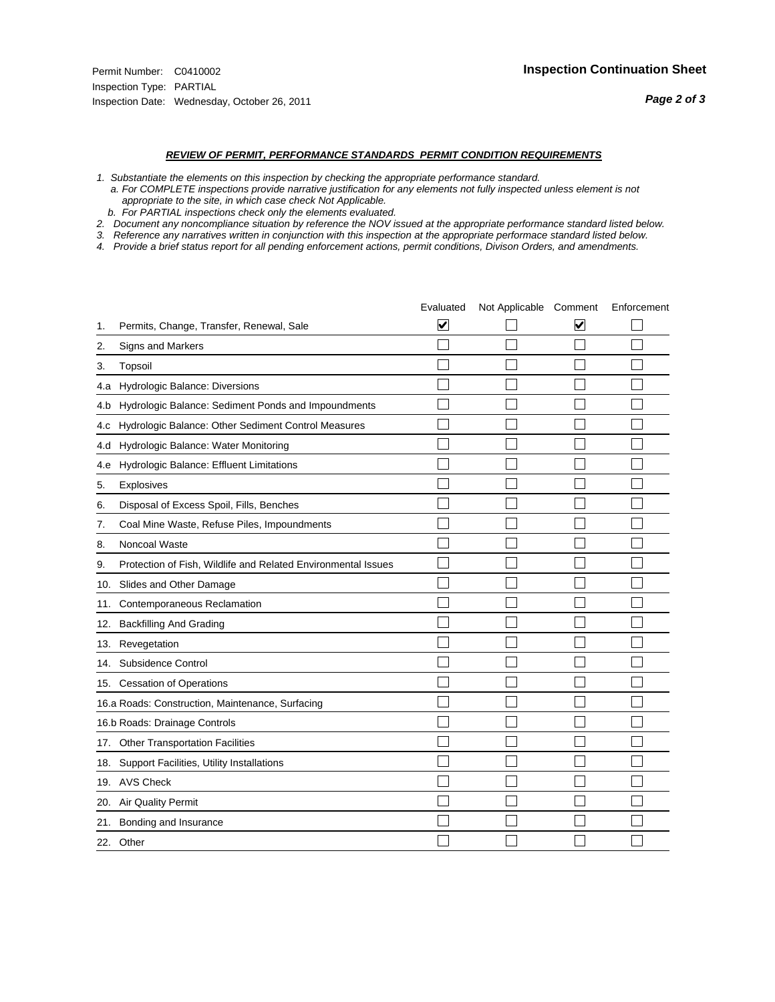#### *REVIEW OF PERMIT, PERFORMANCE STANDARDS PERMIT CONDITION REQUIREMENTS*

- *1. Substantiate the elements on this inspection by checking the appropriate performance standard.*
- *a. For COMPLETE inspections provide narrative justification for any elements not fully inspected unless element is not appropriate to the site, in which case check Not Applicable.*
- *b. For PARTIAL inspections check only the elements evaluated.*
- *2. Document any noncompliance situation by reference the NOV issued at the appropriate performance standard listed below.*
- *3. Reference any narratives written in conjunction with this inspection at the appropriate performace standard listed below.*
- *4. Provide a brief status report for all pending enforcement actions, permit conditions, Divison Orders, and amendments.*

|     |                                                               | Evaluated | Not Applicable Comment |   | Enforcement |
|-----|---------------------------------------------------------------|-----------|------------------------|---|-------------|
| 1.  | Permits, Change, Transfer, Renewal, Sale                      | ⊻         |                        | V |             |
| 2.  | Signs and Markers                                             |           |                        |   |             |
| 3.  | Topsoil                                                       |           |                        |   |             |
| 4.a | Hydrologic Balance: Diversions                                |           |                        |   |             |
| 4.b | Hydrologic Balance: Sediment Ponds and Impoundments           |           |                        |   |             |
| 4.C | Hydrologic Balance: Other Sediment Control Measures           |           |                        |   |             |
| 4.d | Hydrologic Balance: Water Monitoring                          |           |                        |   |             |
| 4.e | Hydrologic Balance: Effluent Limitations                      |           |                        |   |             |
| 5.  | Explosives                                                    |           |                        |   |             |
| 6.  | Disposal of Excess Spoil, Fills, Benches                      |           |                        |   |             |
| 7.  | Coal Mine Waste, Refuse Piles, Impoundments                   |           |                        |   |             |
| 8.  | Noncoal Waste                                                 |           |                        |   |             |
| 9.  | Protection of Fish, Wildlife and Related Environmental Issues |           |                        |   |             |
| 10. | Slides and Other Damage                                       |           |                        |   |             |
| 11. | Contemporaneous Reclamation                                   |           |                        |   |             |
| 12. | <b>Backfilling And Grading</b>                                |           |                        |   |             |
| 13. | Revegetation                                                  |           |                        |   |             |
| 14. | Subsidence Control                                            |           |                        |   |             |
|     | 15. Cessation of Operations                                   |           |                        |   |             |
|     | 16.a Roads: Construction, Maintenance, Surfacing              |           |                        |   |             |
|     | 16.b Roads: Drainage Controls                                 |           |                        |   |             |
| 17. | <b>Other Transportation Facilities</b>                        |           |                        |   |             |
| 18. | Support Facilities, Utility Installations                     |           |                        |   |             |
|     | 19. AVS Check                                                 |           |                        |   |             |
| 20. | Air Quality Permit                                            |           |                        |   |             |
| 21. | Bonding and Insurance                                         |           |                        |   |             |
|     | 22. Other                                                     |           |                        |   |             |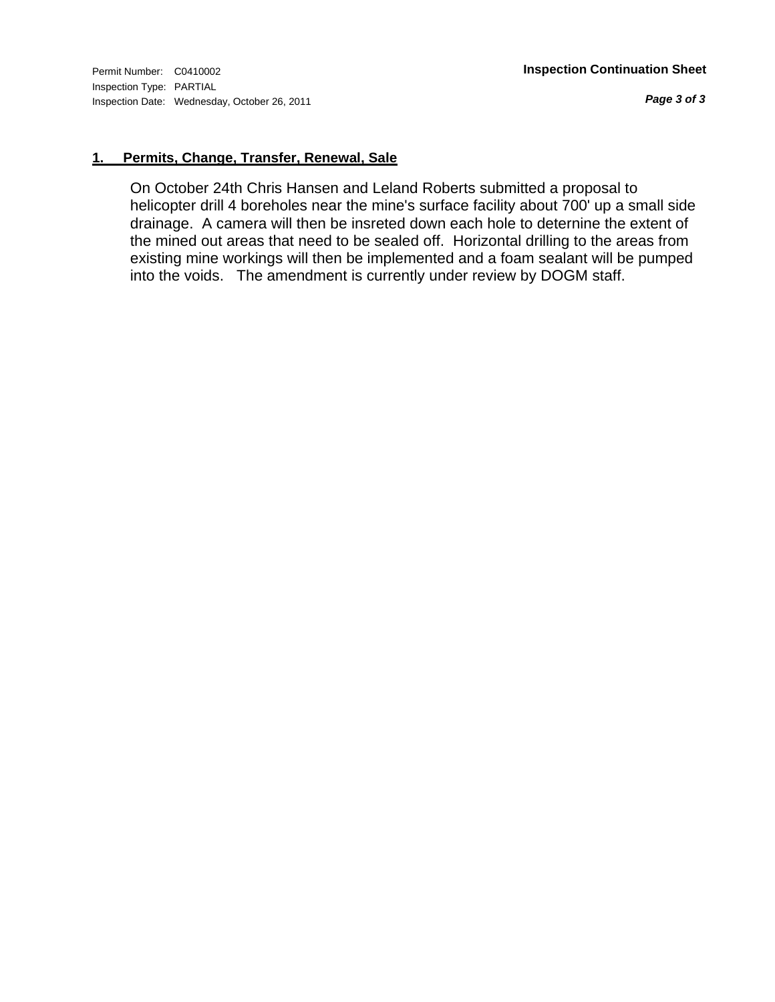*Page 3 of 3*

### **1. Permits, Change, Transfer, Renewal, Sale**

On October 24th Chris Hansen and Leland Roberts submitted a proposal to helicopter drill 4 boreholes near the mine's surface facility about 700' up a small side drainage. A camera will then be insreted down each hole to deternine the extent of the mined out areas that need to be sealed off. Horizontal drilling to the areas from existing mine workings will then be implemented and a foam sealant will be pumped into the voids. The amendment is currently under review by DOGM staff.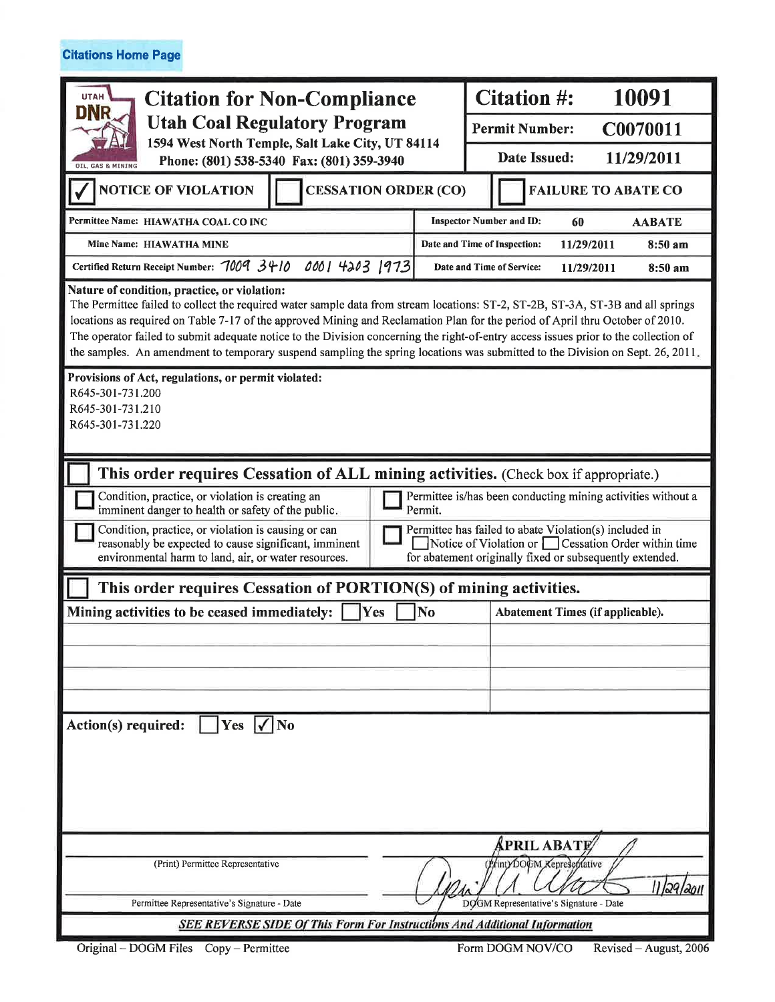**Citations Home Page** 

| <b>UTAH</b><br><b>Citation for Non-Compliance</b>                                                                                                                                                                                                                                                                                                                                                                                                                                                                                                                                         |                                                                                                                                                                                   | 10091<br><b>Citation #:</b>                            |                                   |                                 |  |  |  |
|-------------------------------------------------------------------------------------------------------------------------------------------------------------------------------------------------------------------------------------------------------------------------------------------------------------------------------------------------------------------------------------------------------------------------------------------------------------------------------------------------------------------------------------------------------------------------------------------|-----------------------------------------------------------------------------------------------------------------------------------------------------------------------------------|--------------------------------------------------------|-----------------------------------|---------------------------------|--|--|--|
| <b>DNR</b><br><b>Utah Coal Regulatory Program</b><br>1594 West North Temple, Salt Lake City, UT 84114<br>Phone: (801) 538-5340 Fax: (801) 359-3940<br><b>OIL, GAS &amp; MINING</b>                                                                                                                                                                                                                                                                                                                                                                                                        |                                                                                                                                                                                   |                                                        | <b>Permit Number:</b><br>C0070011 |                                 |  |  |  |
|                                                                                                                                                                                                                                                                                                                                                                                                                                                                                                                                                                                           |                                                                                                                                                                                   |                                                        | Date Issued:<br>11/29/2011        |                                 |  |  |  |
| <b>NOTICE OF VIOLATION</b><br><b>CESSATION ORDER (CO)</b>                                                                                                                                                                                                                                                                                                                                                                                                                                                                                                                                 |                                                                                                                                                                                   |                                                        | <b>FAILURE TO ABATE CO</b>        |                                 |  |  |  |
| Permittee Name: HIAWATHA COAL CO INC                                                                                                                                                                                                                                                                                                                                                                                                                                                                                                                                                      |                                                                                                                                                                                   | <b>Inspector Number and ID:</b><br>60<br><b>AABATE</b> |                                   |                                 |  |  |  |
| Mine Name: HIAWATHA MINE                                                                                                                                                                                                                                                                                                                                                                                                                                                                                                                                                                  |                                                                                                                                                                                   | Date and Time of Inspection:<br>11/29/2011<br>8:50 am  |                                   |                                 |  |  |  |
| Certified Return Receipt Number: 7009 3410                                                                                                                                                                                                                                                                                                                                                                                                                                                                                                                                                | 0001 4203 1973                                                                                                                                                                    |                                                        | Date and Time of Service:         | 11/29/2011<br>$8:50 \text{ am}$ |  |  |  |
| Nature of condition, practice, or violation:<br>The Permittee failed to collect the required water sample data from stream locations: ST-2, ST-2B, ST-3A, ST-3B and all springs<br>locations as required on Table 7-17 of the approved Mining and Reclamation Plan for the period of April thru October of 2010.<br>The operator failed to submit adequate notice to the Division concerning the right-of-entry access issues prior to the collection of<br>the samples. An amendment to temporary suspend sampling the spring locations was submitted to the Division on Sept. 26, 2011. |                                                                                                                                                                                   |                                                        |                                   |                                 |  |  |  |
| Provisions of Act, regulations, or permit violated:<br>R645-301-731.200<br>R645-301-731.210<br>R645-301-731.220                                                                                                                                                                                                                                                                                                                                                                                                                                                                           |                                                                                                                                                                                   |                                                        |                                   |                                 |  |  |  |
| This order requires Cessation of ALL mining activities. (Check box if appropriate.)                                                                                                                                                                                                                                                                                                                                                                                                                                                                                                       |                                                                                                                                                                                   |                                                        |                                   |                                 |  |  |  |
|                                                                                                                                                                                                                                                                                                                                                                                                                                                                                                                                                                                           | Condition, practice, or violation is creating an<br>Permittee is/has been conducting mining activities without a<br>imminent danger to health or safety of the public.<br>Permit. |                                                        |                                   |                                 |  |  |  |
| Permittee has failed to abate Violation(s) included in<br>Condition, practice, or violation is causing or can<br>Notice of Violation or Cessation Order within time<br>reasonably be expected to cause significant, imminent<br>environmental harm to land, air, or water resources.<br>for abatement originally fixed or subsequently extended.                                                                                                                                                                                                                                          |                                                                                                                                                                                   |                                                        |                                   |                                 |  |  |  |
| This order requires Cessation of PORTION(S) of mining activities.                                                                                                                                                                                                                                                                                                                                                                                                                                                                                                                         |                                                                                                                                                                                   |                                                        |                                   |                                 |  |  |  |
| Mining activities to be ceased immediately:                                                                                                                                                                                                                                                                                                                                                                                                                                                                                                                                               | Yes                                                                                                                                                                               | <b>No</b>                                              | Abatement Times (if applicable).  |                                 |  |  |  |
|                                                                                                                                                                                                                                                                                                                                                                                                                                                                                                                                                                                           |                                                                                                                                                                                   |                                                        |                                   |                                 |  |  |  |
|                                                                                                                                                                                                                                                                                                                                                                                                                                                                                                                                                                                           |                                                                                                                                                                                   |                                                        |                                   |                                 |  |  |  |
|                                                                                                                                                                                                                                                                                                                                                                                                                                                                                                                                                                                           |                                                                                                                                                                                   |                                                        |                                   |                                 |  |  |  |
| Action(s) required:<br> Yes  /  No                                                                                                                                                                                                                                                                                                                                                                                                                                                                                                                                                        |                                                                                                                                                                                   |                                                        |                                   |                                 |  |  |  |
| APRIL ABATE<br>(PrintyDOGM Kepreschlative<br>(Print) Permittee Representative<br>11 29/2011                                                                                                                                                                                                                                                                                                                                                                                                                                                                                               |                                                                                                                                                                                   |                                                        |                                   |                                 |  |  |  |
| DOGM Representative's Signature - Date<br>Permittee Representative's Signature - Date<br>SEE REVERSE SIDE Of This Form For Instructions And Additional Information                                                                                                                                                                                                                                                                                                                                                                                                                        |                                                                                                                                                                                   |                                                        |                                   |                                 |  |  |  |
|                                                                                                                                                                                                                                                                                                                                                                                                                                                                                                                                                                                           |                                                                                                                                                                                   |                                                        |                                   |                                 |  |  |  |